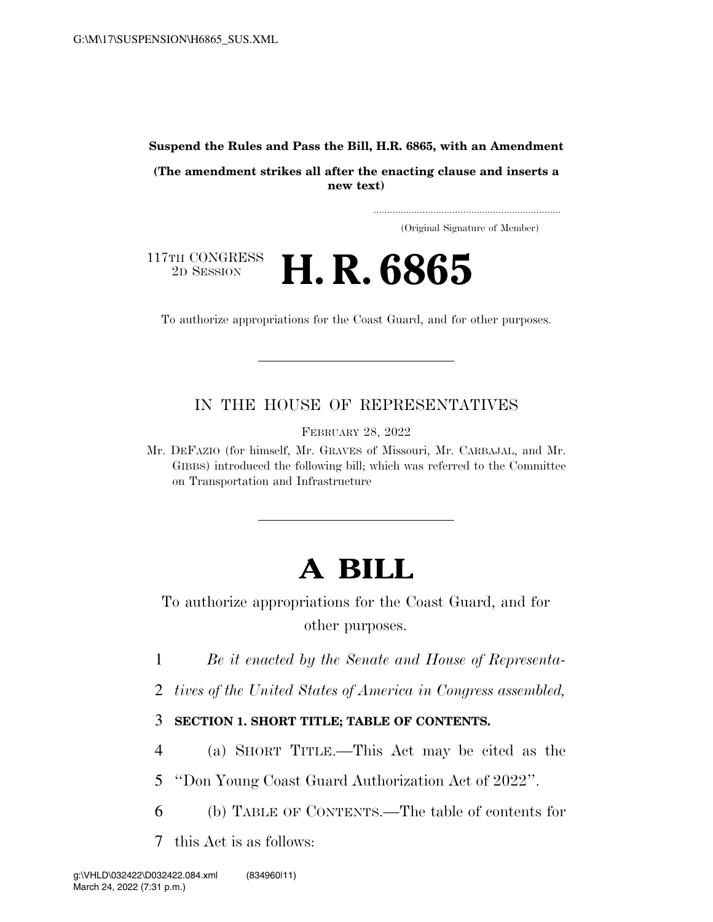**Suspend the Rules and Pass the Bill, H.R. 6865, with an Amendment** 

**(The amendment strikes all after the enacting clause and inserts a new text)** 

> ..................................................................... (Original Signature of Member)



To authorize appropriations for the Coast Guard, and for other purposes.

## IN THE HOUSE OF REPRESENTATIVES

FEBRUARY 28, 2022

Mr. DEFAZIO (for himself, Mr. GRAVES of Missouri, Mr. CARBAJAL, and Mr. GIBBS) introduced the following bill; which was referred to the Committee on Transportation and Infrastructure

# **A BILL**

To authorize appropriations for the Coast Guard, and for other purposes.

1 *Be it enacted by the Senate and House of Representa-*

2 *tives of the United States of America in Congress assembled,* 

## 3 **SECTION 1. SHORT TITLE; TABLE OF CONTENTS.**

4 (a) SHORT TITLE.—This Act may be cited as the

5 ''Don Young Coast Guard Authorization Act of 2022''.

6 (b) TABLE OF CONTENTS.—The table of contents for

7 this Act is as follows: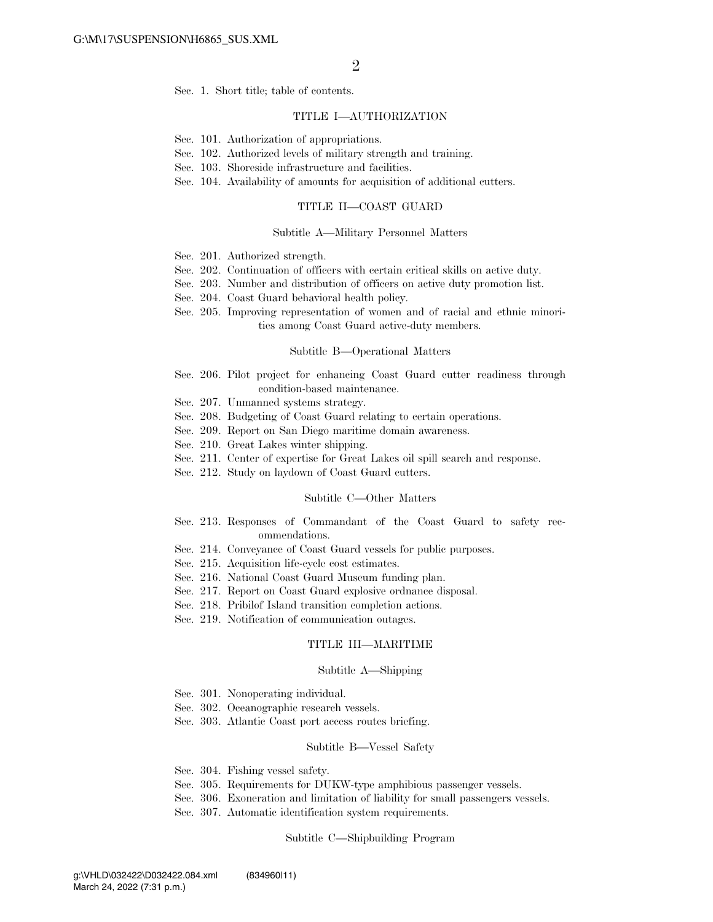Sec. 1. Short title; table of contents.

### TITLE I—AUTHORIZATION

- Sec. 101. Authorization of appropriations.
- Sec. 102. Authorized levels of military strength and training.
- Sec. 103. Shoreside infrastructure and facilities.
- Sec. 104. Availability of amounts for acquisition of additional cutters.

#### TITLE II—COAST GUARD

#### Subtitle A—Military Personnel Matters

- Sec. 201. Authorized strength.
- Sec. 202. Continuation of officers with certain critical skills on active duty.
- Sec. 203. Number and distribution of officers on active duty promotion list.
- Sec. 204. Coast Guard behavioral health policy.
- Sec. 205. Improving representation of women and of racial and ethnic minorities among Coast Guard active-duty members.

#### Subtitle B—Operational Matters

- Sec. 206. Pilot project for enhancing Coast Guard cutter readiness through condition-based maintenance.
- Sec. 207. Unmanned systems strategy.
- Sec. 208. Budgeting of Coast Guard relating to certain operations.
- Sec. 209. Report on San Diego maritime domain awareness.
- Sec. 210. Great Lakes winter shipping.
- Sec. 211. Center of expertise for Great Lakes oil spill search and response.
- Sec. 212. Study on laydown of Coast Guard cutters.

### Subtitle C—Other Matters

- Sec. 213. Responses of Commandant of the Coast Guard to safety recommendations.
- Sec. 214. Conveyance of Coast Guard vessels for public purposes.
- Sec. 215. Acquisition life-cycle cost estimates.
- Sec. 216. National Coast Guard Museum funding plan.
- Sec. 217. Report on Coast Guard explosive ordnance disposal.
- Sec. 218. Pribilof Island transition completion actions.
- Sec. 219. Notification of communication outages.

### TITLE III—MARITIME

#### Subtitle A—Shipping

- Sec. 301. Nonoperating individual.
- Sec. 302. Oceanographic research vessels.
- Sec. 303. Atlantic Coast port access routes briefing.

#### Subtitle B—Vessel Safety

- Sec. 304. Fishing vessel safety.
- Sec. 305. Requirements for DUKW-type amphibious passenger vessels.
- Sec. 306. Exoneration and limitation of liability for small passengers vessels.
- Sec. 307. Automatic identification system requirements.

#### Subtitle C—Shipbuilding Program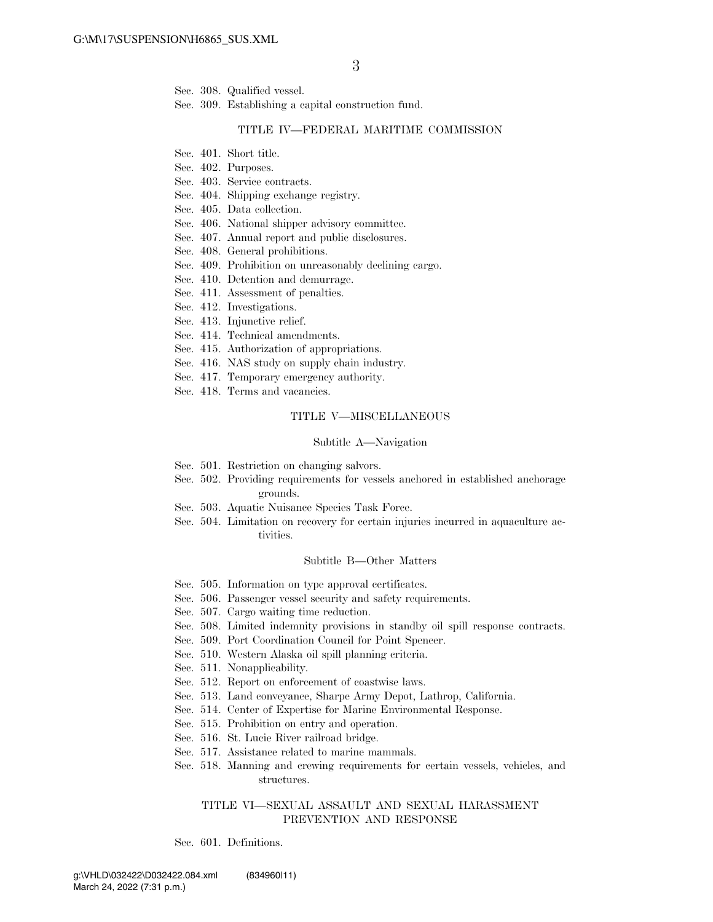Sec. 308. Qualified vessel.

Sec. 309. Establishing a capital construction fund.

#### TITLE IV—FEDERAL MARITIME COMMISSION

- Sec. 401. Short title.
- Sec. 402. Purposes.
- Sec. 403. Service contracts.
- Sec. 404. Shipping exchange registry.
- Sec. 405. Data collection.
- Sec. 406. National shipper advisory committee.
- Sec. 407. Annual report and public disclosures.
- Sec. 408. General prohibitions.
- Sec. 409. Prohibition on unreasonably declining cargo.
- Sec. 410. Detention and demurrage.
- Sec. 411. Assessment of penalties.
- Sec. 412. Investigations.
- Sec. 413. Injunctive relief.
- Sec. 414. Technical amendments.
- Sec. 415. Authorization of appropriations.
- Sec. 416. NAS study on supply chain industry.
- Sec. 417. Temporary emergency authority.
- Sec. 418. Terms and vacancies.

### TITLE V—MISCELLANEOUS

#### Subtitle A—Navigation

- Sec. 501. Restriction on changing salvors.
- Sec. 502. Providing requirements for vessels anchored in established anchorage grounds.
- Sec. 503. Aquatic Nuisance Species Task Force.
- Sec. 504. Limitation on recovery for certain injuries incurred in aquaculture activities.

#### Subtitle B—Other Matters

- Sec. 505. Information on type approval certificates.
- Sec. 506. Passenger vessel security and safety requirements.
- Sec. 507. Cargo waiting time reduction.
- Sec. 508. Limited indemnity provisions in standby oil spill response contracts.
- Sec. 509. Port Coordination Council for Point Spencer.
- Sec. 510. Western Alaska oil spill planning criteria.
- Sec. 511. Nonapplicability.
- Sec. 512. Report on enforcement of coastwise laws.
- Sec. 513. Land conveyance, Sharpe Army Depot, Lathrop, California.
- Sec. 514. Center of Expertise for Marine Environmental Response.
- Sec. 515. Prohibition on entry and operation.
- Sec. 516. St. Lucie River railroad bridge.
- Sec. 517. Assistance related to marine mammals.
- Sec. 518. Manning and crewing requirements for certain vessels, vehicles, and structures.

### TITLE VI—SEXUAL ASSAULT AND SEXUAL HARASSMENT PREVENTION AND RESPONSE

Sec. 601. Definitions.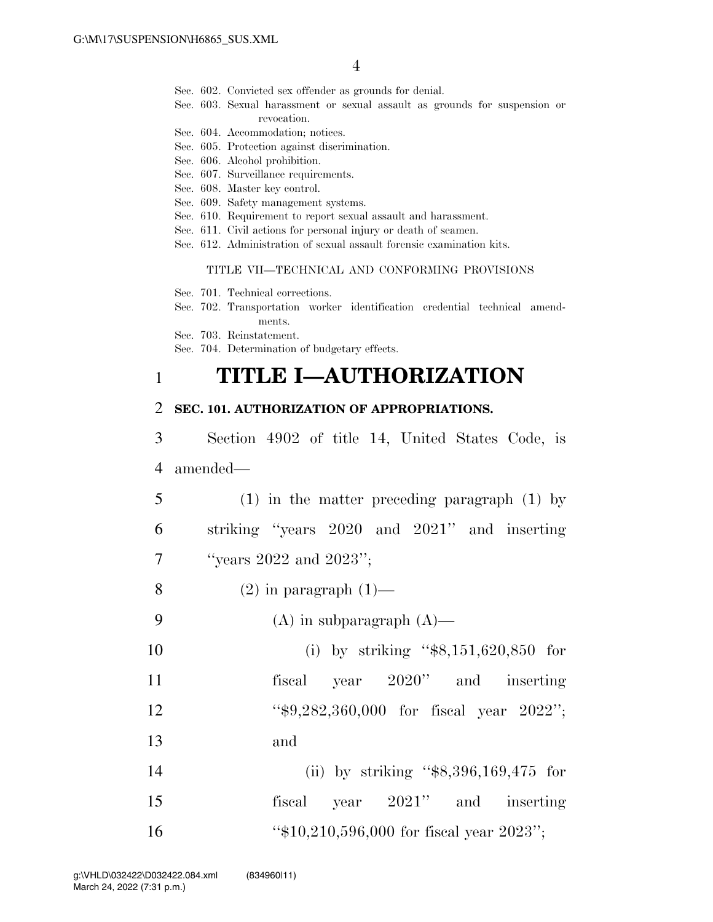- Sec. 602. Convicted sex offender as grounds for denial.
- Sec. 603. Sexual harassment or sexual assault as grounds for suspension or revocation.
- Sec. 604. Accommodation; notices.
- Sec. 605. Protection against discrimination.
- Sec. 606. Alcohol prohibition.
- Sec. 607. Surveillance requirements.
- Sec. 608. Master key control.
- Sec. 609. Safety management systems.
- Sec. 610. Requirement to report sexual assault and harassment.
- Sec. 611. Civil actions for personal injury or death of seamen.
- Sec. 612. Administration of sexual assault forensic examination kits.

### TITLE VII—TECHNICAL AND CONFORMING PROVISIONS

- Sec. 701. Technical corrections.
- Sec. 702. Transportation worker identification credential technical amendments.

Sec. 703. Reinstatement.

Sec. 704. Determination of budgetary effects.

## 1 **TITLE I—AUTHORIZATION**

### 2 **SEC. 101. AUTHORIZATION OF APPROPRIATIONS.**

- 3 Section 4902 of title 14, United States Code, is 4 amended—
- 5 (1) in the matter preceding paragraph (1) by 6 striking ''years 2020 and 2021'' and inserting 7  $\text{``years 2022 and 2023''};$
- 8 (2) in paragraph  $(1)$ —
- 9 (A) in subparagraph  $(A)$ —
- 10 (i) by striking "\$8,151,620,850 for 11 fiscal year 2020" and inserting 12 ''\$9,282,360,000 for fiscal year 2022''; 13 and
- 14 (ii) by striking ''\$8,396,169,475 for 15 fiscal year 2021'' and inserting 16 ''\$10,210,596,000 for fiscal year 2023'';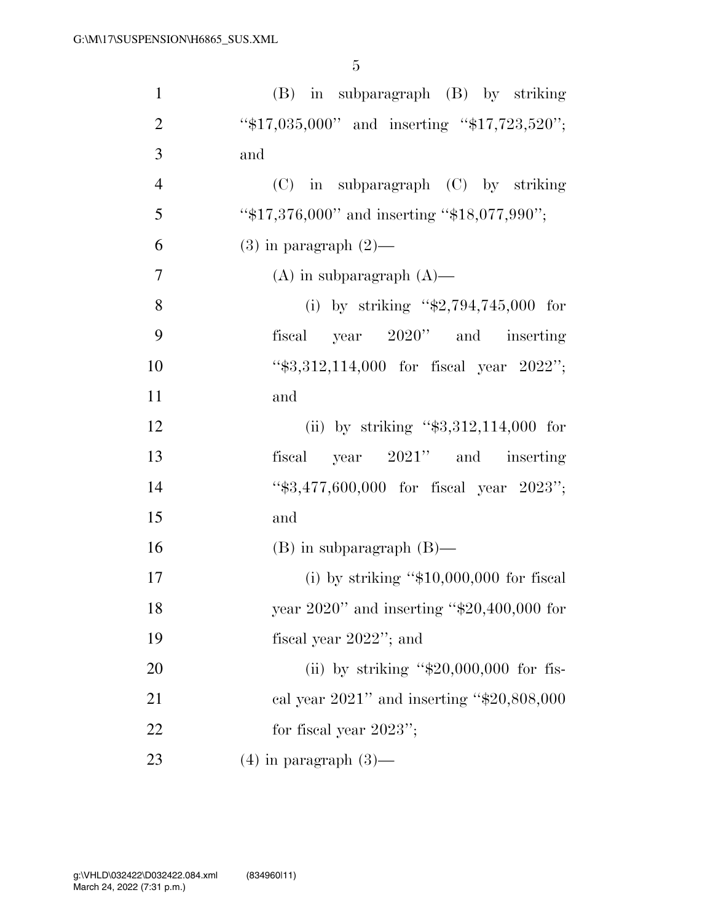| $\mathbf{1}$   | $(B)$ in subparagraph $(B)$ by striking         |
|----------------|-------------------------------------------------|
| $\overline{2}$ | "\$17,035,000" and inserting "\$17,723,520";    |
| 3              | and                                             |
| $\overline{4}$ | $(C)$ in subparagraph $(C)$ by striking         |
| 5              | "\$17,376,000" and inserting "\$18,077,990";    |
| 6              | $(3)$ in paragraph $(2)$ —                      |
| $\overline{7}$ | $(A)$ in subparagraph $(A)$ —                   |
| 8              | (i) by striking " $$2,794,745,000$ for          |
| 9              | fiscal year 2020" and inserting                 |
| 10             | " $$3,312,114,000$ for fiscal year $2022$ ";    |
| 11             | and                                             |
| 12             | (ii) by striking " $$3,312,114,000$ for         |
| 13             | fiscal year 2021" and inserting                 |
| 14             | "\$3,477,600,000 for fiscal year 2023";         |
| 15             | and                                             |
| 16             | $(B)$ in subparagraph $(B)$ —                   |
| 17             | (i) by striking " $$10,000,000$ for fiscal      |
| 18             | year $2020$ " and inserting "\$20,400,000 for   |
| 19             | fiscal year $2022$ "; and                       |
| 20             | (ii) by striking " $$20,000,000$ for fis-       |
| 21             | cal year $2021$ " and inserting " $$20,808,000$ |
| 22             | for fiscal year $2023$ ";                       |
| 23             | $(4)$ in paragraph $(3)$ —                      |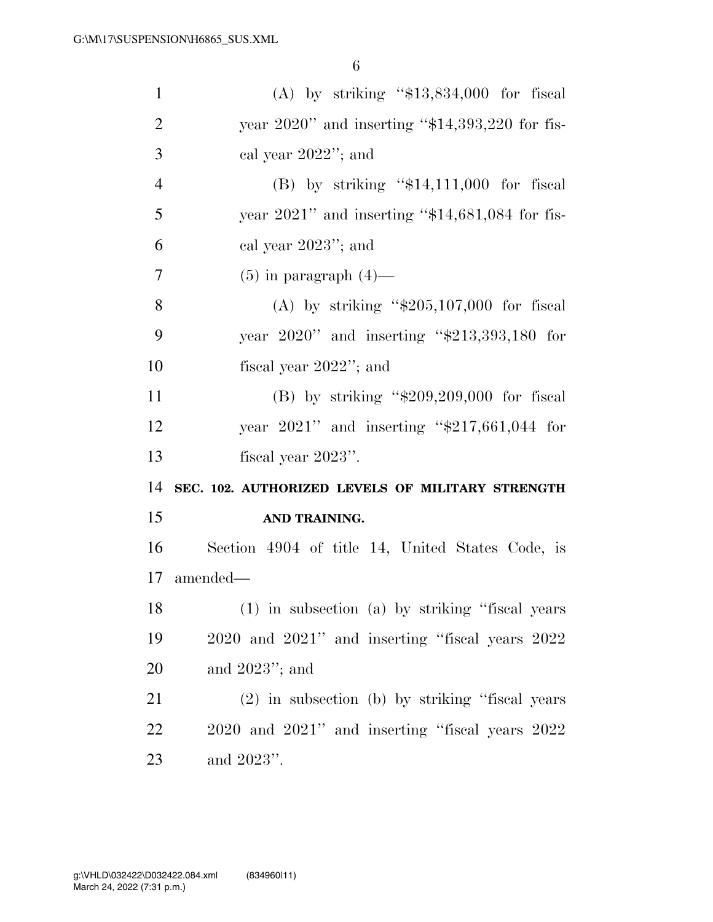| $\mathbf{1}$   | (A) by striking " $$13,834,000$ for fiscal         |
|----------------|----------------------------------------------------|
| $\overline{2}$ | year $2020$ " and inserting "\$14,393,220 for fis- |
| 3              | cal year $2022$ "; and                             |
| $\overline{4}$ | (B) by striking " $$14,111,000$ for fiscal         |
| 5              | year $2021$ " and inserting "\$14,681,084 for fis- |
| 6              | cal year $2023$ "; and                             |
| $\tau$         | $(5)$ in paragraph $(4)$ —                         |
| 8              | (A) by striking " $$205,107,000$ for fiscal        |
| 9              | year $2020$ " and inserting " $$213,393,180$ for   |
| 10             | fiscal year $2022$ "; and                          |
| 11             | (B) by striking " $$209,209,000$ for fiscal        |
| 12             | year $2021$ " and inserting "\$217,661,044 for     |
| 13             | fiscal year 2023".                                 |
| 14             | SEC. 102. AUTHORIZED LEVELS OF MILITARY STRENGTH   |
| 15             | AND TRAINING.                                      |
| 16             | Section 4904 of title 14, United States Code, is   |
| 17             | amended—                                           |
| 18             | (1) in subsection (a) by striking "fiscal years    |
| 19             | 2020 and 2021" and inserting "fiscal years 2022    |
| 20             | and $2023$ "; and                                  |
| 21             | (2) in subsection (b) by striking "fiscal years    |
| 22             |                                                    |
|                | 2020 and 2021" and inserting "fiscal years 2022    |
| 23             | and 2023".                                         |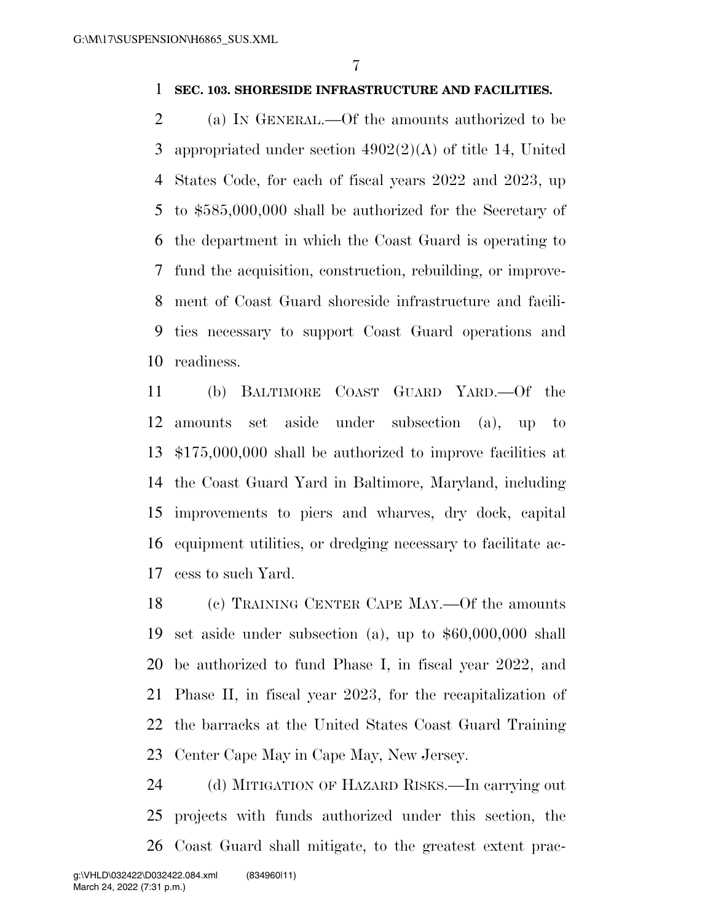## **SEC. 103. SHORESIDE INFRASTRUCTURE AND FACILITIES.**

 (a) IN GENERAL.—Of the amounts authorized to be appropriated under section 4902(2)(A) of title 14, United States Code, for each of fiscal years 2022 and 2023, up to \$585,000,000 shall be authorized for the Secretary of the department in which the Coast Guard is operating to fund the acquisition, construction, rebuilding, or improve- ment of Coast Guard shoreside infrastructure and facili- ties necessary to support Coast Guard operations and readiness.

 (b) BALTIMORE COAST GUARD YARD.—Of the amounts set aside under subsection (a), up to \$175,000,000 shall be authorized to improve facilities at the Coast Guard Yard in Baltimore, Maryland, including improvements to piers and wharves, dry dock, capital equipment utilities, or dredging necessary to facilitate ac-cess to such Yard.

 (c) TRAINING CENTER CAPE MAY.—Of the amounts set aside under subsection (a), up to \$60,000,000 shall be authorized to fund Phase I, in fiscal year 2022, and Phase II, in fiscal year 2023, for the recapitalization of the barracks at the United States Coast Guard Training Center Cape May in Cape May, New Jersey.

 (d) MITIGATION OF HAZARD RISKS.—In carrying out projects with funds authorized under this section, the Coast Guard shall mitigate, to the greatest extent prac-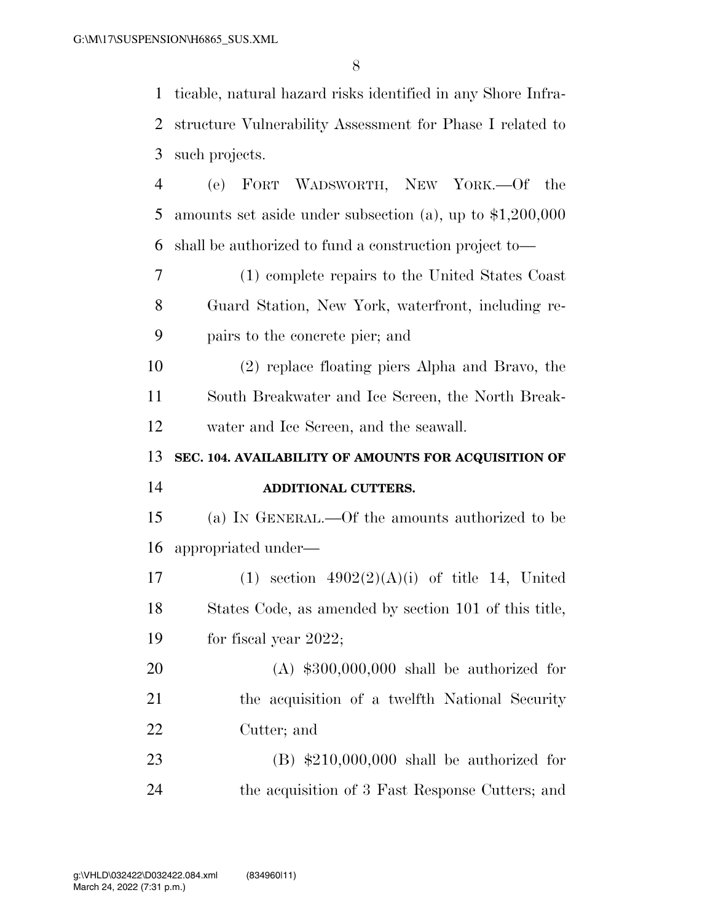| $\mathbf{1}$   | ticable, natural hazard risks identified in any Shore Infra- |
|----------------|--------------------------------------------------------------|
| $\overline{2}$ | structure Vulnerability Assessment for Phase I related to    |
| 3              | such projects.                                               |
| $\overline{4}$ | (e) FORT WADSWORTH, NEW YORK.—Of<br>the                      |
| 5              | amounts set aside under subsection (a), up to $$1,200,000$   |
| 6              | shall be authorized to fund a construction project to—       |
| 7              | (1) complete repairs to the United States Coast              |
| 8              | Guard Station, New York, waterfront, including re-           |
| 9              | pairs to the concrete pier; and                              |
| 10             | (2) replace floating piers Alpha and Bravo, the              |
| 11             | South Breakwater and Ice Screen, the North Break-            |
| 12             | water and Ice Screen, and the seawall.                       |
|                |                                                              |
| 13             | SEC. 104. AVAILABILITY OF AMOUNTS FOR ACQUISITION OF         |
| 14             | ADDITIONAL CUTTERS.                                          |
| 15             | (a) IN GENERAL.—Of the amounts authorized to be              |
| 16             | appropriated under—                                          |
| 17             | $(1)$ section $4902(2)(A)(i)$ of title 14, United            |
| 18             | States Code, as amended by section 101 of this title,        |
| 19             | for fiscal year $2022$ ;                                     |
| 20             | $(A)$ \$300,000,000 shall be authorized for                  |
| 21             | the acquisition of a twelfth National Security               |
| 22             | Cutter; and                                                  |
| 23             | $(B)$ \$210,000,000 shall be authorized for                  |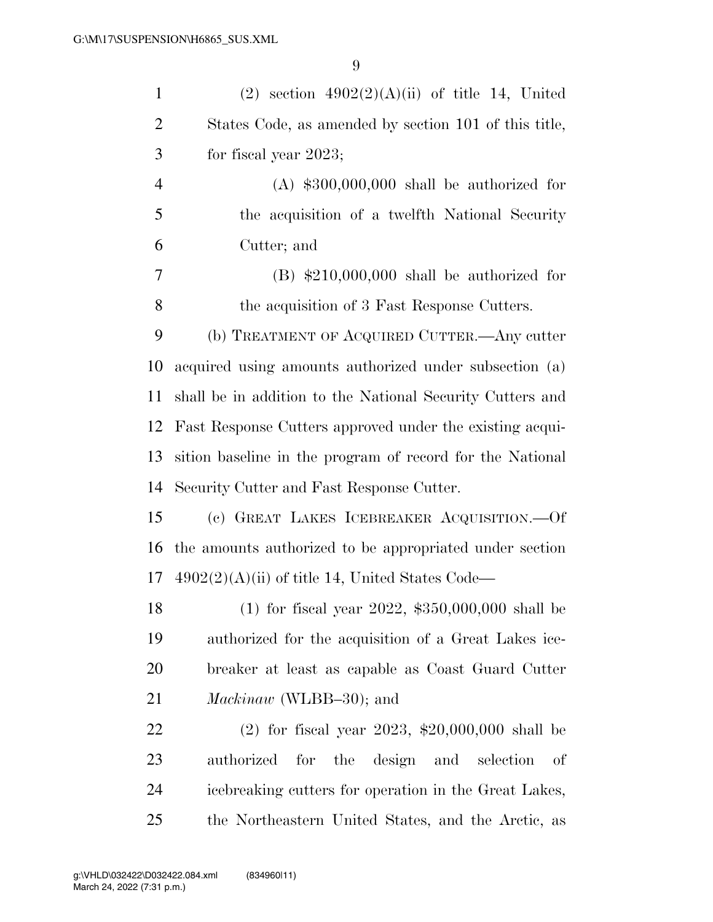| $\mathbf{1}$   | $(2)$ section $4902(2)(A)(ii)$ of title 14, United        |
|----------------|-----------------------------------------------------------|
| $\overline{2}$ | States Code, as amended by section 101 of this title,     |
| 3              | for fiscal year $2023$ ;                                  |
| $\overline{4}$ | $(A)$ \$300,000,000 shall be authorized for               |
| 5              | the acquisition of a twelfth National Security            |
| 6              | Cutter; and                                               |
| 7              | $(B)$ \$210,000,000 shall be authorized for               |
| 8              | the acquisition of 3 Fast Response Cutters.               |
| 9              | (b) TREATMENT OF ACQUIRED CUTTER.—Any cutter              |
| 10             | acquired using amounts authorized under subsection (a)    |
| 11             | shall be in addition to the National Security Cutters and |
| 12             | Fast Response Cutters approved under the existing acqui-  |
| 13             | sition baseline in the program of record for the National |
|                |                                                           |
| 14             | Security Cutter and Fast Response Cutter.                 |
| 15             | (c) GREAT LAKES ICEBREAKER ACQUISITION. - Of              |
| 16             | the amounts authorized to be appropriated under section   |
| 17             | $4902(2)(A)(ii)$ of title 14, United States Code—         |
| 18             | (1) for fiscal year 2022, $$350,000,000$ shall be         |
| 19             | authorized for the acquisition of a Great Lakes ice-      |
| 20             | breaker at least as capable as Coast Guard Cutter         |
| 21             | <i>Mackinaw</i> (WLBB-30); and                            |
| 22             | (2) for fiscal year 2023, $$20,000,000$ shall be          |
| 23             | for the design and<br>authorized<br>selection<br>of       |
| 24             | icebreaking cutters for operation in the Great Lakes,     |
| 25             | the Northeastern United States, and the Arctic, as        |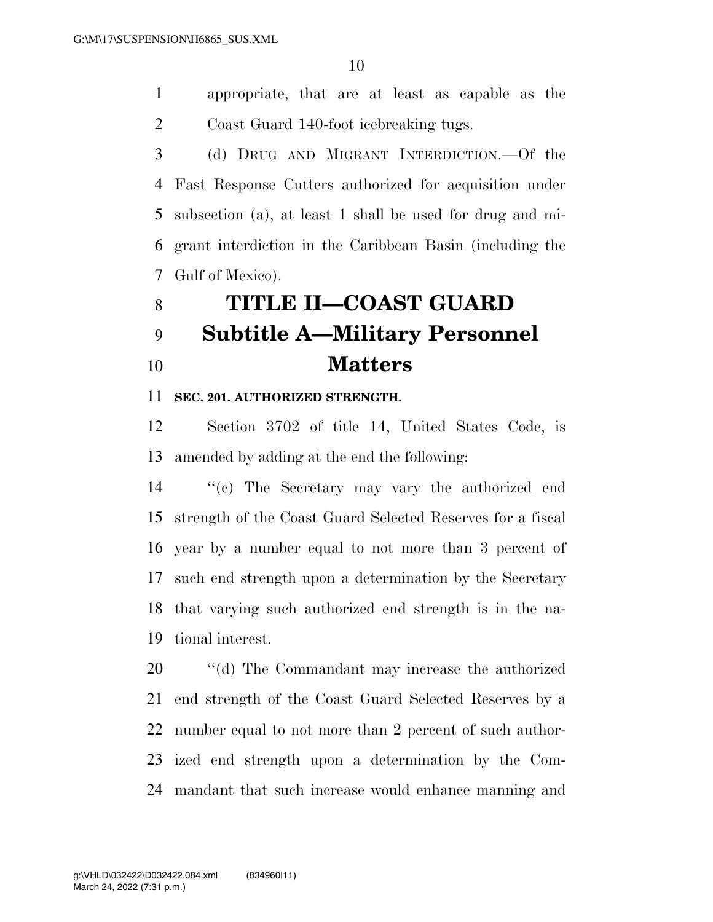appropriate, that are at least as capable as the Coast Guard 140-foot icebreaking tugs.

 (d) DRUG AND MIGRANT INTERDICTION.—Of the Fast Response Cutters authorized for acquisition under subsection (a), at least 1 shall be used for drug and mi- grant interdiction in the Caribbean Basin (including the Gulf of Mexico).

# **TITLE II—COAST GUARD Subtitle A—Military Personnel Matters**

## **SEC. 201. AUTHORIZED STRENGTH.**

 Section 3702 of title 14, United States Code, is amended by adding at the end the following:

 ''(c) The Secretary may vary the authorized end strength of the Coast Guard Selected Reserves for a fiscal year by a number equal to not more than 3 percent of such end strength upon a determination by the Secretary that varying such authorized end strength is in the na-tional interest.

 $\cdot$  "(d) The Commandant may increase the authorized end strength of the Coast Guard Selected Reserves by a number equal to not more than 2 percent of such author- ized end strength upon a determination by the Com-mandant that such increase would enhance manning and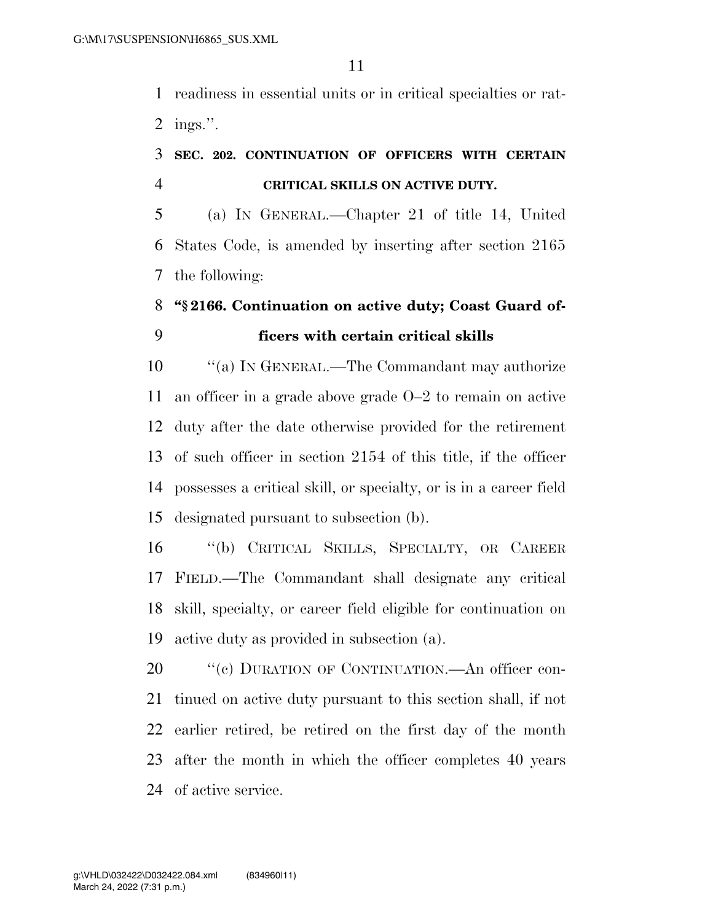readiness in essential units or in critical specialties or rat-ings.''.

## **SEC. 202. CONTINUATION OF OFFICERS WITH CERTAIN CRITICAL SKILLS ON ACTIVE DUTY.**

 (a) IN GENERAL.—Chapter 21 of title 14, United States Code, is amended by inserting after section 2165 the following:

## **''§ 2166. Continuation on active duty; Coast Guard of-ficers with certain critical skills**

10 "(a) IN GENERAL.—The Commandant may authorize an officer in a grade above grade O–2 to remain on active duty after the date otherwise provided for the retirement of such officer in section 2154 of this title, if the officer possesses a critical skill, or specialty, or is in a career field designated pursuant to subsection (b).

 ''(b) CRITICAL SKILLS, SPECIALTY, OR CAREER FIELD.—The Commandant shall designate any critical skill, specialty, or career field eligible for continuation on active duty as provided in subsection (a).

20 "(c) DURATION OF CONTINUATION.—An officer con- tinued on active duty pursuant to this section shall, if not earlier retired, be retired on the first day of the month after the month in which the officer completes 40 years of active service.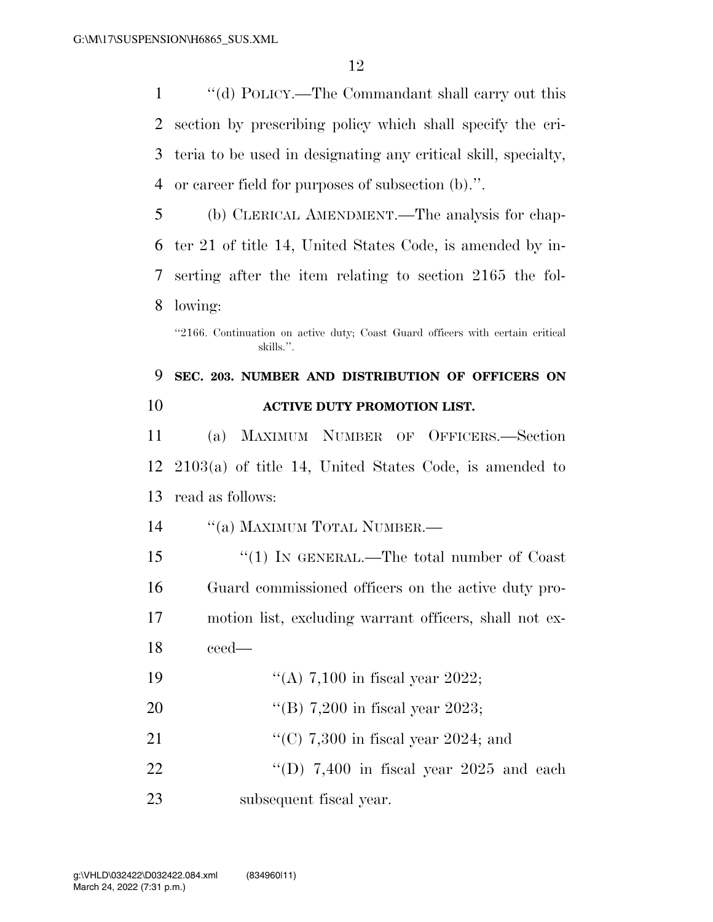''(d) POLICY.—The Commandant shall carry out this section by prescribing policy which shall specify the cri- teria to be used in designating any critical skill, specialty, or career field for purposes of subsection (b).''.

 (b) CLERICAL AMENDMENT.—The analysis for chap- ter 21 of title 14, United States Code, is amended by in- serting after the item relating to section 2165 the fol-lowing:

''2166. Continuation on active duty; Coast Guard officers with certain critical skills.''.

## **SEC. 203. NUMBER AND DISTRIBUTION OF OFFICERS ON ACTIVE DUTY PROMOTION LIST.**

 (a) MAXIMUM NUMBER OF OFFICERS.—Section 2103(a) of title 14, United States Code, is amended to read as follows:

14 "(a) MAXIMUM TOTAL NUMBER.—

15 "(1) IN GENERAL.—The total number of Coast Guard commissioned officers on the active duty pro- motion list, excluding warrant officers, shall not ex-ceed—

- 19  $((A) 7,100 \text{ in fiscal year } 2022;$
- ''(B) 7,200 in fiscal year 2023;
- 21 ''(C) 7,300 in fiscal year 2024; and
- 22  $\text{``(D)}$  7,400 in fiscal year 2025 and each subsequent fiscal year.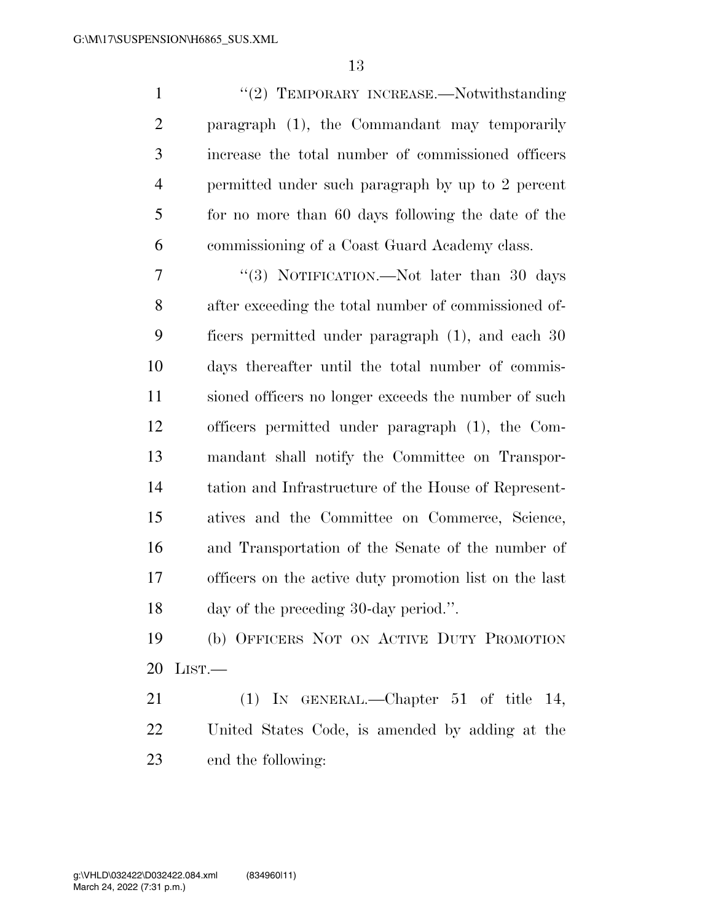| $\mathbf{1}$   | "(2) TEMPORARY INCREASE.—Notwithstanding               |
|----------------|--------------------------------------------------------|
| $\overline{2}$ | paragraph (1), the Commandant may temporarily          |
| 3              | increase the total number of commissioned officers     |
| $\overline{4}$ | permitted under such paragraph by up to 2 percent      |
| 5              | for no more than 60 days following the date of the     |
| 6              | commissioning of a Coast Guard Academy class.          |
| 7              | "(3) NOTIFICATION.—Not later than 30 days              |
| 8              | after exceeding the total number of commissioned of-   |
| 9              | ficers permitted under paragraph (1), and each 30      |
| 10             | days thereafter until the total number of commis-      |
| 11             | sioned officers no longer exceeds the number of such   |
| 12             | officers permitted under paragraph (1), the Com-       |
| 13             | mandant shall notify the Committee on Transpor-        |
| 14             | tation and Infrastructure of the House of Represent-   |
| 15             | atives and the Committee on Commerce, Science,         |
| 16             | and Transportation of the Senate of the number of      |
| 17             | officers on the active duty promotion list on the last |
| 18             | day of the preceding 30-day period.".                  |
| 19             | (b) OFFICERS NOT ON ACTIVE DUTY PROMOTION              |
| 20             | LIST.                                                  |

 (1) IN GENERAL.—Chapter 51 of title 14, United States Code, is amended by adding at the end the following: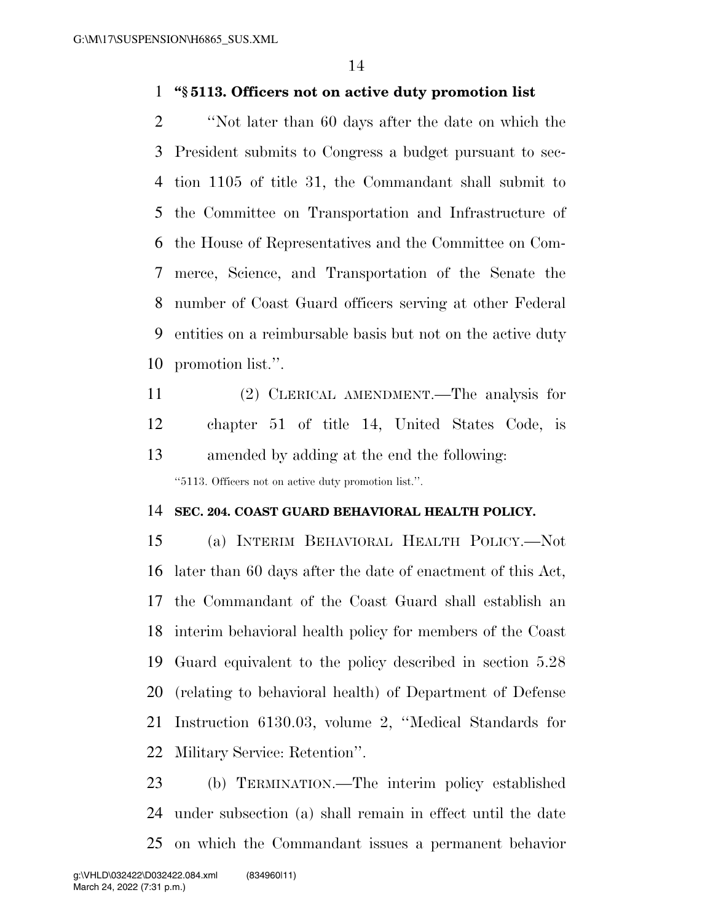## **''§ 5113. Officers not on active duty promotion list**

 ''Not later than 60 days after the date on which the President submits to Congress a budget pursuant to sec- tion 1105 of title 31, the Commandant shall submit to the Committee on Transportation and Infrastructure of the House of Representatives and the Committee on Com- merce, Science, and Transportation of the Senate the number of Coast Guard officers serving at other Federal entities on a reimbursable basis but not on the active duty promotion list.''.

 (2) CLERICAL AMENDMENT.—The analysis for chapter 51 of title 14, United States Code, is amended by adding at the end the following: ''5113. Officers not on active duty promotion list.''.

### **SEC. 204. COAST GUARD BEHAVIORAL HEALTH POLICY.**

 (a) INTERIM BEHAVIORAL HEALTH POLICY.—Not later than 60 days after the date of enactment of this Act, the Commandant of the Coast Guard shall establish an interim behavioral health policy for members of the Coast Guard equivalent to the policy described in section 5.28 (relating to behavioral health) of Department of Defense Instruction 6130.03, volume 2, ''Medical Standards for Military Service: Retention''.

 (b) TERMINATION.—The interim policy established under subsection (a) shall remain in effect until the date on which the Commandant issues a permanent behavior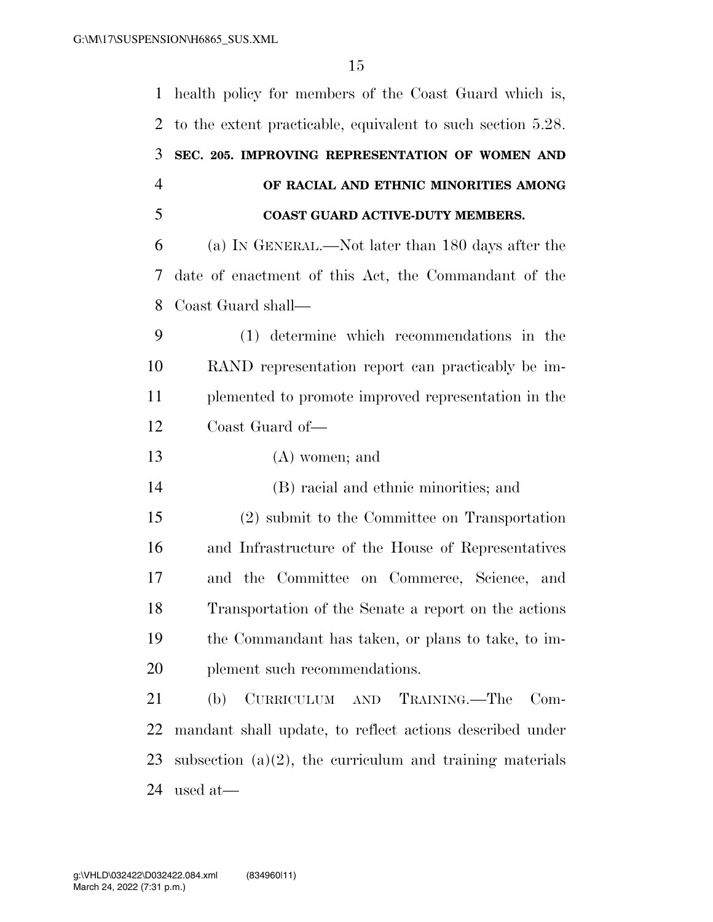| $\mathbf{1}$   | health policy for members of the Coast Guard which is,      |
|----------------|-------------------------------------------------------------|
| 2              | to the extent practicable, equivalent to such section 5.28. |
| 3              | SEC. 205. IMPROVING REPRESENTATION OF WOMEN AND             |
| $\overline{4}$ | OF RACIAL AND ETHNIC MINORITIES AMONG                       |
| 5              | <b>COAST GUARD ACTIVE-DUTY MEMBERS.</b>                     |
| 6              | (a) IN GENERAL.—Not later than 180 days after the           |
| 7              | date of enactment of this Act, the Commandant of the        |
| 8              | Coast Guard shall—                                          |
| 9              | (1) determine which recommendations in the                  |
| 10             | RAND representation report can practicably be im-           |
| 11             | plemented to promote improved representation in the         |
| 12             | Coast Guard of-                                             |
| 13             | $(A)$ women; and                                            |
| 14             | (B) racial and ethnic minorities; and                       |
| 15             | (2) submit to the Committee on Transportation               |
| 16             | and Infrastructure of the House of Representatives          |
| 17             | and the Committee on Commerce, Science, and                 |
| 18             | Transportation of the Senate a report on the actions        |
| 19             | the Commandant has taken, or plans to take, to im-          |
| 20             | plement such recommendations.                               |
| 21             | CURRICULUM AND TRAINING.—The<br>(b)<br>$Com-$               |
| 22             | mandant shall update, to reflect actions described under    |
|                |                                                             |
| 23             | subsection $(a)(2)$ , the curriculum and training materials |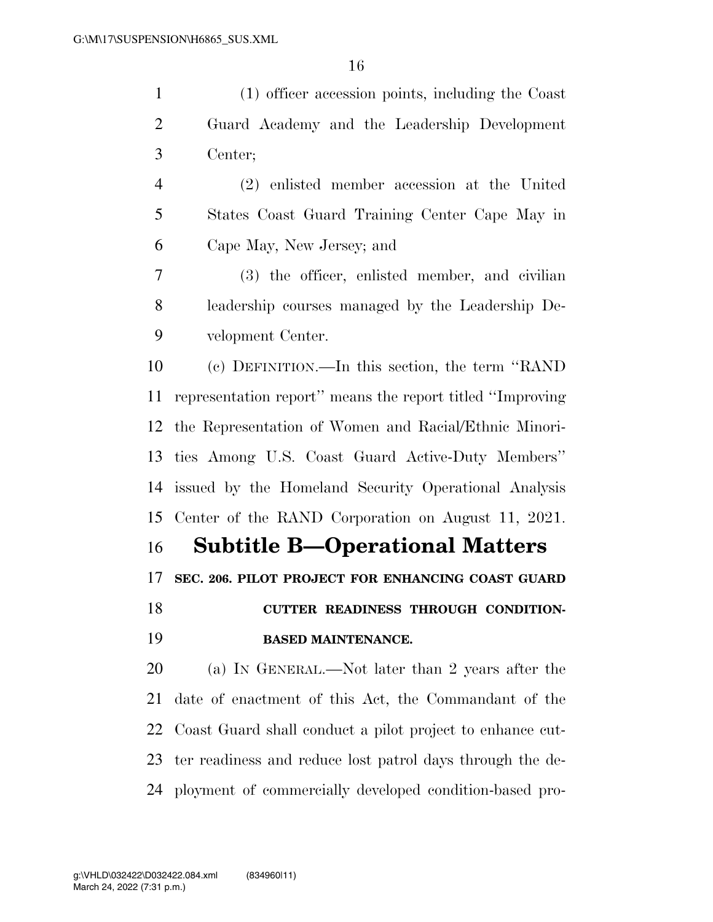(1) officer accession points, including the Coast Guard Academy and the Leadership Development Center;

 (2) enlisted member accession at the United States Coast Guard Training Center Cape May in Cape May, New Jersey; and

 (3) the officer, enlisted member, and civilian leadership courses managed by the Leadership De-velopment Center.

 (c) DEFINITION.—In this section, the term ''RAND representation report'' means the report titled ''Improving the Representation of Women and Racial/Ethnic Minori- ties Among U.S. Coast Guard Active-Duty Members'' issued by the Homeland Security Operational Analysis Center of the RAND Corporation on August 11, 2021.

**Subtitle B—Operational Matters** 

**SEC. 206. PILOT PROJECT FOR ENHANCING COAST GUARD** 

 **CUTTER READINESS THROUGH CONDITION-BASED MAINTENANCE.** 

 (a) IN GENERAL.—Not later than 2 years after the date of enactment of this Act, the Commandant of the Coast Guard shall conduct a pilot project to enhance cut- ter readiness and reduce lost patrol days through the de-ployment of commercially developed condition-based pro-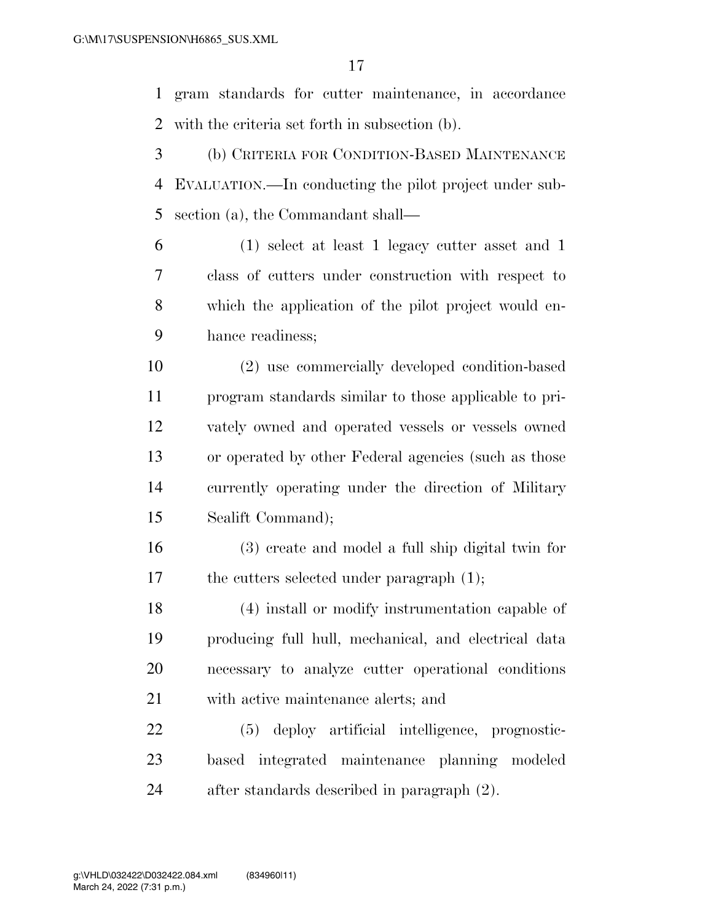gram standards for cutter maintenance, in accordance with the criteria set forth in subsection (b).

- (b) CRITERIA FOR CONDITION-BASED MAINTENANCE EVALUATION.—In conducting the pilot project under sub-section (a), the Commandant shall—
- (1) select at least 1 legacy cutter asset and 1 class of cutters under construction with respect to which the application of the pilot project would en-hance readiness;

 (2) use commercially developed condition-based program standards similar to those applicable to pri- vately owned and operated vessels or vessels owned or operated by other Federal agencies (such as those currently operating under the direction of Military Sealift Command);

 (3) create and model a full ship digital twin for 17 the cutters selected under paragraph (1);

 (4) install or modify instrumentation capable of producing full hull, mechanical, and electrical data necessary to analyze cutter operational conditions with active maintenance alerts; and

 (5) deploy artificial intelligence, prognostic- based integrated maintenance planning modeled after standards described in paragraph (2).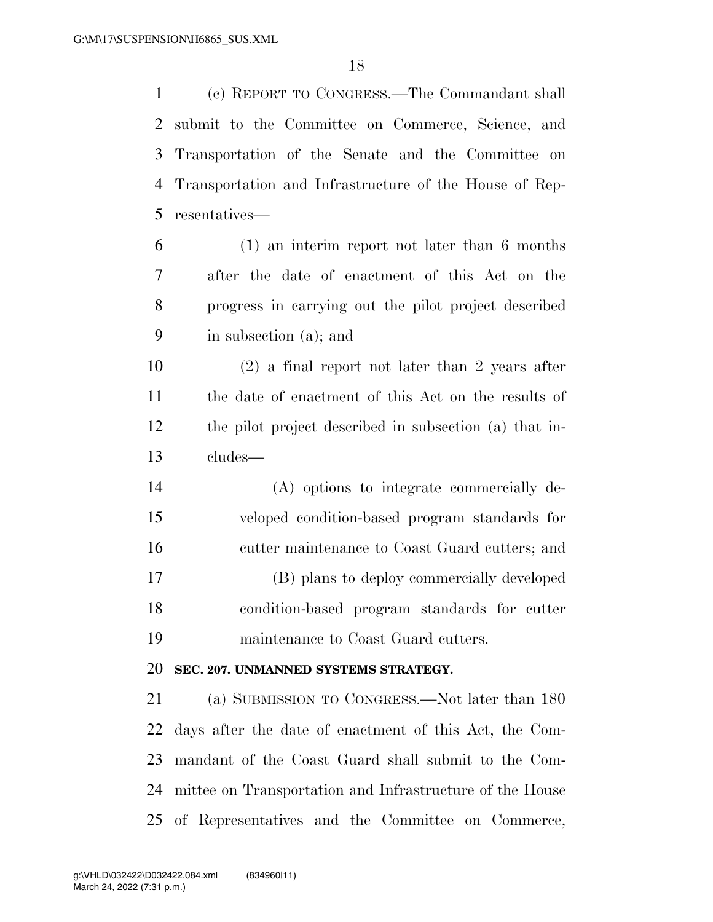(c) REPORT TO CONGRESS.—The Commandant shall submit to the Committee on Commerce, Science, and Transportation of the Senate and the Committee on Transportation and Infrastructure of the House of Rep-resentatives—

 (1) an interim report not later than 6 months after the date of enactment of this Act on the progress in carrying out the pilot project described in subsection (a); and

 (2) a final report not later than 2 years after the date of enactment of this Act on the results of the pilot project described in subsection (a) that in-cludes—

 (A) options to integrate commercially de- veloped condition-based program standards for cutter maintenance to Coast Guard cutters; and (B) plans to deploy commercially developed condition-based program standards for cutter maintenance to Coast Guard cutters.

## **SEC. 207. UNMANNED SYSTEMS STRATEGY.**

 (a) SUBMISSION TO CONGRESS.—Not later than 180 days after the date of enactment of this Act, the Com- mandant of the Coast Guard shall submit to the Com- mittee on Transportation and Infrastructure of the House of Representatives and the Committee on Commerce,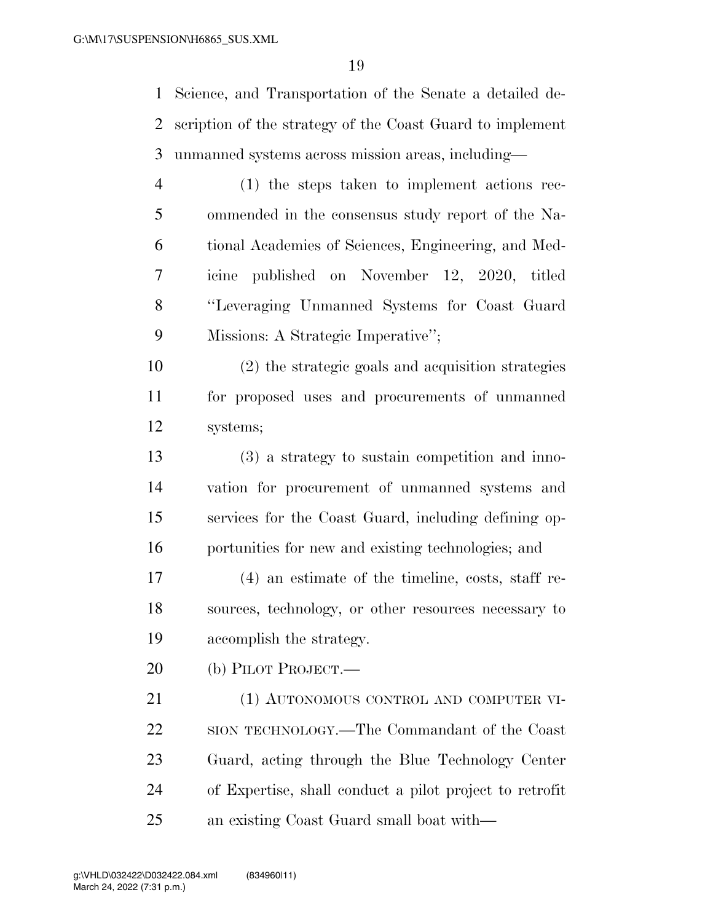Science, and Transportation of the Senate a detailed de- scription of the strategy of the Coast Guard to implement unmanned systems across mission areas, including—

 (1) the steps taken to implement actions rec- ommended in the consensus study report of the Na- tional Academies of Sciences, Engineering, and Med- icine published on November 12, 2020, titled ''Leveraging Unmanned Systems for Coast Guard Missions: A Strategic Imperative'';

 (2) the strategic goals and acquisition strategies for proposed uses and procurements of unmanned systems;

 (3) a strategy to sustain competition and inno- vation for procurement of unmanned systems and services for the Coast Guard, including defining op-portunities for new and existing technologies; and

 (4) an estimate of the timeline, costs, staff re- sources, technology, or other resources necessary to accomplish the strategy.

(b) PILOT PROJECT.—

21 (1) AUTONOMOUS CONTROL AND COMPUTER VI- SION TECHNOLOGY.—The Commandant of the Coast Guard, acting through the Blue Technology Center of Expertise, shall conduct a pilot project to retrofit an existing Coast Guard small boat with—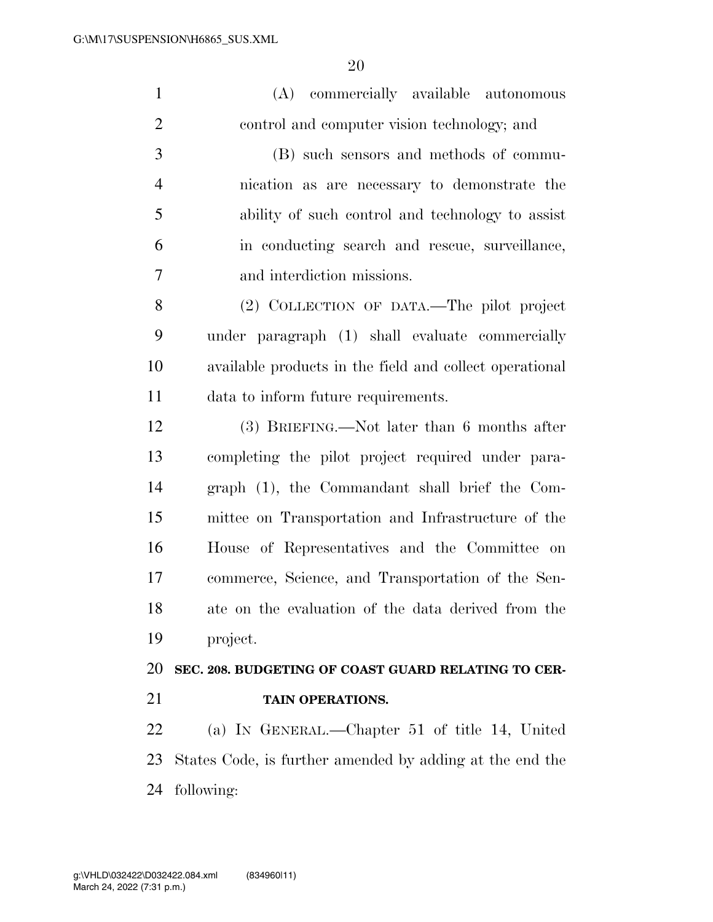| $\mathbf{1}$   | commercially available autonomous<br>(A)                 |
|----------------|----------------------------------------------------------|
| $\overline{2}$ | control and computer vision technology; and              |
| 3              | (B) such sensors and methods of commu-                   |
| 4              | nication as are necessary to demonstrate the             |
| 5              | ability of such control and technology to assist         |
| 6              | in conducting search and rescue, surveillance,           |
| 7              | and interdiction missions.                               |
| 8              | (2) COLLECTION OF DATA.—The pilot project                |
| 9              | under paragraph (1) shall evaluate commercially          |
| 10             | available products in the field and collect operational  |
| 11             | data to inform future requirements.                      |
| 12             | (3) BRIEFING.—Not later than 6 months after              |
| 13             | completing the pilot project required under para-        |
| 14             | graph (1), the Commandant shall brief the Com-           |
| 15             | mittee on Transportation and Infrastructure of the       |
| 16             | House of Representatives and the Committee on            |
| 17             | commerce, Science, and Transportation of the Sen-        |
| 18             | ate on the evaluation of the data derived from the       |
| 19             | project.                                                 |
| 20             | SEC. 208. BUDGETING OF COAST GUARD RELATING TO CER-      |
| 21             | TAIN OPERATIONS.                                         |
| 22             | (a) IN GENERAL.—Chapter 51 of title 14, United           |
| 23             | States Code, is further amended by adding at the end the |
| 24             | following:                                               |
|                |                                                          |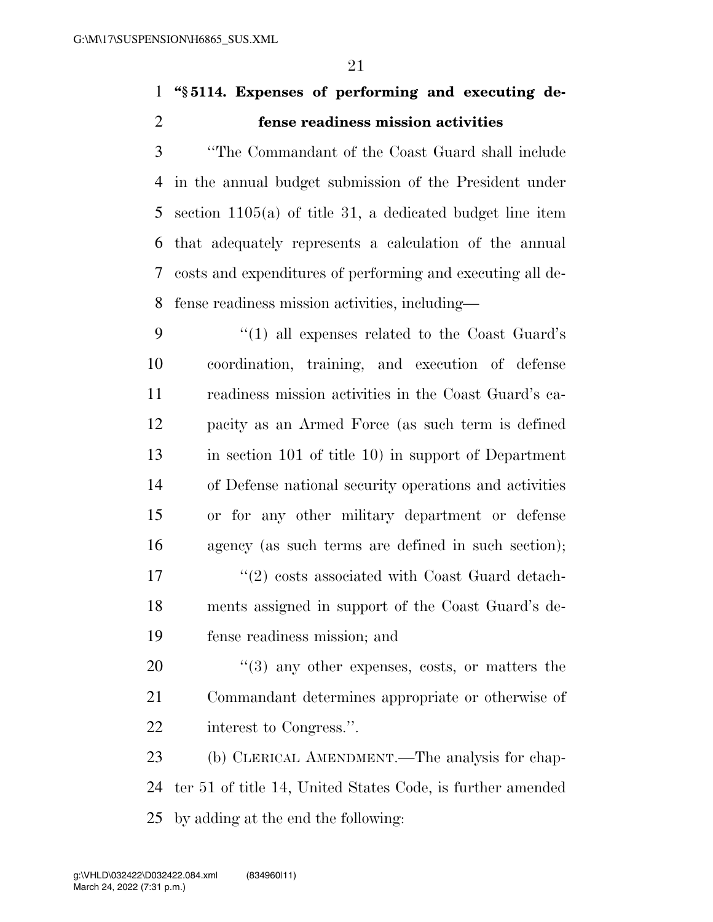## **''§ 5114. Expenses of performing and executing de-fense readiness mission activities**

 ''The Commandant of the Coast Guard shall include in the annual budget submission of the President under section 1105(a) of title 31, a dedicated budget line item that adequately represents a calculation of the annual costs and expenditures of performing and executing all de-fense readiness mission activities, including—

 ''(1) all expenses related to the Coast Guard's coordination, training, and execution of defense readiness mission activities in the Coast Guard's ca- pacity as an Armed Force (as such term is defined in section 101 of title 10) in support of Department of Defense national security operations and activities or for any other military department or defense agency (as such terms are defined in such section); 17 ''(2) costs associated with Coast Guard detach- ments assigned in support of the Coast Guard's de-fense readiness mission; and

20  $\frac{u(3)}{2}$  any other expenses, costs, or matters the Commandant determines appropriate or otherwise of interest to Congress.''.

 (b) CLERICAL AMENDMENT.—The analysis for chap- ter 51 of title 14, United States Code, is further amended by adding at the end the following: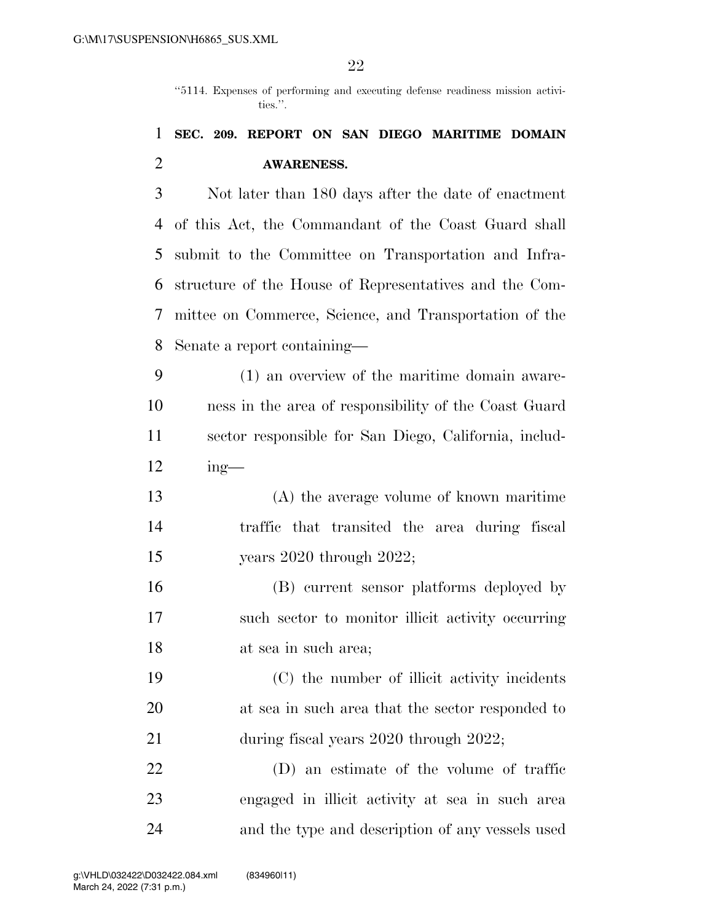''5114. Expenses of performing and executing defense readiness mission activities.''.

## **SEC. 209. REPORT ON SAN DIEGO MARITIME DOMAIN AWARENESS.**

 Not later than 180 days after the date of enactment of this Act, the Commandant of the Coast Guard shall submit to the Committee on Transportation and Infra- structure of the House of Representatives and the Com- mittee on Commerce, Science, and Transportation of the Senate a report containing—

 (1) an overview of the maritime domain aware- ness in the area of responsibility of the Coast Guard sector responsible for San Diego, California, includ-ing—

 (A) the average volume of known maritime traffic that transited the area during fiscal years 2020 through 2022;

 (B) current sensor platforms deployed by such sector to monitor illicit activity occurring at sea in such area;

 (C) the number of illicit activity incidents at sea in such area that the sector responded to 21 during fiscal years 2020 through 2022;

 (D) an estimate of the volume of traffic engaged in illicit activity at sea in such area and the type and description of any vessels used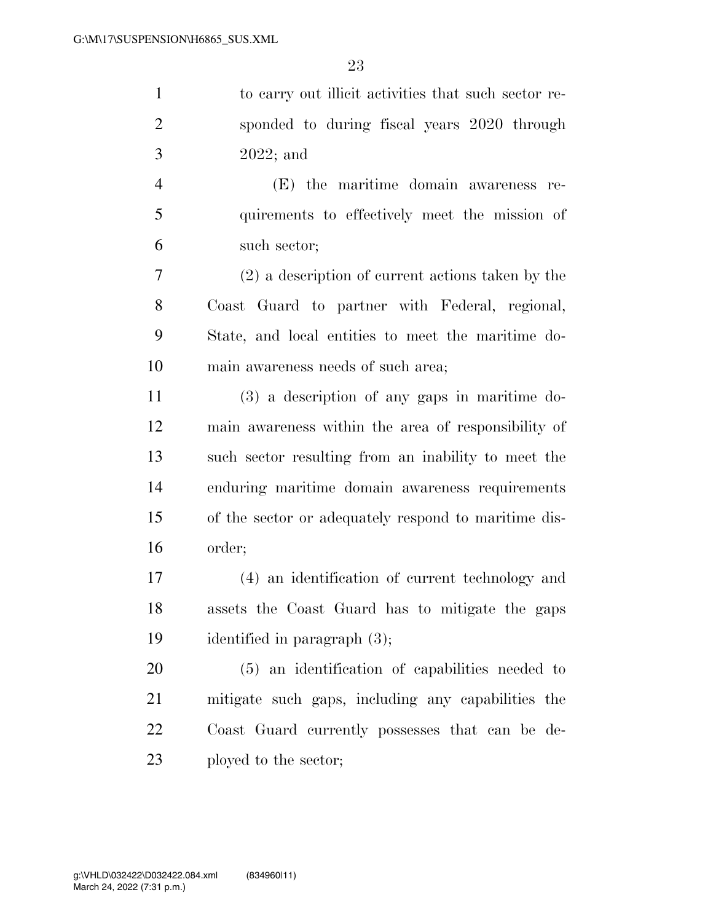to carry out illicit activities that such sector re- sponded to during fiscal years 2020 through 2022; and (E) the maritime domain awareness re- quirements to effectively meet the mission of such sector; (2) a description of current actions taken by the Coast Guard to partner with Federal, regional, State, and local entities to meet the maritime do-main awareness needs of such area;

 (3) a description of any gaps in maritime do- main awareness within the area of responsibility of such sector resulting from an inability to meet the enduring maritime domain awareness requirements of the sector or adequately respond to maritime dis-order;

 (4) an identification of current technology and assets the Coast Guard has to mitigate the gaps identified in paragraph (3);

 (5) an identification of capabilities needed to mitigate such gaps, including any capabilities the Coast Guard currently possesses that can be de-23 ployed to the sector;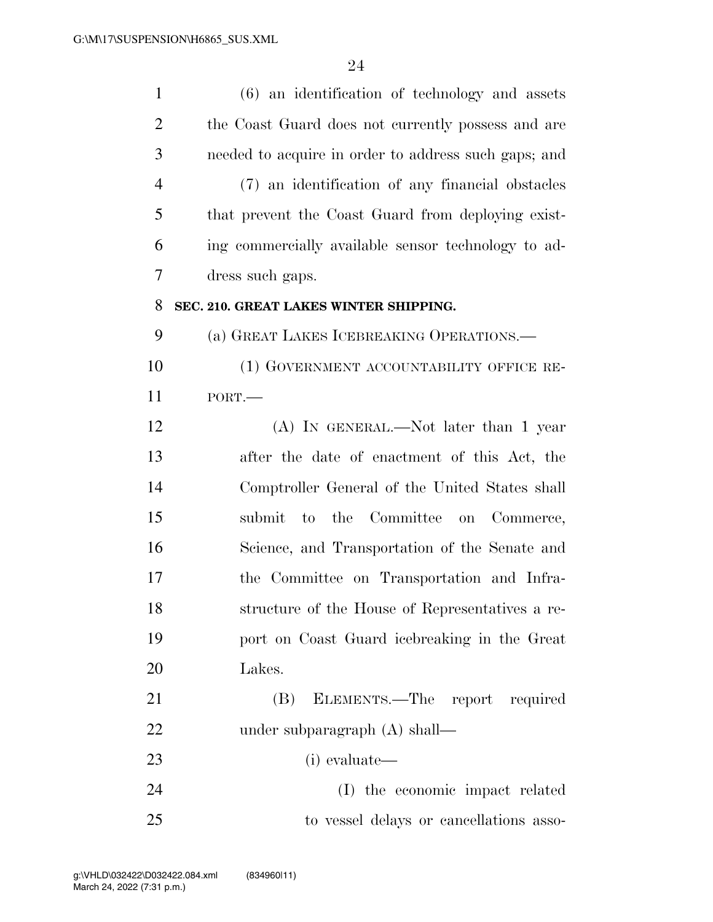| $\mathbf{1}$   | $(6)$ an identification of technology and assets     |
|----------------|------------------------------------------------------|
| $\overline{2}$ | the Coast Guard does not currently possess and are   |
| 3              | needed to acquire in order to address such gaps; and |
| $\overline{4}$ | (7) an identification of any financial obstacles     |
| 5              | that prevent the Coast Guard from deploying exist-   |
| 6              | ing commercially available sensor technology to ad-  |
| 7              | dress such gaps.                                     |
| 8              | SEC. 210. GREAT LAKES WINTER SHIPPING.               |
| 9              | (a) GREAT LAKES ICEBREAKING OPERATIONS.—             |
| 10             | (1) GOVERNMENT ACCOUNTABILITY OFFICE RE-             |
| 11             | PORT.                                                |
| 12             | (A) IN GENERAL.—Not later than 1 year                |
| 13             | after the date of enactment of this Act, the         |
| 14             | Comptroller General of the United States shall       |
| 15             | to the Committee on Commerce,<br>submit              |
| 16             | Science, and Transportation of the Senate and        |
| 17             | the Committee on Transportation and Infra-           |
| 18             | structure of the House of Representatives a re-      |
| 19             | port on Coast Guard icebreaking in the Great         |
| 20             | Lakes.                                               |
| 21             | ELEMENTS.—The report required<br>(B)                 |
| 22             | under subparagraph $(A)$ shall—                      |
| 23             | (i) evaluate—                                        |
| 24             | (I) the economic impact related                      |
| 25             | to vessel delays or cancellations asso-              |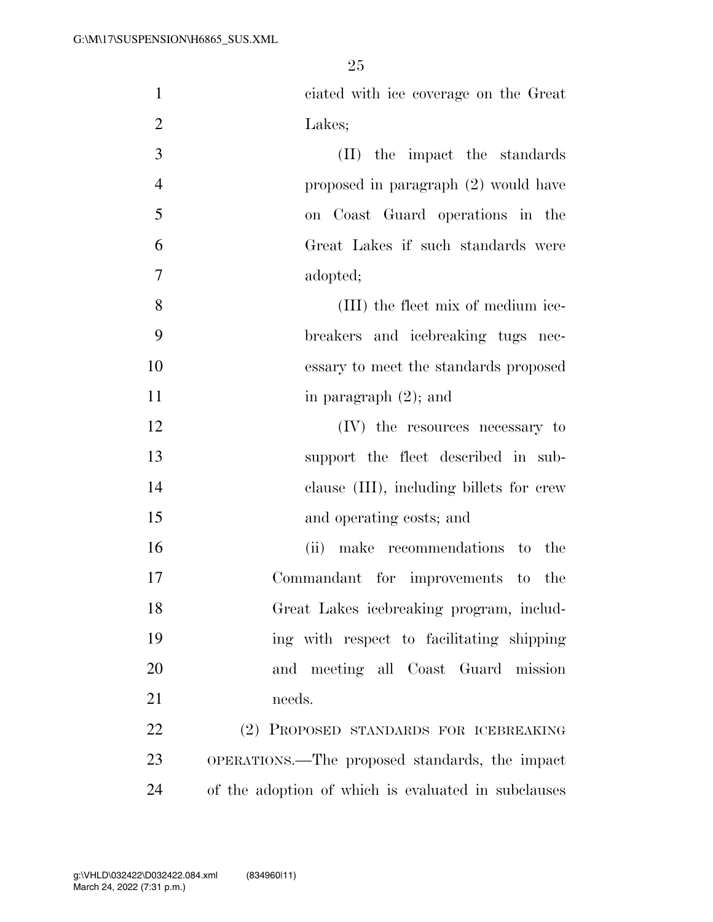| $\mathbf{1}$   | ciated with ice coverage on the Great               |
|----------------|-----------------------------------------------------|
| $\overline{2}$ | Lakes;                                              |
| 3              | (II) the impact the standards                       |
| $\overline{4}$ | proposed in paragraph (2) would have                |
| 5              | on Coast Guard operations in the                    |
| 6              | Great Lakes if such standards were                  |
| 7              | adopted;                                            |
| 8              | (III) the fleet mix of medium ice-                  |
| 9              | breakers and icebreaking tugs nec-                  |
| 10             | essary to meet the standards proposed               |
| 11             | in paragraph $(2)$ ; and                            |
| 12             | (IV) the resources necessary to                     |
| 13             | support the fleet described in sub-                 |
| 14             | clause (III), including billets for crew            |
| 15             | and operating costs; and                            |
| 16             | (ii) make recommendations to<br>the                 |
| 17             | Commandant for improvements to the                  |
| 18             | Great Lakes icebreaking program, includ-            |
| 19             | ing with respect to facilitating shipping           |
| 20             | and meeting all Coast Guard mission                 |
| 21             | needs.                                              |
| 22             | (2) PROPOSED STANDARDS FOR ICEBREAKING              |
| 23             | OPERATIONS.—The proposed standards, the impact      |
| 24             | of the adoption of which is evaluated in subclauses |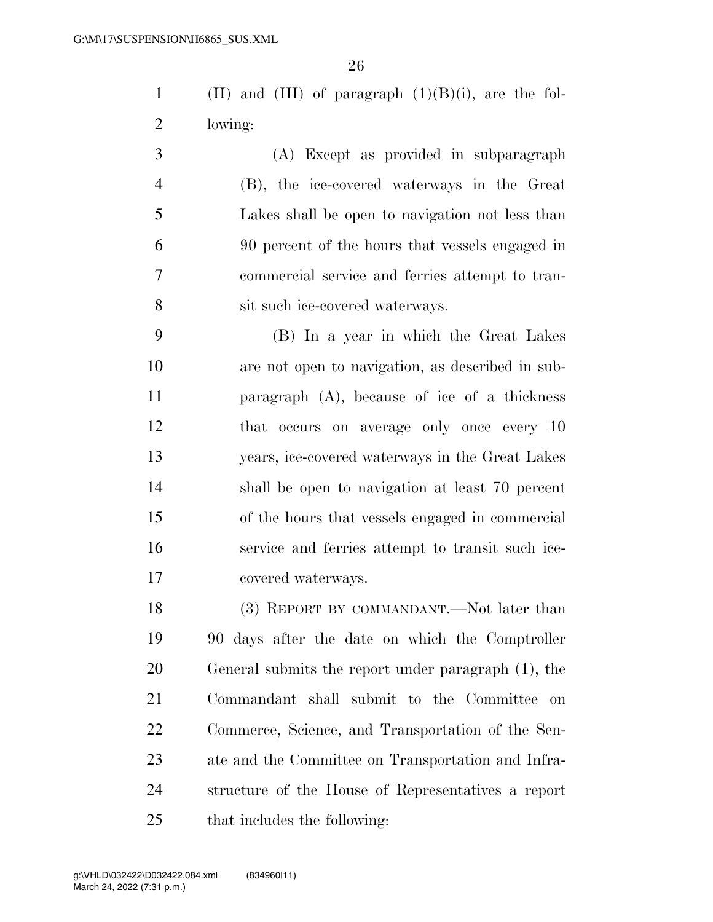1 (II) and (III) of paragraph  $(1)(B)(i)$ , are the fol-lowing:

 (A) Except as provided in subparagraph (B), the ice-covered waterways in the Great Lakes shall be open to navigation not less than 90 percent of the hours that vessels engaged in commercial service and ferries attempt to tran-sit such ice-covered waterways.

 (B) In a year in which the Great Lakes are not open to navigation, as described in sub- paragraph (A), because of ice of a thickness that occurs on average only once every 10 years, ice-covered waterways in the Great Lakes shall be open to navigation at least 70 percent of the hours that vessels engaged in commercial service and ferries attempt to transit such ice-covered waterways.

18 (3) REPORT BY COMMANDANT.—Not later than 90 days after the date on which the Comptroller General submits the report under paragraph (1), the Commandant shall submit to the Committee on Commerce, Science, and Transportation of the Sen- ate and the Committee on Transportation and Infra- structure of the House of Representatives a report that includes the following: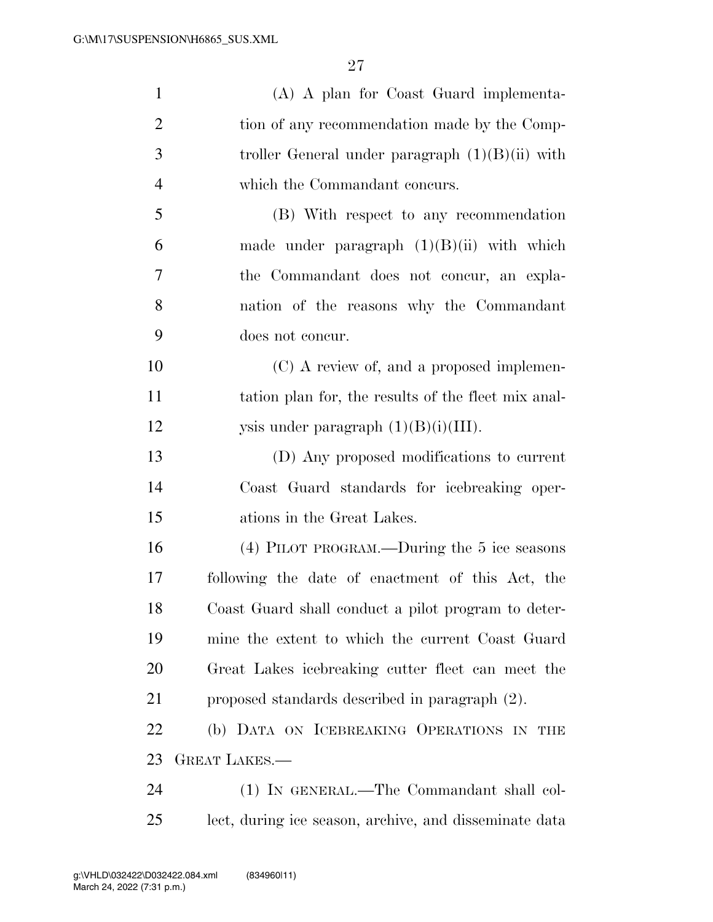| $\mathbf{1}$   | (A) A plan for Coast Guard implementa-                 |
|----------------|--------------------------------------------------------|
| $\overline{2}$ | tion of any recommendation made by the Comp-           |
| 3              | troller General under paragraph $(1)(B)(ii)$ with      |
| $\overline{4}$ | which the Commandant concurs.                          |
| 5              | (B) With respect to any recommendation                 |
| 6              | made under paragraph $(1)(B)(ii)$ with which           |
| 7              | the Commandant does not concur, an expla-              |
| 8              | nation of the reasons why the Commandant               |
| 9              | does not concur.                                       |
| 10             | (C) A review of, and a proposed implemen-              |
| 11             | tation plan for, the results of the fleet mix anal-    |
| 12             | ysis under paragraph $(1)(B)(i)(III)$ .                |
| 13             | (D) Any proposed modifications to current              |
| 14             | Coast Guard standards for icebreaking oper-            |
| 15             | ations in the Great Lakes.                             |
| 16             | (4) PILOT PROGRAM.—During the 5 ice seasons            |
| 17             | following the date of enactment of this Act, the       |
| 18             | Coast Guard shall conduct a pilot program to deter-    |
| 19             | mine the extent to which the current Coast Guard       |
| 20             | Great Lakes icebreaking cutter fleet can meet the      |
| 21             | proposed standards described in paragraph (2).         |
| 22             | (b) DATA ON ICEBREAKING OPERATIONS IN THE              |
| 23             | <b>GREAT LAKES.—</b>                                   |
| 24             | (1) IN GENERAL.—The Commandant shall col-              |
| 25             | lect, during ice season, archive, and disseminate data |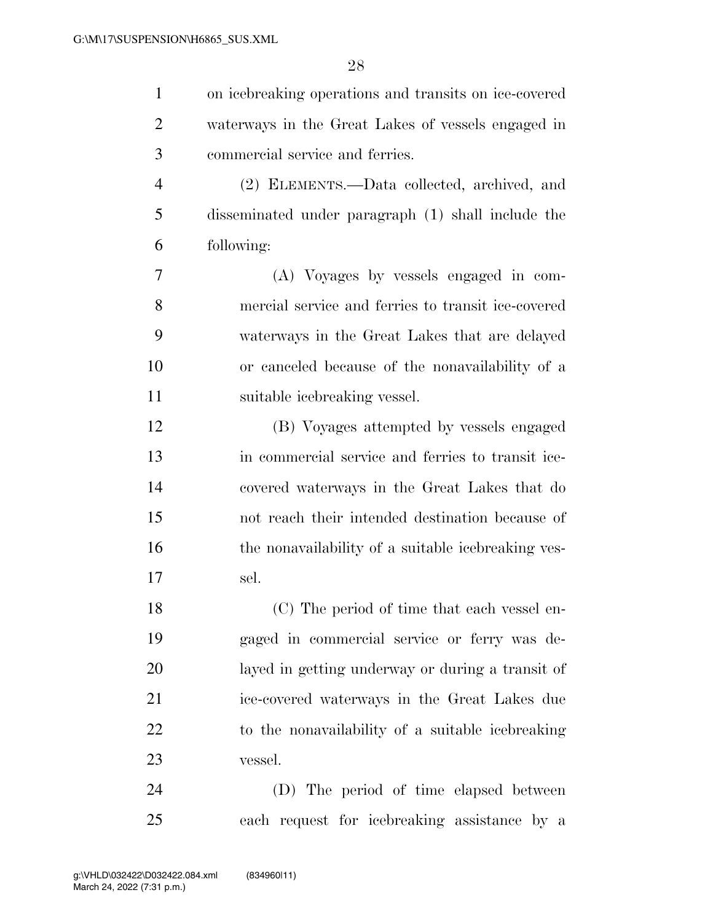| $\mathbf{1}$   | on icebreaking operations and transits on ice-covered |
|----------------|-------------------------------------------------------|
| $\overline{2}$ | waterways in the Great Lakes of vessels engaged in    |
| 3              | commercial service and ferries.                       |
| $\overline{4}$ | (2) ELEMENTS.—Data collected, archived, and           |
| 5              | disseminated under paragraph (1) shall include the    |
| 6              | following:                                            |
| 7              | (A) Voyages by vessels engaged in com-                |
| 8              | mercial service and ferries to transit ice-covered    |
| 9              | waterways in the Great Lakes that are delayed         |
| 10             | or canceled because of the nonavailability of a       |
| 11             | suitable icebreaking vessel.                          |
| 12             | (B) Voyages attempted by vessels engaged              |
| 13             | in commercial service and ferries to transit ice-     |
| 14             | covered waterways in the Great Lakes that do          |
| 15             | not reach their intended destination because of       |
| 16             | the nonavailability of a suitable icebreaking ves-    |
| 17             | sel.                                                  |
| 18             | (C) The period of time that each vessel en-           |
| 19             | gaged in commercial service or ferry was de-          |
| 20             | layed in getting underway or during a transit of      |
| 21             | ice-covered waterways in the Great Lakes due          |
| 22             | to the nonavailability of a suitable icebreaking      |
| 23             | vessel.                                               |
| 24             | (D) The period of time elapsed between                |
| 25             | each request for icebreaking assistance by a          |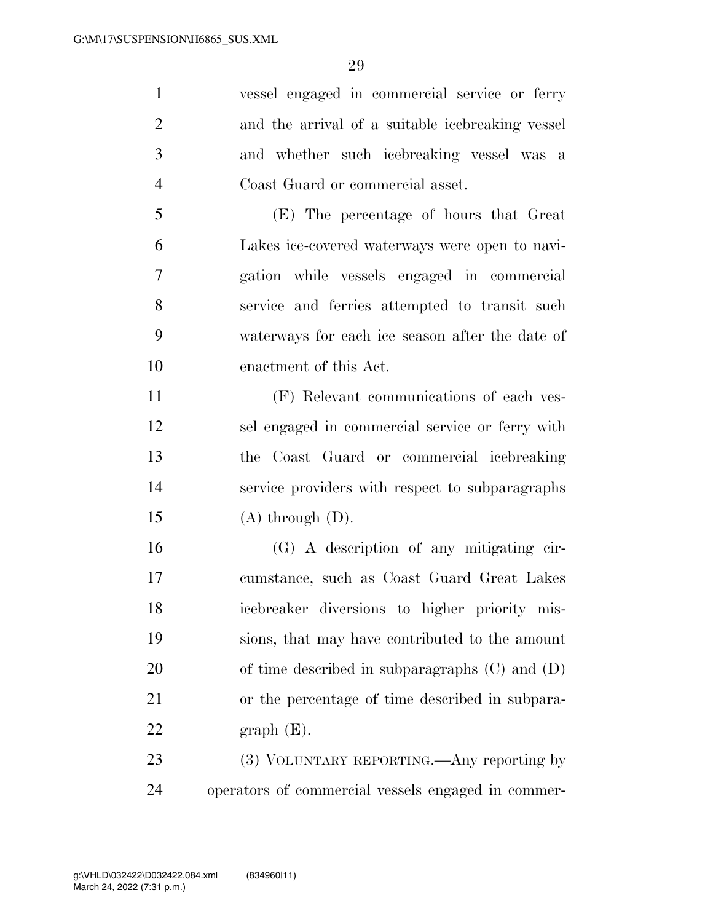vessel engaged in commercial service or ferry and the arrival of a suitable icebreaking vessel and whether such icebreaking vessel was a Coast Guard or commercial asset. (E) The percentage of hours that Great

 Lakes ice-covered waterways were open to navi- gation while vessels engaged in commercial service and ferries attempted to transit such waterways for each ice season after the date of enactment of this Act.

 (F) Relevant communications of each ves- sel engaged in commercial service or ferry with the Coast Guard or commercial icebreaking service providers with respect to subparagraphs  $(A)$  through  $(D)$ .

 (G) A description of any mitigating cir- cumstance, such as Coast Guard Great Lakes icebreaker diversions to higher priority mis- sions, that may have contributed to the amount of time described in subparagraphs (C) and (D) or the percentage of time described in subpara-22 graph  $(E)$ .

23 (3) VOLUNTARY REPORTING.—Any reporting by operators of commercial vessels engaged in commer-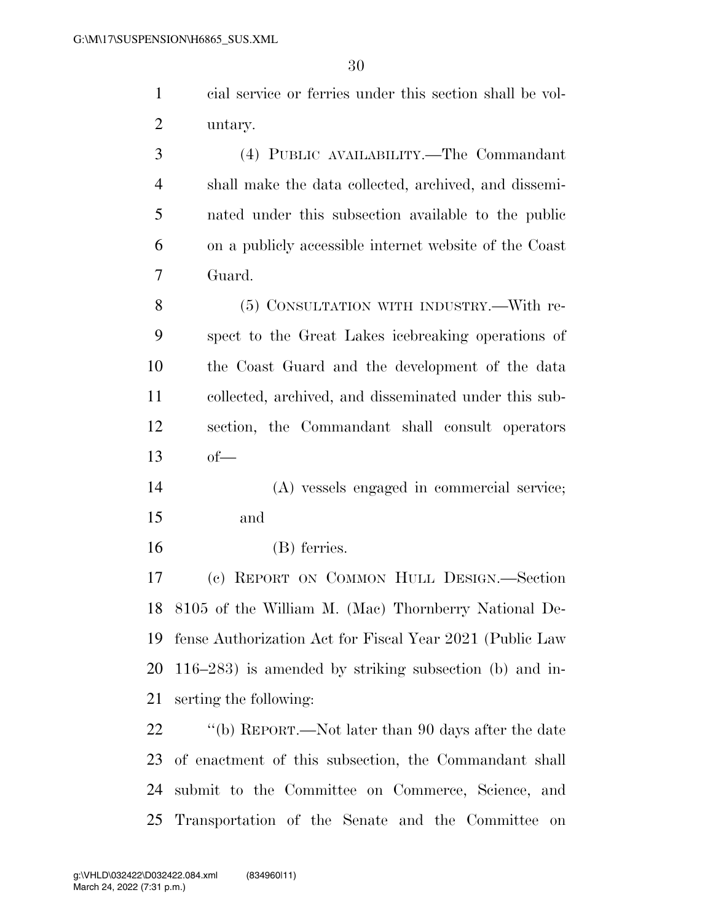| cial service or ferries under this section shall be vol- |
|----------------------------------------------------------|
| 2 untary.                                                |

 (4) PUBLIC AVAILABILITY.—The Commandant shall make the data collected, archived, and dissemi- nated under this subsection available to the public on a publicly accessible internet website of the Coast Guard.

 (5) CONSULTATION WITH INDUSTRY.—With re- spect to the Great Lakes icebreaking operations of the Coast Guard and the development of the data collected, archived, and disseminated under this sub- section, the Commandant shall consult operators of—

 (A) vessels engaged in commercial service; and

(B) ferries.

 (c) REPORT ON COMMON HULL DESIGN.—Section 8105 of the William M. (Mac) Thornberry National De- fense Authorization Act for Fiscal Year 2021 (Public Law 116–283) is amended by striking subsection (b) and in-serting the following:

22 ''(b) REPORT.—Not later than 90 days after the date of enactment of this subsection, the Commandant shall submit to the Committee on Commerce, Science, and Transportation of the Senate and the Committee on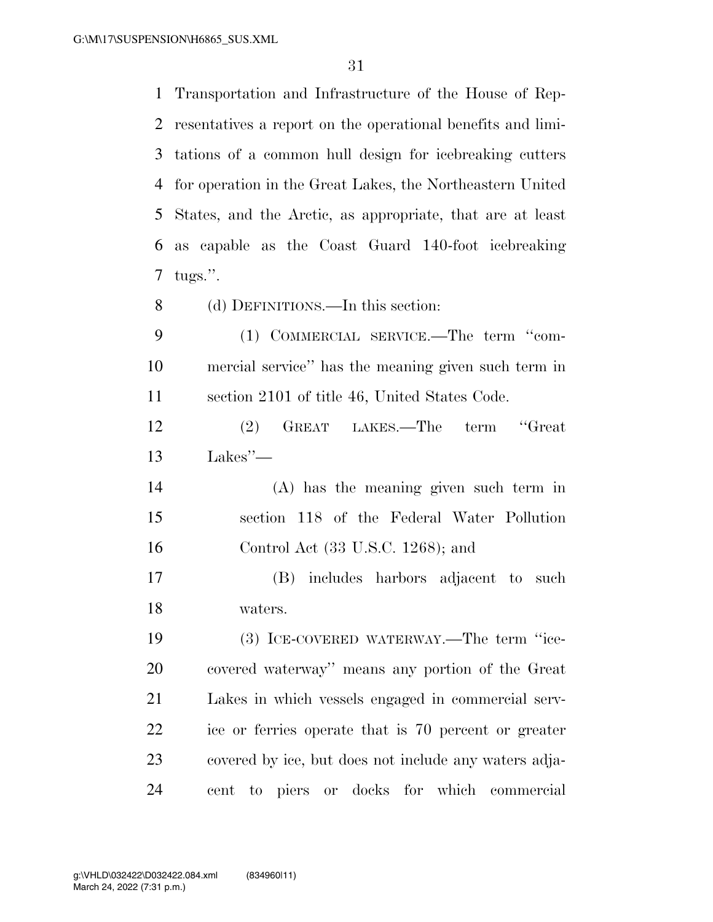Transportation and Infrastructure of the House of Rep- resentatives a report on the operational benefits and limi- tations of a common hull design for icebreaking cutters for operation in the Great Lakes, the Northeastern United States, and the Arctic, as appropriate, that are at least as capable as the Coast Guard 140-foot icebreaking tugs.''. (d) DEFINITIONS.—In this section: (1) COMMERCIAL SERVICE.—The term ''com-mercial service'' has the meaning given such term in

section 2101 of title 46, United States Code.

 (2) GREAT LAKES.—The term ''Great Lakes''—

 (A) has the meaning given such term in section 118 of the Federal Water Pollution Control Act (33 U.S.C. 1268); and

 (B) includes harbors adjacent to such waters.

 (3) ICE-COVERED WATERWAY.—The term ''ice- covered waterway'' means any portion of the Great Lakes in which vessels engaged in commercial serv- ice or ferries operate that is 70 percent or greater covered by ice, but does not include any waters adja-cent to piers or docks for which commercial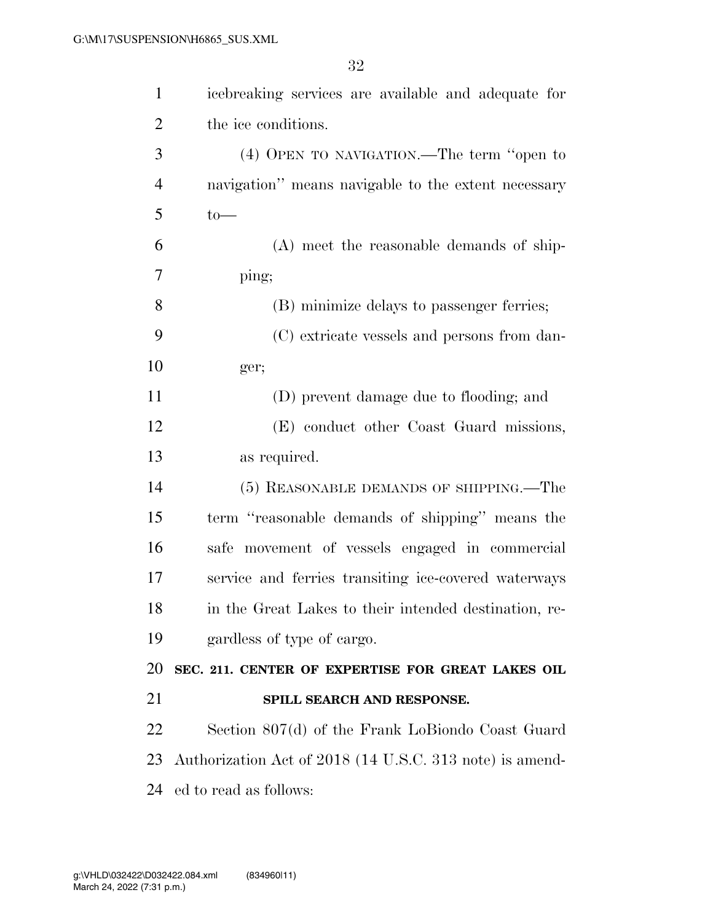| $\mathbf{1}$   | icebreaking services are available and adequate for      |
|----------------|----------------------------------------------------------|
| $\overline{2}$ | the ice conditions.                                      |
| 3              | (4) OPEN TO NAVIGATION.—The term "open to                |
| $\overline{4}$ | navigation" means navigable to the extent necessary      |
| 5              | $to-$                                                    |
| 6              | (A) meet the reasonable demands of ship-                 |
| 7              | ping;                                                    |
| 8              | (B) minimize delays to passenger ferries;                |
| 9              | (C) extricate vessels and persons from dan-              |
| 10             | ger;                                                     |
| 11             | (D) prevent damage due to flooding; and                  |
| 12             | (E) conduct other Coast Guard missions,                  |
| 13             | as required.                                             |
| 14             | (5) REASONABLE DEMANDS OF SHIPPING.—The                  |
| 15             | term "reasonable demands of shipping" means the          |
| 16             | safe movement of vessels engaged in commercial           |
| 17             | service and ferries transiting ice-covered waterways     |
| 18             | in the Great Lakes to their intended destination, re-    |
| 19             | gardless of type of cargo.                               |
| 20             | SEC. 211. CENTER OF EXPERTISE FOR GREAT LAKES OIL        |
| 21             | SPILL SEARCH AND RESPONSE.                               |
| 22             | Section 807(d) of the Frank LoBiondo Coast Guard         |
| 23             | Authorization Act of 2018 (14 U.S.C. 313 note) is amend- |
| 24             | ed to read as follows:                                   |
|                |                                                          |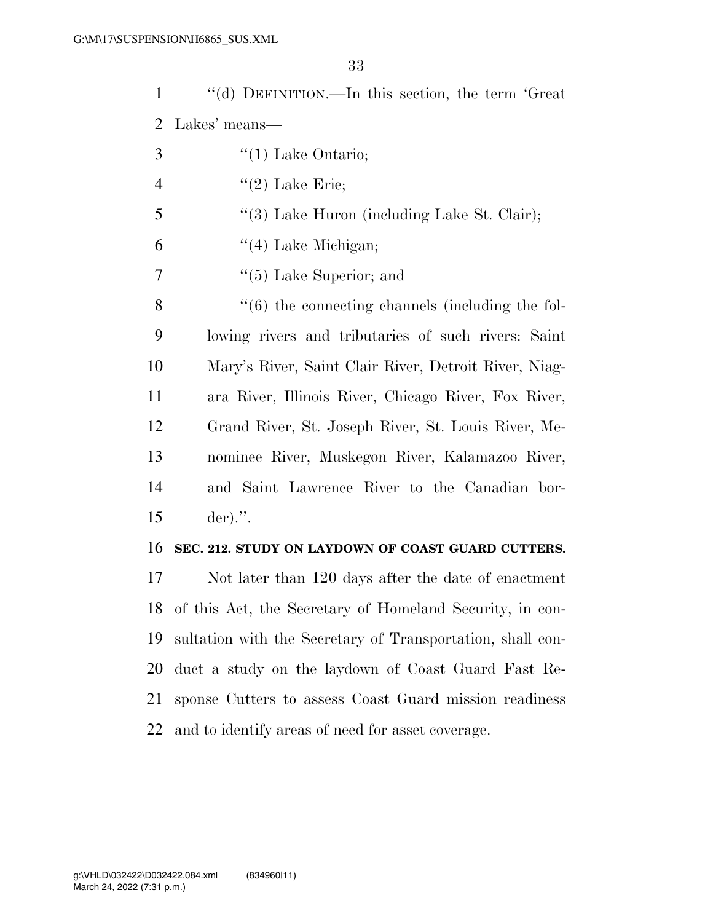''(d) DEFINITION.—In this section, the term 'Great Lakes' means—

- $3 \qquad \qquad$  "(1) Lake Ontario;
- 4  $"(2)$  Lake Erie;
- 5 "(3) Lake Huron (including Lake St. Clair);
- $\frac{4}{4}$  Lake Michigan;
- ''(5) Lake Superior; and

8 "(6) the connecting channels (including the fol- lowing rivers and tributaries of such rivers: Saint Mary's River, Saint Clair River, Detroit River, Niag- ara River, Illinois River, Chicago River, Fox River, Grand River, St. Joseph River, St. Louis River, Me- nominee River, Muskegon River, Kalamazoo River, and Saint Lawrence River to the Canadian bor-der).''.

### **SEC. 212. STUDY ON LAYDOWN OF COAST GUARD CUTTERS.**

 Not later than 120 days after the date of enactment of this Act, the Secretary of Homeland Security, in con- sultation with the Secretary of Transportation, shall con- duct a study on the laydown of Coast Guard Fast Re- sponse Cutters to assess Coast Guard mission readiness and to identify areas of need for asset coverage.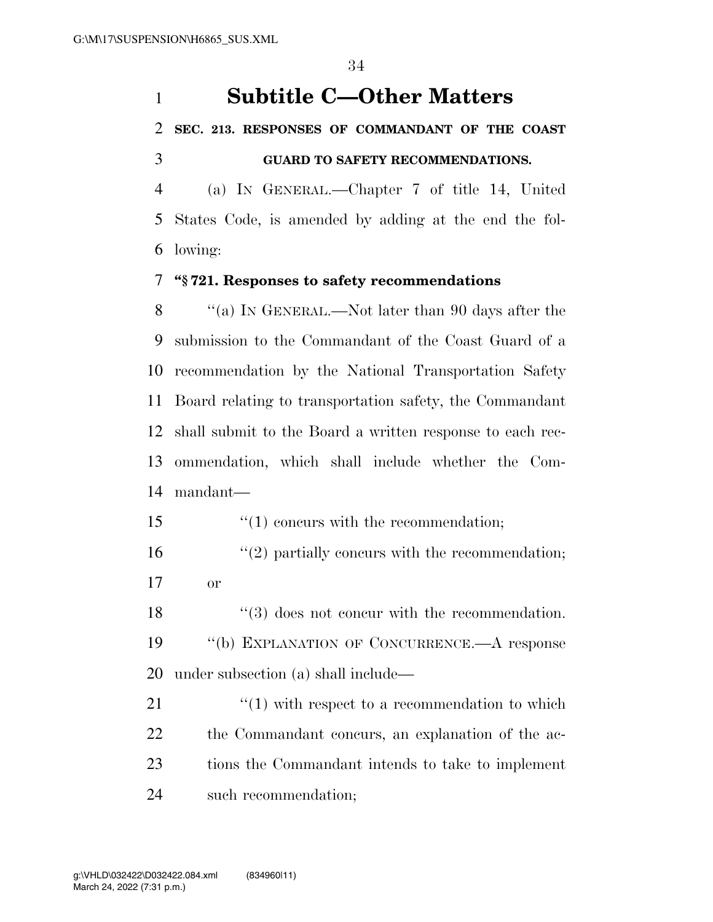## **Subtitle C—Other Matters**

## **SEC. 213. RESPONSES OF COMMANDANT OF THE COAST GUARD TO SAFETY RECOMMENDATIONS.**

 (a) IN GENERAL.—Chapter 7 of title 14, United States Code, is amended by adding at the end the fol-lowing:

## **''§ 721. Responses to safety recommendations**

 ''(a) IN GENERAL.—Not later than 90 days after the submission to the Commandant of the Coast Guard of a recommendation by the National Transportation Safety Board relating to transportation safety, the Commandant shall submit to the Board a written response to each rec- ommendation, which shall include whether the Com-mandant—

- 15  $\frac{15}{10}$  concurs with the recommendation;
- 16  $\frac{1}{2}$  partially concurs with the recommendation; or

18 ''(3) does not concur with the recommendation. ''(b) EXPLANATION OF CONCURRENCE.—A response under subsection (a) shall include—

21 ''(1) with respect to a recommendation to which the Commandant concurs, an explanation of the ac- tions the Commandant intends to take to implement such recommendation;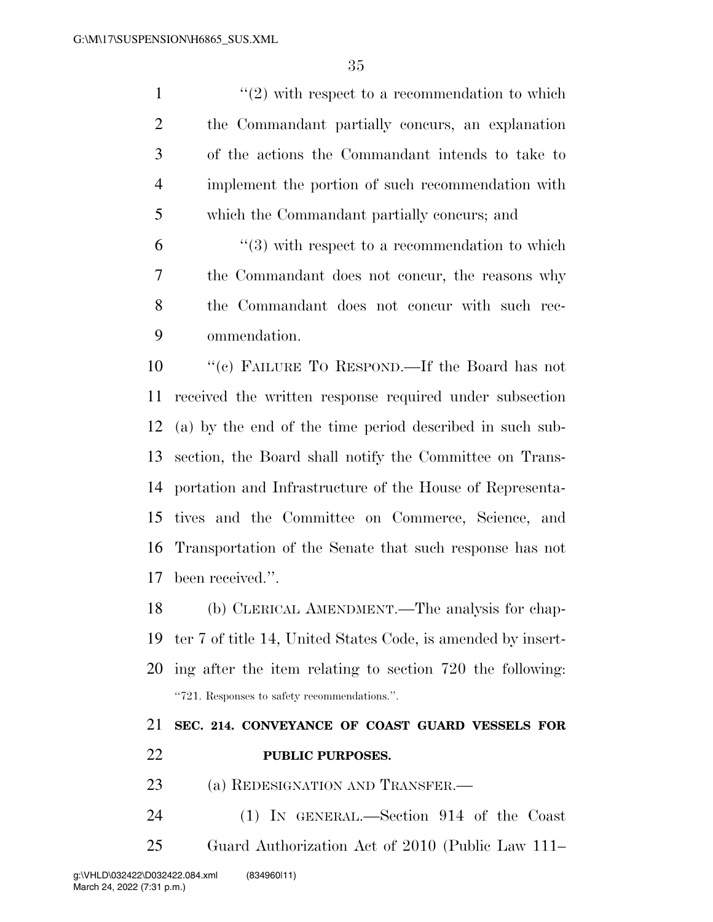$\frac{1}{2}$  with respect to a recommendation to which the Commandant partially concurs, an explanation of the actions the Commandant intends to take to implement the portion of such recommendation with which the Commandant partially concurs; and

 "(3) with respect to a recommendation to which the Commandant does not concur, the reasons why the Commandant does not concur with such rec-ommendation.

 ''(c) FAILURE TO RESPOND.—If the Board has not received the written response required under subsection (a) by the end of the time period described in such sub- section, the Board shall notify the Committee on Trans- portation and Infrastructure of the House of Representa- tives and the Committee on Commerce, Science, and Transportation of the Senate that such response has not been received.''.

 (b) CLERICAL AMENDMENT.—The analysis for chap- ter 7 of title 14, United States Code, is amended by insert- ing after the item relating to section 720 the following: ''721. Responses to safety recommendations.''.

## **SEC. 214. CONVEYANCE OF COAST GUARD VESSELS FOR PUBLIC PURPOSES.**

- 23 (a) REDESIGNATION AND TRANSFER.—
- (1) IN GENERAL.—Section 914 of the Coast Guard Authorization Act of 2010 (Public Law 111–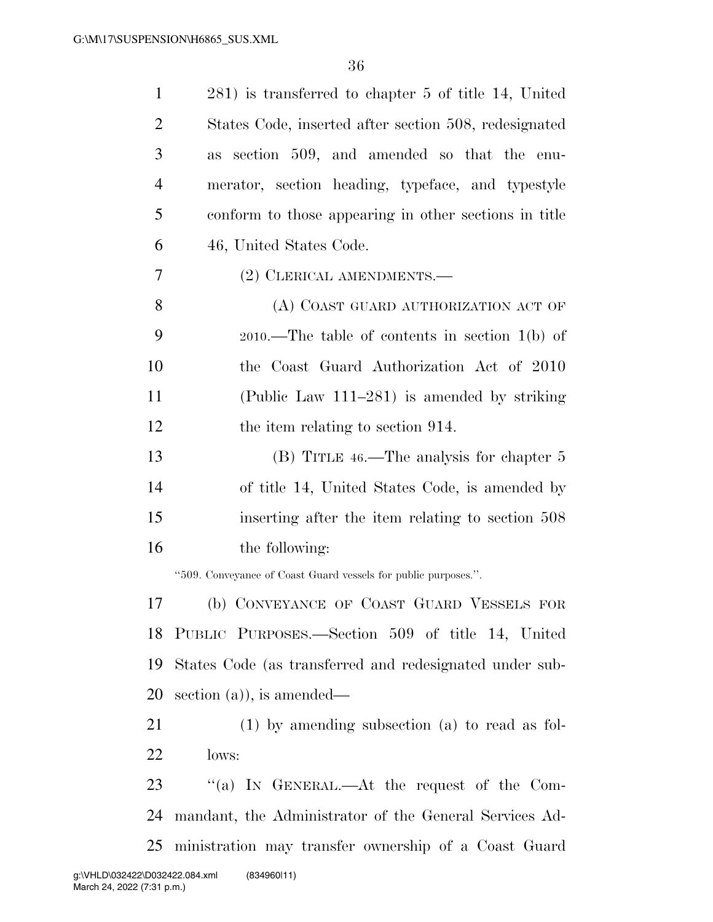| $\mathbf{1}$   | 281) is transferred to chapter 5 of title 14, United           |
|----------------|----------------------------------------------------------------|
| $\overline{2}$ | States Code, inserted after section 508, redesignated          |
| 3              | section 509, and amended so that the enu-<br><b>as</b>         |
| $\overline{4}$ | merator, section heading, typeface, and typestyle              |
| 5              | conform to those appearing in other sections in title          |
| 6              | 46, United States Code.                                        |
| 7              | (2) CLERICAL AMENDMENTS.—                                      |
| 8              | (A) COAST GUARD AUTHORIZATION ACT OF                           |
| 9              | $2010$ .—The table of contents in section $1(b)$ of            |
| 10             | the Coast Guard Authorization Act of 2010                      |
| 11             | (Public Law $111-281$ ) is amended by striking                 |
| 12             | the item relating to section 914.                              |
| 13             | (B) TITLE 46.—The analysis for chapter 5                       |
| 14             | of title 14, United States Code, is amended by                 |
| 15             | inserting after the item relating to section 508               |
| 16             | the following:                                                 |
|                | "509. Conveyance of Coast Guard vessels for public purposes.". |
| 17             | (b) CONVEYANCE OF COAST GUARD VESSELS FOR                      |
| 18             | PUBLIC PURPOSES.—Section 509 of title 14, United               |
| 19             | States Code (as transferred and redesignated under sub-        |
| 20             | section $(a)$ , is amended—                                    |
| 21             | $(1)$ by amending subsection $(a)$ to read as fol-             |
| 22             | lows:                                                          |
| 23             | "(a) IN GENERAL.—At the request of the Com-                    |
| 24             | mandant, the Administrator of the General Services Ad-         |
| 25             | ministration may transfer ownership of a Coast Guard           |
|                |                                                                |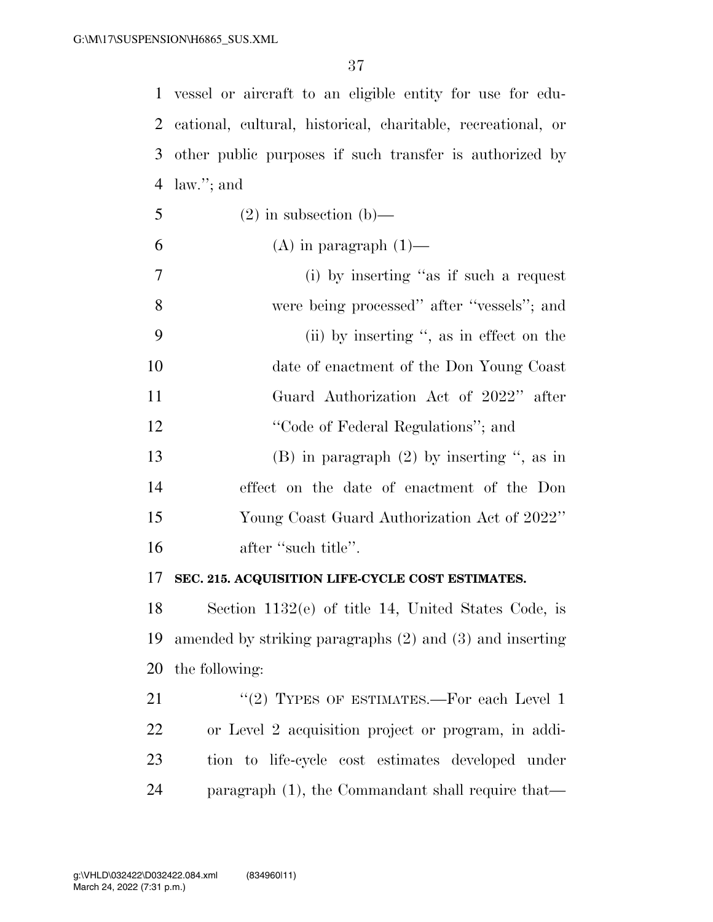vessel or aircraft to an eligible entity for use for edu- cational, cultural, historical, charitable, recreational, or other public purposes if such transfer is authorized by law.''; and

- 5 (2) in subsection (b)—
- 6 (A) in paragraph  $(1)$ —
- (i) by inserting ''as if such a request were being processed'' after ''vessels''; and (ii) by inserting '', as in effect on the date of enactment of the Don Young Coast Guard Authorization Act of 2022'' after 12 ''Code of Federal Regulations''; and (B) in paragraph (2) by inserting '', as in
- effect on the date of enactment of the Don Young Coast Guard Authorization Act of 2022'' 16 after "such title".

#### **SEC. 215. ACQUISITION LIFE-CYCLE COST ESTIMATES.**

 Section 1132(e) of title 14, United States Code, is amended by striking paragraphs (2) and (3) and inserting the following:

21 "(2) TYPES OF ESTIMATES.—For each Level 1 or Level 2 acquisition project or program, in addi- tion to life-cycle cost estimates developed under paragraph (1), the Commandant shall require that—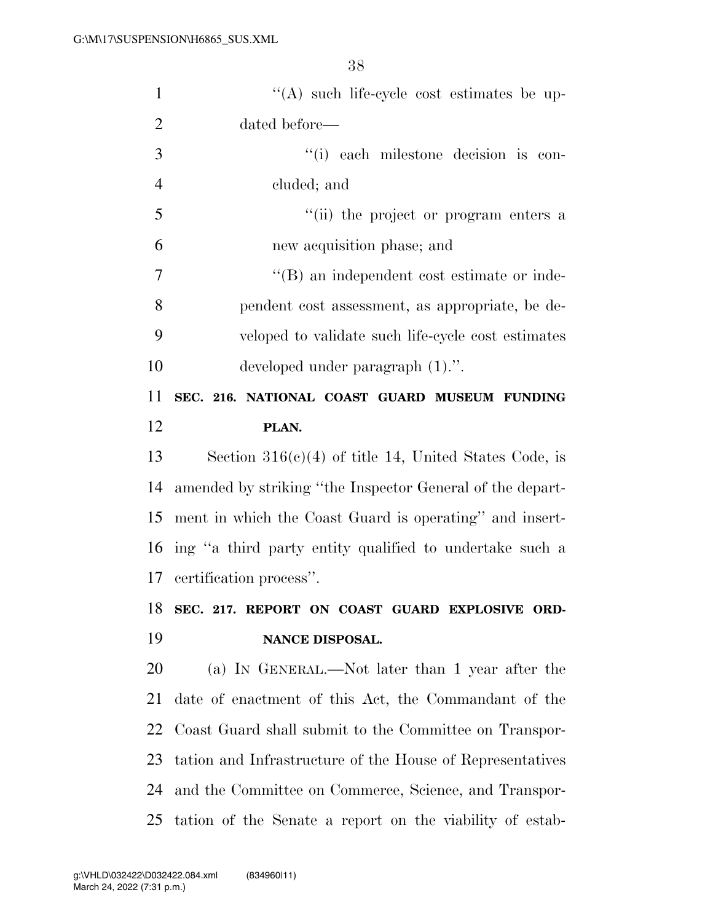| $\mathbf{1}$   | "(A) such life-cycle cost estimates be up-                |
|----------------|-----------------------------------------------------------|
| $\overline{2}$ | dated before—                                             |
| 3              | "(i) each milestone decision is con-                      |
| $\overline{4}$ | cluded; and                                               |
| 5              | "(ii) the project or program enters a                     |
| 6              | new acquisition phase; and                                |
| 7              | $\lq\lq (B)$ an independent cost estimate or inde-        |
| 8              | pendent cost assessment, as appropriate, be de-           |
| 9              | veloped to validate such life-cycle cost estimates        |
| 10             | developed under paragraph $(1)$ .".                       |
| 11             | SEC. 216. NATIONAL COAST GUARD MUSEUM FUNDING             |
| 12             | PLAN.                                                     |
| 13             | Section $316(c)(4)$ of title 14, United States Code, is   |
| 14             | amended by striking "the Inspector General of the depart- |
| 15             | ment in which the Coast Guard is operating" and insert-   |
| 16             | ing "a third party entity qualified to undertake such a   |
| 17             | certification process".                                   |
| 18             | SEC. 217. REPORT ON COAST GUARD EXPLOSIVE ORD-            |
| 19             | NANCE DISPOSAL.                                           |
| 20             | (a) IN GENERAL.—Not later than 1 year after the           |
| 21             | date of enactment of this Act, the Commandant of the      |
| 22             | Coast Guard shall submit to the Committee on Transpor-    |
| 23             | tation and Infrastructure of the House of Representatives |
| 24             | and the Committee on Commerce, Science, and Transpor-     |
| 25             | tation of the Senate a report on the viability of estab-  |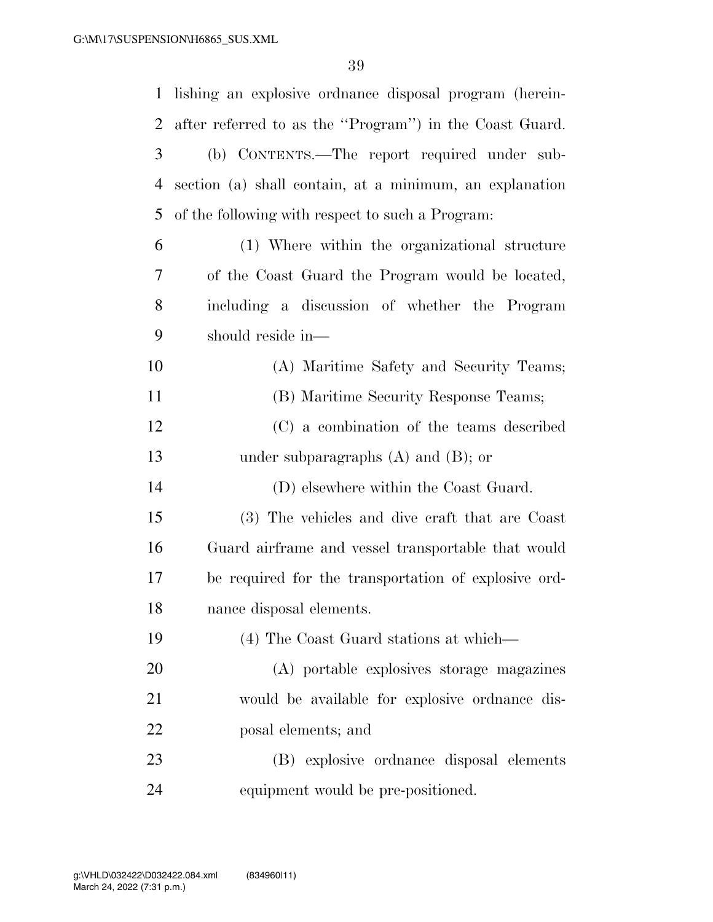| $\mathbf{1}$   | lishing an explosive ordnance disposal program (herein- |
|----------------|---------------------------------------------------------|
| $\overline{2}$ | after referred to as the "Program") in the Coast Guard. |
| 3              | (b) CONTENTS.—The report required under sub-            |
| $\overline{4}$ | section (a) shall contain, at a minimum, an explanation |
| 5              | of the following with respect to such a Program:        |
| 6              | (1) Where within the organizational structure           |
| 7              | of the Coast Guard the Program would be located,        |
| 8              | including a discussion of whether the Program           |
| 9              | should reside in—                                       |
| 10             | (A) Maritime Safety and Security Teams;                 |
| 11             | (B) Maritime Security Response Teams;                   |
| 12             | (C) a combination of the teams described                |
| 13             | under subparagraphs $(A)$ and $(B)$ ; or                |
| 14             | (D) elsewhere within the Coast Guard.                   |
| 15             | (3) The vehicles and dive craft that are Coast          |
| 16             | Guard airframe and vessel transportable that would      |
| 17             | be required for the transportation of explosive ord-    |
| 18             | nance disposal elements.                                |
| 19             | (4) The Coast Guard stations at which—                  |
| 20             | (A) portable explosives storage magazines               |
| 21             | would be available for explosive ordinance dis-         |
| 22             | posal elements; and                                     |
| 23             | (B) explosive ordinance disposal elements               |
| 24             | equipment would be pre-positioned.                      |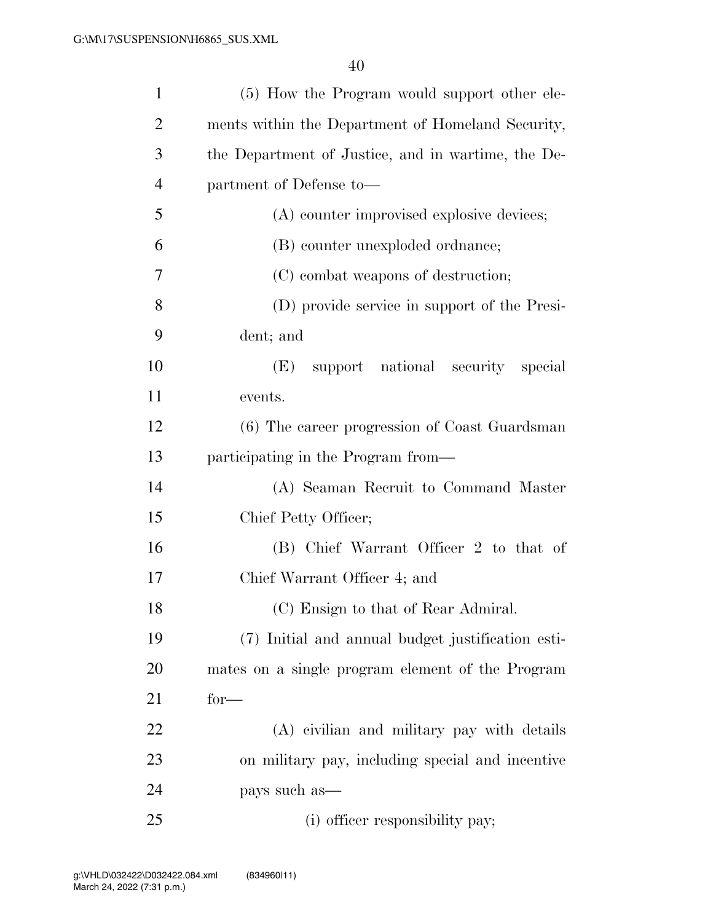| $\mathbf{1}$   | (5) How the Program would support other ele-       |
|----------------|----------------------------------------------------|
| $\overline{2}$ | ments within the Department of Homeland Security,  |
| 3              | the Department of Justice, and in wartime, the De- |
| $\overline{4}$ | partment of Defense to-                            |
| 5              | (A) counter improvised explosive devices;          |
| 6              | (B) counter unexploded ordinance;                  |
| 7              | (C) combat weapons of destruction;                 |
| 8              | (D) provide service in support of the Presi-       |
| 9              | dent; and                                          |
| 10             | support national security special<br>(E)           |
| 11             | events.                                            |
| 12             | (6) The career progression of Coast Guardsman      |
| 13             | participating in the Program from—                 |
| 14             | (A) Seaman Recruit to Command Master               |
| 15             | Chief Petty Officer;                               |
| 16             | (B) Chief Warrant Officer 2 to that of             |
| 17             | Chief Warrant Officer 4; and                       |
| 18             | (C) Ensign to that of Rear Admiral.                |
| 19             | (7) Initial and annual budget justification esti-  |
| 20             | mates on a single program element of the Program   |
| 21             | $for-$                                             |
| 22             | (A) civilian and military pay with details         |
| 23             | on military pay, including special and incentive   |
| 24             | pays such as—                                      |
| 25             | (i) officer responsibility pay;                    |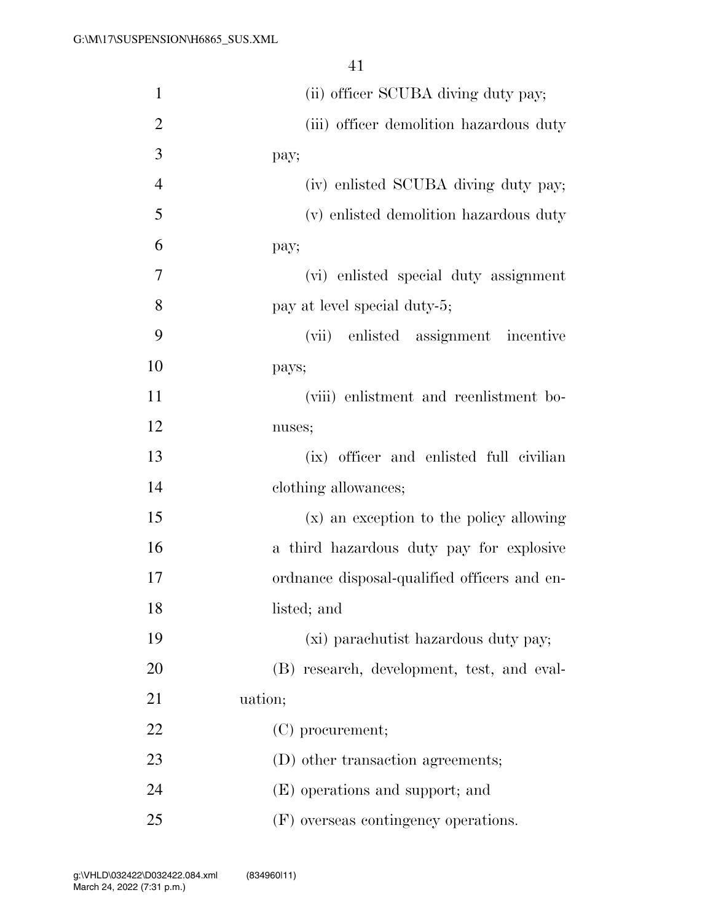| $\mathbf{1}$   | (ii) officer SCUBA diving duty pay;          |
|----------------|----------------------------------------------|
| $\overline{2}$ | (iii) officer demolition hazardous duty      |
| 3              | pay;                                         |
| $\overline{4}$ | (iv) enlisted SCUBA diving duty pay;         |
| 5              | (v) enlisted demolition hazardous duty       |
| 6              | pay;                                         |
| 7              | (vi) enlisted special duty assignment        |
| 8              | pay at level special duty-5;                 |
| 9              | (vii) enlisted assignment incentive          |
| 10             | pays;                                        |
| 11             | (viii) enlistment and reenlistment bo-       |
| 12             | nuses;                                       |
| 13             | (ix) officer and enlisted full civilian      |
| 14             | clothing allowances;                         |
| 15             | (x) an exception to the policy allowing      |
| 16             | a third hazardous duty pay for explosive     |
| 17             | ordnance disposal-qualified officers and en- |
| 18             | listed; and                                  |
| 19             | (xi) parachutist hazardous duty pay;         |
| 20             | (B) research, development, test, and eval-   |
| 21             | uation;                                      |
| 22             | (C) procurement;                             |
| 23             | (D) other transaction agreements;            |
| 24             | (E) operations and support; and              |
| 25             | (F) overseas contingency operations.         |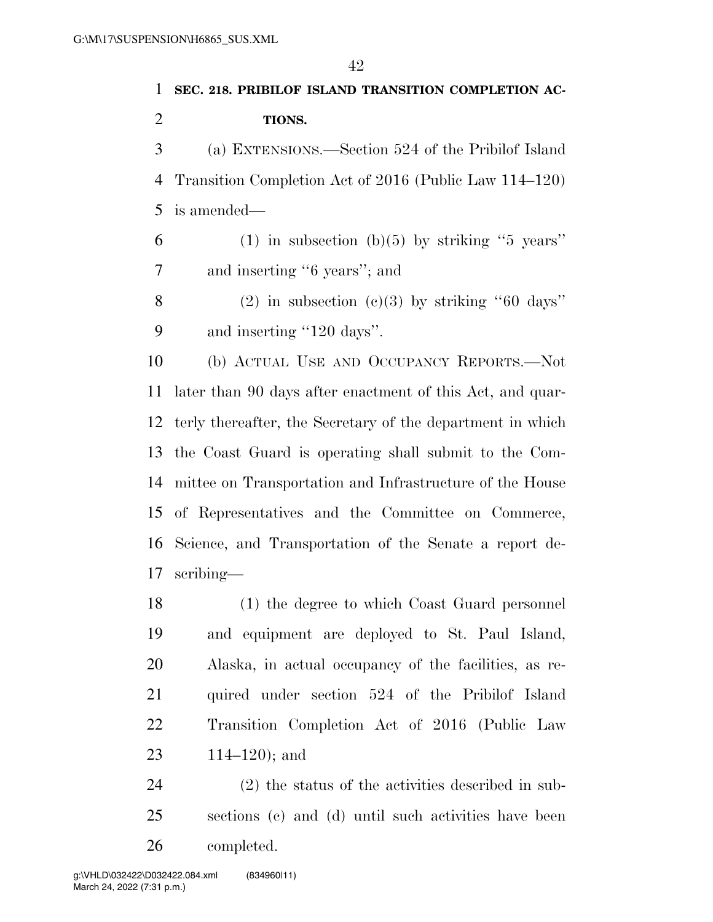# **SEC. 218. PRIBILOF ISLAND TRANSITION COMPLETION AC- TIONS.**  (a) EXTENSIONS.—Section 524 of the Pribilof Island Transition Completion Act of 2016 (Public Law 114–120) is amended— 6 (1) in subsection (b)(5) by striking "5 years" and inserting ''6 years''; and 8 (2) in subsection  $(c)(3)$  by striking "60 days" 9 and inserting "120 days". (b) ACTUAL USE AND OCCUPANCY REPORTS.—Not later than 90 days after enactment of this Act, and quar-terly thereafter, the Secretary of the department in which

 of Representatives and the Committee on Commerce, Science, and Transportation of the Senate a report de- scribing— (1) the degree to which Coast Guard personnel and equipment are deployed to St. Paul Island, Alaska, in actual occupancy of the facilities, as re- quired under section 524 of the Pribilof Island Transition Completion Act of 2016 (Public Law

the Coast Guard is operating shall submit to the Com-

mittee on Transportation and Infrastructure of the House

114–120); and

 (2) the status of the activities described in sub- sections (c) and (d) until such activities have been completed.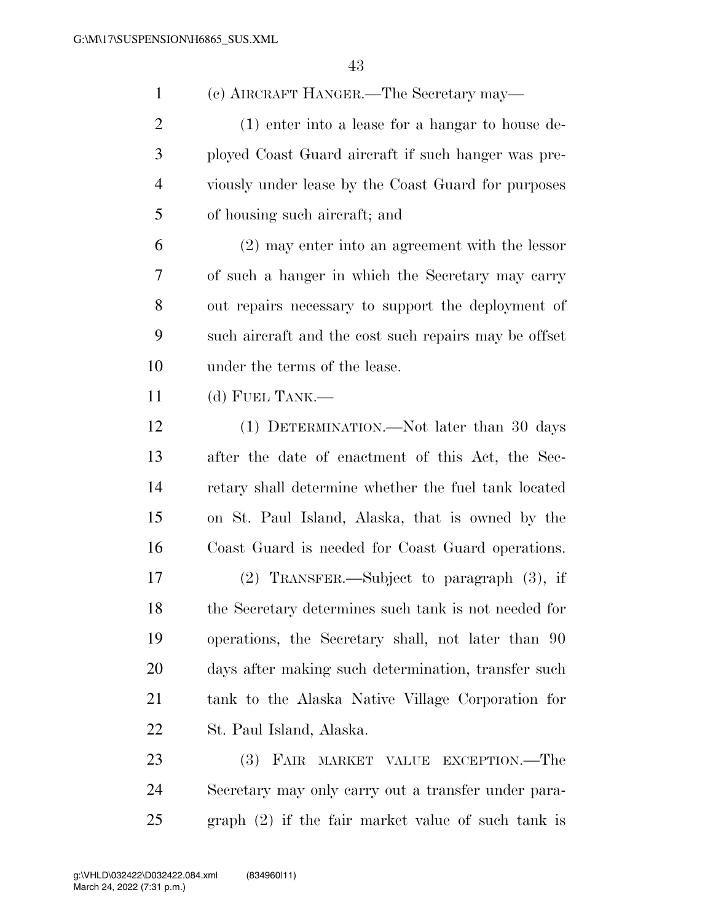(c) AIRCRAFT HANGER.—The Secretary may—

 (1) enter into a lease for a hangar to house de- ployed Coast Guard aircraft if such hanger was pre- viously under lease by the Coast Guard for purposes of housing such aircraft; and

 (2) may enter into an agreement with the lessor of such a hanger in which the Secretary may carry out repairs necessary to support the deployment of such aircraft and the cost such repairs may be offset under the terms of the lease.

(d) FUEL TANK.—

 (1) DETERMINATION.—Not later than 30 days after the date of enactment of this Act, the Sec- retary shall determine whether the fuel tank located on St. Paul Island, Alaska, that is owned by the Coast Guard is needed for Coast Guard operations.

 (2) TRANSFER.—Subject to paragraph (3), if the Secretary determines such tank is not needed for operations, the Secretary shall, not later than 90 days after making such determination, transfer such tank to the Alaska Native Village Corporation for St. Paul Island, Alaska.

 (3) FAIR MARKET VALUE EXCEPTION.—The Secretary may only carry out a transfer under para-graph (2) if the fair market value of such tank is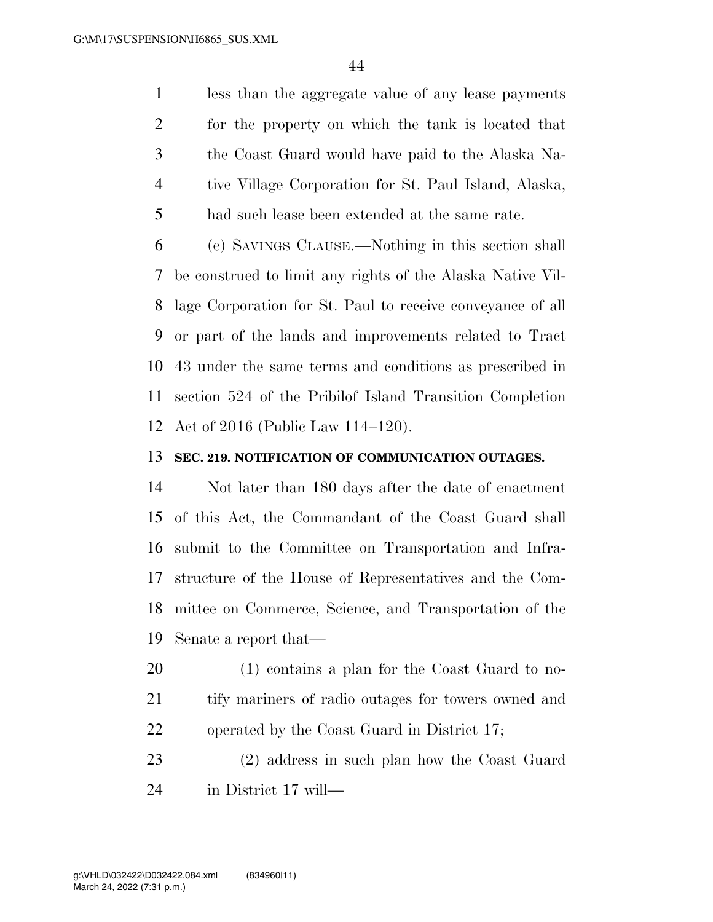less than the aggregate value of any lease payments for the property on which the tank is located that the Coast Guard would have paid to the Alaska Na- tive Village Corporation for St. Paul Island, Alaska, had such lease been extended at the same rate.

 (e) SAVINGS CLAUSE.—Nothing in this section shall be construed to limit any rights of the Alaska Native Vil- lage Corporation for St. Paul to receive conveyance of all or part of the lands and improvements related to Tract 43 under the same terms and conditions as prescribed in section 524 of the Pribilof Island Transition Completion Act of 2016 (Public Law 114–120).

#### **SEC. 219. NOTIFICATION OF COMMUNICATION OUTAGES.**

 Not later than 180 days after the date of enactment of this Act, the Commandant of the Coast Guard shall submit to the Committee on Transportation and Infra- structure of the House of Representatives and the Com- mittee on Commerce, Science, and Transportation of the Senate a report that—

 (1) contains a plan for the Coast Guard to no- tify mariners of radio outages for towers owned and operated by the Coast Guard in District 17;

 (2) address in such plan how the Coast Guard in District 17 will—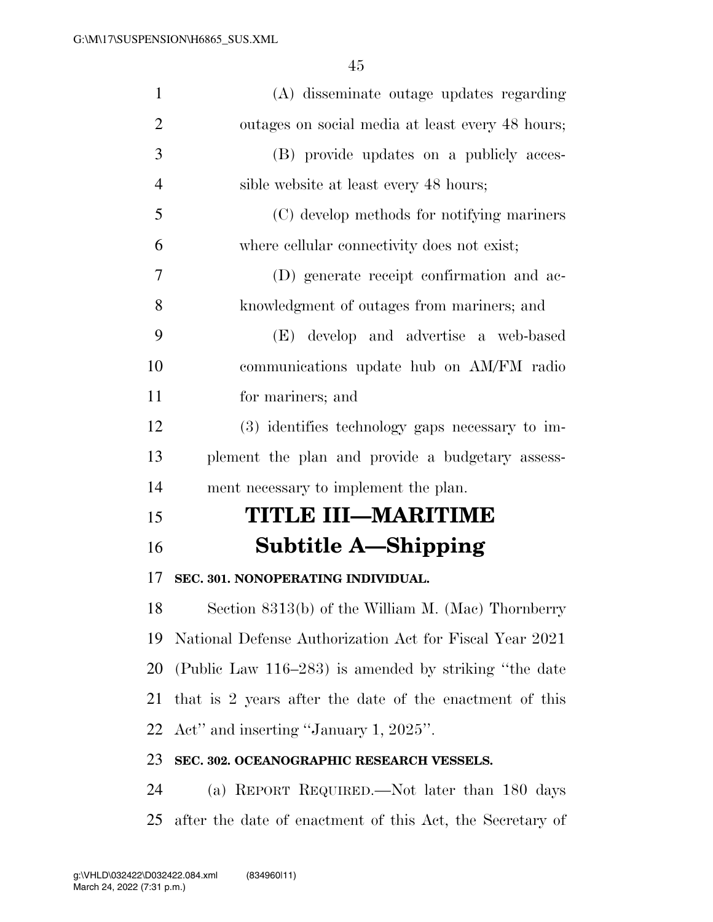| $\mathbf{1}$   | (A) disseminate outage updates regarding                  |
|----------------|-----------------------------------------------------------|
| $\overline{2}$ | outages on social media at least every 48 hours;          |
| 3              | (B) provide updates on a publicly acces-                  |
| $\overline{4}$ | sible website at least every 48 hours;                    |
| 5              | (C) develop methods for notifying mariners                |
| 6              | where cellular connectivity does not exist;               |
| 7              | (D) generate receipt confirmation and ac-                 |
| 8              | knowledgment of outages from mariners; and                |
| 9              | (E) develop and advertise a web-based                     |
| 10             | communications update hub on AM/FM radio                  |
| 11             | for mariners; and                                         |
| 12             | (3) identifies technology gaps necessary to im-           |
| 13             | plement the plan and provide a budgetary assess-          |
| 14             | ment necessary to implement the plan.                     |
| 15             | TITLE III-MARITIME                                        |
| 16             | Subtitle A—Shipping                                       |
| 17             | SEC. 301. NONOPERATING INDIVIDUAL.                        |
| 18             | Section 8313(b) of the William M. (Mac) Thornberry        |
| 19             | National Defense Authorization Act for Fiscal Year 2021   |
| 20             | (Public Law 116–283) is amended by striking "the date     |
| 21             | that is 2 years after the date of the enactment of this   |
| 22             | Act" and inserting "January 1, 2025".                     |
| 23             | SEC. 302. OCEANOGRAPHIC RESEARCH VESSELS.                 |
| 24             | (a) REPORT REQUIRED.—Not later than 180 days              |
| 25             | after the date of enactment of this Act, the Secretary of |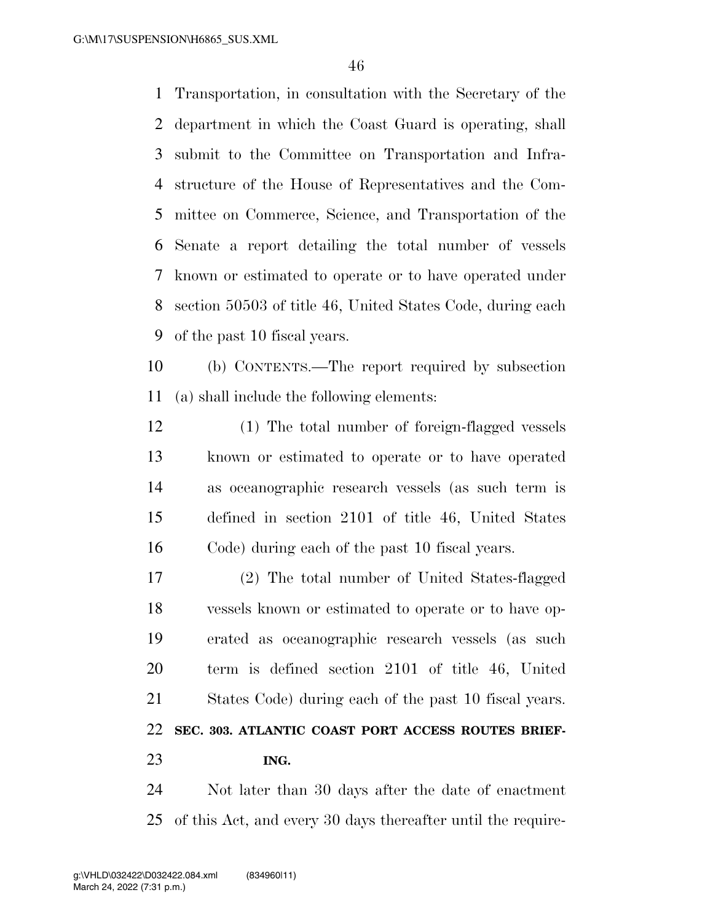Transportation, in consultation with the Secretary of the department in which the Coast Guard is operating, shall submit to the Committee on Transportation and Infra- structure of the House of Representatives and the Com- mittee on Commerce, Science, and Transportation of the Senate a report detailing the total number of vessels known or estimated to operate or to have operated under section 50503 of title 46, United States Code, during each of the past 10 fiscal years.

 (b) CONTENTS.—The report required by subsection (a) shall include the following elements:

 (1) The total number of foreign-flagged vessels known or estimated to operate or to have operated as oceanographic research vessels (as such term is defined in section 2101 of title 46, United States Code) during each of the past 10 fiscal years.

 (2) The total number of United States-flagged vessels known or estimated to operate or to have op- erated as oceanographic research vessels (as such term is defined section 2101 of title 46, United States Code) during each of the past 10 fiscal years. **SEC. 303. ATLANTIC COAST PORT ACCESS ROUTES BRIEF-ING.** 

 Not later than 30 days after the date of enactment of this Act, and every 30 days thereafter until the require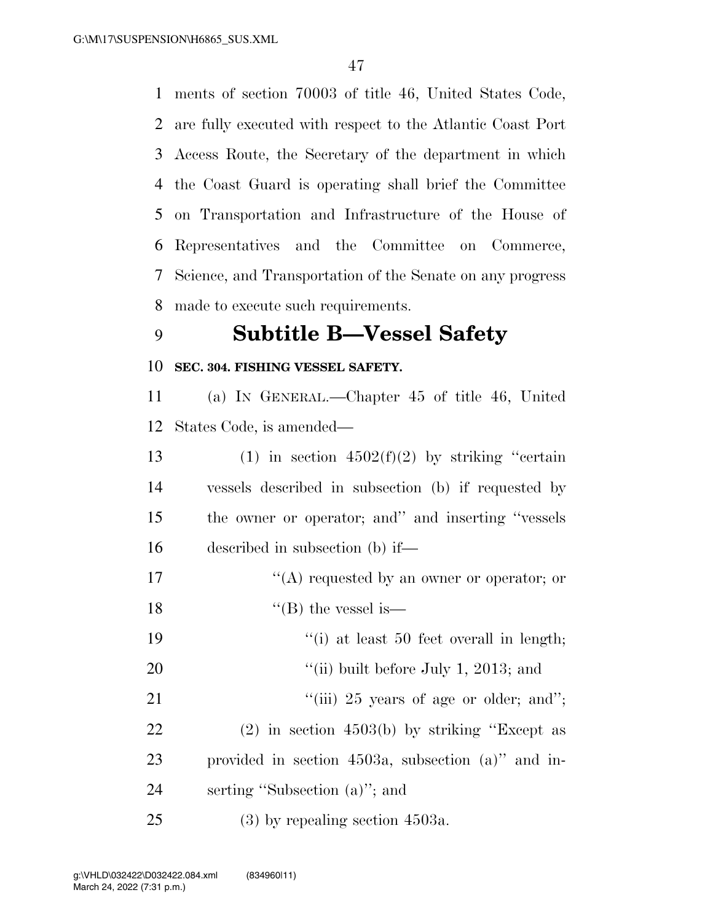ments of section 70003 of title 46, United States Code, are fully executed with respect to the Atlantic Coast Port Access Route, the Secretary of the department in which the Coast Guard is operating shall brief the Committee on Transportation and Infrastructure of the House of Representatives and the Committee on Commerce, Science, and Transportation of the Senate on any progress made to execute such requirements.

### **Subtitle B—Vessel Safety**

#### **SEC. 304. FISHING VESSEL SAFETY.**

 (a) IN GENERAL.—Chapter 45 of title 46, United States Code, is amended—

13 (1) in section  $4502(f)(2)$  by striking "certain vessels described in subsection (b) if requested by the owner or operator; and'' and inserting ''vessels described in subsection (b) if—

- 17  $\langle (A) \rangle$  requested by an owner or operator; or
- 18  $"$ (B) the vessel is—
- 19 ''(i) at least 50 feet overall in length;
- 20  $\frac{1}{20}$  (ii) built before July 1, 2013; and
- 21  $\frac{1}{1}$   $\frac{1}{25}$  years of age or older; and";
- (2) in section 4503(b) by striking ''Except as provided in section 4503a, subsection (a)'' and in-serting ''Subsection (a)''; and
- (3) by repealing section 4503a.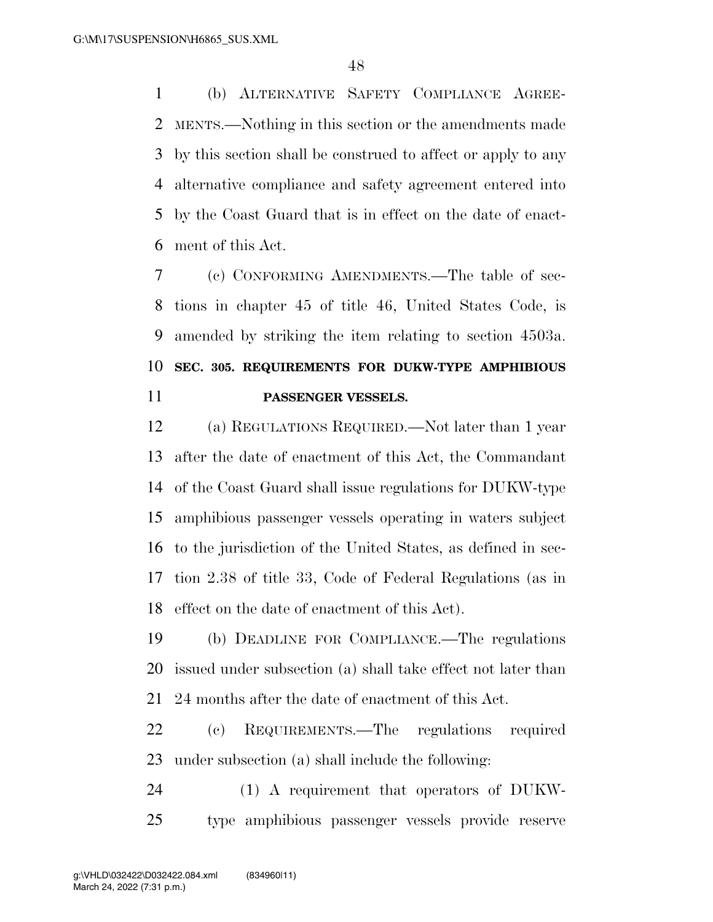(b) ALTERNATIVE SAFETY COMPLIANCE AGREE- MENTS.—Nothing in this section or the amendments made by this section shall be construed to affect or apply to any alternative compliance and safety agreement entered into by the Coast Guard that is in effect on the date of enact-ment of this Act.

 (c) CONFORMING AMENDMENTS.—The table of sec- tions in chapter 45 of title 46, United States Code, is amended by striking the item relating to section 4503a. **SEC. 305. REQUIREMENTS FOR DUKW-TYPE AMPHIBIOUS PASSENGER VESSELS.** 

 (a) REGULATIONS REQUIRED.—Not later than 1 year after the date of enactment of this Act, the Commandant of the Coast Guard shall issue regulations for DUKW-type amphibious passenger vessels operating in waters subject to the jurisdiction of the United States, as defined in sec- tion 2.38 of title 33, Code of Federal Regulations (as in effect on the date of enactment of this Act).

 (b) DEADLINE FOR COMPLIANCE.—The regulations issued under subsection (a) shall take effect not later than 24 months after the date of enactment of this Act.

 (c) REQUIREMENTS.—The regulations required under subsection (a) shall include the following:

 (1) A requirement that operators of DUKW-type amphibious passenger vessels provide reserve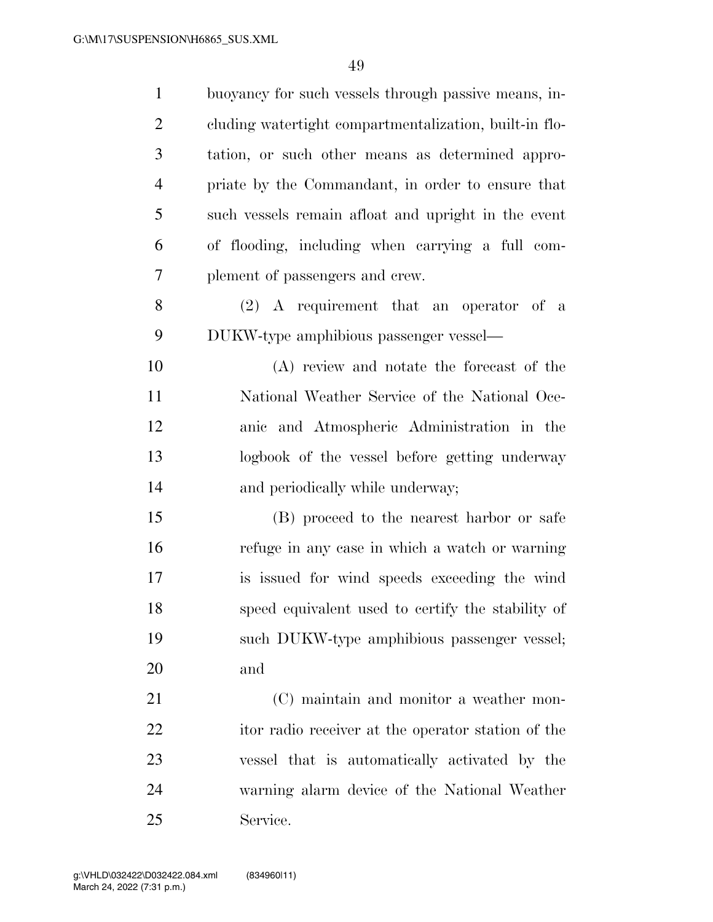| $\mathbf{1}$   | buoyancy for such vessels through passive means, in-   |
|----------------|--------------------------------------------------------|
| $\overline{2}$ | cluding watertight compartmentalization, built-in flo- |
| 3              | tation, or such other means as determined appro-       |
| $\overline{4}$ | priate by the Commandant, in order to ensure that      |
| 5              | such vessels remain afloat and upright in the event    |
| 6              | of flooding, including when carrying a full com-       |
| 7              | plement of passengers and crew.                        |
| 8              | $(2)$ A requirement that an operator of a              |
| 9              | DUKW-type amphibious passenger vessel—                 |
| 10             | (A) review and notate the forecast of the              |
| 11             | National Weather Service of the National Oce-          |
| 12             | anic and Atmospheric Administration in the             |
| 13             | logbook of the vessel before getting underway          |
| 14             | and periodically while underway;                       |
| 15             | (B) proceed to the nearest harbor or safe              |
| 16             | refuge in any case in which a watch or warning         |
| 17             | is issued for wind speeds exceeding the wind           |
| 18             | speed equivalent used to certify the stability of      |
| 19             | such DUKW-type amphibious passenger vessel;            |
| 20             | and                                                    |
| 21             | (C) maintain and monitor a weather mon-                |
| 22             | itor radio receiver at the operator station of the     |
| 23             | vessel that is automatically activated by the          |
| 24             | warning alarm device of the National Weather           |
| 25             | Service.                                               |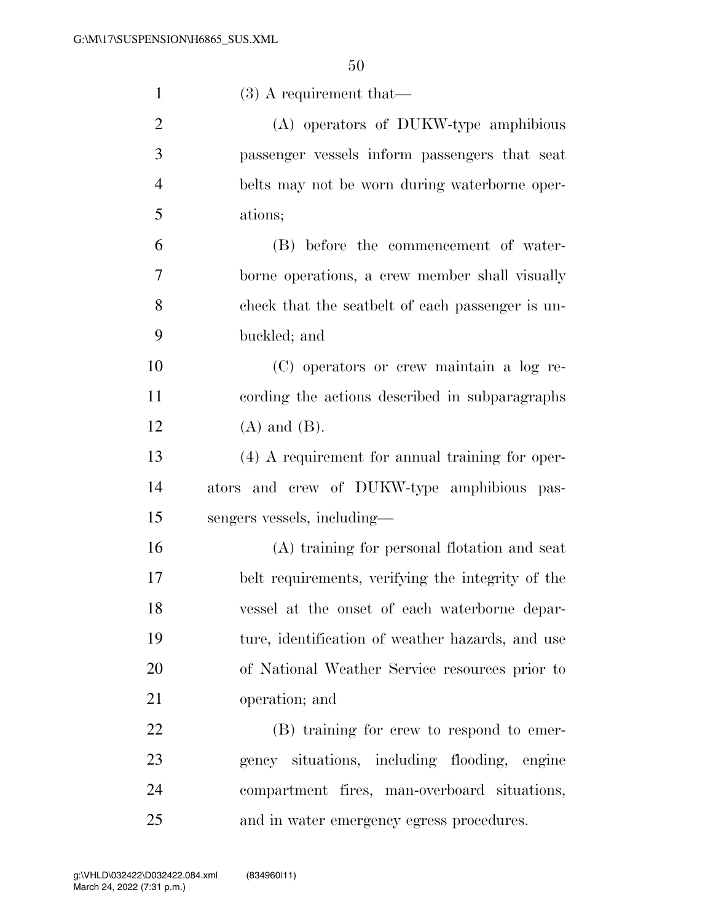| $\mathbf{1}$   | $(3)$ A requirement that—                         |
|----------------|---------------------------------------------------|
| $\overline{2}$ | (A) operators of DUKW-type amphibious             |
| 3              | passenger vessels inform passengers that seat     |
| $\overline{4}$ | belts may not be worn during waterborne oper-     |
| 5              | ations;                                           |
| 6              | (B) before the commencement of water-             |
| 7              | borne operations, a crew member shall visually    |
| 8              | check that the seatbelt of each passenger is un-  |
| 9              | buckled; and                                      |
| 10             | (C) operators or crew maintain a log re-          |
| 11             | cording the actions described in subparagraphs    |
| 12             | $(A)$ and $(B)$ .                                 |
| 13             | $(4)$ A requirement for annual training for oper- |
| 14             | ators and crew of DUKW-type amphibious pas-       |
| 15             | sengers vessels, including—                       |
| 16             | (A) training for personal flotation and seat      |
| 17             | belt requirements, verifying the integrity of the |
| 18             | vessel at the onset of each waterborne depar-     |
| 19             | ture, identification of weather hazards, and use  |
| 20             | of National Weather Service resources prior to    |
| 21             | operation; and                                    |
| 22             | (B) training for crew to respond to emer-         |
| 23             | gency situations, including flooding, engine      |
| 24             | compartment fires, man-overboard situations,      |
| 25             | and in water emergency egress procedures.         |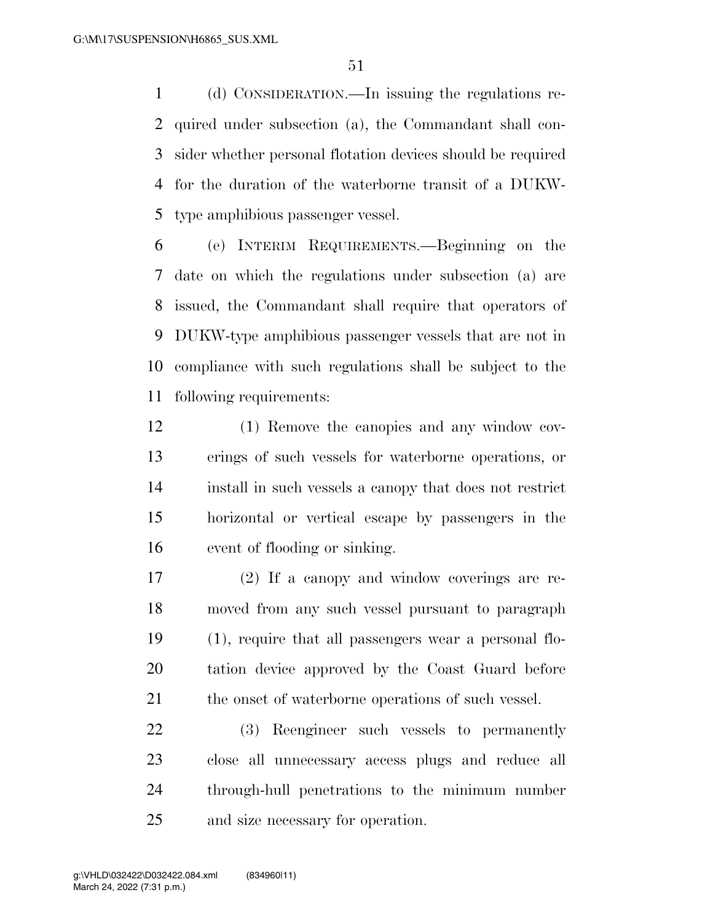(d) CONSIDERATION.—In issuing the regulations re- quired under subsection (a), the Commandant shall con- sider whether personal flotation devices should be required for the duration of the waterborne transit of a DUKW-type amphibious passenger vessel.

 (e) INTERIM REQUIREMENTS.—Beginning on the date on which the regulations under subsection (a) are issued, the Commandant shall require that operators of DUKW-type amphibious passenger vessels that are not in compliance with such regulations shall be subject to the following requirements:

- (1) Remove the canopies and any window cov- erings of such vessels for waterborne operations, or install in such vessels a canopy that does not restrict horizontal or vertical escape by passengers in the event of flooding or sinking.
- (2) If a canopy and window coverings are re- moved from any such vessel pursuant to paragraph (1), require that all passengers wear a personal flo- tation device approved by the Coast Guard before 21 the onset of waterborne operations of such vessel.

 (3) Reengineer such vessels to permanently close all unnecessary access plugs and reduce all through-hull penetrations to the minimum number and size necessary for operation.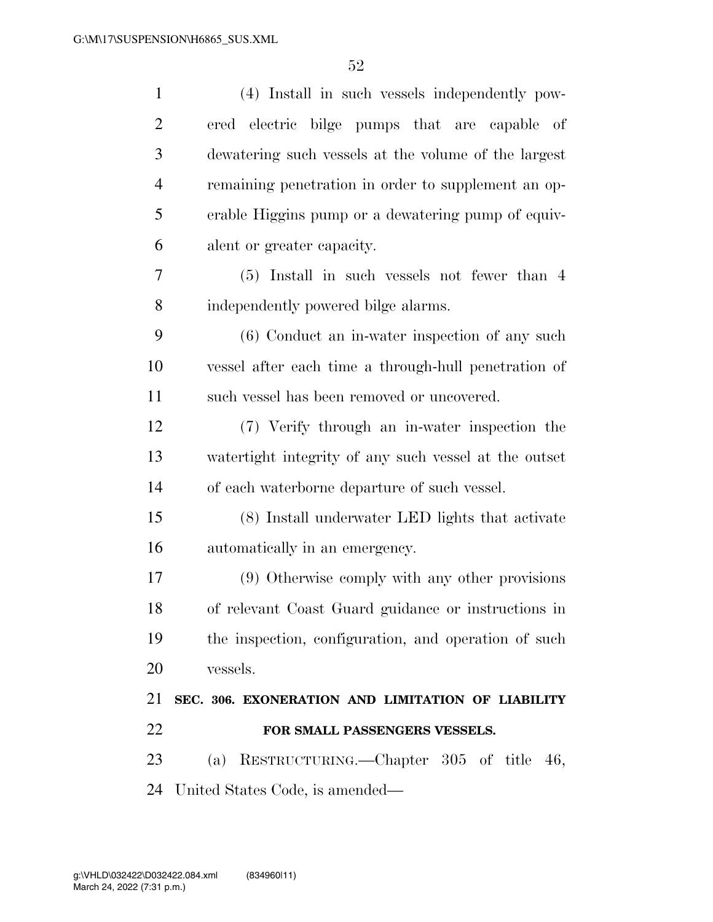| $\mathbf{1}$   | (4) Install in such vessels independently pow-        |
|----------------|-------------------------------------------------------|
| $\overline{2}$ | ered electric bilge pumps that are capable of         |
| 3              | dewatering such vessels at the volume of the largest  |
| $\overline{4}$ | remaining penetration in order to supplement an op-   |
| 5              | erable Higgins pump or a dewatering pump of equiv-    |
| 6              | alent or greater capacity.                            |
| 7              | $(5)$ Install in such vessels not fewer than 4        |
| $8\,$          | independently powered bilge alarms.                   |
| 9              | (6) Conduct an in-water inspection of any such        |
| 10             | vessel after each time a through-hull penetration of  |
| 11             | such vessel has been removed or uncovered.            |
| 12             | (7) Verify through an in-water inspection the         |
| 13             | watertight integrity of any such vessel at the outset |
| 14             | of each waterborne departure of such vessel.          |
| 15             | (8) Install underwater LED lights that activate       |
| 16             | automatically in an emergency.                        |
| 17             | (9) Otherwise comply with any other provisions        |
| 18             | of relevant Coast Guard guidance or instructions in   |
| 19             | the inspection, configuration, and operation of such  |
| 20             | vessels.                                              |
| 21             | SEC. 306. EXONERATION AND LIMITATION OF LIABILITY     |
| 22             | FOR SMALL PASSENGERS VESSELS.                         |
| 23             | (a) RESTRUCTURING.—Chapter 305 of title 46,           |
| 24             | United States Code, is amended—                       |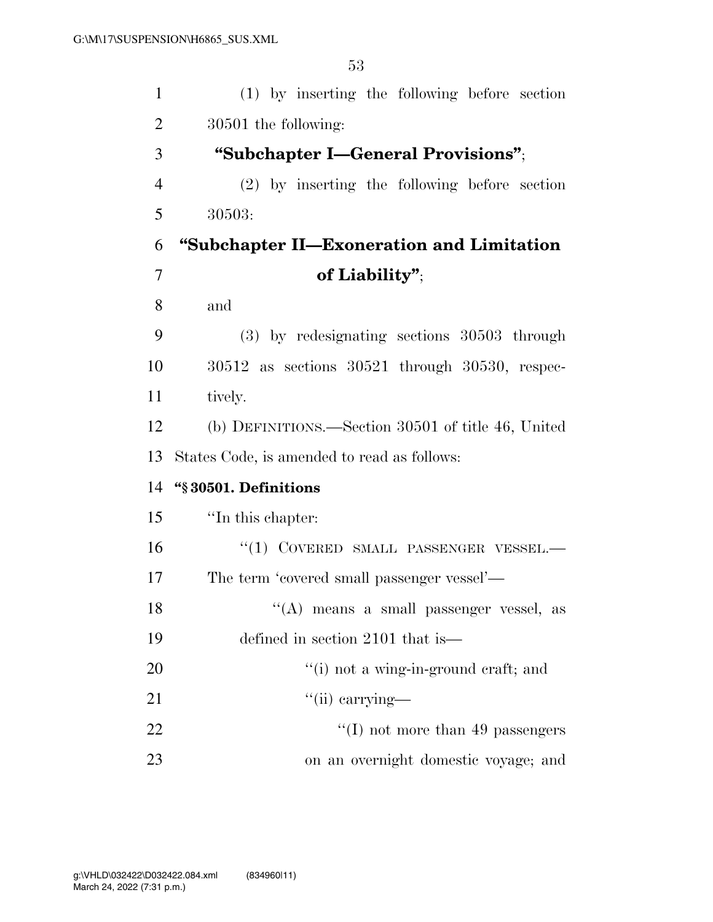| $\mathbf{1}$   | (1) by inserting the following before section         |
|----------------|-------------------------------------------------------|
| 2              | 30501 the following:                                  |
| 3              | "Subchapter I—General Provisions";                    |
| $\overline{4}$ | $(2)$ by inserting the following before section       |
| 5              | 30503:                                                |
| 6              | "Subchapter II—Exoneration and Limitation             |
| $\overline{7}$ | of Liability";                                        |
| 8              | and                                                   |
| 9              | $(3)$ by redesignating sections $30503$ through       |
| 10             | $30512$ as sections $30521$ through $30530$ , respec- |
| 11             | tively.                                               |
| 12             | (b) DEFINITIONS.—Section 30501 of title 46, United    |
| 13             | States Code, is amended to read as follows:           |
| 14             | "§30501. Definitions                                  |
| 15             | "In this chapter:                                     |
| 16             | "(1) COVERED SMALL PASSENGER VESSEL.-                 |
| 17             | The term 'covered small passenger vessel'—            |
| 18             | "(A) means a small passenger vessel, as               |
| 19             | defined in section 2101 that is—                      |
| 20             | "(i) not a wing-in-ground craft; and                  |
| 21             | $\lq\lq$ (ii) carrying—                               |
| 22             | $\lq\lq$ (I) not more than 49 passengers              |
| 23             | on an overnight domestic voyage; and                  |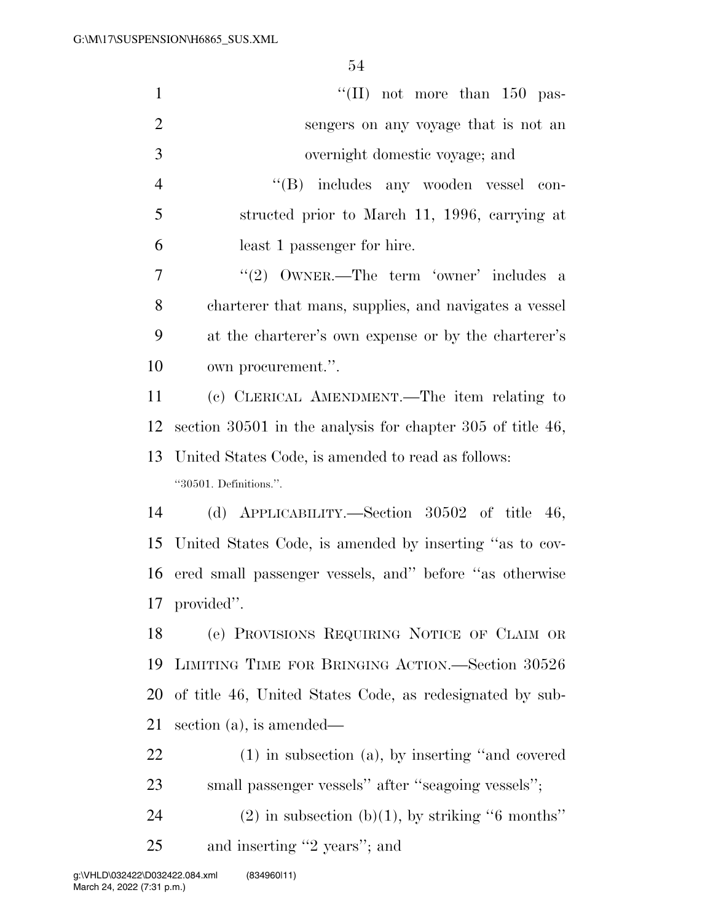| $\mathbf{1}$   | "(II) not more than $150$ pas-                               |
|----------------|--------------------------------------------------------------|
| $\overline{2}$ | sengers on any voyage that is not an                         |
| 3              | overnight domestic voyage; and                               |
| $\overline{4}$ | "(B) includes any wooden vessel con-                         |
| 5              | structed prior to March 11, 1996, carrying at                |
| 6              | least 1 passenger for hire.                                  |
| 7              | "(2) $\text{OWNER.}$ -The term 'owner' includes a            |
| 8              | charterer that mans, supplies, and navigates a vessel        |
| 9              | at the charterer's own expense or by the charterer's         |
| 10             | own procurement.".                                           |
| 11             | (c) CLERICAL AMENDMENT.—The item relating to                 |
| 12             | section $30501$ in the analysis for chapter 305 of title 46, |
| 13             | United States Code, is amended to read as follows:           |
|                |                                                              |
|                | "30501. Definitions.".                                       |
| 14             | (d) APPLICABILITY.—Section $30502$ of title 46,              |
| 15             | United States Code, is amended by inserting "as to cov-      |
| 16             | ered small passenger vessels, and" before "as otherwise      |
|                | 17 provided".                                                |
| 18             | (e) PROVISIONS REQUIRING NOTICE OF CLAIM OR                  |
| 19             | LIMITING TIME FOR BRINGING ACTION.—Section 30526             |
| 20             | of title 46, United States Code, as redesignated by sub-     |
| 21             | section $(a)$ , is amended—                                  |
| 22             | $(1)$ in subsection $(a)$ , by inserting "and covered"       |
| 23             | small passenger vessels" after "seagoing vessels";           |
| 24             | $(2)$ in subsection (b)(1), by striking "6 months"           |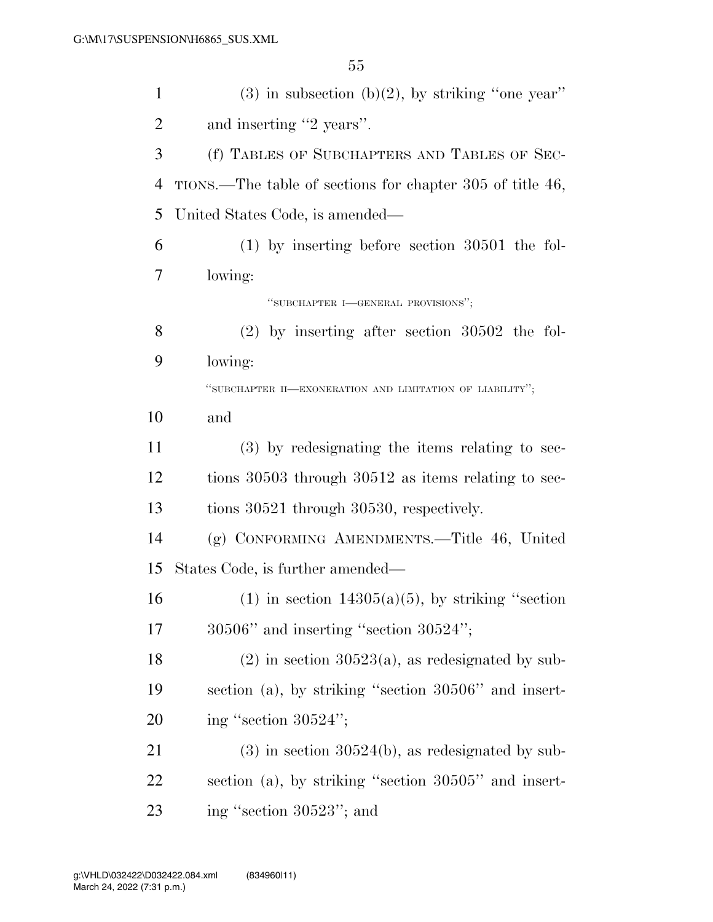| $\mathbf{1}$   | $(3)$ in subsection $(b)(2)$ , by striking "one year"     |
|----------------|-----------------------------------------------------------|
| $\overline{2}$ | and inserting "2 years".                                  |
| 3              | (f) TABLES OF SUBCHAPTERS AND TABLES OF SEC-              |
| $\overline{4}$ | TIONS.—The table of sections for chapter 305 of title 46, |
| 5              | United States Code, is amended—                           |
| 6              | $(1)$ by inserting before section 30501 the fol-          |
| 7              | lowing:                                                   |
|                | "SUBCHAPTER I-GENERAL PROVISIONS";                        |
| 8              | $(2)$ by inserting after section 30502 the fol-           |
| 9              | lowing:                                                   |
|                | "SUBCHAPTER II-EXONERATION AND LIMITATION OF LIABILITY";  |
| 10             | and                                                       |
| 11             | (3) by redesignating the items relating to sec-           |
| 12             | tions 30503 through 30512 as items relating to sec-       |
| 13             | tions 30521 through 30530, respectively.                  |
| 14             | (g) CONFORMING AMENDMENTS.—Title 46, United               |
| 15             | States Code, is further amended—                          |
| 16             | $(1)$ in section 14305(a)(5), by striking "section        |
| 17             | $30506"$ and inserting "section $30524"$ ;                |
| 18             | $(2)$ in section 30523(a), as redesignated by sub-        |
| 19             | section (a), by striking "section 30506" and insert-      |
| 20             | ing "section $30524$ ";                                   |
| 21             | $(3)$ in section 30524(b), as redesignated by sub-        |
| 22             | section (a), by striking "section 30505" and insert-      |
| 23             | ing "section 30523"; and                                  |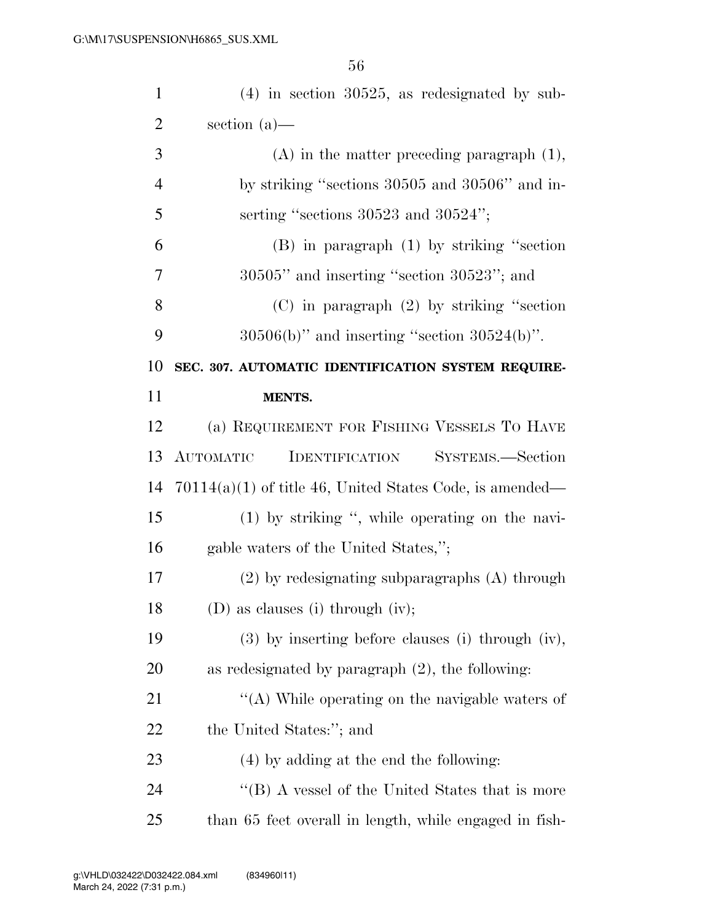| $\mathbf{1}$   | $(4)$ in section 30525, as redesignated by sub-               |
|----------------|---------------------------------------------------------------|
| $\mathbf{2}$   | section $(a)$ —                                               |
| 3              | $(A)$ in the matter preceding paragraph $(1)$ ,               |
| $\overline{4}$ | by striking "sections 30505 and 30506" and in-                |
| 5              | serting "sections $30523$ and $30524$ ";                      |
| 6              | $(B)$ in paragraph $(1)$ by striking "section"                |
| 7              | $30505"$ and inserting "section $30523"$ ; and                |
| 8              | $(C)$ in paragraph $(2)$ by striking "section"                |
| 9              | $30506(b)$ " and inserting "section $30524(b)$ ".             |
| 10             | SEC. 307. AUTOMATIC IDENTIFICATION SYSTEM REQUIRE-            |
| 11             | MENTS.                                                        |
| 12             | (a) REQUIREMENT FOR FISHING VESSELS TO HAVE                   |
| 13             | <b>IDENTIFICATION</b><br><b>AUTOMATIC</b><br>SYSTEMS.—Section |
| 14             | $70114(a)(1)$ of title 46, United States Code, is amended—    |
| 15             | $(1)$ by striking ", while operating on the navi-             |
| 16             | gable waters of the United States,";                          |
| 17             | $(2)$ by redesignating subparagraphs $(A)$ through            |
| 18             | $(D)$ as clauses (i) through (iv);                            |
| 19             | $(3)$ by inserting before clauses (i) through (iv),           |
| 20             | as redesignated by paragraph $(2)$ , the following:           |
| 21             | "(A) While operating on the navigable waters of               |
| 22             | the United States:"; and                                      |
| 23             | $(4)$ by adding at the end the following:                     |
| 24             | "(B) A vessel of the United States that is more               |
| 25             | than 65 feet overall in length, while engaged in fish-        |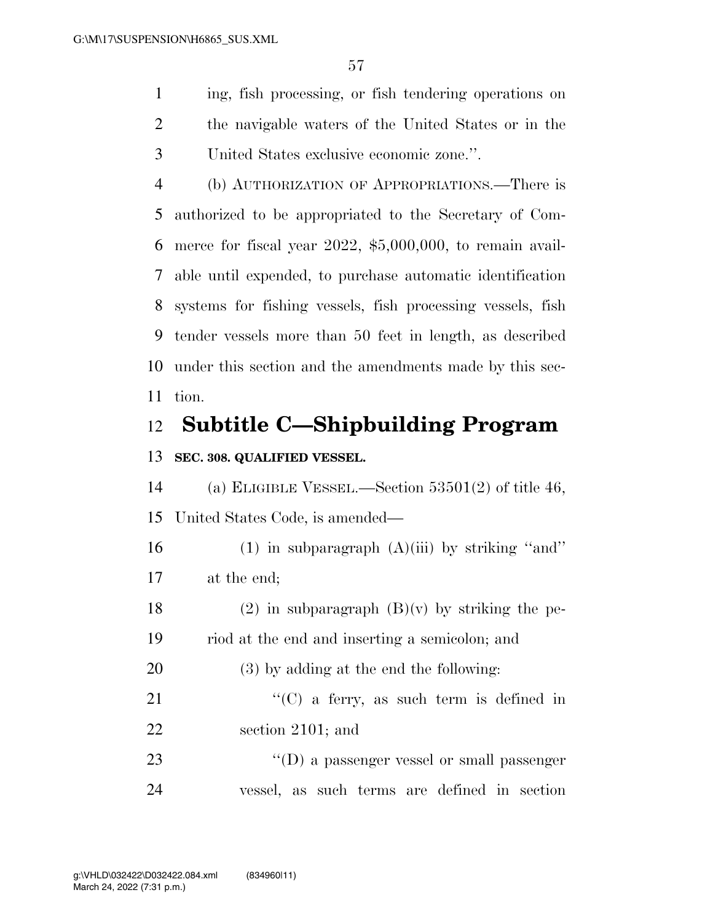ing, fish processing, or fish tendering operations on the navigable waters of the United States or in the United States exclusive economic zone.''.

 (b) AUTHORIZATION OF APPROPRIATIONS.—There is authorized to be appropriated to the Secretary of Com- merce for fiscal year 2022, \$5,000,000, to remain avail- able until expended, to purchase automatic identification systems for fishing vessels, fish processing vessels, fish tender vessels more than 50 feet in length, as described under this section and the amendments made by this sec-tion.

## **Subtitle C—Shipbuilding Program**

#### **SEC. 308. QUALIFIED VESSEL.**

 (a) ELIGIBLE VESSEL.—Section 53501(2) of title 46, United States Code, is amended—

16 (1) in subparagraph  $(A)(iii)$  by striking "and" at the end;

18 (2) in subparagraph  $(B)(v)$  by striking the pe-riod at the end and inserting a semicolon; and

(3) by adding at the end the following:

21 "'(C) a ferry, as such term is defined in section 2101; and

23  $'(D)$  a passenger vessel or small passenger vessel, as such terms are defined in section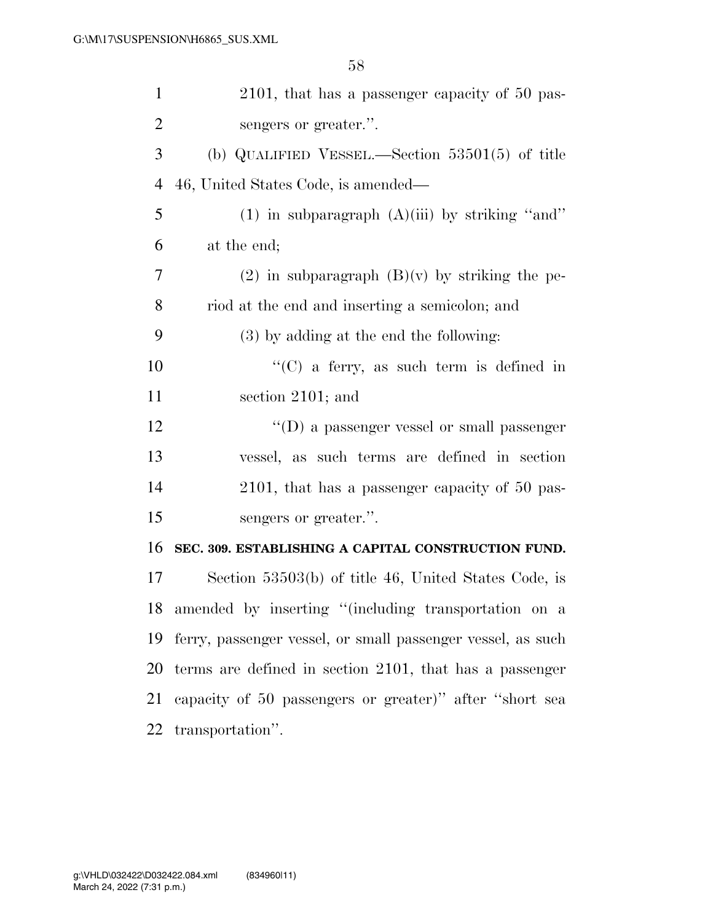| $\mathbf{1}$   | 2101, that has a passenger capacity of 50 pas-              |
|----------------|-------------------------------------------------------------|
| $\overline{2}$ | sengers or greater.".                                       |
| 3              | (b) QUALIFIED VESSEL.—Section $53501(5)$ of title           |
| $\overline{4}$ | 46, United States Code, is amended—                         |
| 5              | (1) in subparagraph $(A)(iii)$ by striking "and"            |
| 6              | at the end;                                                 |
| 7              | $(2)$ in subparagraph $(B)(v)$ by striking the pe-          |
| 8              | riod at the end and inserting a semicolon; and              |
| 9              | $(3)$ by adding at the end the following:                   |
| 10             | " $(C)$ a ferry, as such term is defined in                 |
| 11             | section 2101; and                                           |
| 12             | $\lq\lq$ (D) a passenger vessel or small passenger          |
| 13             | vessel, as such terms are defined in section                |
| 14             | 2101, that has a passenger capacity of 50 pas-              |
| 15             | sengers or greater.".                                       |
| 16             | SEC. 309. ESTABLISHING A CAPITAL CONSTRUCTION FUND.         |
| 17             | Section 53503(b) of title 46, United States Code, is        |
|                | 18 amended by inserting "(including transportation on a     |
| 19             | ferry, passenger vessel, or small passenger vessel, as such |
| 20             | terms are defined in section 2101, that has a passenger     |
| 21             | capacity of 50 passengers or greater)" after "short sea     |
| 22             | transportation".                                            |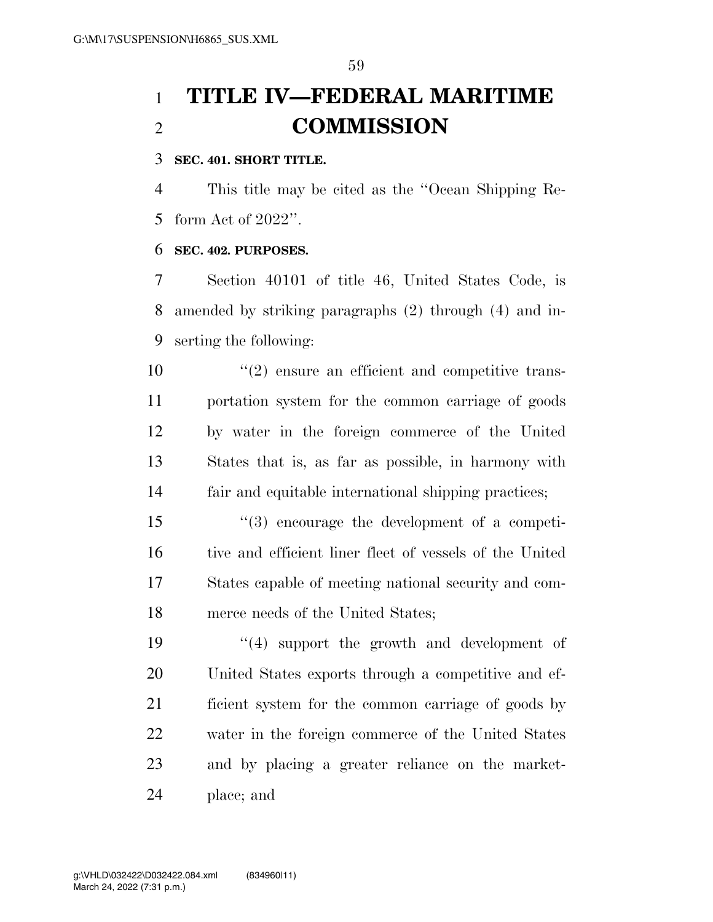# **TITLE IV—FEDERAL MARITIME COMMISSION**

#### **SEC. 401. SHORT TITLE.**

 This title may be cited as the ''Ocean Shipping Re-form Act of 2022''.

#### **SEC. 402. PURPOSES.**

 Section 40101 of title 46, United States Code, is amended by striking paragraphs (2) through (4) and in-serting the following:

 $\frac{1}{2}$  ensure an efficient and competitive trans- portation system for the common carriage of goods by water in the foreign commerce of the United States that is, as far as possible, in harmony with fair and equitable international shipping practices;

 ''(3) encourage the development of a competi- tive and efficient liner fleet of vessels of the United States capable of meeting national security and com-merce needs of the United States;

 $\frac{1}{4}$  support the growth and development of United States exports through a competitive and ef- ficient system for the common carriage of goods by water in the foreign commerce of the United States and by placing a greater reliance on the market-place; and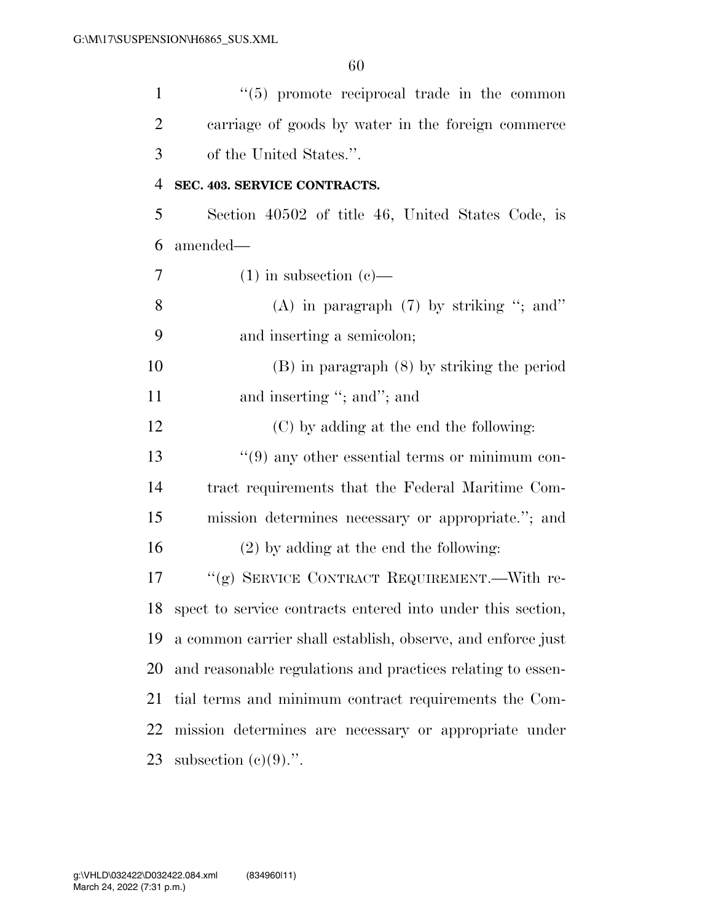| $\mathbf{1}$   | $\lq(5)$ promote reciprocal trade in the common                |
|----------------|----------------------------------------------------------------|
| $\overline{2}$ | carriage of goods by water in the foreign commerce             |
| 3              | of the United States.".                                        |
| $\overline{4}$ | SEC. 403. SERVICE CONTRACTS.                                   |
| 5              | Section 40502 of title 46, United States Code, is              |
| 6              | amended—                                                       |
| 7              | $(1)$ in subsection $(e)$ —                                    |
| 8              | (A) in paragraph $(7)$ by striking "; and"                     |
| 9              | and inserting a semicolon;                                     |
| 10             | $(B)$ in paragraph $(8)$ by striking the period                |
| 11             | and inserting "; and"; and                                     |
| 12             | (C) by adding at the end the following:                        |
| 13             | $\lq(9)$ any other essential terms or minimum con-             |
| 14             | tract requirements that the Federal Maritime Com-              |
| 15             | mission determines necessary or appropriate."; and             |
| 16             | $(2)$ by adding at the end the following:                      |
| 17             | "(g) SERVICE CONTRACT REQUIREMENT.—With re-                    |
|                | 18 spect to service contracts entered into under this section, |
| 19             | a common carrier shall establish, observe, and enforce just    |
| 20             | and reasonable regulations and practices relating to essen-    |
| 21             | tial terms and minimum contract requirements the Com-          |
| 22             | mission determines are necessary or appropriate under          |
| 23             | subsection $(e)(9)$ .".                                        |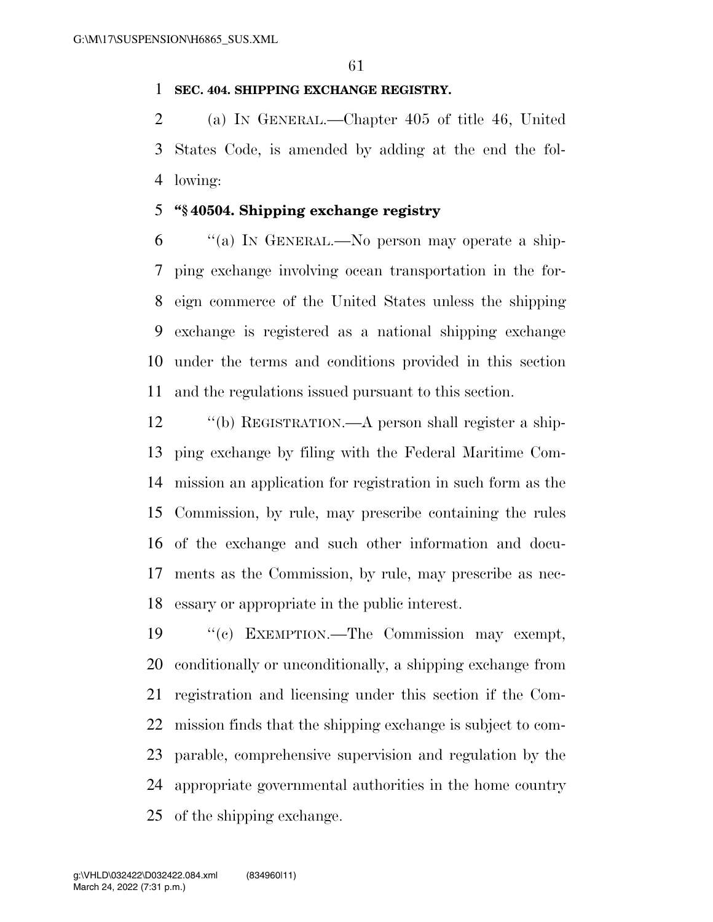#### **SEC. 404. SHIPPING EXCHANGE REGISTRY.**

 (a) IN GENERAL.—Chapter 405 of title 46, United States Code, is amended by adding at the end the fol-lowing:

#### **''§ 40504. Shipping exchange registry**

 ''(a) IN GENERAL.—No person may operate a ship- ping exchange involving ocean transportation in the for- eign commerce of the United States unless the shipping exchange is registered as a national shipping exchange under the terms and conditions provided in this section and the regulations issued pursuant to this section.

 ''(b) REGISTRATION.—A person shall register a ship- ping exchange by filing with the Federal Maritime Com- mission an application for registration in such form as the Commission, by rule, may prescribe containing the rules of the exchange and such other information and docu- ments as the Commission, by rule, may prescribe as nec-essary or appropriate in the public interest.

 ''(c) EXEMPTION.—The Commission may exempt, conditionally or unconditionally, a shipping exchange from registration and licensing under this section if the Com- mission finds that the shipping exchange is subject to com- parable, comprehensive supervision and regulation by the appropriate governmental authorities in the home country of the shipping exchange.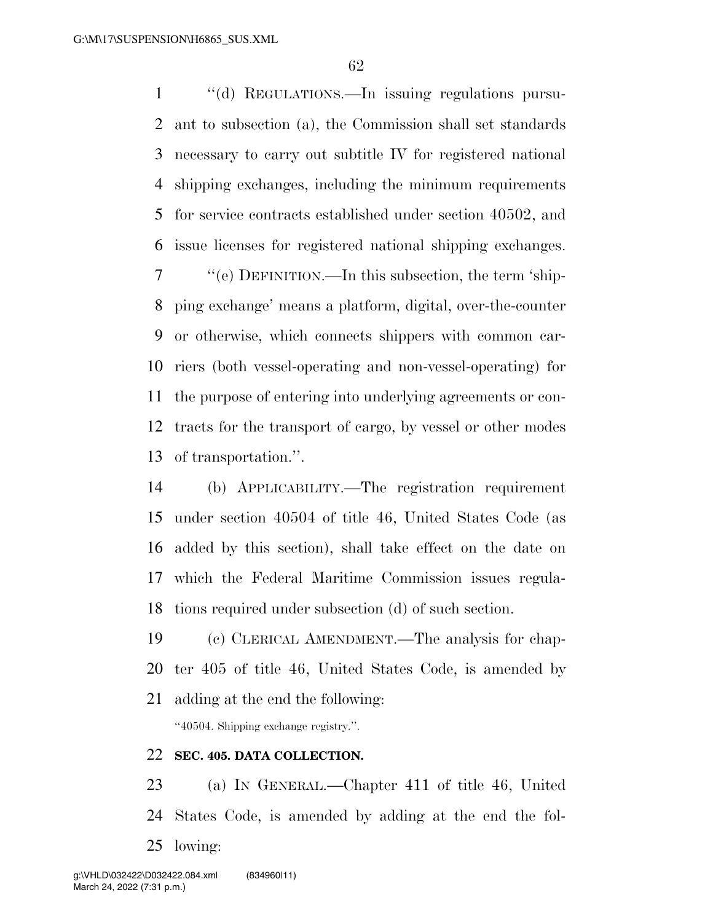1 "(d) REGULATIONS.—In issuing regulations pursu- ant to subsection (a), the Commission shall set standards necessary to carry out subtitle IV for registered national shipping exchanges, including the minimum requirements for service contracts established under section 40502, and issue licenses for registered national shipping exchanges. ''(e) DEFINITION.—In this subsection, the term 'ship- ping exchange' means a platform, digital, over-the-counter or otherwise, which connects shippers with common car- riers (both vessel-operating and non-vessel-operating) for the purpose of entering into underlying agreements or con- tracts for the transport of cargo, by vessel or other modes of transportation.''.

 (b) APPLICABILITY.—The registration requirement under section 40504 of title 46, United States Code (as added by this section), shall take effect on the date on which the Federal Maritime Commission issues regula-tions required under subsection (d) of such section.

 (c) CLERICAL AMENDMENT.—The analysis for chap- ter 405 of title 46, United States Code, is amended by adding at the end the following:

''40504. Shipping exchange registry.''.

#### **SEC. 405. DATA COLLECTION.**

 (a) IN GENERAL.—Chapter 411 of title 46, United States Code, is amended by adding at the end the fol-lowing: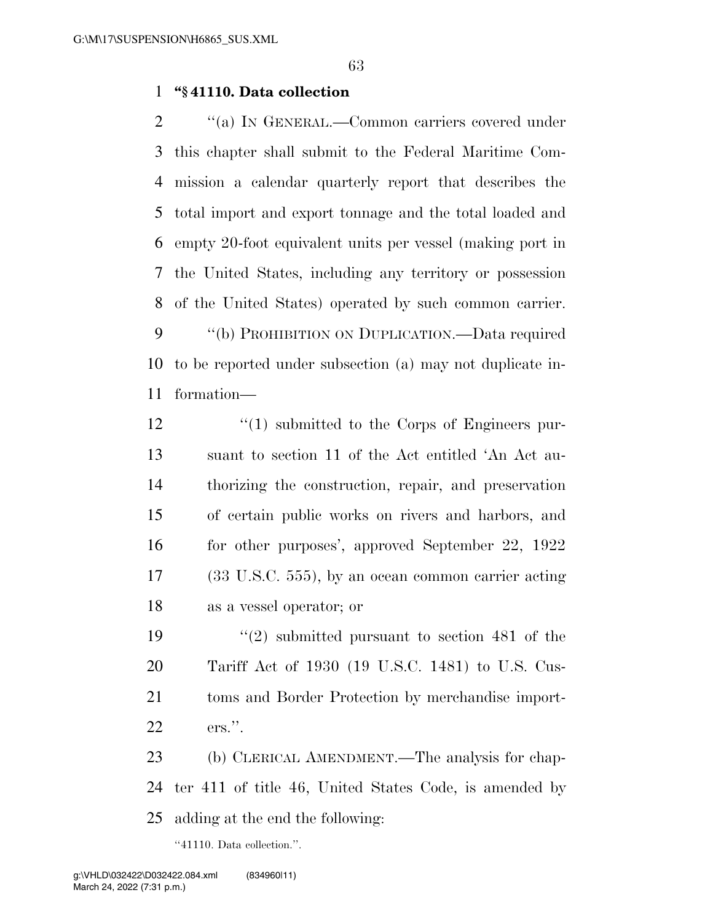#### **''§ 41110. Data collection**

 $\gamma$  (a) In GENERAL.—Common carriers covered under this chapter shall submit to the Federal Maritime Com- mission a calendar quarterly report that describes the total import and export tonnage and the total loaded and empty 20-foot equivalent units per vessel (making port in the United States, including any territory or possession of the United States) operated by such common carrier. 9 "(b) PROHIBITION ON DUPLICATION.—Data required to be reported under subsection (a) may not duplicate in-formation—

 $\frac{1}{2}$  (1) submitted to the Corps of Engineers pur- suant to section 11 of the Act entitled 'An Act au- thorizing the construction, repair, and preservation of certain public works on rivers and harbors, and for other purposes', approved September 22, 1922 (33 U.S.C. 555), by an ocean common carrier acting as a vessel operator; or

 ''(2) submitted pursuant to section 481 of the Tariff Act of 1930 (19 U.S.C. 1481) to U.S. Cus- toms and Border Protection by merchandise import-ers.''.

 (b) CLERICAL AMENDMENT.—The analysis for chap- ter 411 of title 46, United States Code, is amended by adding at the end the following:

''41110. Data collection.''.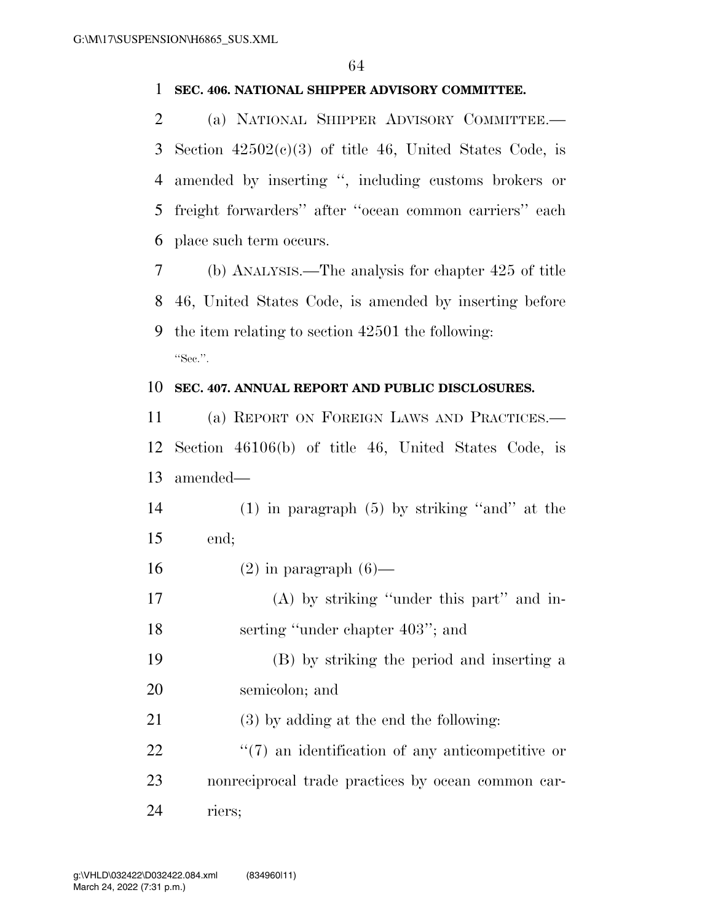#### **SEC. 406. NATIONAL SHIPPER ADVISORY COMMITTEE.**

 (a) NATIONAL SHIPPER ADVISORY COMMITTEE.— 3 Section  $42502(c)(3)$  of title 46, United States Code, is amended by inserting '', including customs brokers or freight forwarders'' after ''ocean common carriers'' each place such term occurs.

 (b) ANALYSIS.—The analysis for chapter 425 of title 46, United States Code, is amended by inserting before the item relating to section 42501 the following: "Sec.".

#### **SEC. 407. ANNUAL REPORT AND PUBLIC DISCLOSURES.**

 (a) REPORT ON FOREIGN LAWS AND PRACTICES.— Section 46106(b) of title 46, United States Code, is amended—

 (1) in paragraph (5) by striking ''and'' at the end;

- 16  $(2)$  in paragraph  $(6)$ —
- (A) by striking ''under this part'' and in-18 serting "under chapter 403"; and
- (B) by striking the period and inserting a semicolon; and
- (3) by adding at the end the following:
- 22  $\frac{1}{2}$  (7) an identification of any anticompetitive or nonreciprocal trade practices by ocean common car-riers;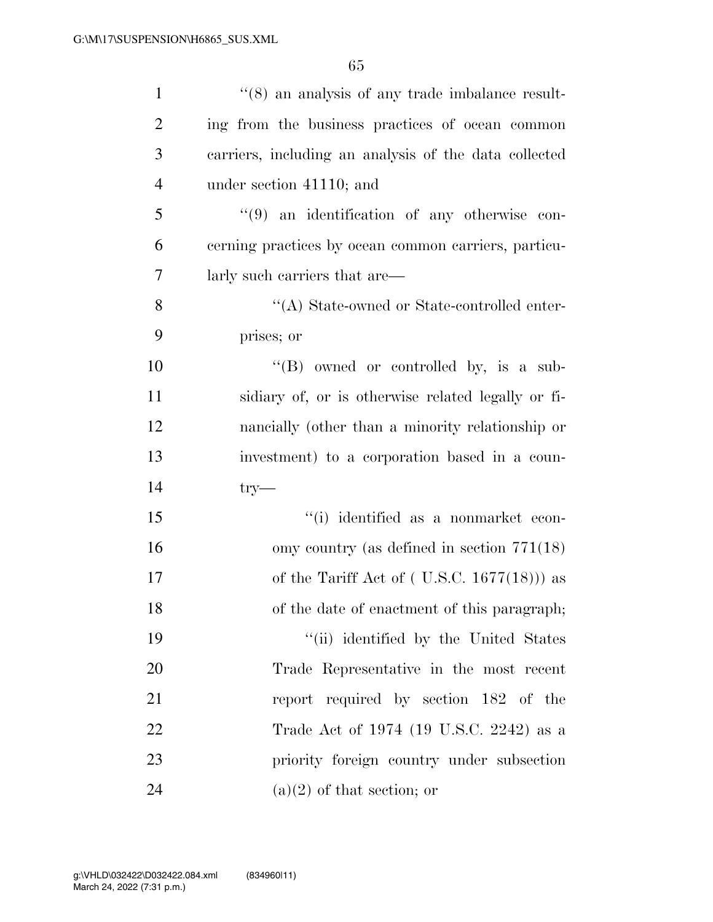| $\mathbf{1}$   | $\cdot\cdot$ (8) an analysis of any trade imbalance result- |
|----------------|-------------------------------------------------------------|
| $\overline{2}$ | ing from the business practices of ocean common             |
| 3              | carriers, including an analysis of the data collected       |
| $\overline{4}$ | under section 41110; and                                    |
| 5              | $(9)$ an identification of any otherwise con-               |
| 6              | cerning practices by ocean common carriers, particu-        |
| 7              | larly such carriers that are—                               |
| 8              | "(A) State-owned or State-controlled enter-                 |
| 9              | prises; or                                                  |
| 10             | $\lq\lq (B)$ owned or controlled by, is a sub-              |
| 11             | sidiary of, or is otherwise related legally or fi-          |
| 12             | nancially (other than a minority relationship or            |
| 13             | investment) to a corporation based in a coun-               |
| 14             | $try-$                                                      |
| 15             | "(i) identified as a nonmarket econ-                        |
| 16             | omy country (as defined in section $771(18)$ )              |
| 17             | of the Tariff Act of $($ U.S.C. 1677 $(18)$ $)$ as          |
| 18             | of the date of enactment of this paragraph;                 |
| 19             | "(ii) identified by the United States                       |
| 20             | Trade Representative in the most recent                     |
| 21             | report required by section 182 of the                       |
| 22             | Trade Act of 1974 (19 U.S.C. 2242) as a                     |
| 23             | priority foreign country under subsection                   |
| 24             | $(a)(2)$ of that section; or                                |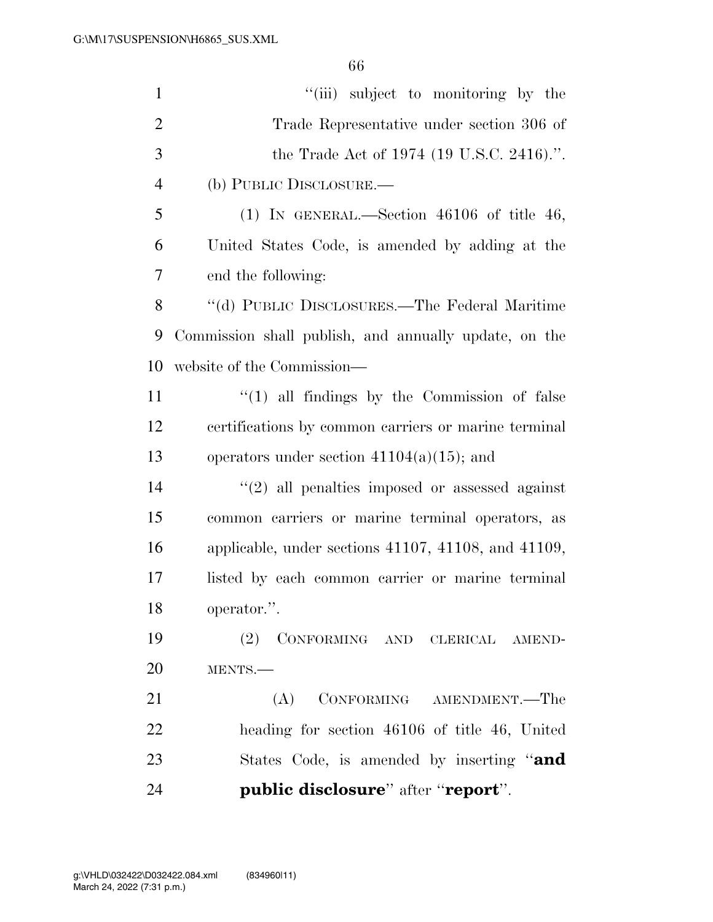| $\mathbf{1}$   | "(iii) subject to monitoring by the                          |
|----------------|--------------------------------------------------------------|
| $\overline{2}$ | Trade Representative under section 306 of                    |
| 3              | the Trade Act of 1974 (19 U.S.C. 2416).".                    |
| $\overline{4}$ | (b) PUBLIC DISCLOSURE.—                                      |
| 5              | $(1)$ IN GENERAL.—Section 46106 of title 46,                 |
| 6              | United States Code, is amended by adding at the              |
| 7              | end the following:                                           |
| 8              | "(d) PUBLIC DISCLOSURES.—The Federal Maritime                |
| 9              | Commission shall publish, and annually update, on the        |
| 10             | website of the Commission—                                   |
| 11             | $\lq(1)$ all findings by the Commission of false             |
| 12             | certifications by common carriers or marine terminal         |
| 13             | operators under section $41104(a)(15)$ ; and                 |
| 14             | $\lq(2)$ all penalties imposed or assessed against           |
| 15             | common carriers or marine terminal operators, as             |
| 16             | applicable, under sections $41107$ , $41108$ , and $41109$ , |
| 17             | listed by each common carrier or marine terminal             |
| 18             | operator.".                                                  |
| 19             | (2) CONFORMING AND CLERICAL AMEND-                           |
| 20             | MENTS.-                                                      |
| 21             | (A)<br>CONFORMING AMENDMENT.—The                             |
| 22             | heading for section 46106 of title 46, United                |
| 23             | States Code, is amended by inserting "and                    |
| 24             | public disclosure" after "report".                           |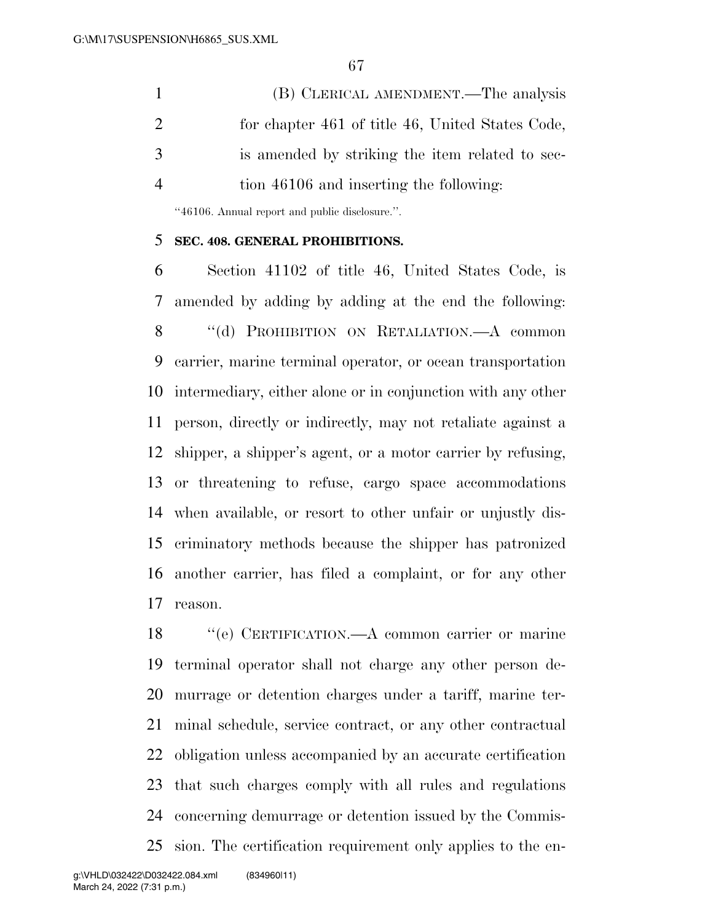(B) CLERICAL AMENDMENT.—The analysis for chapter 461 of title 46, United States Code, is amended by striking the item related to sec-tion 46106 and inserting the following:

''46106. Annual report and public disclosure.''.

#### **SEC. 408. GENERAL PROHIBITIONS.**

 Section 41102 of title 46, United States Code, is amended by adding by adding at the end the following: 8 "(d) PROHIBITION ON RETALIATION.—A common carrier, marine terminal operator, or ocean transportation intermediary, either alone or in conjunction with any other person, directly or indirectly, may not retaliate against a shipper, a shipper's agent, or a motor carrier by refusing, or threatening to refuse, cargo space accommodations when available, or resort to other unfair or unjustly dis- criminatory methods because the shipper has patronized another carrier, has filed a complaint, or for any other reason.

 ''(e) CERTIFICATION.—A common carrier or marine terminal operator shall not charge any other person de- murrage or detention charges under a tariff, marine ter- minal schedule, service contract, or any other contractual obligation unless accompanied by an accurate certification that such charges comply with all rules and regulations concerning demurrage or detention issued by the Commis-sion. The certification requirement only applies to the en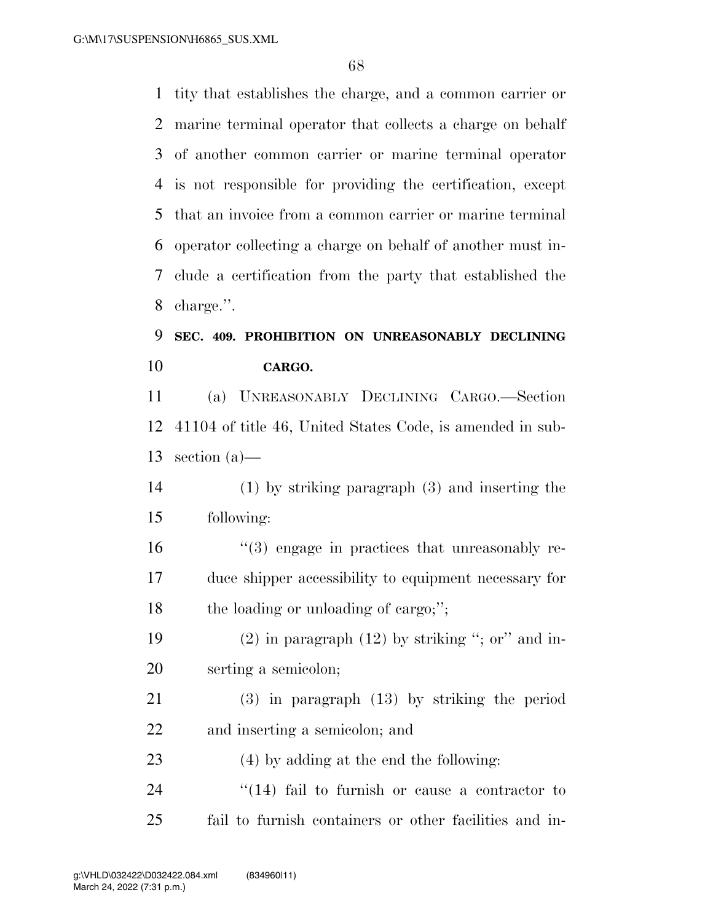tity that establishes the charge, and a common carrier or marine terminal operator that collects a charge on behalf of another common carrier or marine terminal operator is not responsible for providing the certification, except that an invoice from a common carrier or marine terminal operator collecting a charge on behalf of another must in- clude a certification from the party that established the charge.''.

### **SEC. 409. PROHIBITION ON UNREASONABLY DECLINING CARGO.**

 (a) UNREASONABLY DECLINING CARGO.—Section 41104 of title 46, United States Code, is amended in sub-section (a)—

 (1) by striking paragraph (3) and inserting the following:

 ''(3) engage in practices that unreasonably re- duce shipper accessibility to equipment necessary for 18 the loading or unloading of cargo;";

19 (2) in paragraph  $(12)$  by striking "; or" and in-serting a semicolon;

 (3) in paragraph (13) by striking the period and inserting a semicolon; and

(4) by adding at the end the following:

24 ''(14) fail to furnish or cause a contractor to fail to furnish containers or other facilities and in-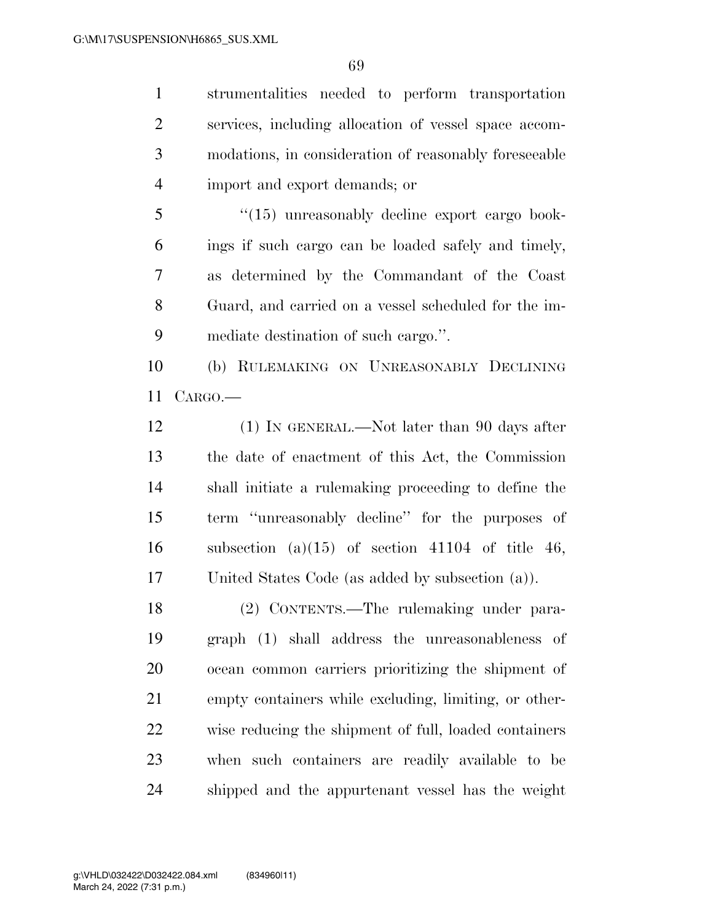strumentalities needed to perform transportation services, including allocation of vessel space accom- modations, in consideration of reasonably foreseeable import and export demands; or

5 "(15) unreasonably decline export cargo book- ings if such cargo can be loaded safely and timely, as determined by the Commandant of the Coast Guard, and carried on a vessel scheduled for the im-mediate destination of such cargo.''.

 (b) RULEMAKING ON UNREASONABLY DECLINING CARGO.—

12 (1) IN GENERAL.—Not later than 90 days after the date of enactment of this Act, the Commission shall initiate a rulemaking proceeding to define the term ''unreasonably decline'' for the purposes of 16 subsection (a)(15) of section 41104 of title 46, United States Code (as added by subsection (a)).

 (2) CONTENTS.—The rulemaking under para- graph (1) shall address the unreasonableness of ocean common carriers prioritizing the shipment of empty containers while excluding, limiting, or other- wise reducing the shipment of full, loaded containers when such containers are readily available to be shipped and the appurtenant vessel has the weight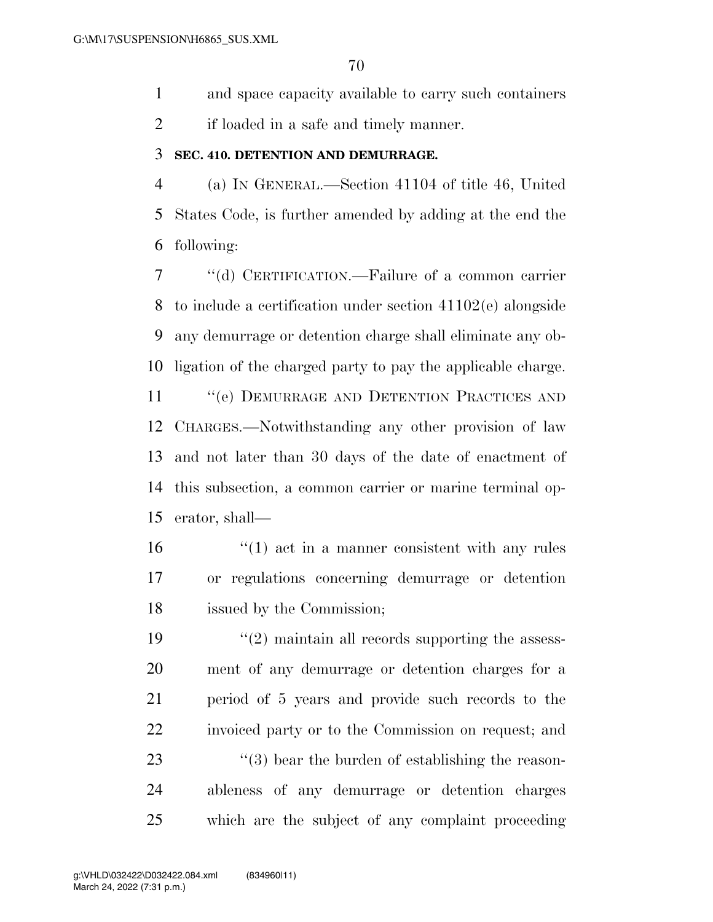and space capacity available to carry such containers

if loaded in a safe and timely manner.

#### **SEC. 410. DETENTION AND DEMURRAGE.**

 (a) IN GENERAL.—Section 41104 of title 46, United States Code, is further amended by adding at the end the following:

 ''(d) CERTIFICATION.—Failure of a common carrier to include a certification under section 41102(e) alongside any demurrage or detention charge shall eliminate any ob-ligation of the charged party to pay the applicable charge.

11 "(e) DEMURRAGE AND DETENTION PRACTICES AND CHARGES.—Notwithstanding any other provision of law and not later than 30 days of the date of enactment of this subsection, a common carrier or marine terminal op-erator, shall—

 ''(1) act in a manner consistent with any rules or regulations concerning demurrage or detention issued by the Commission;

 $\frac{1}{2}$  maintain all records supporting the assess- ment of any demurrage or detention charges for a period of 5 years and provide such records to the invoiced party or to the Commission on request; and  $\frac{1}{23}$  ''(3) bear the burden of establishing the reason- ableness of any demurrage or detention charges which are the subject of any complaint proceeding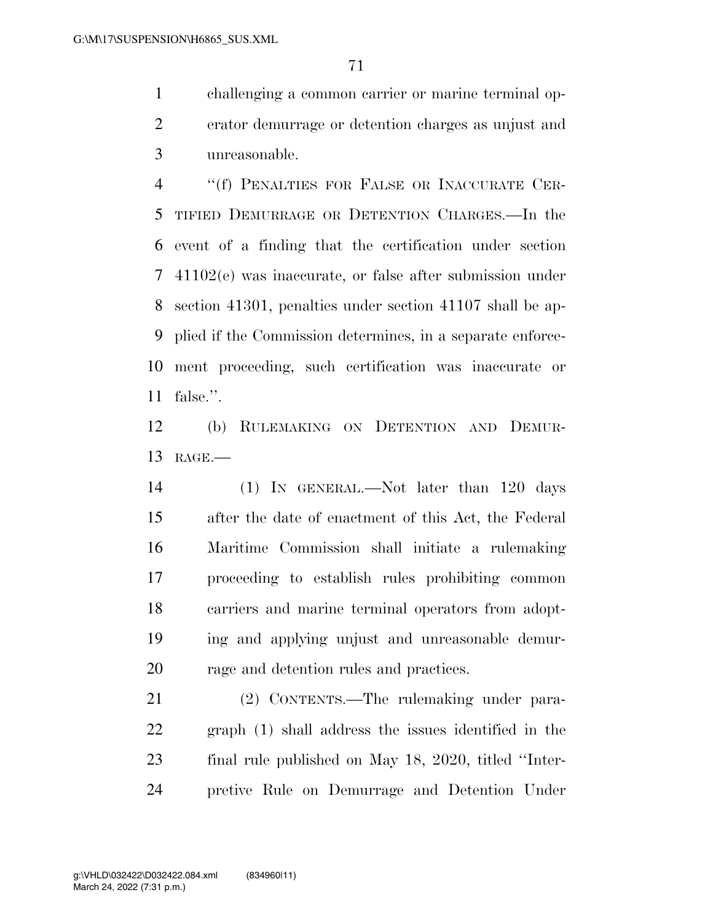challenging a common carrier or marine terminal op- erator demurrage or detention charges as unjust and unreasonable.

 ''(f) PENALTIES FOR FALSE OR INACCURATE CER- TIFIED DEMURRAGE OR DETENTION CHARGES.—In the event of a finding that the certification under section 41102(e) was inaccurate, or false after submission under section 41301, penalties under section 41107 shall be ap- plied if the Commission determines, in a separate enforce- ment proceeding, such certification was inaccurate or false.''.

 (b) RULEMAKING ON DETENTION AND DEMUR-RAGE.—

 (1) IN GENERAL.—Not later than 120 days after the date of enactment of this Act, the Federal Maritime Commission shall initiate a rulemaking proceeding to establish rules prohibiting common carriers and marine terminal operators from adopt- ing and applying unjust and unreasonable demur-rage and detention rules and practices.

 (2) CONTENTS.—The rulemaking under para- graph (1) shall address the issues identified in the final rule published on May 18, 2020, titled ''Inter-pretive Rule on Demurrage and Detention Under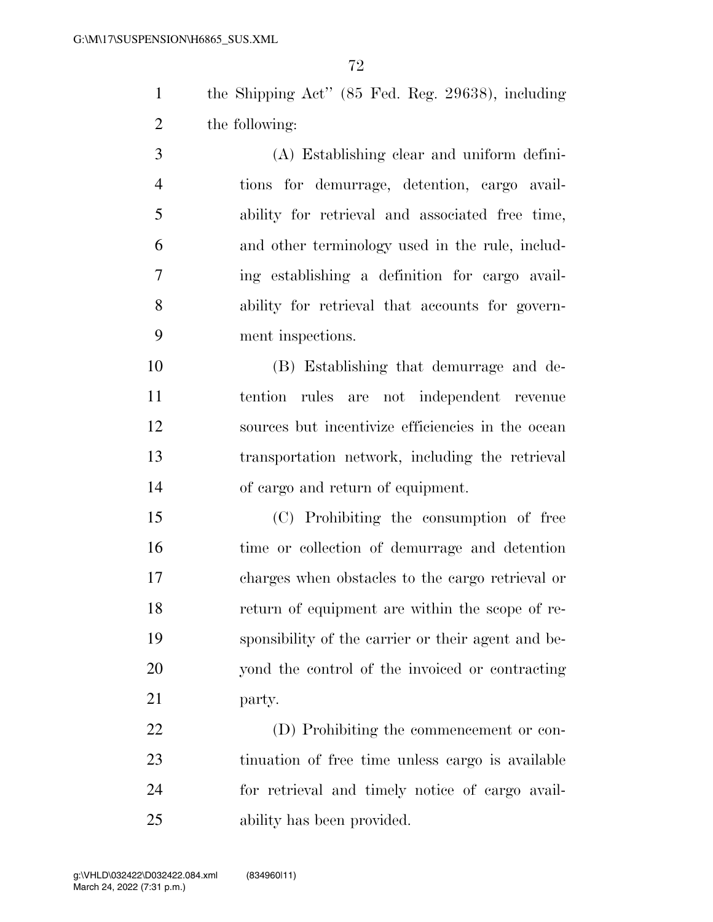the Shipping Act'' (85 Fed. Reg. 29638), including the following:

 (A) Establishing clear and uniform defini- tions for demurrage, detention, cargo avail- ability for retrieval and associated free time, and other terminology used in the rule, includ- ing establishing a definition for cargo avail- ability for retrieval that accounts for govern-ment inspections.

 (B) Establishing that demurrage and de- tention rules are not independent revenue sources but incentivize efficiencies in the ocean transportation network, including the retrieval of cargo and return of equipment.

 (C) Prohibiting the consumption of free time or collection of demurrage and detention charges when obstacles to the cargo retrieval or return of equipment are within the scope of re- sponsibility of the carrier or their agent and be- yond the control of the invoiced or contracting party.

 (D) Prohibiting the commencement or con- tinuation of free time unless cargo is available for retrieval and timely notice of cargo avail-ability has been provided.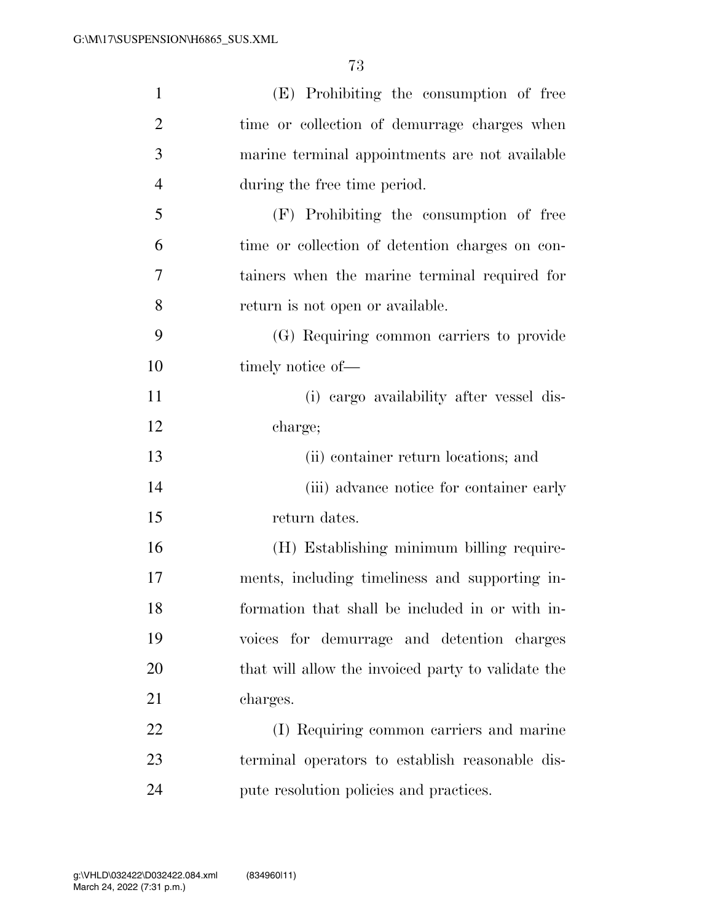| $\mathbf{1}$   | (E) Prohibiting the consumption of free            |
|----------------|----------------------------------------------------|
| $\overline{2}$ | time or collection of demurrage charges when       |
| 3              | marine terminal appointments are not available     |
| $\overline{4}$ | during the free time period.                       |
| 5              | (F) Prohibiting the consumption of free            |
| 6              | time or collection of detention charges on con-    |
| 7              | tainers when the marine terminal required for      |
| 8              | return is not open or available.                   |
| 9              | (G) Requiring common carriers to provide           |
| 10             | timely notice of—                                  |
| 11             | (i) cargo availability after vessel dis-           |
| 12             | charge;                                            |
| 13             | (ii) container return locations; and               |
| 14             | (iii) advance notice for container early           |
| 15             | return dates.                                      |
| 16             | (H) Establishing minimum billing require-          |
| 17             | ments, including timeliness and supporting in-     |
| 18             | formation that shall be included in or with in-    |
| 19             | voices for demurrage and detention charges         |
| 20             | that will allow the invoiced party to validate the |
| 21             | charges.                                           |
| 22             | (I) Requiring common carriers and marine           |
| 23             | terminal operators to establish reasonable dis-    |
| 24             | pute resolution policies and practices.            |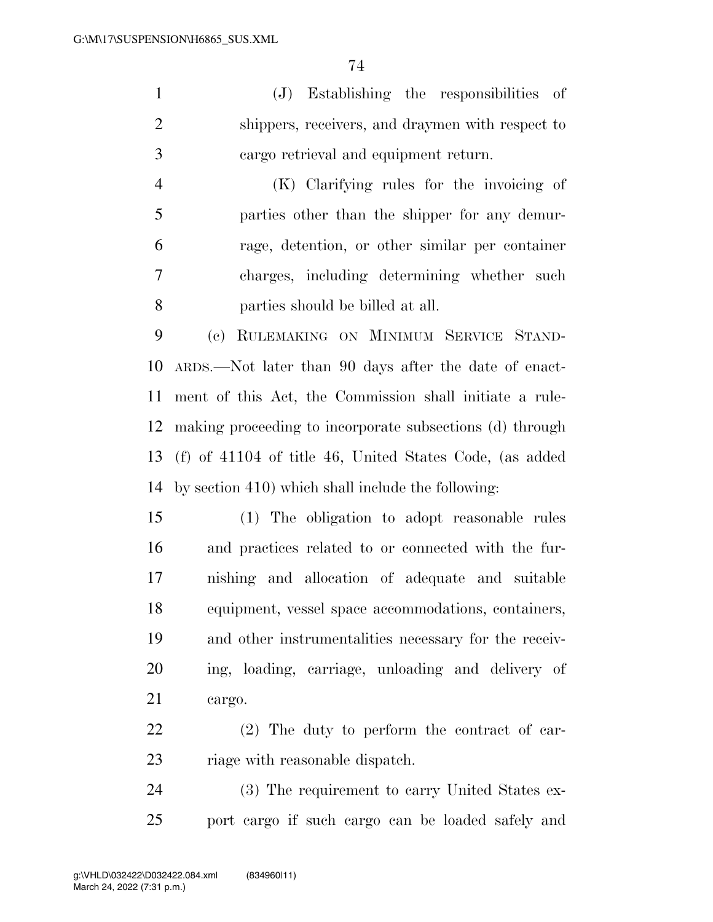(J) Establishing the responsibilities of shippers, receivers, and draymen with respect to cargo retrieval and equipment return.

 (K) Clarifying rules for the invoicing of parties other than the shipper for any demur- rage, detention, or other similar per container charges, including determining whether such parties should be billed at all.

 (c) RULEMAKING ON MINIMUM SERVICE STAND- ARDS.—Not later than 90 days after the date of enact- ment of this Act, the Commission shall initiate a rule- making proceeding to incorporate subsections (d) through (f) of 41104 of title 46, United States Code, (as added by section 410) which shall include the following:

 (1) The obligation to adopt reasonable rules and practices related to or connected with the fur- nishing and allocation of adequate and suitable equipment, vessel space accommodations, containers, and other instrumentalities necessary for the receiv- ing, loading, carriage, unloading and delivery of cargo.

 (2) The duty to perform the contract of car-23 riage with reasonable dispatch.

 (3) The requirement to carry United States ex-port cargo if such cargo can be loaded safely and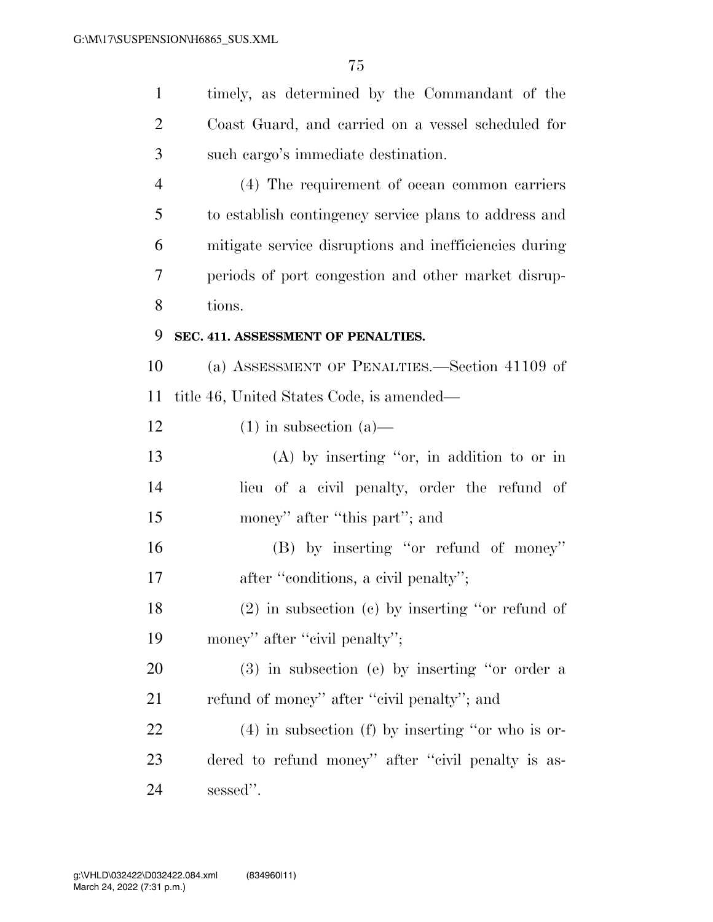| $\mathbf{1}$   | timely, as determined by the Commandant of the         |  |  |  |  |  |  |
|----------------|--------------------------------------------------------|--|--|--|--|--|--|
| $\overline{c}$ | Coast Guard, and carried on a vessel scheduled for     |  |  |  |  |  |  |
| 3              | such cargo's immediate destination.                    |  |  |  |  |  |  |
| $\overline{4}$ | (4) The requirement of ocean common carriers           |  |  |  |  |  |  |
| 5              | to establish contingency service plans to address and  |  |  |  |  |  |  |
| 6              | mitigate service disruptions and inefficiencies during |  |  |  |  |  |  |
| 7              | periods of port congestion and other market disrup-    |  |  |  |  |  |  |
| 8              | tions.                                                 |  |  |  |  |  |  |
| 9              | SEC. 411. ASSESSMENT OF PENALTIES.                     |  |  |  |  |  |  |
| 10             | (a) ASSESSMENT OF PENALTIES.—Section 41109 of          |  |  |  |  |  |  |
| 11             | title 46, United States Code, is amended—              |  |  |  |  |  |  |
| 12             | $(1)$ in subsection $(a)$ —                            |  |  |  |  |  |  |
| 13             | $(A)$ by inserting "or, in addition to or in           |  |  |  |  |  |  |
| 14             | lieu of a civil penalty, order the refund of           |  |  |  |  |  |  |
| 15             | money" after "this part"; and                          |  |  |  |  |  |  |
| 16             | (B) by inserting "or refund of money"                  |  |  |  |  |  |  |
| 17             | after "conditions, a civil penalty";                   |  |  |  |  |  |  |
| 18             | $(2)$ in subsection $(c)$ by inserting "or refund of   |  |  |  |  |  |  |
| 19             | money" after "civil penalty";                          |  |  |  |  |  |  |
| 20             | $(3)$ in subsection (e) by inserting "or order a       |  |  |  |  |  |  |
| 21             | refund of money" after "civil penalty"; and            |  |  |  |  |  |  |
| 22             | $(4)$ in subsection (f) by inserting "or who is or-    |  |  |  |  |  |  |
| 23             | dered to refund money" after "civil penalty is as-     |  |  |  |  |  |  |
| 24             | sessed".                                               |  |  |  |  |  |  |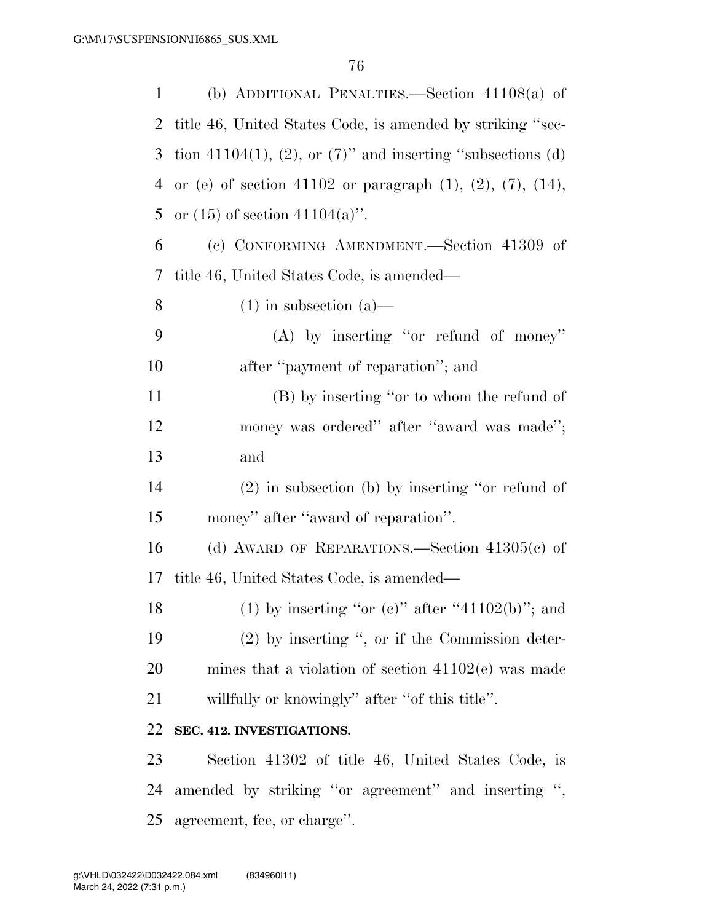| 1              | (b) ADDITIONAL PENALTIES.—Section $41108(a)$ of                       |
|----------------|-----------------------------------------------------------------------|
| $\overline{2}$ | title 46, United States Code, is amended by striking "sec-            |
| 3              | tion 41104(1), (2), or $(7)$ " and inserting "subsections (d)         |
| 4              | or (e) of section 41102 or paragraph $(1)$ , $(2)$ , $(7)$ , $(14)$ , |
| 5              | or $(15)$ of section $41104(a)$ .                                     |
| 6              | (c) CONFORMING AMENDMENT.—Section 41309 of                            |
| 7              | title 46, United States Code, is amended—                             |
| 8              | $(1)$ in subsection $(a)$ —                                           |
| 9              | $(A)$ by inserting "or refund of money"                               |
| 10             | after "payment of reparation"; and                                    |
| 11             | (B) by inserting "or to whom the refund of                            |
| 12             | money was ordered" after "award was made";                            |
| 13             | and                                                                   |
| 14             | $(2)$ in subsection (b) by inserting "or refund of                    |
| 15             | money" after "award of reparation".                                   |
| 16             | (d) AWARD OF REPARATIONS.—Section $41305(c)$ of                       |
| 17             | title 46, United States Code, is amended—                             |
| 18             | (1) by inserting "or (c)" after "41102(b)"; and                       |
| 19             | $(2)$ by inserting ", or if the Commission deter-                     |
| 20             | mines that a violation of section $41102(e)$ was made                 |
| 21             | willfully or knowingly" after "of this title".                        |
| 22             | SEC. 412. INVESTIGATIONS.                                             |
| 23             | Section 41302 of title 46, United States Code, is                     |
| 24             | amended by striking "or agreement" and inserting ",                   |
| 25             | agreement, fee, or charge".                                           |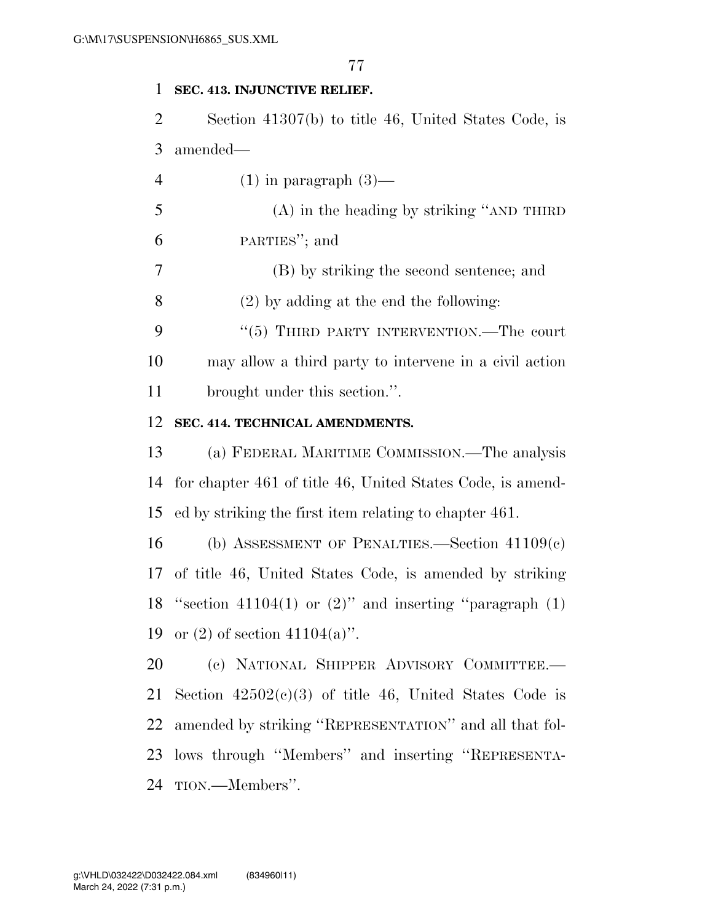### **SEC. 413. INJUNCTIVE RELIEF.**

 Section 41307(b) to title 46, United States Code, is amended—

4 (1) in paragraph  $(3)$ —

 (A) in the heading by striking ''AND THIRD PARTIES''; and

(B) by striking the second sentence; and

(2) by adding at the end the following:

9 "(5) THIRD PARTY INTERVENTION.—The court may allow a third party to intervene in a civil action brought under this section.''.

### **SEC. 414. TECHNICAL AMENDMENTS.**

 (a) FEDERAL MARITIME COMMISSION.—The analysis for chapter 461 of title 46, United States Code, is amend-ed by striking the first item relating to chapter 461.

 (b) ASSESSMENT OF PENALTIES.—Section 41109(c) of title 46, United States Code, is amended by striking 18 "section 41104(1) or  $(2)$ " and inserting "paragraph  $(1)$ 19 or (2) of section  $41104(a)$ ".

 (c) NATIONAL SHIPPER ADVISORY COMMITTEE.— 21 Section  $42502(c)(3)$  of title 46, United States Code is amended by striking ''REPRESENTATION'' and all that fol- lows through ''Members'' and inserting ''REPRESENTA-TION.—Members''.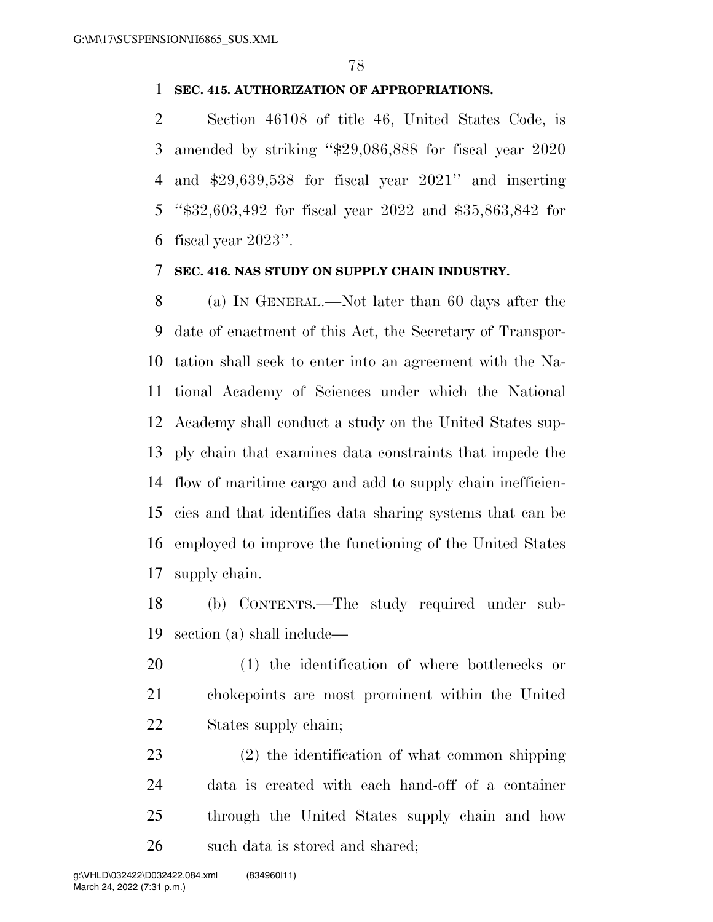### **SEC. 415. AUTHORIZATION OF APPROPRIATIONS.**

 Section 46108 of title 46, United States Code, is amended by striking ''\$29,086,888 for fiscal year 2020 and \$29,639,538 for fiscal year 2021'' and inserting ''\$32,603,492 for fiscal year 2022 and \$35,863,842 for fiscal year 2023''.

### **SEC. 416. NAS STUDY ON SUPPLY CHAIN INDUSTRY.**

 (a) IN GENERAL.—Not later than 60 days after the date of enactment of this Act, the Secretary of Transpor- tation shall seek to enter into an agreement with the Na- tional Academy of Sciences under which the National Academy shall conduct a study on the United States sup- ply chain that examines data constraints that impede the flow of maritime cargo and add to supply chain inefficien- cies and that identifies data sharing systems that can be employed to improve the functioning of the United States supply chain.

 (b) CONTENTS.—The study required under sub-section (a) shall include—

 (1) the identification of where bottlenecks or chokepoints are most prominent within the United States supply chain;

 (2) the identification of what common shipping data is created with each hand-off of a container through the United States supply chain and how such data is stored and shared;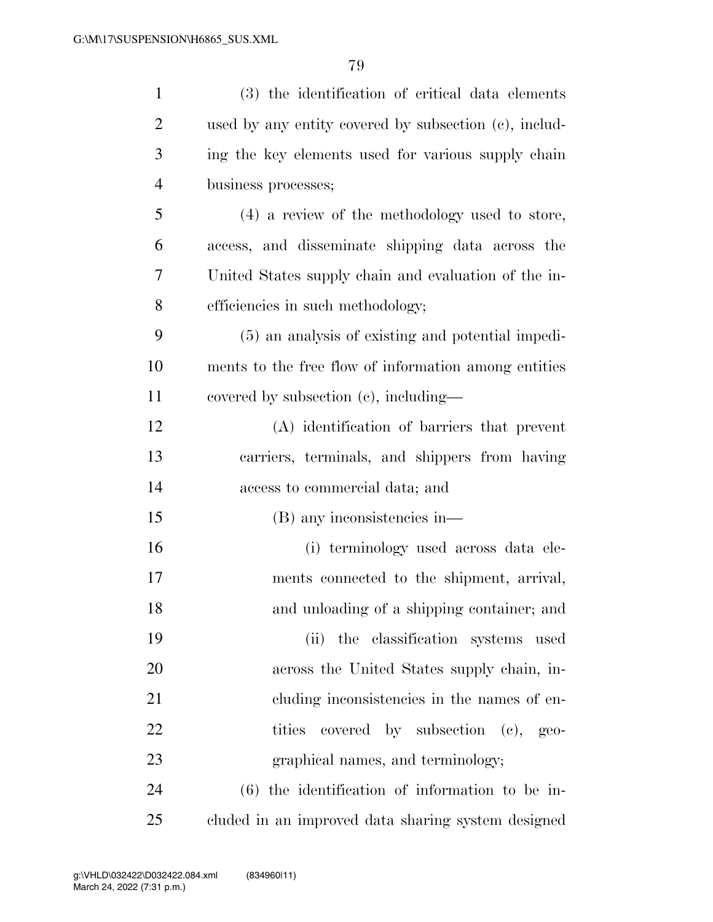| $\mathbf{1}$   | (3) the identification of critical data elements      |
|----------------|-------------------------------------------------------|
| $\overline{2}$ | used by any entity covered by subsection (c), includ- |
| 3              | ing the key elements used for various supply chain    |
| $\overline{4}$ | business processes;                                   |
| 5              | (4) a review of the methodology used to store,        |
| 6              | access, and disseminate shipping data across the      |
| 7              | United States supply chain and evaluation of the in-  |
| 8              | efficiencies in such methodology;                     |
| 9              | (5) an analysis of existing and potential impedi-     |
| 10             | ments to the free flow of information among entities  |
| 11             | covered by subsection $(e)$ , including—              |
| 12             | (A) identification of barriers that prevent           |
| 13             | carriers, terminals, and shippers from having         |
| 14             | access to commercial data; and                        |
| 15             | (B) any inconsistencies in—                           |
| 16             | (i) terminology used across data ele-                 |
| 17             | ments connected to the shipment, arrival,             |
| 18             | and unloading of a shipping container; and            |
| 19             | (ii) the classification systems used                  |
| 20             | across the United States supply chain, in-            |
| 21             | cluding inconsistencies in the names of en-           |
| 22             | tities covered by subsection (c), geo-                |
| 23             | graphical names, and terminology;                     |
| 24             | $(6)$ the identification of information to be in-     |
| 25             | cluded in an improved data sharing system designed    |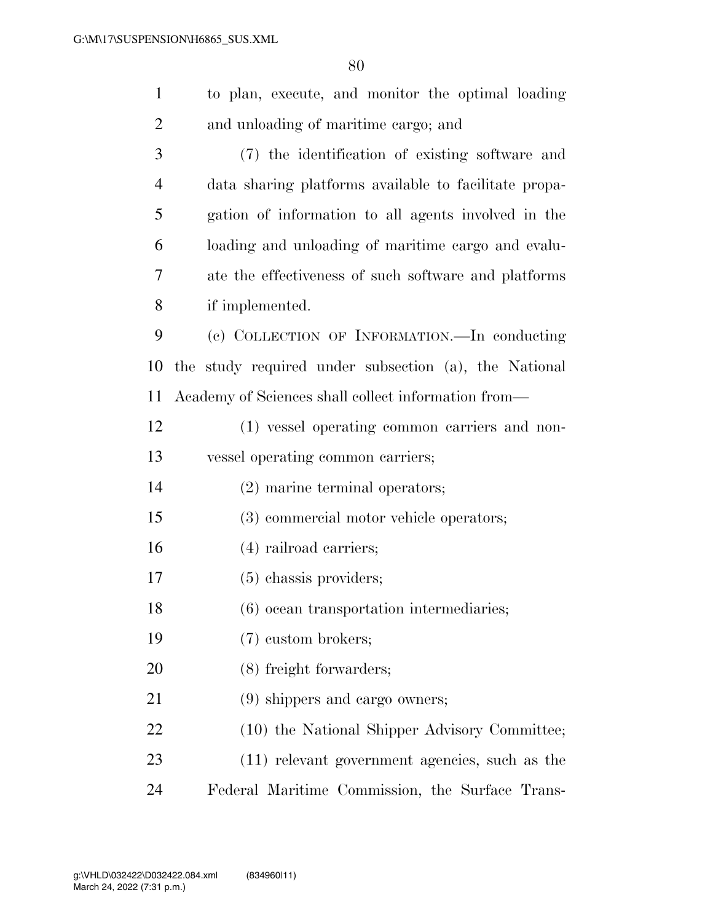| $\mathbf{1}$   | to plan, execute, and monitor the optimal loading     |  |  |  |  |  |  |  |
|----------------|-------------------------------------------------------|--|--|--|--|--|--|--|
| 2              | and unloading of maritime cargo; and                  |  |  |  |  |  |  |  |
| 3              | (7) the identification of existing software and       |  |  |  |  |  |  |  |
| $\overline{4}$ | data sharing platforms available to facilitate propa- |  |  |  |  |  |  |  |
| 5              | gation of information to all agents involved in the   |  |  |  |  |  |  |  |
| 6              | loading and unloading of maritime cargo and evalu-    |  |  |  |  |  |  |  |
| 7              | ate the effectiveness of such software and platforms  |  |  |  |  |  |  |  |
| 8              | if implemented.                                       |  |  |  |  |  |  |  |
| 9              | (c) COLLECTION OF INFORMATION.—In conducting          |  |  |  |  |  |  |  |
| 10             | the study required under subsection (a), the National |  |  |  |  |  |  |  |
| 11             | Academy of Sciences shall collect information from—   |  |  |  |  |  |  |  |
| 12             | (1) vessel operating common carriers and non-         |  |  |  |  |  |  |  |
| 13             | vessel operating common carriers;                     |  |  |  |  |  |  |  |
| 14             | (2) marine terminal operators;                        |  |  |  |  |  |  |  |
| 15             | (3) commercial motor vehicle operators;               |  |  |  |  |  |  |  |
| 16             | $(4)$ railroad carriers;                              |  |  |  |  |  |  |  |
| 17             | $(5)$ chassis providers;                              |  |  |  |  |  |  |  |
| 18             | (6) ocean transportation intermediaries;              |  |  |  |  |  |  |  |
| 19             | (7) custom brokers;                                   |  |  |  |  |  |  |  |
| 20             | (8) freight forwarders;                               |  |  |  |  |  |  |  |
| 21             | (9) shippers and cargo owners;                        |  |  |  |  |  |  |  |
| 22             | (10) the National Shipper Advisory Committee;         |  |  |  |  |  |  |  |
| 23             | (11) relevant government agencies, such as the        |  |  |  |  |  |  |  |
| 24             | Federal Maritime Commission, the Surface Trans-       |  |  |  |  |  |  |  |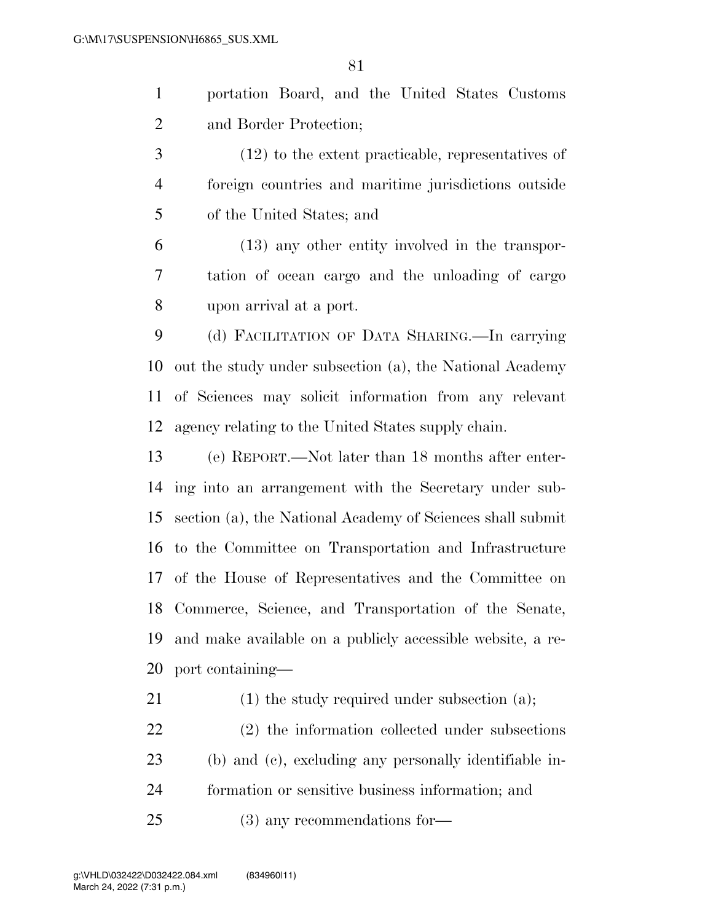portation Board, and the United States Customs and Border Protection;

 (12) to the extent practicable, representatives of foreign countries and maritime jurisdictions outside of the United States; and

 (13) any other entity involved in the transpor- tation of ocean cargo and the unloading of cargo upon arrival at a port.

 (d) FACILITATION OF DATA SHARING.—In carrying out the study under subsection (a), the National Academy of Sciences may solicit information from any relevant agency relating to the United States supply chain.

 (e) REPORT.—Not later than 18 months after enter- ing into an arrangement with the Secretary under sub- section (a), the National Academy of Sciences shall submit to the Committee on Transportation and Infrastructure of the House of Representatives and the Committee on Commerce, Science, and Transportation of the Senate, and make available on a publicly accessible website, a re-port containing—

21 (1) the study required under subsection (a);

 (2) the information collected under subsections (b) and (c), excluding any personally identifiable in- formation or sensitive business information; and (3) any recommendations for—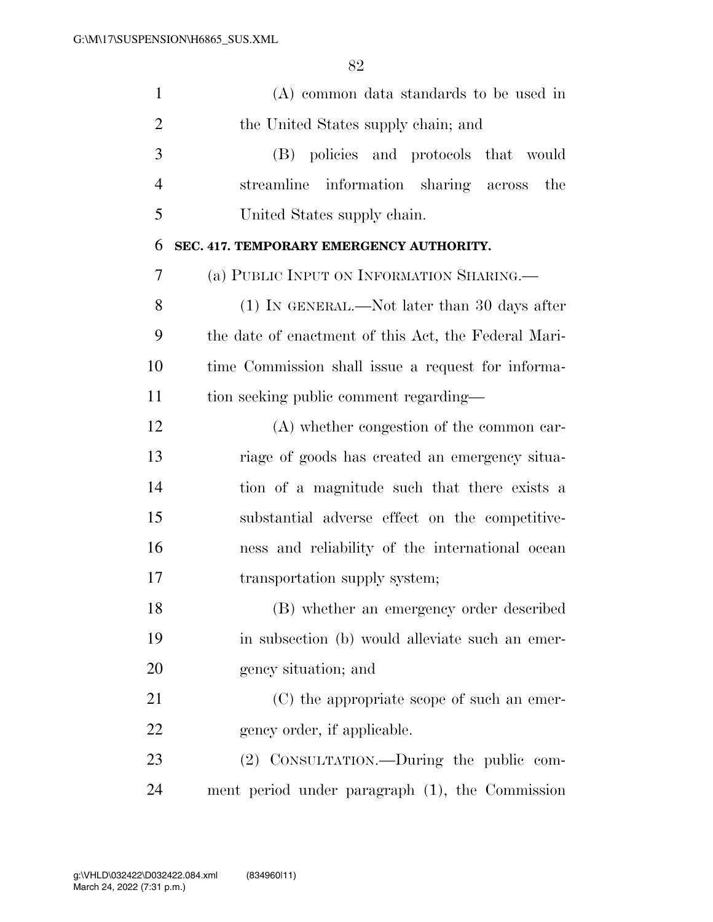| $\mathbf{1}$   | (A) common data standards to be used in              |
|----------------|------------------------------------------------------|
| $\overline{2}$ | the United States supply chain; and                  |
| 3              | (B) policies and protocols that would                |
| $\overline{4}$ | streamline information sharing across<br>the         |
| 5              | United States supply chain.                          |
| 6              | SEC. 417. TEMPORARY EMERGENCY AUTHORITY.             |
| 7              | (a) PUBLIC INPUT ON INFORMATION SHARING.             |
| 8              | (1) IN GENERAL.—Not later than 30 days after         |
| 9              | the date of enactment of this Act, the Federal Mari- |
| 10             | time Commission shall issue a request for informa-   |
| 11             | tion seeking public comment regarding—               |
| 12             | (A) whether congestion of the common car-            |
| 13             | riage of goods has created an emergency situa-       |
| 14             | tion of a magnitude such that there exists a         |
| 15             | substantial adverse effect on the competitive-       |
| 16             | ness and reliability of the international ocean      |
| 17             | transportation supply system;                        |
| 18             | (B) whether an emergency order described             |
| 19             | in subsection (b) would alleviate such an emer-      |
| 20             | gency situation; and                                 |
| 21             | (C) the appropriate scope of such an emer-           |
| 22             | gency order, if applicable.                          |
| 23             | (2) CONSULTATION.—During the public com-             |
| 24             | ment period under paragraph (1), the Commission      |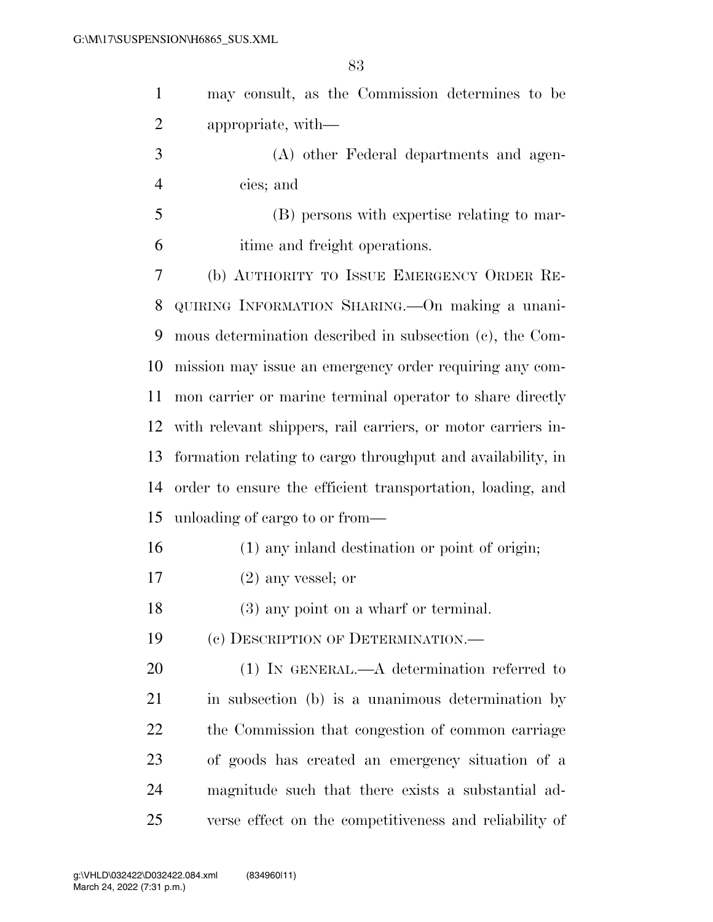| $\mathbf{1}$   | may consult, as the Commission determines to be              |
|----------------|--------------------------------------------------------------|
| $\overline{2}$ | appropriate, with—                                           |
| 3              | (A) other Federal departments and agen-                      |
| $\overline{4}$ | cies; and                                                    |
| 5              | (B) persons with expertise relating to mar-                  |
| 6              | itime and freight operations.                                |
| 7              | (b) AUTHORITY TO ISSUE EMERGENCY ORDER RE-                   |
| 8              | QUIRING INFORMATION SHARING. On making a unani-              |
| 9              | mous determination described in subsection (c), the Com-     |
| 10             | mission may issue an emergency order requiring any com-      |
| 11             | mon carrier or marine terminal operator to share directly    |
| 12             | with relevant shippers, rail carriers, or motor carriers in- |
| 13             | formation relating to cargo throughput and availability, in  |
| 14             | order to ensure the efficient transportation, loading, and   |
| 15             | unloading of cargo to or from—                               |
| 16             | (1) any inland destination or point of origin;               |
| 17             | $(2)$ any vessel; or                                         |
| 18             | $(3)$ any point on a wharf or terminal.                      |
| 19             | (c) DESCRIPTION OF DETERMINATION.—                           |
| 20             | $(1)$ IN GENERAL.—A determination referred to                |
| 21             | in subsection (b) is a unanimous determination by            |
| 22             | the Commission that congestion of common carriage            |
| 23             | of goods has created an emergency situation of a             |
| 24             | magnitude such that there exists a substantial ad-           |
| 25             | verse effect on the competitiveness and reliability of       |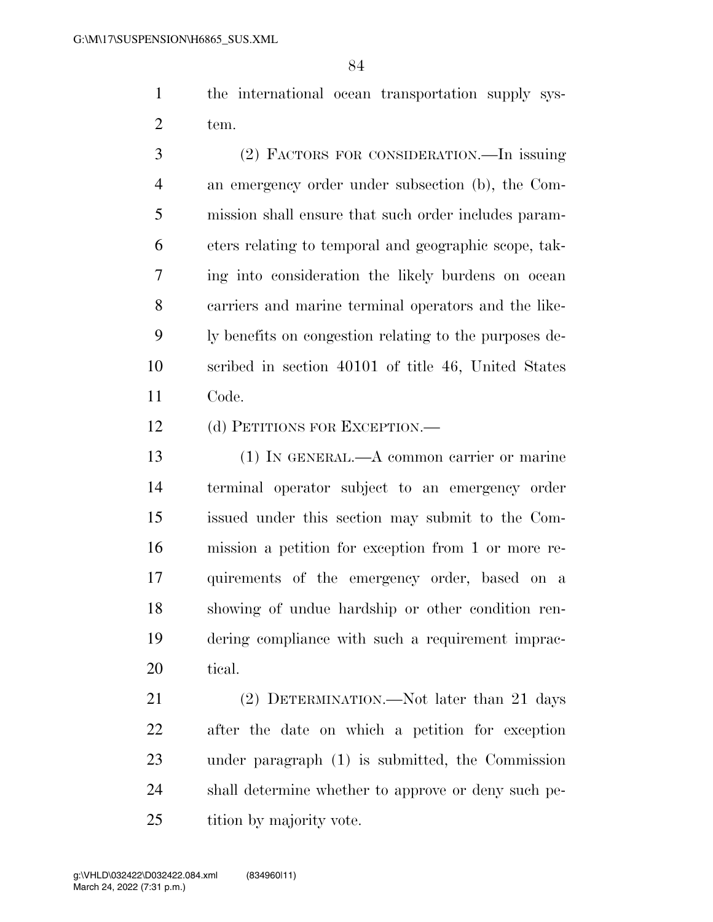the international ocean transportation supply sys-tem.

 (2) FACTORS FOR CONSIDERATION.—In issuing an emergency order under subsection (b), the Com- mission shall ensure that such order includes param- eters relating to temporal and geographic scope, tak- ing into consideration the likely burdens on ocean carriers and marine terminal operators and the like- ly benefits on congestion relating to the purposes de- scribed in section 40101 of title 46, United States Code.

12 (d) PETITIONS FOR EXCEPTION.—

 (1) IN GENERAL.—A common carrier or marine terminal operator subject to an emergency order issued under this section may submit to the Com- mission a petition for exception from 1 or more re- quirements of the emergency order, based on a showing of undue hardship or other condition ren- dering compliance with such a requirement imprac-tical.

21 (2) DETERMINATION.—Not later than 21 days after the date on which a petition for exception under paragraph (1) is submitted, the Commission shall determine whether to approve or deny such pe-25 tition by majority vote.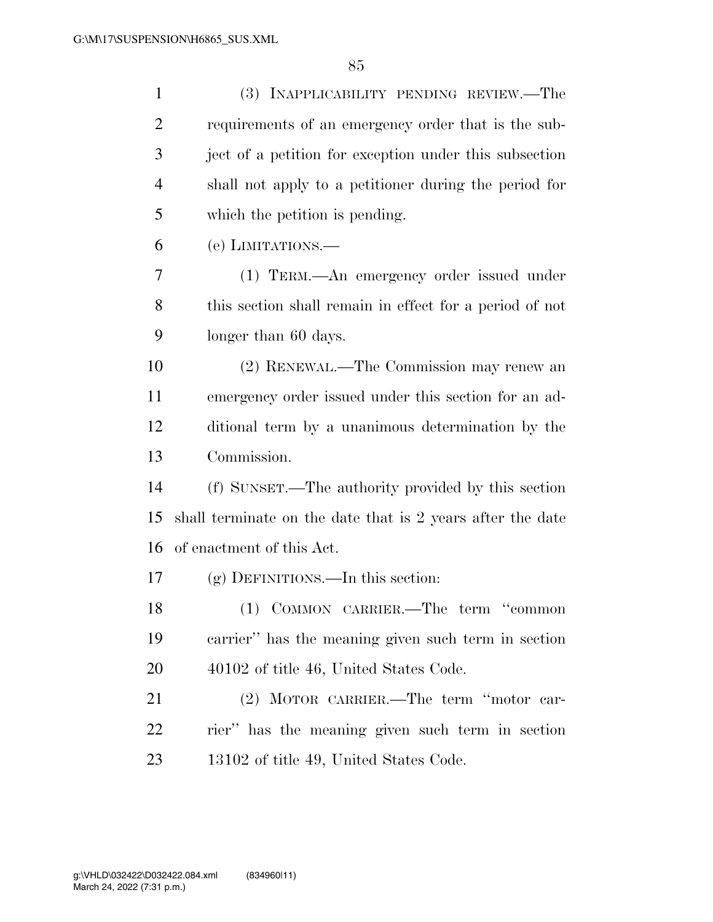| $\mathbf{1}$   | (3) INAPPLICABILITY PENDING REVIEW.—The                    |  |  |  |  |  |  |  |
|----------------|------------------------------------------------------------|--|--|--|--|--|--|--|
| $\overline{2}$ | requirements of an emergency order that is the sub-        |  |  |  |  |  |  |  |
| 3              | ject of a petition for exception under this subsection     |  |  |  |  |  |  |  |
| $\overline{4}$ | shall not apply to a petitioner during the period for      |  |  |  |  |  |  |  |
| 5              | which the petition is pending.                             |  |  |  |  |  |  |  |
| 6              | (e) LIMITATIONS.—                                          |  |  |  |  |  |  |  |
| 7              | (1) TERM.—An emergency order issued under                  |  |  |  |  |  |  |  |
| 8              | this section shall remain in effect for a period of not    |  |  |  |  |  |  |  |
| 9              | longer than 60 days.                                       |  |  |  |  |  |  |  |
| 10             | (2) RENEWAL.—The Commission may renew an                   |  |  |  |  |  |  |  |
| 11             | emergency order issued under this section for an ad-       |  |  |  |  |  |  |  |
| 12             | ditional term by a unanimous determination by the          |  |  |  |  |  |  |  |
| 13             | Commission.                                                |  |  |  |  |  |  |  |
| 14             | (f) SUNSET.—The authority provided by this section         |  |  |  |  |  |  |  |
| 15             | shall terminate on the date that is 2 years after the date |  |  |  |  |  |  |  |
| 16             | of enactment of this Act.                                  |  |  |  |  |  |  |  |
| 17             | (g) DEFINITIONS.—In this section:                          |  |  |  |  |  |  |  |
| 18             | (1) COMMON CARRIER.—The term "common                       |  |  |  |  |  |  |  |
| 19             | carrier" has the meaning given such term in section        |  |  |  |  |  |  |  |
| 20             | 40102 of title 46, United States Code.                     |  |  |  |  |  |  |  |
| 21             | (2) MOTOR CARRIER.—The term "motor car-                    |  |  |  |  |  |  |  |
| 22             | rier" has the meaning given such term in section           |  |  |  |  |  |  |  |
| 23             | 13102 of title 49, United States Code.                     |  |  |  |  |  |  |  |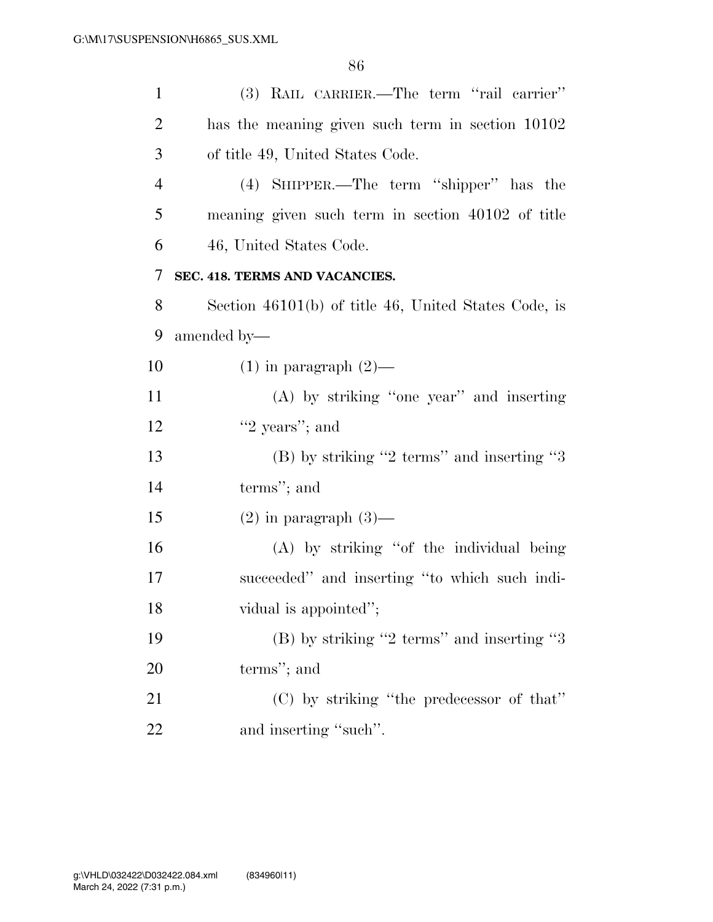| $\mathbf{1}$   | (3) RAIL CARRIER.—The term "rail carrier"            |  |  |  |  |  |  |
|----------------|------------------------------------------------------|--|--|--|--|--|--|
| 2              | has the meaning given such term in section 10102     |  |  |  |  |  |  |
| 3              | of title 49, United States Code.                     |  |  |  |  |  |  |
| $\overline{4}$ | (4) SHIPPER.—The term "shipper" has the              |  |  |  |  |  |  |
| 5              | meaning given such term in section 40102 of title    |  |  |  |  |  |  |
| 6              | 46, United States Code.                              |  |  |  |  |  |  |
| 7              | SEC. 418. TERMS AND VACANCIES.                       |  |  |  |  |  |  |
| 8              | Section 46101(b) of title 46, United States Code, is |  |  |  |  |  |  |
| 9              | amended by-                                          |  |  |  |  |  |  |
| 10             | $(1)$ in paragraph $(2)$ —                           |  |  |  |  |  |  |
| <sup>11</sup>  | $(A)$ by striking "one year" and inserting           |  |  |  |  |  |  |
| 12             | " $2$ years"; and                                    |  |  |  |  |  |  |
| 13             | $(B)$ by striking "2 terms" and inserting "3         |  |  |  |  |  |  |
| 14             | terms"; and                                          |  |  |  |  |  |  |
| 15             | $(2)$ in paragraph $(3)$ —                           |  |  |  |  |  |  |
| 16             | (A) by striking "of the individual being             |  |  |  |  |  |  |
| 17             | succeeded" and inserting "to which such indi-        |  |  |  |  |  |  |
| 18             | vidual is appointed";                                |  |  |  |  |  |  |
| 19             | $(B)$ by striking "2 terms" and inserting "3         |  |  |  |  |  |  |
| 20             | terms"; and                                          |  |  |  |  |  |  |
| 21             | (C) by striking "the predecessor of that"            |  |  |  |  |  |  |
| 22             | and inserting "such".                                |  |  |  |  |  |  |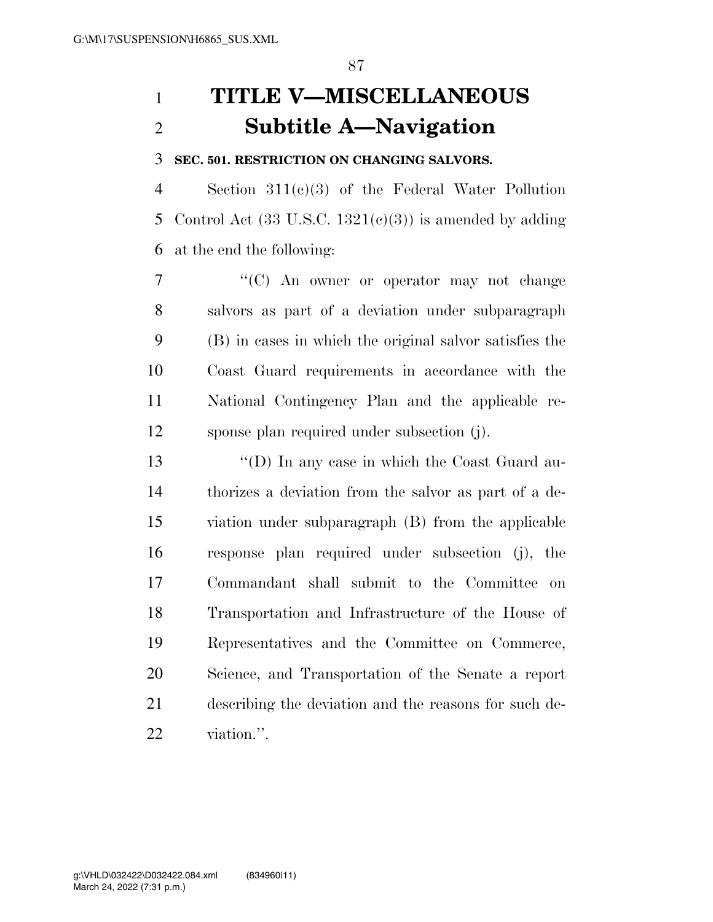# **TITLE V—MISCELLANEOUS Subtitle A—Navigation**

### **SEC. 501. RESTRICTION ON CHANGING SALVORS.**

 Section 311(c)(3) of the Federal Water Pollution 5 Control Act  $(33 \text{ U.S.C. } 1321(e)(3))$  is amended by adding at the end the following:

7 "'(C) An owner or operator may not change salvors as part of a deviation under subparagraph (B) in cases in which the original salvor satisfies the Coast Guard requirements in accordance with the National Contingency Plan and the applicable re-sponse plan required under subsection (j).

 ''(D) In any case in which the Coast Guard au- thorizes a deviation from the salvor as part of a de- viation under subparagraph (B) from the applicable response plan required under subsection (j), the Commandant shall submit to the Committee on Transportation and Infrastructure of the House of Representatives and the Committee on Commerce, Science, and Transportation of the Senate a report describing the deviation and the reasons for such de-viation.''.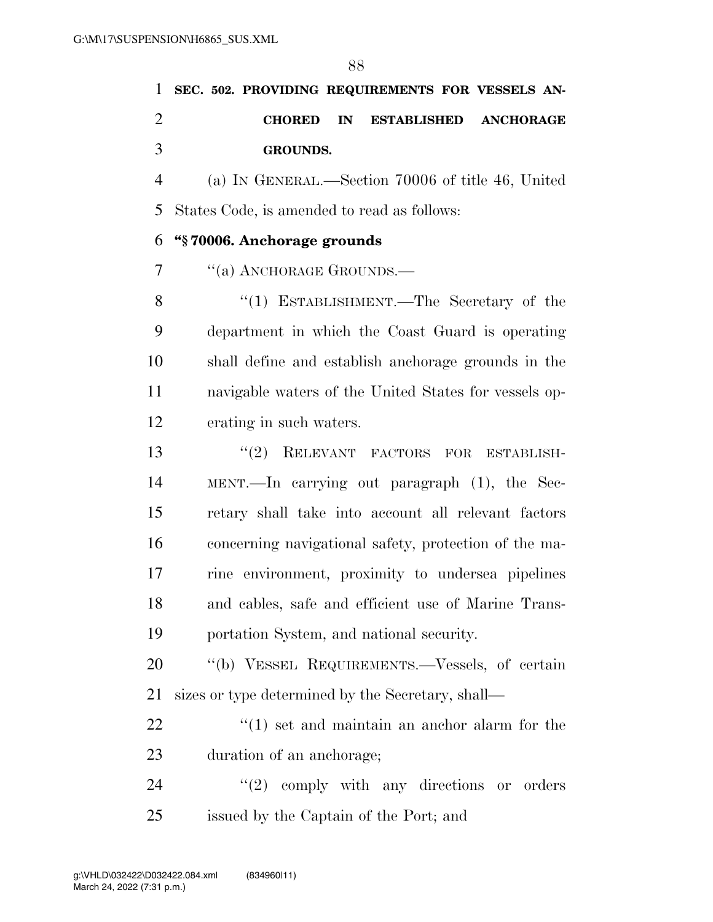|               |  | 1 SEC. 502. PROVIDING REQUIREMENTS FOR VESSELS AN- |                                 |  |  |
|---------------|--|----------------------------------------------------|---------------------------------|--|--|
| $\mathcal{D}$ |  |                                                    | CHORED IN ESTABLISHED ANCHORAGE |  |  |
| $\mathcal{R}$ |  | <b>GROUNDS.</b>                                    |                                 |  |  |

 (a) IN GENERAL.—Section 70006 of title 46, United States Code, is amended to read as follows:

### **''§ 70006. Anchorage grounds**

7 "(a) ANCHORAGE GROUNDS.—

8 "(1) ESTABLISHMENT.—The Secretary of the department in which the Coast Guard is operating shall define and establish anchorage grounds in the navigable waters of the United States for vessels op-erating in such waters.

13 "(2) RELEVANT FACTORS FOR ESTABLISH- MENT.—In carrying out paragraph (1), the Sec- retary shall take into account all relevant factors concerning navigational safety, protection of the ma- rine environment, proximity to undersea pipelines and cables, safe and efficient use of Marine Trans-portation System, and national security.

20 "(b) VESSEL REQUIREMENTS.—Vessels, of certain sizes or type determined by the Secretary, shall—

22 ''(1) set and maintain an anchor alarm for the duration of an anchorage;

24 ''(2) comply with any directions or orders issued by the Captain of the Port; and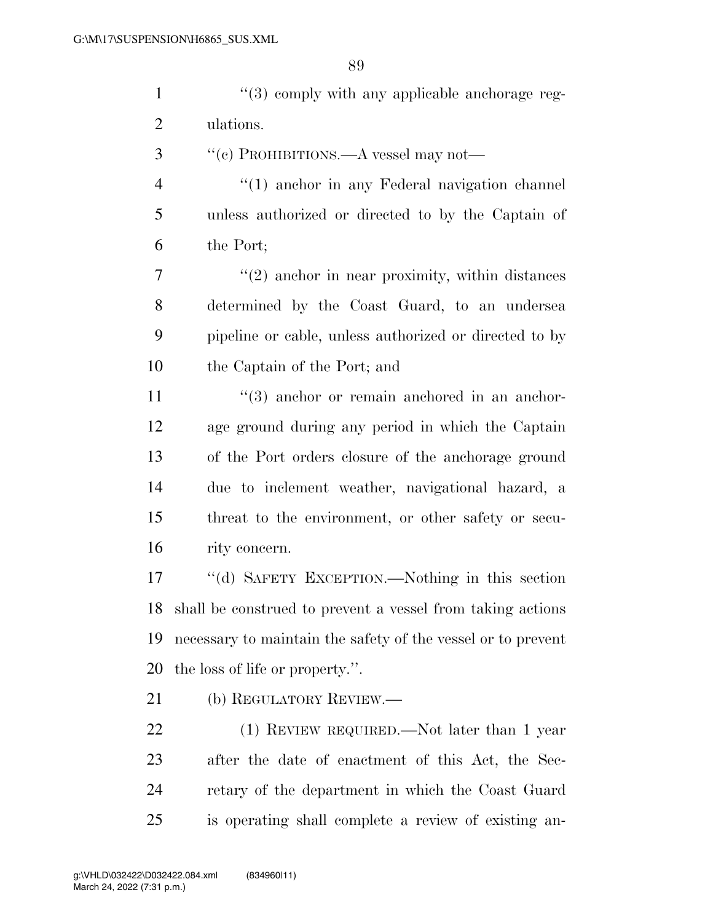1 ''(3) comply with any applicable anchorage reg-ulations.

- ''(c) PROHIBITIONS.—A vessel may not—
- ''(1) anchor in any Federal navigation channel unless authorized or directed to by the Captain of the Port;

7 ''(2) anchor in near proximity, within distances determined by the Coast Guard, to an undersea pipeline or cable, unless authorized or directed to by the Captain of the Port; and

11 ''(3) anchor or remain anchored in an anchor- age ground during any period in which the Captain of the Port orders closure of the anchorage ground due to inclement weather, navigational hazard, a threat to the environment, or other safety or secu-rity concern.

 ''(d) SAFETY EXCEPTION.—Nothing in this section shall be construed to prevent a vessel from taking actions necessary to maintain the safety of the vessel or to prevent the loss of life or property.''.

(b) REGULATORY REVIEW.—

22 (1) REVIEW REQUIRED.—Not later than 1 year after the date of enactment of this Act, the Sec- retary of the department in which the Coast Guard is operating shall complete a review of existing an-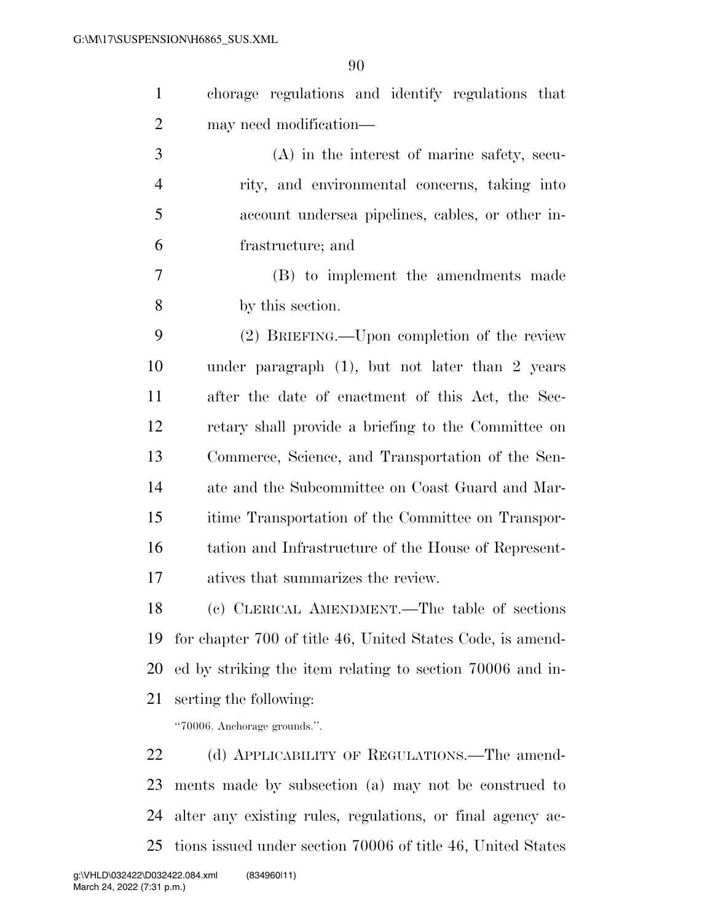| $\mathbf{1}$   | chorage regulations and identify regulations that          |
|----------------|------------------------------------------------------------|
| $\overline{c}$ | may need modification—                                     |
| 3              | $(A)$ in the interest of marine safety, secu-              |
| $\overline{4}$ | rity, and environmental concerns, taking into              |
| 5              | account undersea pipelines, cables, or other in-           |
| 6              | frastructure; and                                          |
| 7              | (B) to implement the amendments made                       |
| 8              | by this section.                                           |
| 9              | (2) BRIEFING.—Upon completion of the review                |
| 10             | under paragraph $(1)$ , but not later than 2 years         |
| 11             | after the date of enactment of this Act, the Sec-          |
| 12             | retary shall provide a briefing to the Committee on        |
| 13             | Commerce, Science, and Transportation of the Sen-          |
| 14             | ate and the Subcommittee on Coast Guard and Mar-           |
| 15             | itime Transportation of the Committee on Transpor-         |
| 16             | tation and Infrastructure of the House of Represent-       |
| 17             | atives that summarizes the review.                         |
| 18             | (c) CLERICAL AMENDMENT.—The table of sections              |
| 19             | for chapter 700 of title 46, United States Code, is amend- |
| 20             | ed by striking the item relating to section 70006 and in-  |
| 21             | serting the following:                                     |
|                | "70006. Anchorage grounds.".                               |
| 22             | (d) APPLICABILITY OF REGULATIONS.—The amend-               |
| 23             | ments made by subsection (a) may not be construed to       |

tions issued under section 70006 of title 46, United States

alter any existing rules, regulations, or final agency ac-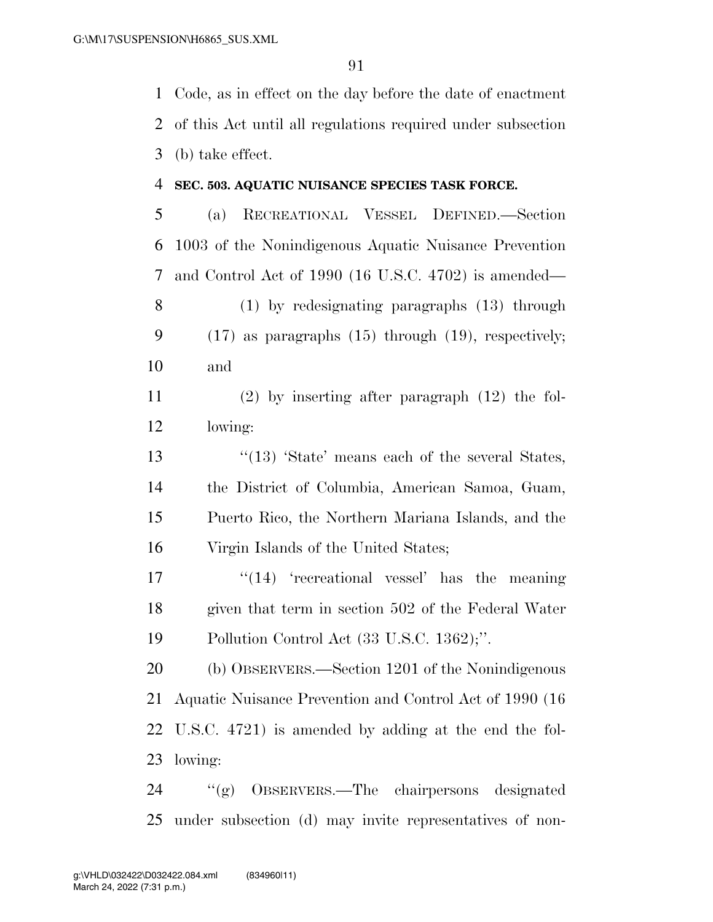Code, as in effect on the day before the date of enactment of this Act until all regulations required under subsection (b) take effect.

#### **SEC. 503. AQUATIC NUISANCE SPECIES TASK FORCE.**

 (a) RECREATIONAL VESSEL DEFINED.—Section 1003 of the Nonindigenous Aquatic Nuisance Prevention and Control Act of 1990 (16 U.S.C. 4702) is amended— (1) by redesignating paragraphs (13) through

 (17) as paragraphs (15) through (19), respectively; and

 (2) by inserting after paragraph (12) the fol-lowing:

13 ''(13) 'State' means each of the several States, the District of Columbia, American Samoa, Guam, Puerto Rico, the Northern Mariana Islands, and the Virgin Islands of the United States;

 ''(14) 'recreational vessel' has the meaning given that term in section 502 of the Federal Water Pollution Control Act (33 U.S.C. 1362);''.

 (b) OBSERVERS.—Section 1201 of the Nonindigenous Aquatic Nuisance Prevention and Control Act of 1990 (16 U.S.C. 4721) is amended by adding at the end the fol-lowing:

 ''(g) OBSERVERS.—The chairpersons designated under subsection (d) may invite representatives of non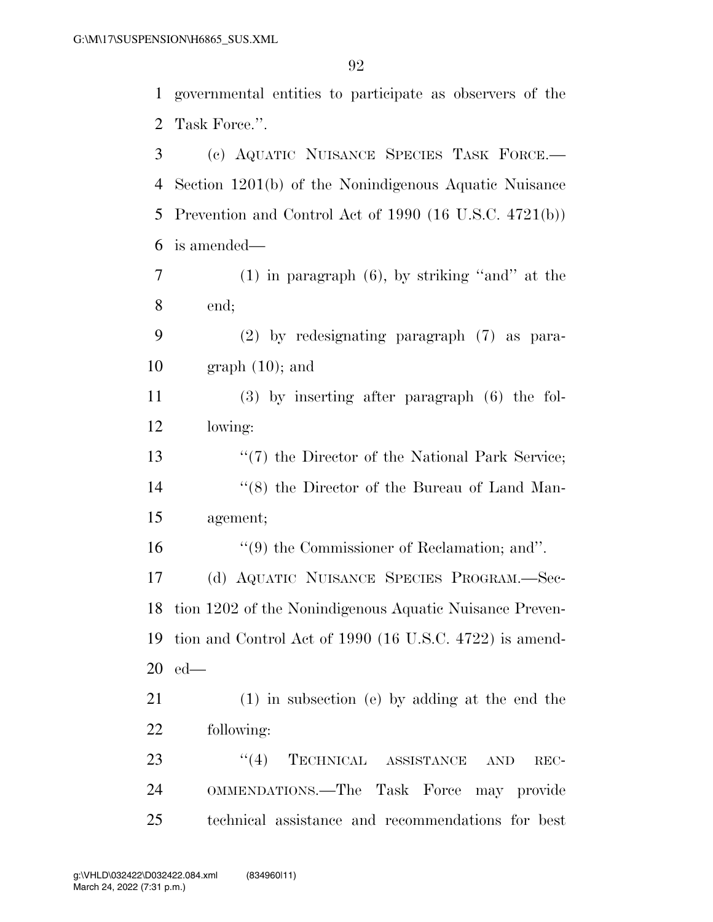governmental entities to participate as observers of the Task Force.''.

 (c) AQUATIC NUISANCE SPECIES TASK FORCE.— Section 1201(b) of the Nonindigenous Aquatic Nuisance Prevention and Control Act of 1990 (16 U.S.C. 4721(b)) is amended— (1) in paragraph (6), by striking ''and'' at the end; (2) by redesignating paragraph (7) as para- graph (10); and (3) by inserting after paragraph (6) the fol- lowing: 13 ''(7) the Director of the National Park Service; 14 ''(8) the Director of the Bureau of Land Man- agement; ''(9) the Commissioner of Reclamation; and''. (d) AQUATIC NUISANCE SPECIES PROGRAM.—Sec- tion 1202 of the Nonindigenous Aquatic Nuisance Preven- tion and Control Act of 1990 (16 U.S.C. 4722) is amend- ed— (1) in subsection (e) by adding at the end the following: 23 "(4) TECHNICAL ASSISTANCE AND REC-OMMENDATIONS.—The Task Force may provide

technical assistance and recommendations for best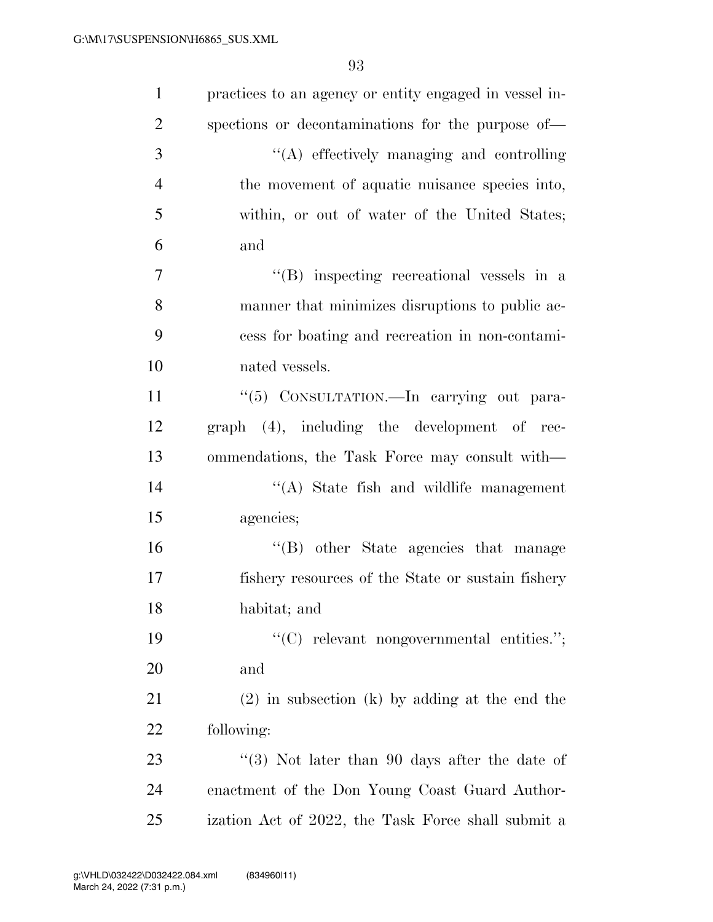| $\mathbf{1}$   | practices to an agency or entity engaged in vessel in- |
|----------------|--------------------------------------------------------|
| $\overline{2}$ | spections or decontaminations for the purpose of—      |
| 3              | "(A) effectively managing and controlling              |
| $\overline{4}$ | the movement of aquatic nuisance species into,         |
| 5              | within, or out of water of the United States;          |
| 6              | and                                                    |
| $\overline{7}$ | $\lq\lq$ inspecting recreational vessels in a          |
| 8              | manner that minimizes disruptions to public ac-        |
| 9              | cess for boating and recreation in non-contami-        |
| 10             | nated vessels.                                         |
| 11             | "(5) CONSULTATION. - In carrying out para-             |
| 12             | graph (4), including the development of rec-           |
| 13             | ommendations, the Task Force may consult with—         |
| 14             | $\lq\lq$ . State fish and wildlife management          |
| 15             | agencies;                                              |
| 16             | "(B) other State agencies that manage                  |
| 17             | fishery resources of the State or sustain fishery      |
| 18             | habitat; and                                           |
| 19             | " $(C)$ relevant nongovernmental entities.";           |
| 20             | and                                                    |
| 21             | $(2)$ in subsection (k) by adding at the end the       |
| 22             | following:                                             |
| 23             | "(3) Not later than 90 days after the date of          |
| 24             | enactment of the Don Young Coast Guard Author-         |
| 25             | ization Act of 2022, the Task Force shall submit a     |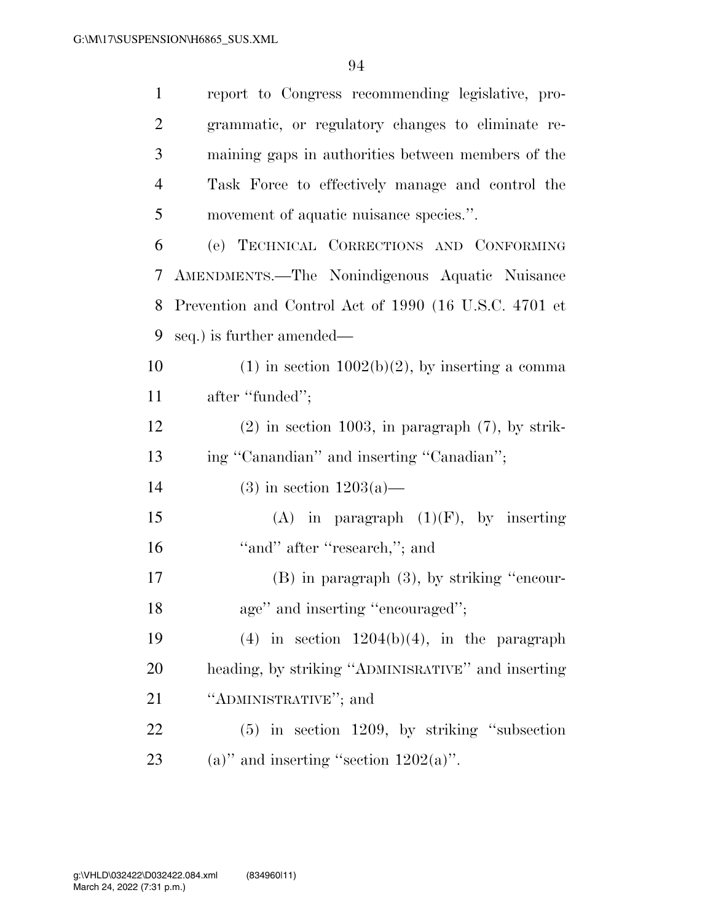| $\mathbf{1}$   | report to Congress recommending legislative, pro-     |
|----------------|-------------------------------------------------------|
| 2              | grammatic, or regulatory changes to eliminate re-     |
| 3              | maining gaps in authorities between members of the    |
| $\overline{4}$ | Task Force to effectively manage and control the      |
| 5              | movement of aquatic nuisance species.".               |
| 6              | (e) TECHNICAL CORRECTIONS AND CONFORMING              |
| 7              | AMENDMENTS.—The Nonindigenous Aquatic Nuisance        |
| 8              | Prevention and Control Act of 1990 (16 U.S.C. 4701 et |
| 9              | seq.) is further amended—                             |
| 10             | $(1)$ in section $1002(b)(2)$ , by inserting a comma  |
| 11             | after "funded";                                       |
| 12             | $(2)$ in section 1003, in paragraph $(7)$ , by strik- |
| 13             | ing "Canandian" and inserting "Canadian";             |
| 14             | $(3)$ in section $1203(a)$ —                          |
| 15             | (A) in paragraph $(1)(F)$ , by inserting              |
| 16             | "and" after "research,"; and                          |
| 17             | $(B)$ in paragraph $(3)$ , by striking "encour-       |
| 18             | age" and inserting "encouraged";                      |
| 19             | $(4)$ in section $1204(b)(4)$ , in the paragraph      |
| 20             | heading, by striking "ADMINISRATIVE" and inserting    |
| 21             | "ADMINISTRATIVE"; and                                 |
| 22             | $(5)$ in section 1209, by striking "subsection"       |
| 23             | (a)" and inserting "section $1202(a)$ ".              |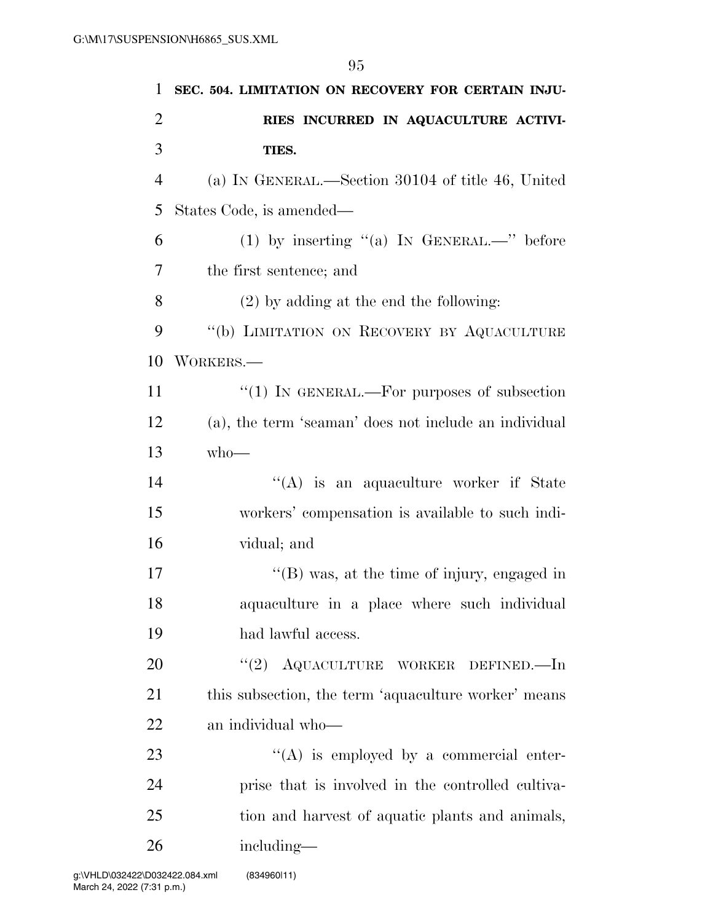| 1              | SEC. 504. LIMITATION ON RECOVERY FOR CERTAIN INJU-    |
|----------------|-------------------------------------------------------|
| $\overline{2}$ | RIES INCURRED IN AQUACULTURE ACTIVI-                  |
| 3              | TIES.                                                 |
| $\overline{4}$ | (a) IN GENERAL.—Section 30104 of title 46, United     |
| 5              | States Code, is amended—                              |
| 6              | (1) by inserting "(a) IN GENERAL.—" before            |
| 7              | the first sentence; and                               |
| 8              | $(2)$ by adding at the end the following:             |
| 9              | "(b) LIMITATION ON RECOVERY BY AQUACULTURE            |
| 10             | WORKERS.—                                             |
| 11             | "(1) IN GENERAL.—For purposes of subsection           |
| 12             | (a), the term 'seaman' does not include an individual |
| 13             | $who$ —                                               |
| 14             | $\lq\lq$ is an aquaculture worker if State            |
| 15             | workers' compensation is available to such indi-      |
| 16             | vidual; and                                           |
| 17             | "(B) was, at the time of injury, engaged in           |
| 18             | aquaculture in a place where such individual          |
| 19             | had lawful access.                                    |
| 20             | "(2) AQUACULTURE WORKER DEFINED.—In                   |
| 21             | this subsection, the term 'aquaculture worker' means  |
| 22             | an individual who-                                    |
| 23             | $\lq\lq$ is employed by a commercial enter-           |
| 24             | prise that is involved in the controlled cultiva-     |
| 25             | tion and harvest of aquatic plants and animals,       |
| 26             | including—                                            |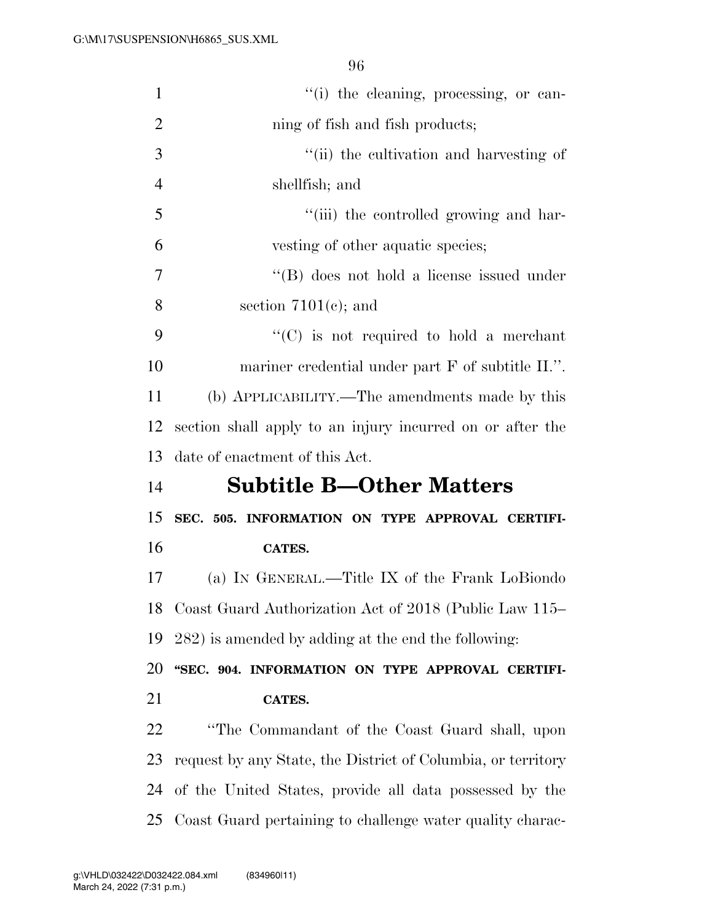| $\mathbf{1}$   | "(i) the cleaning, processing, or can-                       |
|----------------|--------------------------------------------------------------|
| $\overline{2}$ | ning of fish and fish products;                              |
| 3              | "(ii) the cultivation and harvesting of                      |
| $\overline{4}$ | shellfish; and                                               |
| 5              | "(iii) the controlled growing and har-                       |
| 6              | vesting of other aquatic species;                            |
| 7              | $\lq\lq$ does not hold a license issued under                |
| 8              | section $7101(e)$ ; and                                      |
| 9              | $\lq\lq$ (C) is not required to hold a merchant              |
| 10             | mariner credential under part F of subtitle II.".            |
| 11             | (b) APPLICABILITY.—The amendments made by this               |
| 12             | section shall apply to an injury incurred on or after the    |
|                | date of enactment of this Act.                               |
| 13             |                                                              |
| 14             | <b>Subtitle B—Other Matters</b>                              |
| 15             | SEC. 505. INFORMATION ON TYPE APPROVAL CERTIFI-              |
| 16             | CATES.                                                       |
| 17             | (a) IN GENERAL.—Title IX of the Frank LoBiondo               |
| 18             | Coast Guard Authorization Act of 2018 (Public Law 115–       |
| 19             | 282) is amended by adding at the end the following:          |
| 20             | "SEC. 904. INFORMATION ON TYPE APPROVAL CERTIFI-             |
| 21             | CATES.                                                       |
| 22             | "The Commandant of the Coast Guard shall, upon               |
| 23             | request by any State, the District of Columbia, or territory |
| 24             | of the United States, provide all data possessed by the      |
|                | 25 Coast Guard pertaining to challenge water quality charac- |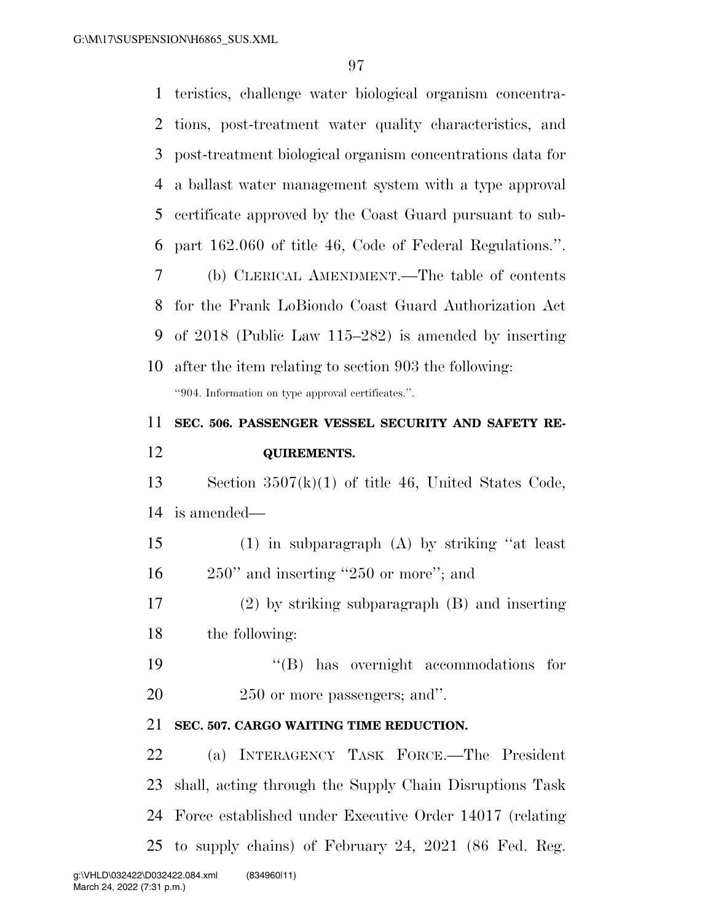teristics, challenge water biological organism concentra- tions, post-treatment water quality characteristics, and post-treatment biological organism concentrations data for a ballast water management system with a type approval certificate approved by the Coast Guard pursuant to sub- part 162.060 of title 46, Code of Federal Regulations.''. (b) CLERICAL AMENDMENT.—The table of contents for the Frank LoBiondo Coast Guard Authorization Act of 2018 (Public Law 115–282) is amended by inserting after the item relating to section 903 the following: ''904. Information on type approval certificates.''. **SEC. 506. PASSENGER VESSEL SECURITY AND SAFETY RE- QUIREMENTS.**  Section 3507(k)(1) of title 46, United States Code, is amended— (1) in subparagraph (A) by striking ''at least 16 250" and inserting "250 or more"; and (2) by striking subparagraph (B) and inserting the following:  $\text{``(B)}$  has overnight accommodations for 250 or more passengers; and''. **SEC. 507. CARGO WAITING TIME REDUCTION.**  (a) INTERAGENCY TASK FORCE.—The President shall, acting through the Supply Chain Disruptions Task Force established under Executive Order 14017 (relating to supply chains) of February 24, 2021 (86 Fed. Reg.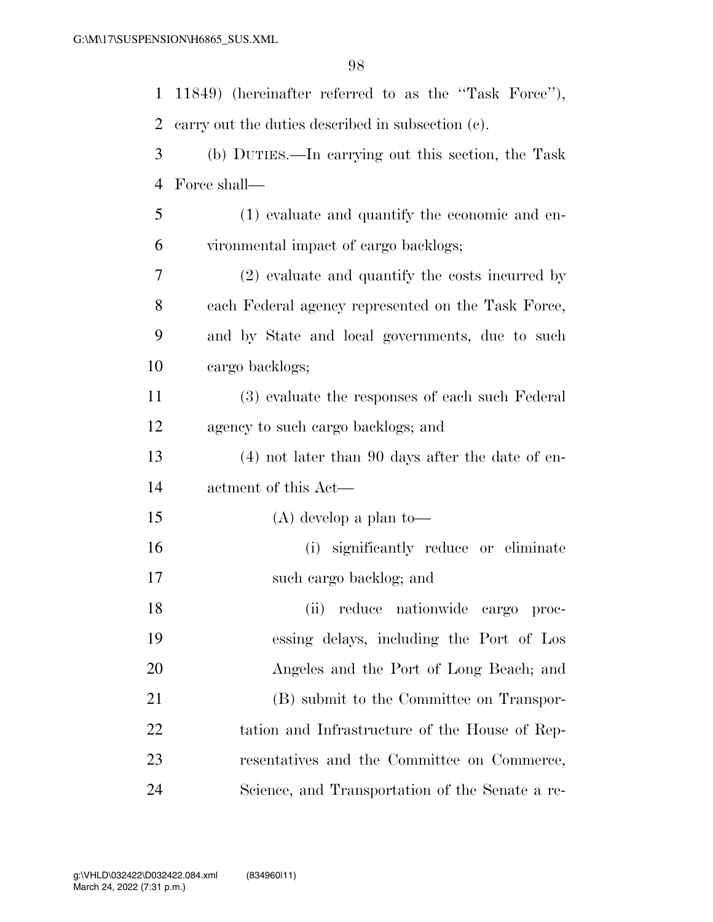| $\mathbf{1}$ | 11849) (hereinafter referred to as the "Task Force"), |
|--------------|-------------------------------------------------------|
| 2            | carry out the duties described in subsection (c).     |
| 3            | (b) DUTIES.—In carrying out this section, the Task    |
| 4            | Force shall—                                          |
| 5            | (1) evaluate and quantify the economic and en-        |
| 6            | vironmental impact of cargo backlogs;                 |
| 7            | (2) evaluate and quantify the costs incurred by       |
| 8            | each Federal agency represented on the Task Force,    |
| 9            | and by State and local governments, due to such       |
| 10           | cargo backlogs;                                       |
| 11           | (3) evaluate the responses of each such Federal       |
| 12           | agency to such cargo backlogs; and                    |
| 13           | $(4)$ not later than 90 days after the date of en-    |
| 14           | actment of this Act—                                  |
| 15           | $(A)$ develop a plan to-                              |
| 16           | (i) significantly reduce or eliminate                 |
| 17           | such cargo backlog; and                               |
| 18           | (ii)<br>reduce nationwide cargo proc-                 |
| 19           | essing delays, including the Port of Los              |
| 20           | Angeles and the Port of Long Beach; and               |
| 21           | (B) submit to the Committee on Transpor-              |
| 22           | tation and Infrastructure of the House of Rep-        |
| 23           | resentatives and the Committee on Commerce,           |
| 24           | Science, and Transportation of the Senate a re-       |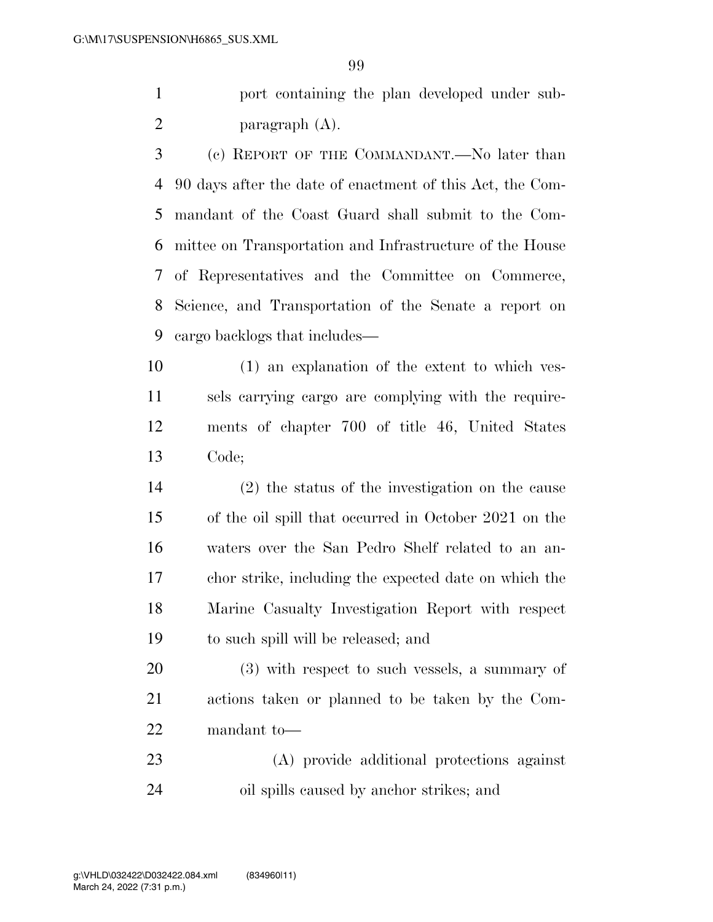port containing the plan developed under sub-paragraph (A).

 (c) REPORT OF THE COMMANDANT.—No later than 90 days after the date of enactment of this Act, the Com- mandant of the Coast Guard shall submit to the Com- mittee on Transportation and Infrastructure of the House of Representatives and the Committee on Commerce, Science, and Transportation of the Senate a report on cargo backlogs that includes—

 (1) an explanation of the extent to which ves- sels carrying cargo are complying with the require- ments of chapter 700 of title 46, United States Code;

 (2) the status of the investigation on the cause of the oil spill that occurred in October 2021 on the waters over the San Pedro Shelf related to an an- chor strike, including the expected date on which the Marine Casualty Investigation Report with respect to such spill will be released; and

 (3) with respect to such vessels, a summary of actions taken or planned to be taken by the Com-mandant to—

 (A) provide additional protections against oil spills caused by anchor strikes; and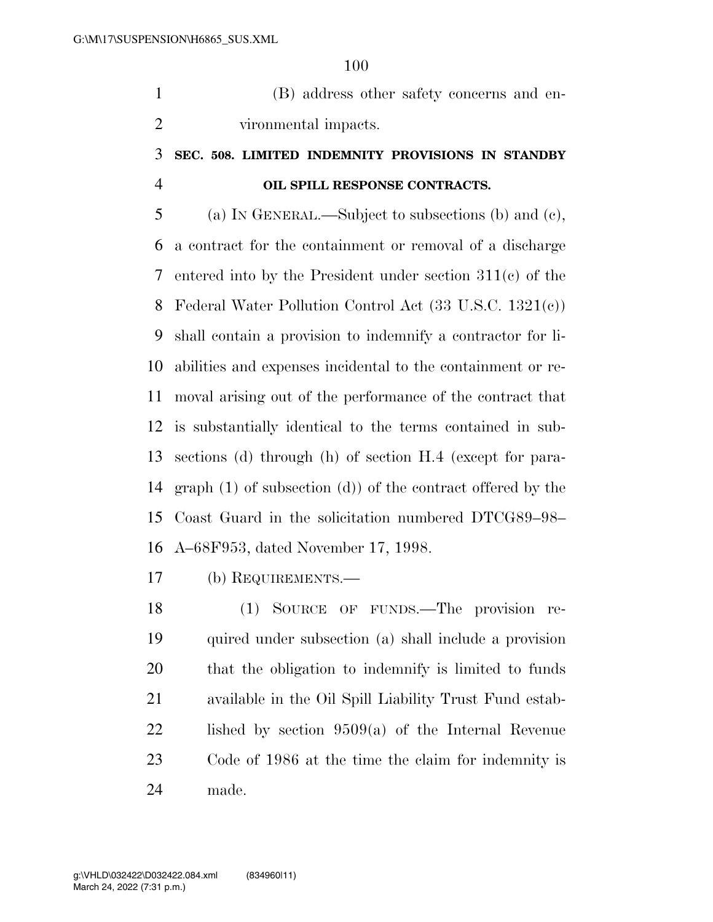(B) address other safety concerns and en-vironmental impacts.

## **SEC. 508. LIMITED INDEMNITY PROVISIONS IN STANDBY OIL SPILL RESPONSE CONTRACTS.**

 (a) IN GENERAL.—Subject to subsections (b) and (c), a contract for the containment or removal of a discharge entered into by the President under section 311(c) of the Federal Water Pollution Control Act (33 U.S.C. 1321(c)) shall contain a provision to indemnify a contractor for li- abilities and expenses incidental to the containment or re- moval arising out of the performance of the contract that is substantially identical to the terms contained in sub- sections (d) through (h) of section H.4 (except for para- graph (1) of subsection (d)) of the contract offered by the Coast Guard in the solicitation numbered DTCG89–98– A–68F953, dated November 17, 1998.

(b) REQUIREMENTS.—

 (1) SOURCE OF FUNDS.—The provision re- quired under subsection (a) shall include a provision that the obligation to indemnify is limited to funds available in the Oil Spill Liability Trust Fund estab- lished by section 9509(a) of the Internal Revenue Code of 1986 at the time the claim for indemnity is made.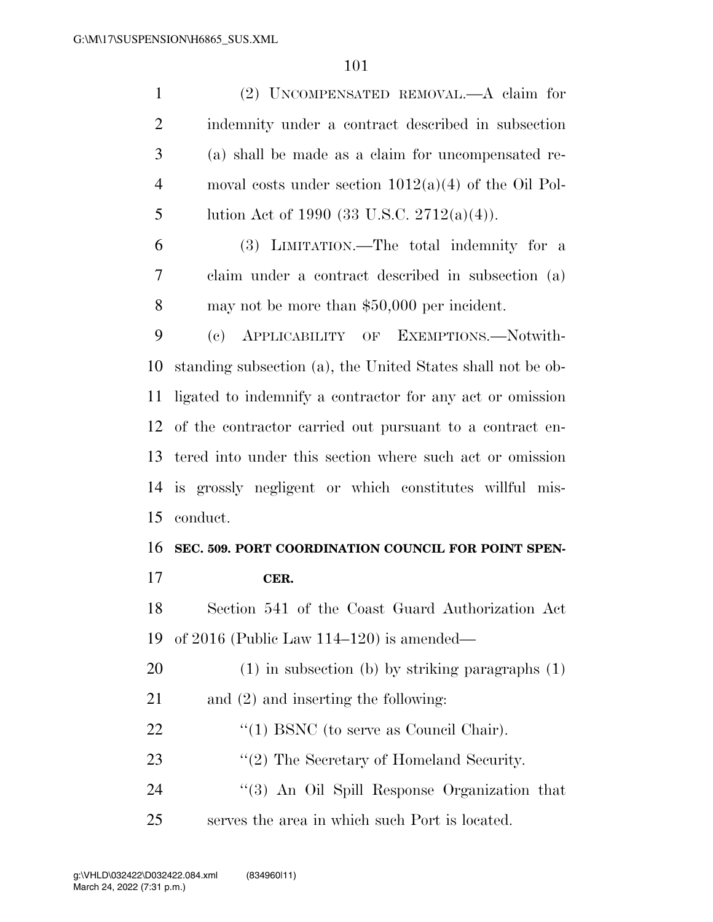| $\mathbf{1}$   | (2) UNCOMPENSATED REMOVAL.—A claim for                              |
|----------------|---------------------------------------------------------------------|
| $\overline{2}$ | indemnity under a contract described in subsection                  |
| 3              | (a) shall be made as a claim for uncompensated re-                  |
| $\overline{4}$ | moval costs under section $1012(a)(4)$ of the Oil Pol-              |
| 5              | lution Act of 1990 (33 U.S.C. 2712(a)(4)).                          |
| 6              | (3) LIMITATION.—The total indemnity for a                           |
| 7              | claim under a contract described in subsection (a)                  |
| 8              | may not be more than $$50,000$ per incident.                        |
| 9              | APPLICABILITY OF EXEMPTIONS.-Notwith-<br>$\left( \mathrm{e}\right)$ |
| 10             | standing subsection (a), the United States shall not be ob-         |
| 11             | ligated to indemnify a contractor for any act or omission           |
| 12             | of the contractor carried out pursuant to a contract en-            |
| 13             | tered into under this section where such act or omission            |
| 14             | is grossly negligent or which constitutes willful mis-              |
| 15             | conduct.                                                            |
| 16             | SEC. 509. PORT COORDINATION COUNCIL FOR POINT SPEN-                 |
| 17             | CER.                                                                |
| 18             | Section 541 of the Coast Guard Authorization Act                    |
| 19             | of $2016$ (Public Law $114-120$ ) is amended—                       |
| 20             | $(1)$ in subsection (b) by striking paragraphs $(1)$                |
| 21             | and $(2)$ and inserting the following:                              |
| 22             | $\cdot$ (1) BSNC (to serve as Council Chair).                       |
| 23             | $\lq(2)$ The Secretary of Homeland Security.                        |
| 24             | "(3) An Oil Spill Response Organization that                        |
| 25             | serves the area in which such Port is located.                      |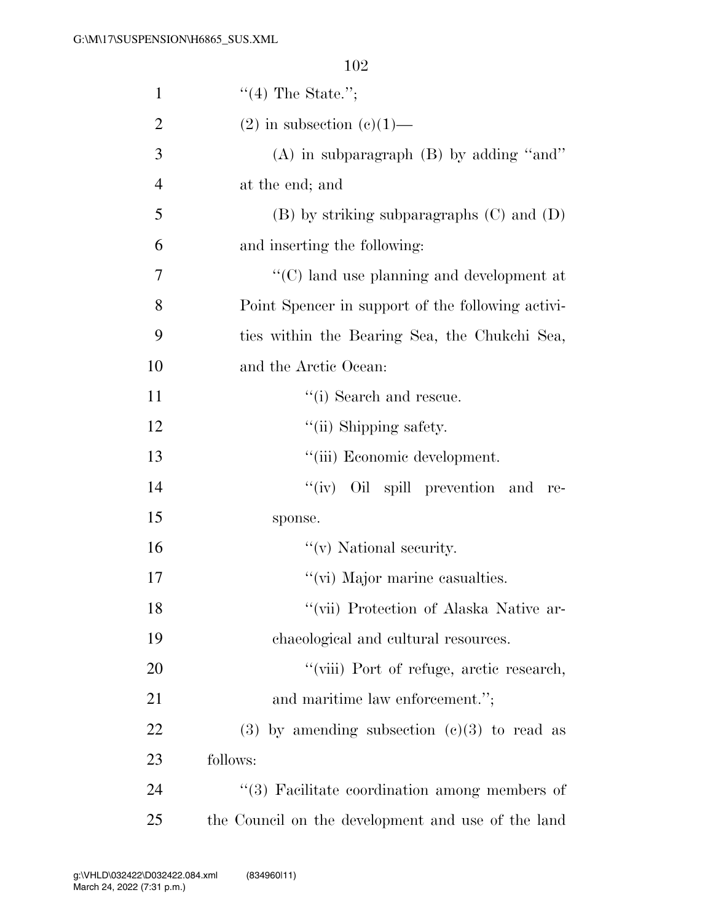| $\mathbf{1}$   | $\lq(4)$ The State.";                                 |
|----------------|-------------------------------------------------------|
| $\overline{2}$ | $(2)$ in subsection $(e)(1)$ —                        |
| 3              | $(A)$ in subparagraph $(B)$ by adding "and"           |
| $\overline{4}$ | at the end; and                                       |
| 5              | $(B)$ by striking subparagraphs $(C)$ and $(D)$       |
| 6              | and inserting the following:                          |
| 7              | $\cdot\cdot$ (C) land use planning and development at |
| 8              | Point Spencer in support of the following activi-     |
| 9              | ties within the Bearing Sea, the Chukchi Sea,         |
| 10             | and the Arctic Ocean:                                 |
| 11             | "(i) Search and rescue.                               |
| 12             | "(ii) Shipping safety.                                |
| 13             | "(iii) Economic development.                          |
| 14             | "(iv) Oil spill prevention and re-                    |
| 15             | sponse.                                               |
| 16             | $f'(v)$ National security.                            |
| 17             | "(vi) Major marine casualties.                        |
| 18             | "(vii) Protection of Alaska Native ar-                |
| 19             | chaeological and cultural resources.                  |
| <b>20</b>      | "(viii) Port of refuge, arctic research,              |
| 21             | and maritime law enforcement.";                       |
| 22             | $(3)$ by amending subsection $(e)(3)$ to read as      |
| 23             | follows:                                              |
| 24             | "(3) Facilitate coordination among members of         |
| 25             | the Council on the development and use of the land    |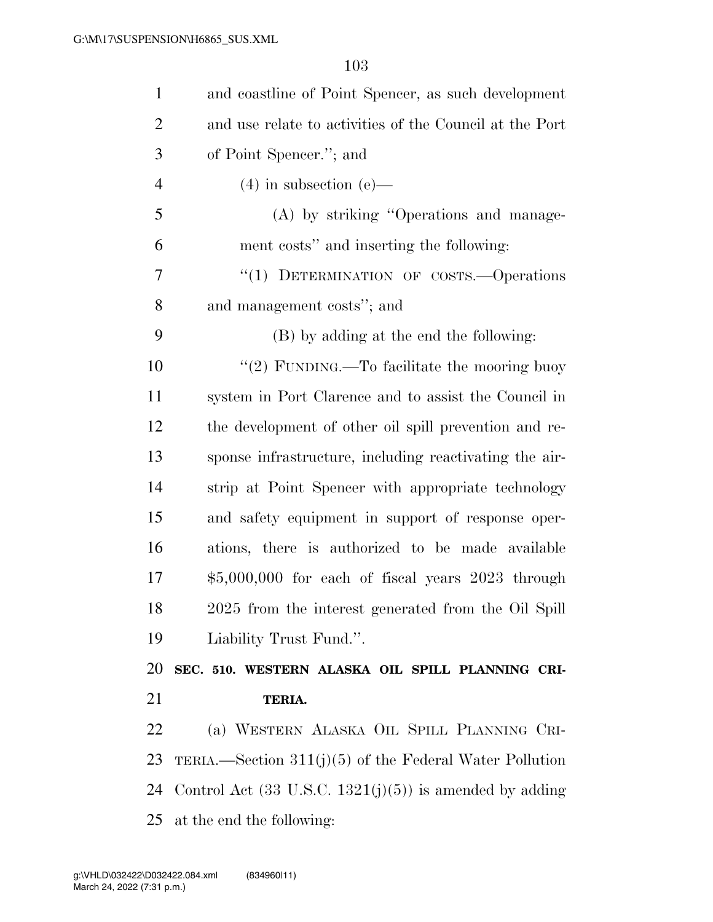| $\mathbf{1}$   | and coastline of Point Spencer, as such development                |
|----------------|--------------------------------------------------------------------|
| $\overline{2}$ | and use relate to activities of the Council at the Port            |
| 3              | of Point Spencer."; and                                            |
| $\overline{4}$ | $(4)$ in subsection $(e)$ —                                        |
| 5              | (A) by striking "Operations and manage-                            |
| 6              | ment costs" and inserting the following:                           |
| 7              | "(1) DETERMINATION OF COSTS.—Operations                            |
| 8              | and management costs"; and                                         |
| 9              | (B) by adding at the end the following:                            |
| 10             | "(2) FUNDING.—To facilitate the mooring buoy                       |
| 11             | system in Port Clarence and to assist the Council in               |
| 12             | the development of other oil spill prevention and re-              |
| 13             | sponse infrastructure, including reactivating the air-             |
| 14             | strip at Point Spencer with appropriate technology                 |
| 15             | and safety equipment in support of response oper-                  |
| 16             | ations, there is authorized to be made available                   |
| 17             | $$5,000,000$ for each of fiscal years $2023$ through               |
| 18             | 2025 from the interest generated from the Oil Spill                |
| 19             | Liability Trust Fund.".                                            |
| 20             | SEC. 510. WESTERN ALASKA OIL SPILL PLANNING CRI-                   |
| 21             | TERIA.                                                             |
| 22             | (a) WESTERN ALASKA OIL SPILL PLANNING CRI-                         |
| 23             | TERIA.—Section $311(j)(5)$ of the Federal Water Pollution          |
| 24             | Control Act $(33 \text{ U.S.C. } 1321(j)(5))$ is amended by adding |
| 25             | at the end the following:                                          |
|                |                                                                    |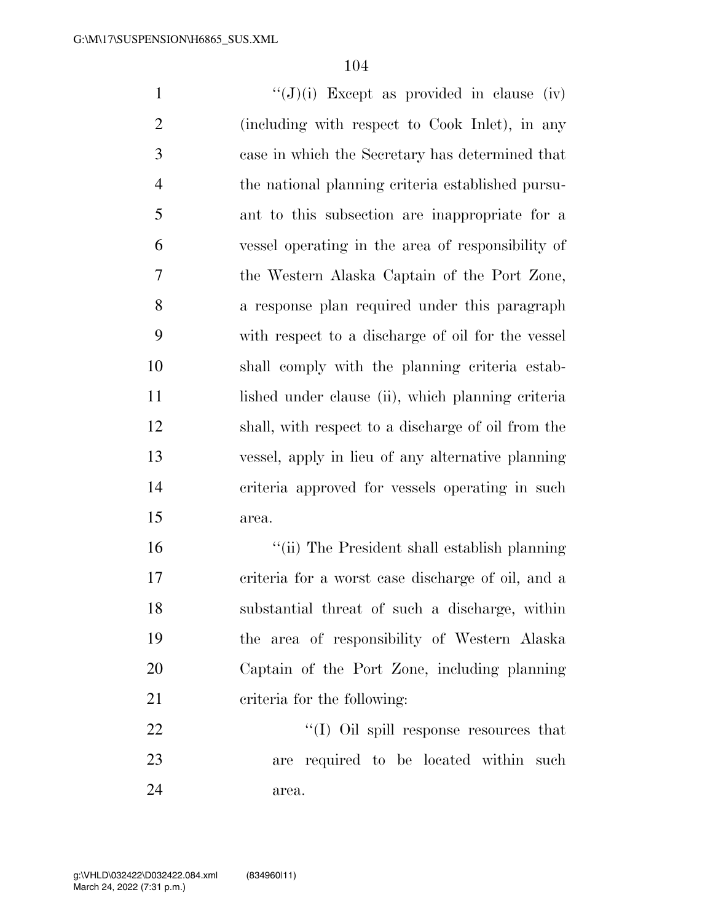$\langle (J)(i) \rangle$  Except as provided in clause (iv) (including with respect to Cook Inlet), in any case in which the Secretary has determined that the national planning criteria established pursu- ant to this subsection are inappropriate for a vessel operating in the area of responsibility of the Western Alaska Captain of the Port Zone, a response plan required under this paragraph with respect to a discharge of oil for the vessel shall comply with the planning criteria estab-11 lished under clause (ii), which planning criteria shall, with respect to a discharge of oil from the vessel, apply in lieu of any alternative planning criteria approved for vessels operating in such area. ''(ii) The President shall establish planning

 criteria for a worst case discharge of oil, and a substantial threat of such a discharge, within the area of responsibility of Western Alaska Captain of the Port Zone, including planning criteria for the following:

22  $\cdot$  (I) Oil spill response resources that are required to be located within such area.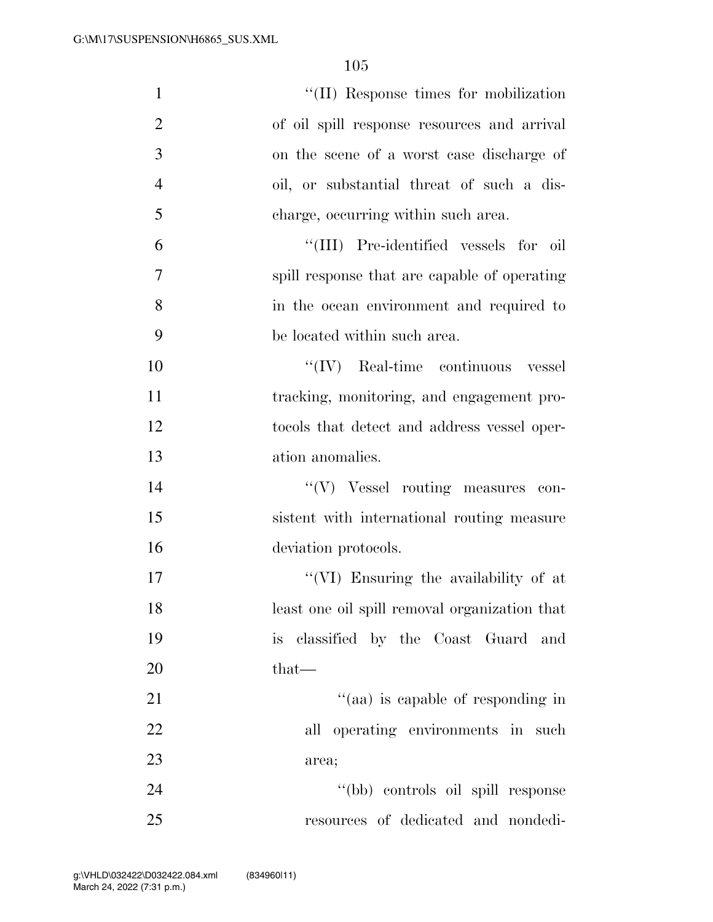| $\mathbf{1}$   | "(II) Response times for mobilization         |
|----------------|-----------------------------------------------|
| $\overline{2}$ | of oil spill response resources and arrival   |
| 3              | on the scene of a worst case discharge of     |
| $\overline{4}$ | oil, or substantial threat of such a dis-     |
| 5              | charge, occurring within such area.           |
| 6              | "(III) Pre-identified vessels for<br>- oil    |
| 7              | spill response that are capable of operating  |
| 8              | in the ocean environment and required to      |
| 9              | be located within such area.                  |
| 10             | $\lq\lq$ (IV) Real-time continuous<br>vessel  |
| 11             | tracking, monitoring, and engagement pro-     |
| 12             | tocols that detect and address vessel oper-   |
| 13             | ation anomalies.                              |
| 14             | "(V) Vessel routing measures con-             |
| 15             | sistent with international routing measure    |
| 16             | deviation protocols.                          |
| 17             | "(VI) Ensuring the availability of at         |
| 18             | least one oil spill removal organization that |
| 19             | is classified by the Coast Guard and          |
| 20             | that—                                         |
| 21             | "(aa) is capable of responding in             |
| 22             | all operating environments in such            |
| 23             | area;                                         |
| 24             | "(bb) controls oil spill response             |
| 25             | resources of dedicated and nondedi-           |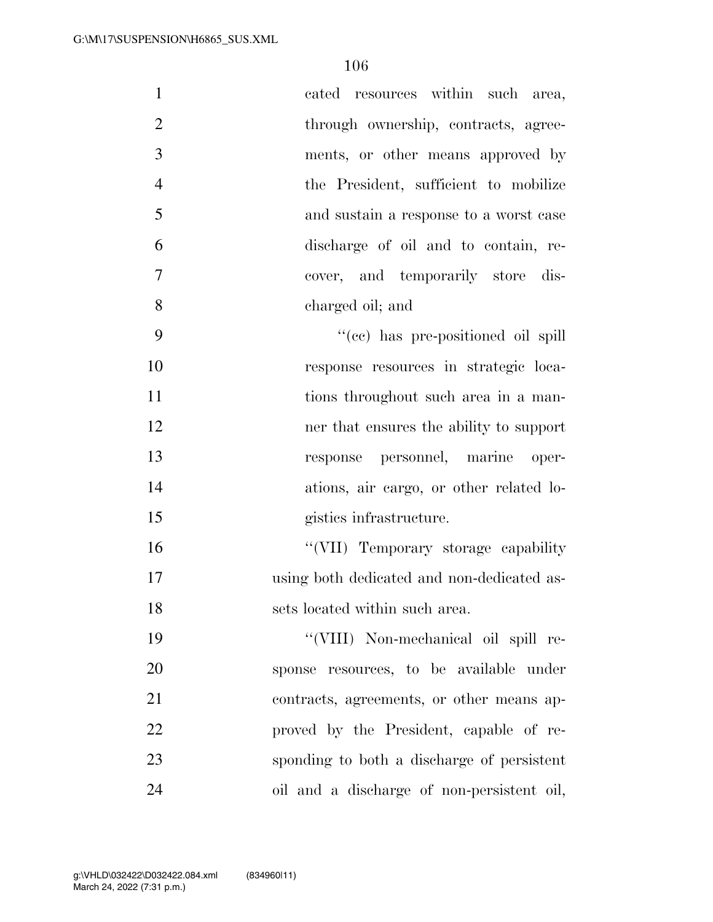| $\mathbf{1}$<br>cated resources within such area,       |
|---------------------------------------------------------|
| $\overline{2}$<br>through ownership, contracts, agree-  |
| 3<br>ments, or other means approved by                  |
| $\overline{4}$<br>the President, sufficient to mobilize |
| 5<br>and sustain a response to a worst case             |
| 6<br>discharge of oil and to contain, re-               |
| $\tau$<br>cover, and temporarily store dis-             |
| 8<br>charged oil; and                                   |
| 9<br>"(cc) has pre-positioned oil spill                 |
| 10<br>response resources in strategic loca-             |
| 11<br>tions throughout such area in a man-              |
| 12<br>ner that ensures the ability to support           |
| 13<br>response personnel, marine oper-                  |
| 14<br>ations, air cargo, or other related lo-           |
| 15<br>gistics infrastructure.                           |
| "(VII) Temporary storage capability<br>16               |
| 17<br>using both dedicated and non-dedicated as-        |
| sets located within such area.<br>18                    |
| 19<br>"(VIII) Non-mechanical oil spill re-              |
| 20<br>sponse resources, to be available under           |
| 21<br>contracts, agreements, or other means ap-         |
| 22<br>proved by the President, capable of re-           |
| 23<br>sponding to both a discharge of persistent        |
| 24<br>oil and a discharge of non-persistent oil,        |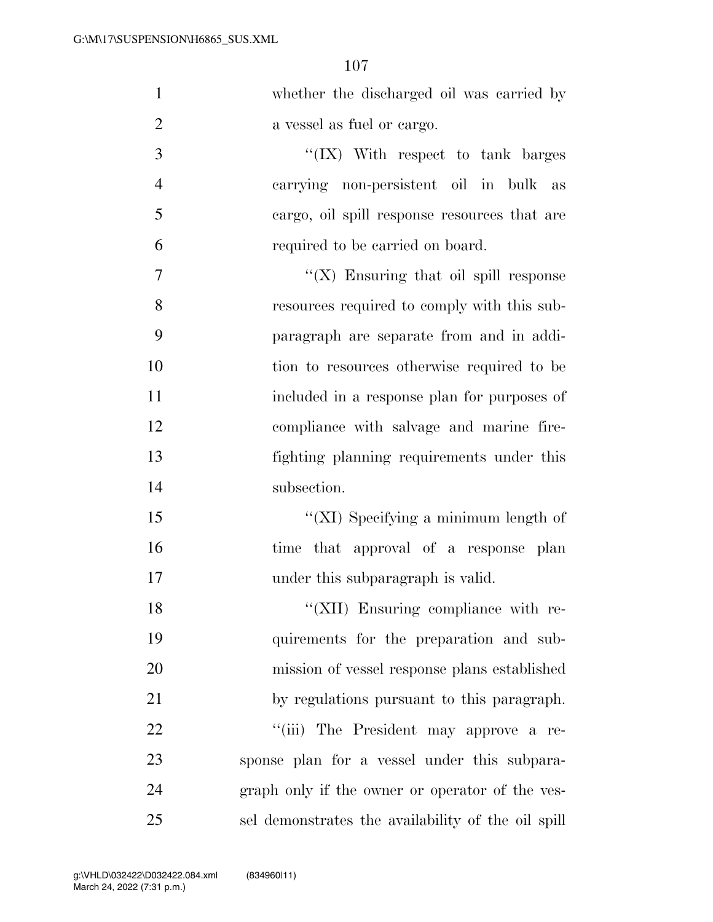| $\mathbf{1}$   | whether the discharged oil was carried by          |
|----------------|----------------------------------------------------|
| $\overline{2}$ | a vessel as fuel or cargo.                         |
| 3              | "(IX) With respect to tank barges                  |
| $\overline{4}$ | carrying non-persistent oil in bulk<br>as          |
| 5              | cargo, oil spill response resources that are       |
| 6              | required to be carried on board.                   |
| 7              | " $(X)$ Ensuring that oil spill response           |
| 8              | resources required to comply with this sub-        |
| 9              | paragraph are separate from and in addi-           |
| 10             | tion to resources otherwise required to be         |
| 11             | included in a response plan for purposes of        |
| 12             | compliance with salvage and marine fire-           |
| 13             | fighting planning requirements under this          |
| 14             | subsection.                                        |
| 15             | "( $XI$ ) Specifying a minimum length of           |
| 16             | time that approval of a response plan              |
| 17             | under this subparagraph is valid.                  |
| 18             | "(XII) Ensuring compliance with re-                |
| 19             | quirements for the preparation and sub-            |
| 20             | mission of vessel response plans established       |
| 21             | by regulations pursuant to this paragraph.         |
| 22             | "(iii) The President may approve a re-             |
| 23             | sponse plan for a vessel under this subpara-       |
| 24             | graph only if the owner or operator of the ves-    |
| 25             | sel demonstrates the availability of the oil spill |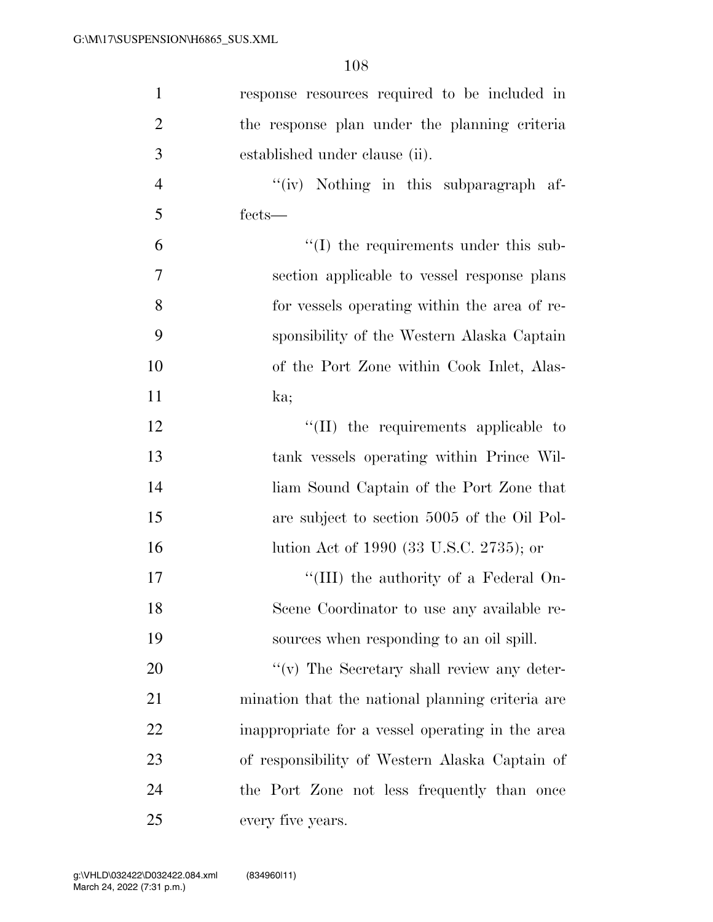| $\mathbf{1}$   | response resources required to be included in    |
|----------------|--------------------------------------------------|
| $\overline{2}$ | the response plan under the planning criteria    |
| 3              | established under clause (ii).                   |
| $\overline{4}$ | "(iv) Nothing in this subparagraph af-           |
| 5              | fects—                                           |
| 6              | "(I) the requirements under this sub-            |
| $\overline{7}$ | section applicable to vessel response plans      |
| 8              | for vessels operating within the area of re-     |
| 9              | sponsibility of the Western Alaska Captain       |
| 10             | of the Port Zone within Cook Inlet, Alas-        |
| 11             | ka;                                              |
| 12             | "(II) the requirements applicable to             |
| 13             | tank vessels operating within Prince Wil-        |
| 14             | liam Sound Captain of the Port Zone that         |
| 15             | are subject to section 5005 of the Oil Pol-      |
| 16             | lution Act of 1990 (33 U.S.C. 2735); or          |
| 17             | "(III) the authority of a Federal On-            |
| 18             | Scene Coordinator to use any available re-       |
| 19             | sources when responding to an oil spill.         |
| 20             | $f'(v)$ The Secretary shall review any deter-    |
| 21             | mination that the national planning criteria are |
| 22             | inappropriate for a vessel operating in the area |
| 23             | of responsibility of Western Alaska Captain of   |
| 24             | the Port Zone not less frequently than once      |
| 25             | every five years.                                |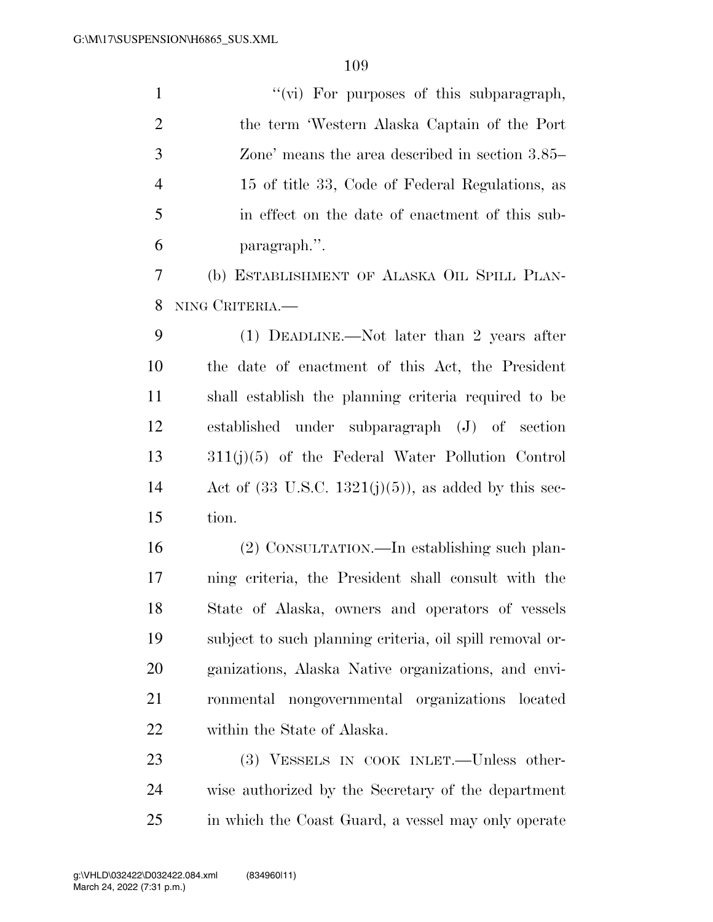1 ''(vi) For purposes of this subparagraph, the term 'Western Alaska Captain of the Port Zone' means the area described in section 3.85– 15 of title 33, Code of Federal Regulations, as in effect on the date of enactment of this sub- paragraph.''. (b) ESTABLISHMENT OF ALASKA OIL SPILL PLAN-

NING CRITERIA.—

 (1) DEADLINE.—Not later than 2 years after the date of enactment of this Act, the President shall establish the planning criteria required to be established under subparagraph (J) of section 311(j)(5) of the Federal Water Pollution Control 14 Act of  $(33 \text{ U.S.C. } 1321(i)(5))$ , as added by this sec-tion.

 (2) CONSULTATION.—In establishing such plan- ning criteria, the President shall consult with the State of Alaska, owners and operators of vessels subject to such planning criteria, oil spill removal or- ganizations, Alaska Native organizations, and envi- ronmental nongovernmental organizations located within the State of Alaska.

23 (3) VESSELS IN COOK INLET.—Unless other- wise authorized by the Secretary of the department in which the Coast Guard, a vessel may only operate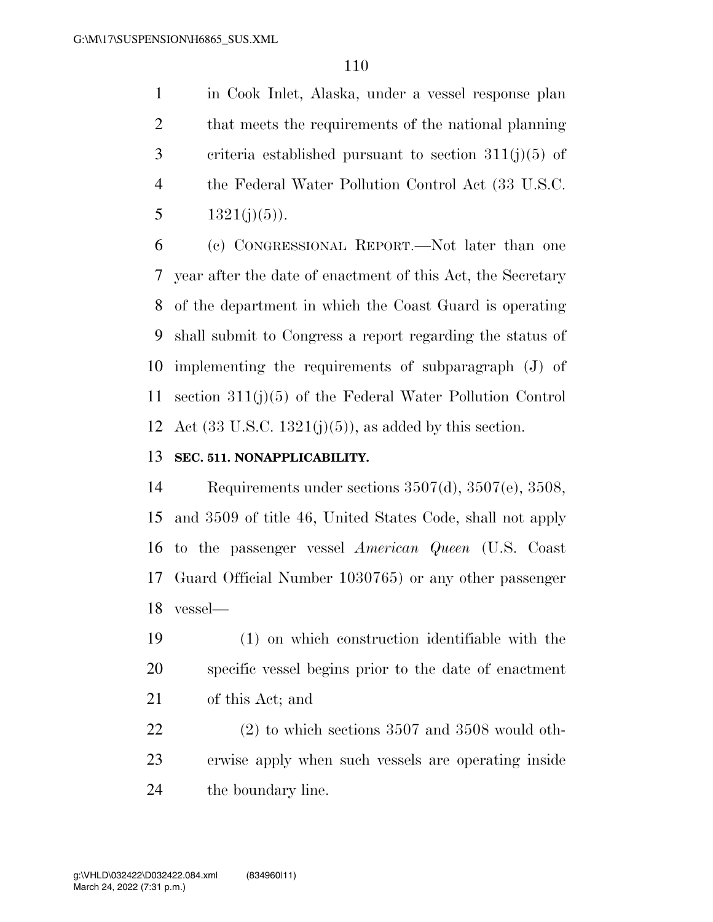in Cook Inlet, Alaska, under a vessel response plan 2 that meets the requirements of the national planning 3 criteria established pursuant to section  $311(j)(5)$  of the Federal Water Pollution Control Act (33 U.S.C. 5  $1321(j)(5)$ ).

 (c) CONGRESSIONAL REPORT.—Not later than one year after the date of enactment of this Act, the Secretary of the department in which the Coast Guard is operating shall submit to Congress a report regarding the status of implementing the requirements of subparagraph (J) of section 311(j)(5) of the Federal Water Pollution Control 12 Act  $(33 \text{ U.S.C. } 1321(j)(5))$ , as added by this section.

#### **SEC. 511. NONAPPLICABILITY.**

 Requirements under sections 3507(d), 3507(e), 3508, and 3509 of title 46, United States Code, shall not apply to the passenger vessel *American Queen* (U.S. Coast Guard Official Number 1030765) or any other passenger vessel—

 (1) on which construction identifiable with the specific vessel begins prior to the date of enactment of this Act; and

 (2) to which sections 3507 and 3508 would oth- erwise apply when such vessels are operating inside the boundary line.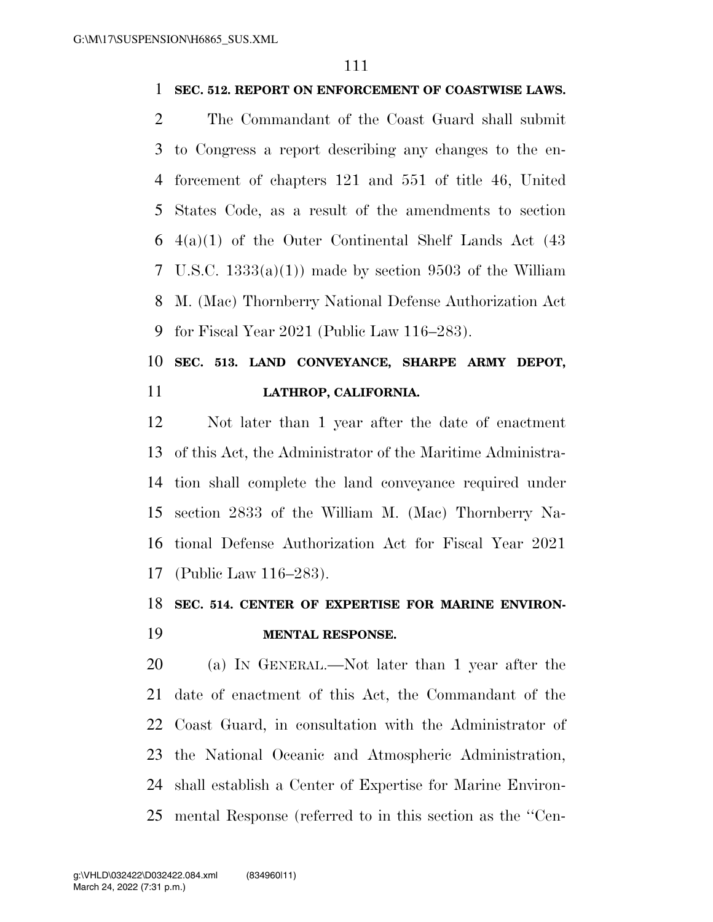#### **SEC. 512. REPORT ON ENFORCEMENT OF COASTWISE LAWS.**

 The Commandant of the Coast Guard shall submit to Congress a report describing any changes to the en- forcement of chapters 121 and 551 of title 46, United States Code, as a result of the amendments to section  $6\quad 4(a)(1)$  of the Outer Continental Shelf Lands Act  $(43)$ 7 U.S.C.  $1333(a)(1)$  made by section 9503 of the William M. (Mac) Thornberry National Defense Authorization Act for Fiscal Year 2021 (Public Law 116–283).

# **SEC. 513. LAND CONVEYANCE, SHARPE ARMY DEPOT, LATHROP, CALIFORNIA.**

 Not later than 1 year after the date of enactment of this Act, the Administrator of the Maritime Administra- tion shall complete the land conveyance required under section 2833 of the William M. (Mac) Thornberry Na- tional Defense Authorization Act for Fiscal Year 2021 (Public Law 116–283).

# **SEC. 514. CENTER OF EXPERTISE FOR MARINE ENVIRON-**

### **MENTAL RESPONSE.**

 (a) IN GENERAL.—Not later than 1 year after the date of enactment of this Act, the Commandant of the Coast Guard, in consultation with the Administrator of the National Oceanic and Atmospheric Administration, shall establish a Center of Expertise for Marine Environ-mental Response (referred to in this section as the ''Cen-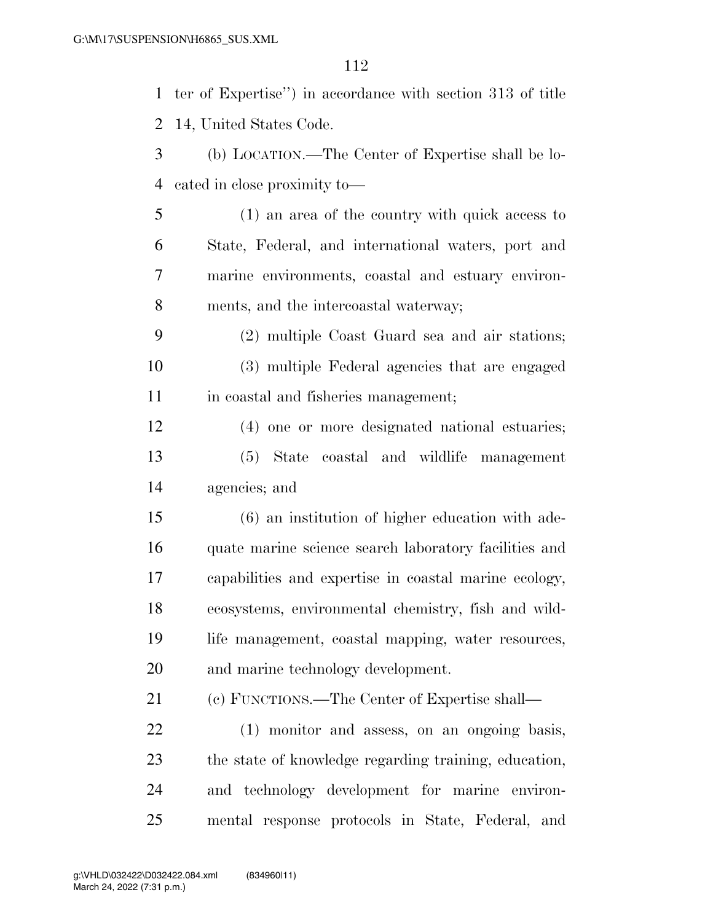ter of Expertise'') in accordance with section 313 of title 14, United States Code. (b) LOCATION.—The Center of Expertise shall be lo- cated in close proximity to— (1) an area of the country with quick access to State, Federal, and international waters, port and marine environments, coastal and estuary environ- ments, and the intercoastal waterway; (2) multiple Coast Guard sea and air stations; (3) multiple Federal agencies that are engaged 11 in coastal and fisheries management; (4) one or more designated national estuaries; (5) State coastal and wildlife management agencies; and (6) an institution of higher education with ade- quate marine science search laboratory facilities and capabilities and expertise in coastal marine ecology, ecosystems, environmental chemistry, fish and wild- life management, coastal mapping, water resources, and marine technology development. (c) FUNCTIONS.—The Center of Expertise shall— (1) monitor and assess, on an ongoing basis, the state of knowledge regarding training, education, and technology development for marine environ-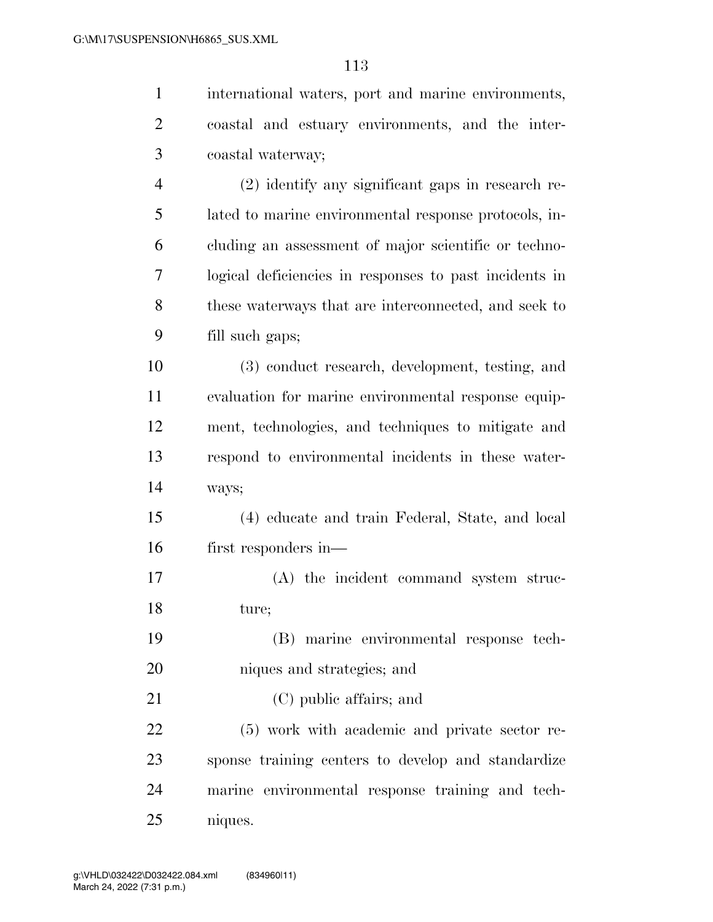| $\mathbf{1}$   | international waters, port and marine environments,    |
|----------------|--------------------------------------------------------|
| $\overline{2}$ | coastal and estuary environments, and the inter-       |
| 3              | coastal waterway;                                      |
| $\overline{4}$ | (2) identify any significant gaps in research re-      |
| 5              | lated to marine environmental response protocols, in-  |
| 6              | cluding an assessment of major scientific or techno-   |
| 7              | logical deficiencies in responses to past incidents in |
| 8              | these waterways that are interconnected, and seek to   |
| 9              | fill such gaps;                                        |
| 10             | (3) conduct research, development, testing, and        |
| 11             | evaluation for marine environmental response equip-    |
| 12             | ment, technologies, and techniques to mitigate and     |
| 13             | respond to environmental incidents in these water-     |
| 14             | ways;                                                  |
| 15             | (4) educate and train Federal, State, and local        |
| 16             | first responders in—                                   |
| 17             | (A) the incident command system struc-                 |
| 18             | ture;                                                  |
| 19             | (B) marine environmental response tech-                |
| 20             | niques and strategies; and                             |
| 21             | (C) public affairs; and                                |
| 22             | (5) work with academic and private sector re-          |
| 23             | sponse training centers to develop and standardize     |
| 24             | marine environmental response training and tech-       |
| 25             | niques.                                                |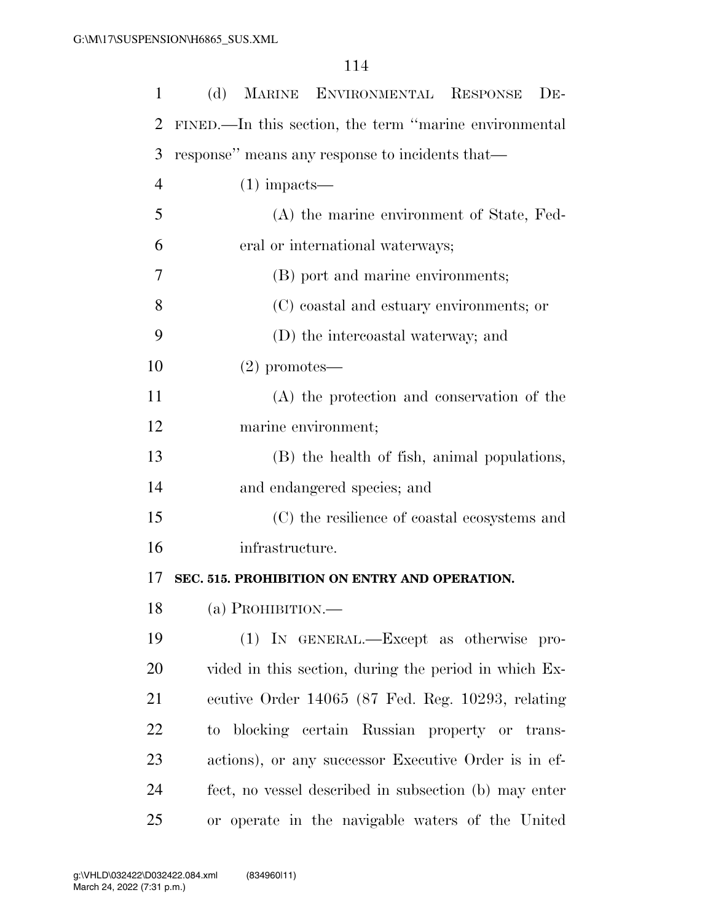| $\mathbf{1}$   | MARINE ENVIRONMENTAL RESPONSE<br>(d)<br>$DE-$          |
|----------------|--------------------------------------------------------|
| 2              | FINED.—In this section, the term "marine environmental |
| 3              | response" means any response to incidents that—        |
| $\overline{4}$ | $(1)$ impacts—                                         |
| 5              | (A) the marine environment of State, Fed-              |
| 6              | eral or international waterways;                       |
| 7              | (B) port and marine environments;                      |
| 8              | (C) coastal and estuary environments; or               |
| 9              | (D) the intercoastal waterway; and                     |
| 10             | $(2)$ promotes—                                        |
| 11             | (A) the protection and conservation of the             |
| 12             | marine environment;                                    |
| 13             | (B) the health of fish, animal populations,            |
| 14             | and endangered species; and                            |
| 15             | (C) the resilience of coastal ecosystems and           |
| 16             | infrastructure.                                        |
| 17             | SEC. 515. PROHIBITION ON ENTRY AND OPERATION.          |
| 18             | (a) PROHIBITION.—                                      |
| 19             | (1) IN GENERAL.—Except as otherwise pro-               |
| 20             | vided in this section, during the period in which Ex-  |
| 21             | ecutive Order 14065 (87 Fed. Reg. 10293, relating      |
| 22             | to blocking certain Russian property or trans-         |
| 23             | actions), or any successor Executive Order is in ef-   |
| 24             | fect, no vessel described in subsection (b) may enter  |
| 25             | or operate in the navigable waters of the United       |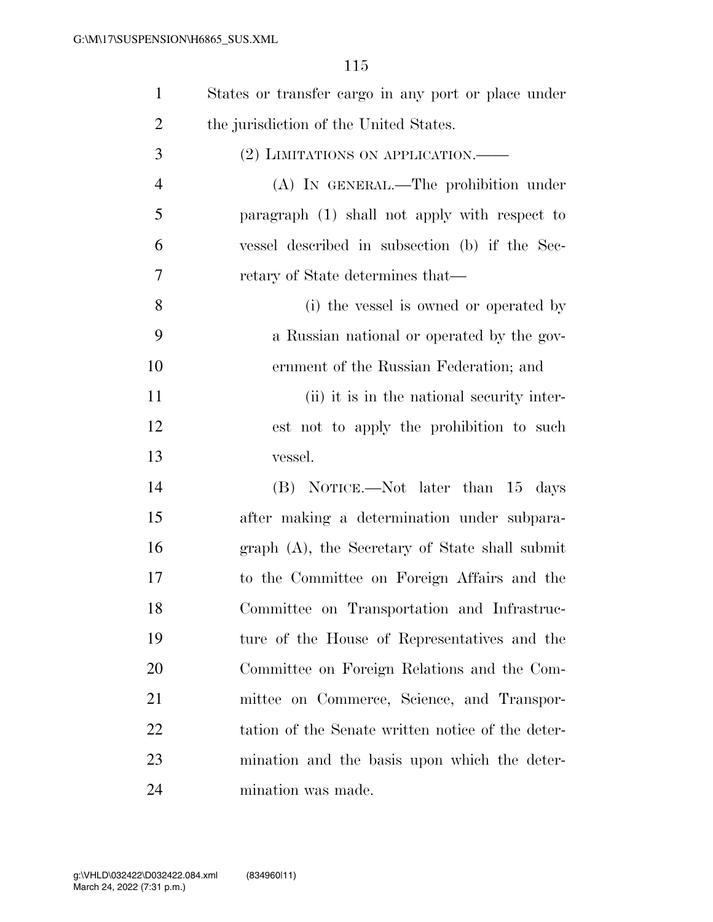| $\mathbf{1}$   | States or transfer cargo in any port or place under |
|----------------|-----------------------------------------------------|
| $\overline{2}$ | the jurisdiction of the United States.              |
| 3              | (2) LIMITATIONS ON APPLICATION. —                   |
| $\overline{4}$ | (A) IN GENERAL.—The prohibition under               |
| 5              | paragraph (1) shall not apply with respect to       |
| 6              | vessel described in subsection (b) if the Sec-      |
| 7              | retary of State determines that—                    |
| 8              | (i) the vessel is owned or operated by              |
| 9              | a Russian national or operated by the gov-          |
| 10             | ernment of the Russian Federation; and              |
| 11             | (ii) it is in the national security inter-          |
| 12             | est not to apply the prohibition to such            |
| 13             | vessel.                                             |
| 14             | (B) NOTICE.—Not later than 15 days                  |
| 15             | after making a determination under subpara-         |
| 16             | graph (A), the Secretary of State shall submit      |
| 17             | to the Committee on Foreign Affairs and the         |
| 18             | Committee on Transportation and Infrastruc-         |
| 19             | ture of the House of Representatives and the        |
| 20             | Committee on Foreign Relations and the Com-         |
| 21             | mittee on Commerce, Science, and Transpor-          |
| 22             | tation of the Senate written notice of the deter-   |
| 23             | mination and the basis upon which the deter-        |
| 24             | mination was made.                                  |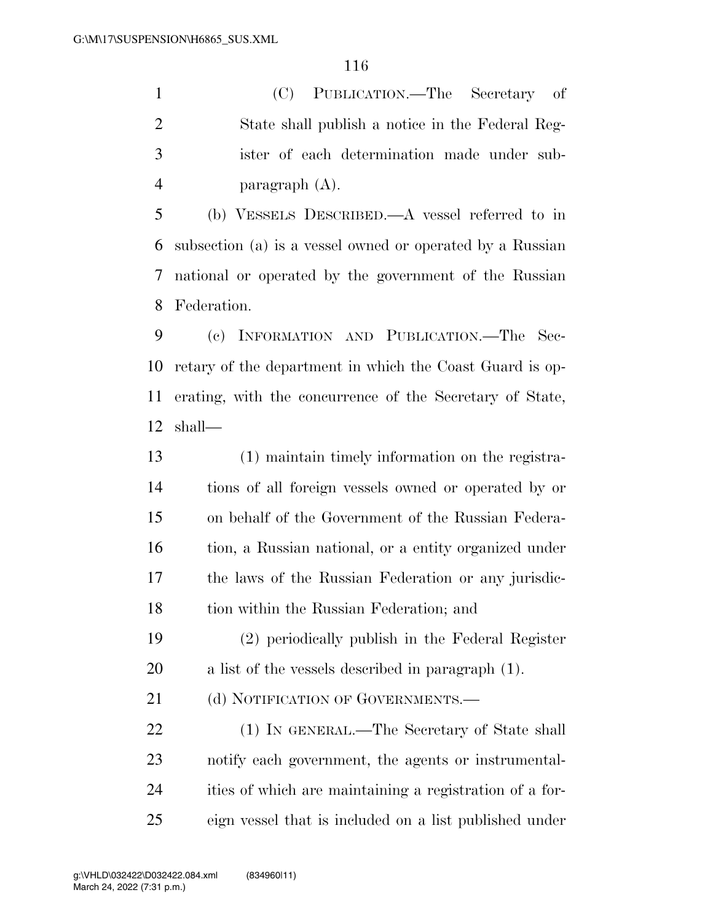(C) PUBLICATION.—The Secretary of State shall publish a notice in the Federal Reg- ister of each determination made under sub-paragraph (A).

 (b) VESSELS DESCRIBED.—A vessel referred to in subsection (a) is a vessel owned or operated by a Russian national or operated by the government of the Russian Federation.

 (c) INFORMATION AND PUBLICATION.—The Sec- retary of the department in which the Coast Guard is op- erating, with the concurrence of the Secretary of State, shall—

 (1) maintain timely information on the registra- tions of all foreign vessels owned or operated by or on behalf of the Government of the Russian Federa- tion, a Russian national, or a entity organized under the laws of the Russian Federation or any jurisdic-tion within the Russian Federation; and

 (2) periodically publish in the Federal Register a list of the vessels described in paragraph (1).

21 (d) NOTIFICATION OF GOVERNMENTS.

 (1) IN GENERAL.—The Secretary of State shall notify each government, the agents or instrumental- ities of which are maintaining a registration of a for-eign vessel that is included on a list published under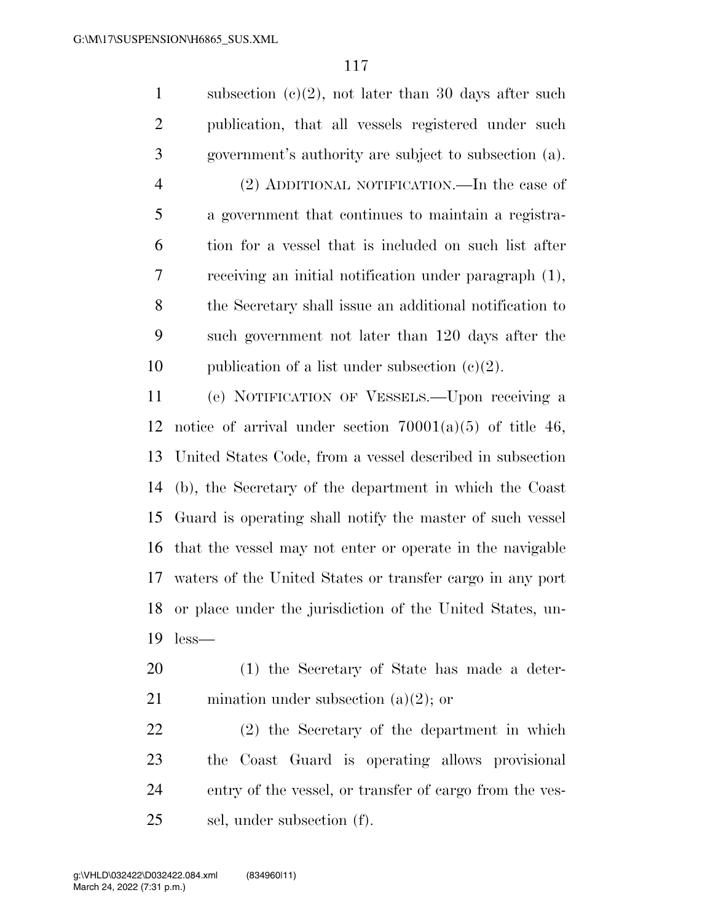1 subsection  $(c)(2)$ , not later than 30 days after such publication, that all vessels registered under such government's authority are subject to subsection (a). (2) ADDITIONAL NOTIFICATION.—In the case of a government that continues to maintain a registra- tion for a vessel that is included on such list after receiving an initial notification under paragraph (1), the Secretary shall issue an additional notification to such government not later than 120 days after the 10 publication of a list under subsection  $(e)(2)$ . (e) NOTIFICATION OF VESSELS.—Upon receiving a 12 notice of arrival under section  $70001(a)(5)$  of title 46, United States Code, from a vessel described in subsection (b), the Secretary of the department in which the Coast Guard is operating shall notify the master of such vessel that the vessel may not enter or operate in the navigable waters of the United States or transfer cargo in any port or place under the jurisdiction of the United States, un-less—

 (1) the Secretary of State has made a deter-21 mination under subsection  $(a)(2)$ ; or

 (2) the Secretary of the department in which the Coast Guard is operating allows provisional entry of the vessel, or transfer of cargo from the ves-sel, under subsection (f).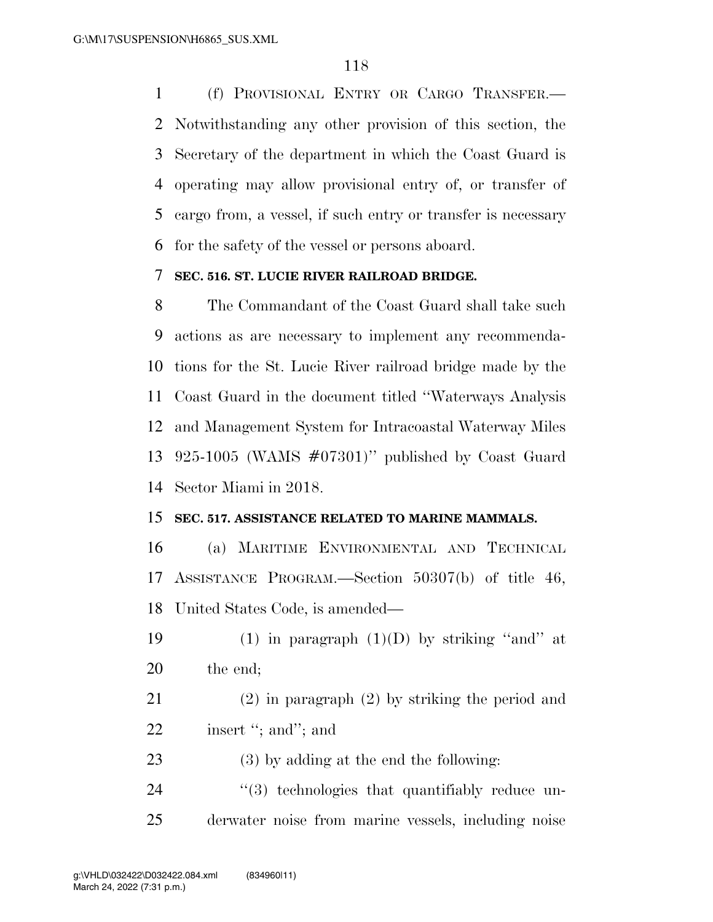(f) PROVISIONAL ENTRY OR CARGO TRANSFER.— Notwithstanding any other provision of this section, the Secretary of the department in which the Coast Guard is operating may allow provisional entry of, or transfer of cargo from, a vessel, if such entry or transfer is necessary for the safety of the vessel or persons aboard.

#### **SEC. 516. ST. LUCIE RIVER RAILROAD BRIDGE.**

 The Commandant of the Coast Guard shall take such actions as are necessary to implement any recommenda- tions for the St. Lucie River railroad bridge made by the Coast Guard in the document titled ''Waterways Analysis and Management System for Intracoastal Waterway Miles 925-1005 (WAMS #07301)'' published by Coast Guard Sector Miami in 2018.

#### **SEC. 517. ASSISTANCE RELATED TO MARINE MAMMALS.**

 (a) MARITIME ENVIRONMENTAL AND TECHNICAL ASSISTANCE PROGRAM.—Section 50307(b) of title 46, United States Code, is amended—

- 19 (1) in paragraph  $(1)(D)$  by striking "and" at 20 the end;
- (2) in paragraph (2) by striking the period and 22 insert "; and"; and
- (3) by adding at the end the following:

24  $\frac{1}{2}$  (3) technologies that quantifiably reduce un-derwater noise from marine vessels, including noise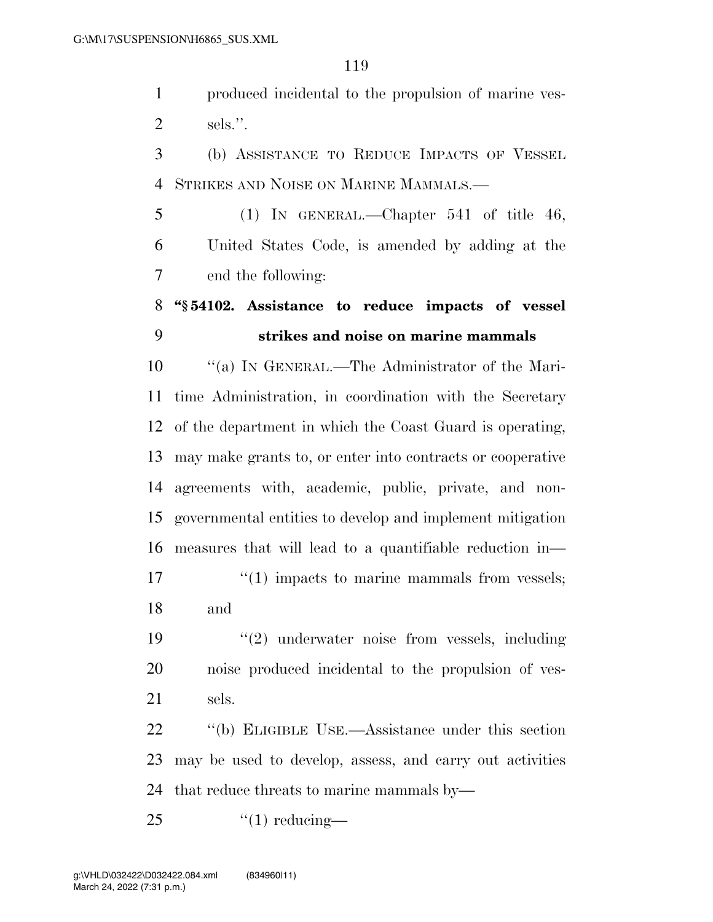produced incidental to the propulsion of marine ves-sels.''.

 (b) ASSISTANCE TO REDUCE IMPACTS OF VESSEL STRIKES AND NOISE ON MARINE MAMMALS.—

 (1) IN GENERAL.—Chapter 541 of title 46, United States Code, is amended by adding at the end the following:

# **''§ 54102. Assistance to reduce impacts of vessel strikes and noise on marine mammals**

 ''(a) IN GENERAL.—The Administrator of the Mari- time Administration, in coordination with the Secretary of the department in which the Coast Guard is operating, may make grants to, or enter into contracts or cooperative agreements with, academic, public, private, and non- governmental entities to develop and implement mitigation measures that will lead to a quantifiable reduction in—  $\frac{17}{2}$  ''(1) impacts to marine mammals from vessels; and

 ''(2) underwater noise from vessels, including noise produced incidental to the propulsion of ves-sels.

 ''(b) ELIGIBLE USE.—Assistance under this section may be used to develop, assess, and carry out activities that reduce threats to marine mammals by—

''(1) reducing-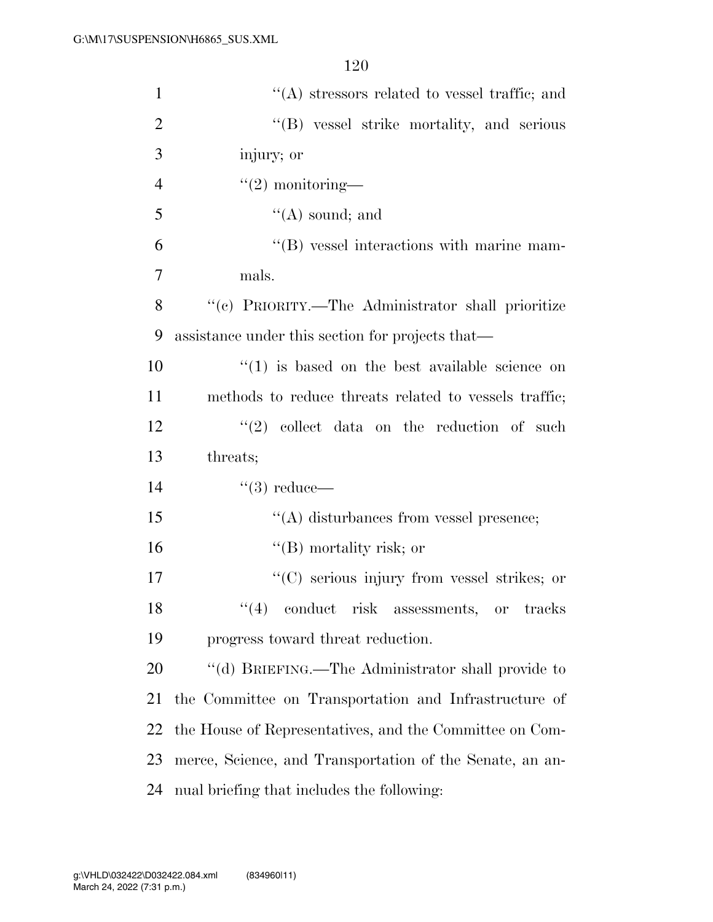| $\mathbf{1}$   | $\lq\lq$ stressors related to vessel traffic; and                                                                                                                            |
|----------------|------------------------------------------------------------------------------------------------------------------------------------------------------------------------------|
| $\overline{2}$ | "(B) vessel strike mortality, and serious                                                                                                                                    |
| 3              | injury; or                                                                                                                                                                   |
| $\overline{4}$ | $"(2)$ monitoring—                                                                                                                                                           |
| 5              | $\lq\lq$ sound; and                                                                                                                                                          |
| 6              | $\lq\lq$ vessel interactions with marine mam-                                                                                                                                |
| $\overline{7}$ | mals.                                                                                                                                                                        |
| 8              | "(c) PRIORITY.—The Administrator shall prioritize                                                                                                                            |
| 9              | assistance under this section for projects that—                                                                                                                             |
| 10             | $\cdot$ (1) is based on the best available science on                                                                                                                        |
| 11             | methods to reduce threats related to vessels traffic;                                                                                                                        |
| 12             | $\lq(2)$ collect data on the reduction of such                                                                                                                               |
| 13             | threats;                                                                                                                                                                     |
| 14             | $``(3)$ reduce—                                                                                                                                                              |
|                |                                                                                                                                                                              |
| 15             | $\lq\lq$ disturbances from vessel presence;                                                                                                                                  |
| 16             | $\lq\lq (B)$ mortality risk; or                                                                                                                                              |
| 17             | "(C) serious injury from vessel strikes; or                                                                                                                                  |
| 18             | $(4)$ conduct risk assessments, or<br>$\operatorname*{tracks}% \operatorname*{argmax}\left\{ \mathcal{N}_{i}\right\} =\operatorname*{argmax}\left\{ \mathcal{N}_{i}\right\}$ |
| 19             | progress toward threat reduction.                                                                                                                                            |
| 20             | "(d) BRIEFING.—The Administrator shall provide to                                                                                                                            |
| 21             | the Committee on Transportation and Infrastructure of                                                                                                                        |
| 22             | the House of Representatives, and the Committee on Com-                                                                                                                      |
| 23             | merce, Science, and Transportation of the Senate, an an-                                                                                                                     |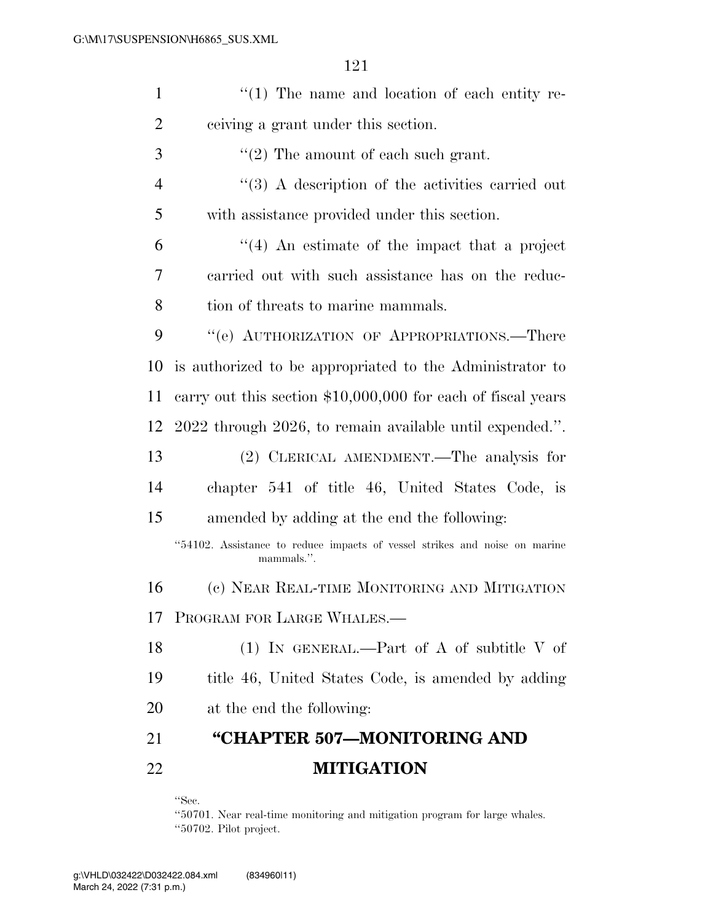| $\mathbf{1}$   | $\lq(1)$ The name and location of each entity re-                                        |
|----------------|------------------------------------------------------------------------------------------|
| $\overline{2}$ | ceiving a grant under this section.                                                      |
| 3              | $\lq(2)$ The amount of each such grant.                                                  |
| $\overline{4}$ | $\lq(3)$ A description of the activities carried out                                     |
| 5              | with assistance provided under this section.                                             |
| 6              | $\cdot$ (4) An estimate of the impact that a project                                     |
| 7              | carried out with such assistance has on the reduc-                                       |
| 8              | tion of threats to marine mammals.                                                       |
| 9              | "(e) AUTHORIZATION OF APPROPRIATIONS.—There                                              |
| 10             | is authorized to be appropriated to the Administrator to                                 |
| 11             | carry out this section $$10,000,000$ for each of fiscal years                            |
| 12             | 2022 through 2026, to remain available until expended.".                                 |
| 13             | (2) CLERICAL AMENDMENT.—The analysis for                                                 |
| 14             | chapter 541 of title 46, United States Code, is                                          |
| 15             | amended by adding at the end the following:                                              |
|                | "54102. Assistance to reduce impacts of vessel strikes and noise on marine<br>mammals.". |
| 16             | (c) NEAR REAL-TIME MONITORING AND MITIGATION                                             |
| 17             | PROGRAM FOR LARGE WHALES.                                                                |
| 18             | (1) IN GENERAL.—Part of A of subtitle V of                                               |
| 19             | title 46, United States Code, is amended by adding                                       |
| 20             | at the end the following:                                                                |
| 21             | "CHAPTER 507—MONITORING AND                                                              |
| 22             | <b>MITIGATION</b>                                                                        |

''Sec.

''50701. Near real-time monitoring and mitigation program for large whales. ''50702. Pilot project.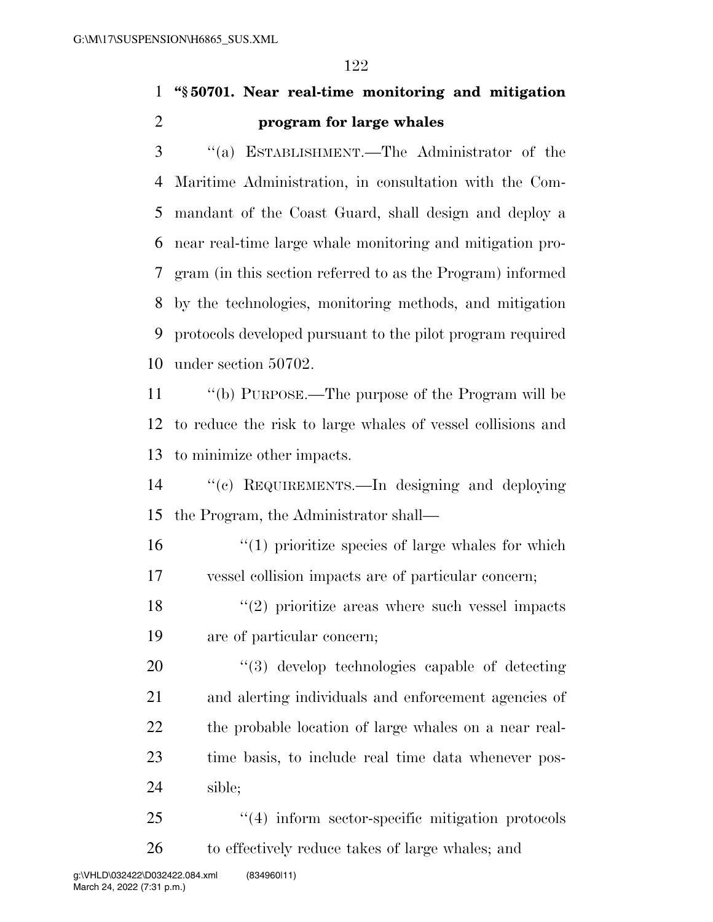# **''§ 50701. Near real-time monitoring and mitigation program for large whales**

 ''(a) ESTABLISHMENT.—The Administrator of the Maritime Administration, in consultation with the Com- mandant of the Coast Guard, shall design and deploy a near real-time large whale monitoring and mitigation pro- gram (in this section referred to as the Program) informed by the technologies, monitoring methods, and mitigation protocols developed pursuant to the pilot program required under section 50702.

 ''(b) PURPOSE.—The purpose of the Program will be to reduce the risk to large whales of vessel collisions and to minimize other impacts.

 ''(c) REQUIREMENTS.—In designing and deploying the Program, the Administrator shall—

16  $\frac{1}{10}$   $\frac{1}{20}$  is the species of large whales for which vessel collision impacts are of particular concern;

18 ''(2) prioritize areas where such vessel impacts are of particular concern;

 $\frac{4}{3}$  develop technologies capable of detecting and alerting individuals and enforcement agencies of the probable location of large whales on a near real- time basis, to include real time data whenever pos-sible;

25 "(4) inform sector-specific mitigation protocols to effectively reduce takes of large whales; and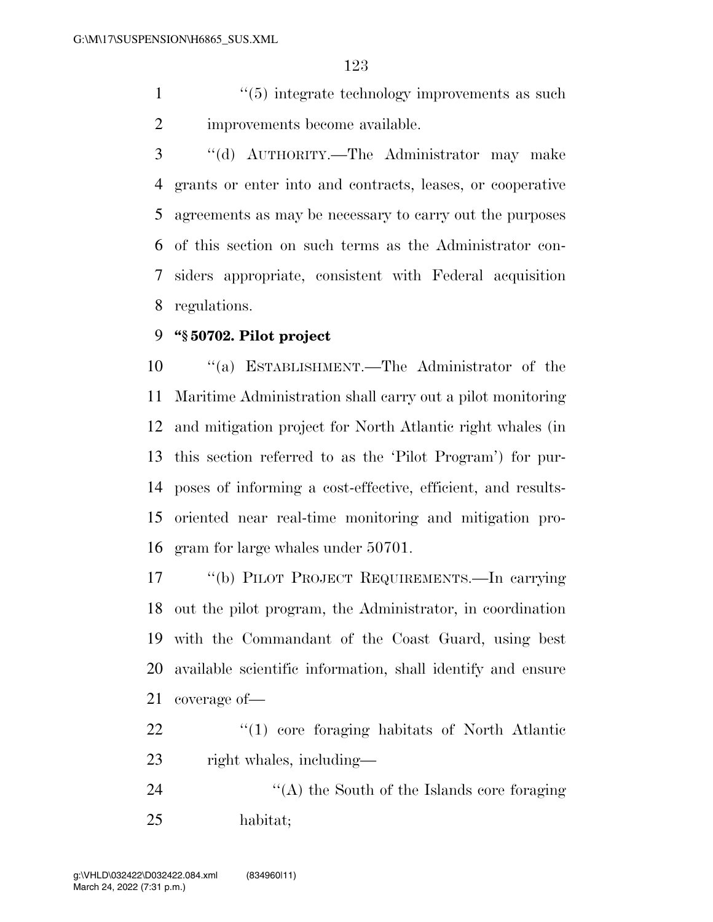1 ''(5) integrate technology improvements as such improvements become available.

 ''(d) AUTHORITY.—The Administrator may make grants or enter into and contracts, leases, or cooperative agreements as may be necessary to carry out the purposes of this section on such terms as the Administrator con- siders appropriate, consistent with Federal acquisition regulations.

#### **''§ 50702. Pilot project**

 ''(a) ESTABLISHMENT.—The Administrator of the Maritime Administration shall carry out a pilot monitoring and mitigation project for North Atlantic right whales (in this section referred to as the 'Pilot Program') for pur- poses of informing a cost-effective, efficient, and results- oriented near real-time monitoring and mitigation pro-gram for large whales under 50701.

 ''(b) PILOT PROJECT REQUIREMENTS.—In carrying out the pilot program, the Administrator, in coordination with the Commandant of the Coast Guard, using best available scientific information, shall identify and ensure coverage of—

22  $\frac{1}{2}$  (1) core foraging habitats of North Atlantic right whales, including—

24 ''(A) the South of the Islands core foraging habitat;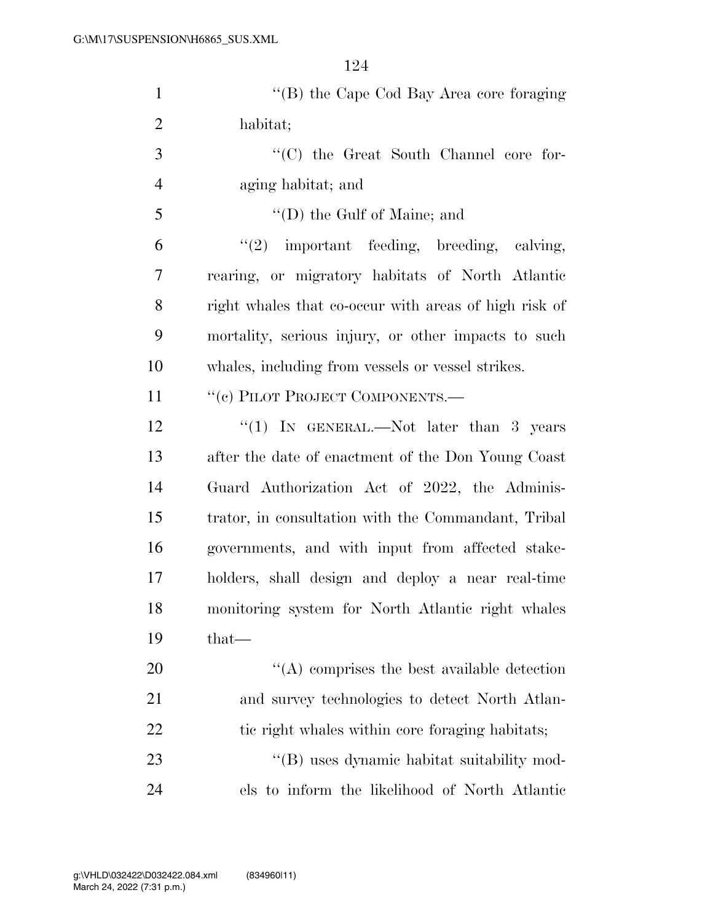| $\mathbf{1}$   | "(B) the Cape Cod Bay Area core foraging              |
|----------------|-------------------------------------------------------|
| $\overline{2}$ | habitat;                                              |
| 3              | "(C) the Great South Channel core for-                |
| $\overline{4}$ | aging habitat; and                                    |
| 5              | $\lq\lq$ (D) the Gulf of Maine; and                   |
| 6              | $"(2)$ important feeding, breeding, calving,          |
| 7              | rearing, or migratory habitats of North Atlantic      |
| 8              | right whales that co-occur with areas of high risk of |
| 9              | mortality, serious injury, or other impacts to such   |
| 10             | whales, including from vessels or vessel strikes.     |
| 11             | "(c) PILOT PROJECT COMPONENTS.—                       |
| 12             | "(1) IN GENERAL.—Not later than 3 years               |
| 13             | after the date of enactment of the Don Young Coast    |
| 14             | Guard Authorization Act of 2022, the Adminis-         |
| 15             | trator, in consultation with the Commandant, Tribal   |
| 16             | governments, and with input from affected stake-      |
| 17             | holders, shall design and deploy a near real-time     |
| 18             | monitoring system for North Atlantic right whales     |
| 19             | $that-$                                               |
| <b>20</b>      | $\lq\lq$ comprises the best available detection       |
| 21             | and survey technologies to detect North Atlan-        |
| <u>22</u>      | tic right whales within core foraging habitats;       |
| 23             | "(B) uses dynamic habitat suitability mod-            |
| 24             | els to inform the likelihood of North Atlantic        |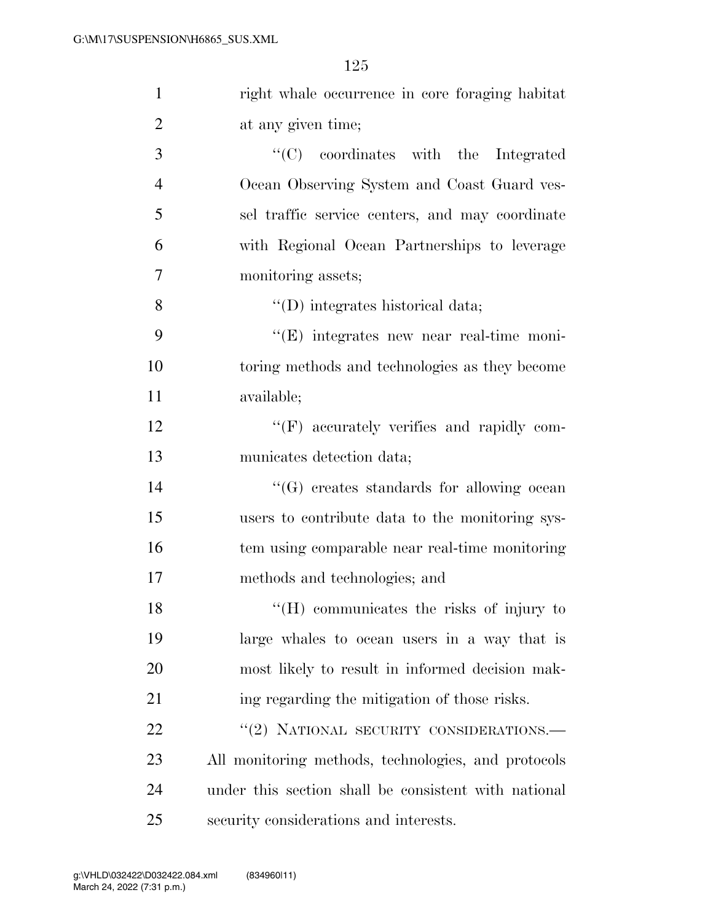| $\mathbf{1}$   | right whale occurrence in core foraging habitat      |
|----------------|------------------------------------------------------|
| $\overline{2}$ | at any given time;                                   |
| 3              | "(C) coordinates with the Integrated                 |
| $\overline{4}$ | Ocean Observing System and Coast Guard ves-          |
| 5              | sel traffic service centers, and may coordinate      |
| 6              | with Regional Ocean Partnerships to leverage         |
| $\tau$         | monitoring assets;                                   |
| 8              | $\lq\lq$ (D) integrates historical data;             |
| 9              | "(E) integrates new near real-time moni-             |
| 10             | toring methods and technologies as they become       |
| 11             | available;                                           |
| 12             | "(F) accurately verifies and rapidly com-            |
| 13             | municates detection data;                            |
| 14             | $\lq\lq(G)$ creates standards for allowing ocean     |
| 15             | users to contribute data to the monitoring sys-      |
| 16             | tem using comparable near real-time monitoring       |
| 17             | methods and technologies; and                        |
| 18             | "(H) communicates the risks of injury to             |
| 19             | large whales to ocean users in a way that is         |
| 20             | most likely to result in informed decision mak-      |
| 21             | ing regarding the mitigation of those risks.         |
| 22             | "(2) NATIONAL SECURITY CONSIDERATIONS.-              |
| 23             | All monitoring methods, technologies, and protocols  |
| 24             | under this section shall be consistent with national |
| 25             | security considerations and interests.               |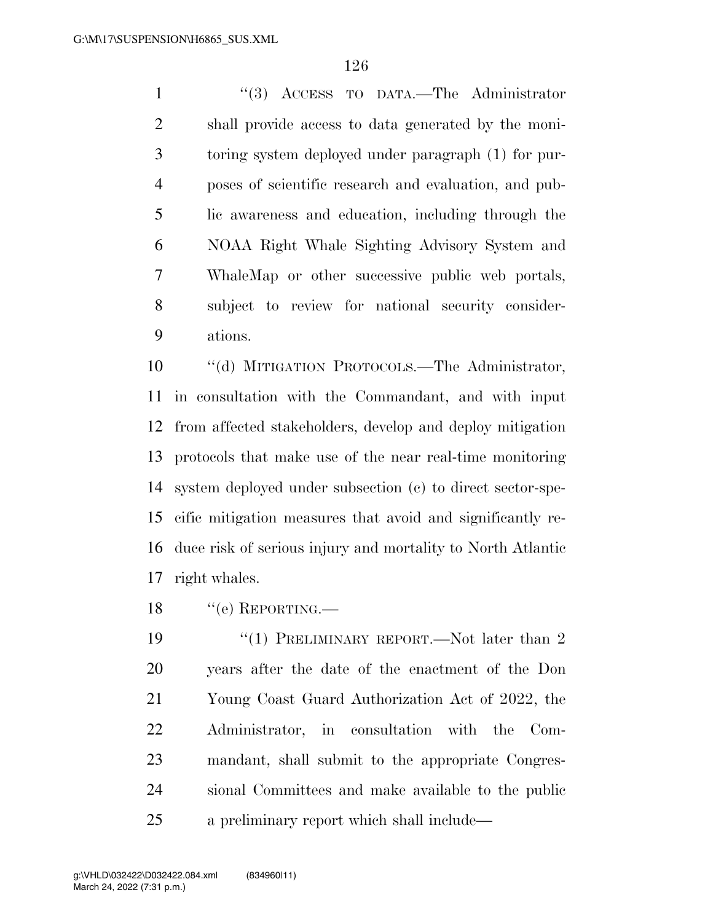''(3) ACCESS TO DATA.—The Administrator shall provide access to data generated by the moni- toring system deployed under paragraph (1) for pur- poses of scientific research and evaluation, and pub- lic awareness and education, including through the NOAA Right Whale Sighting Advisory System and WhaleMap or other successive public web portals, subject to review for national security consider-ations.

 ''(d) MITIGATION PROTOCOLS.—The Administrator, in consultation with the Commandant, and with input from affected stakeholders, develop and deploy mitigation protocols that make use of the near real-time monitoring system deployed under subsection (c) to direct sector-spe- cific mitigation measures that avoid and significantly re- duce risk of serious injury and mortality to North Atlantic right whales.

18 "(e) REPORTING.—

19 ''(1) PRELIMINARY REPORT.—Not later than 2 years after the date of the enactment of the Don Young Coast Guard Authorization Act of 2022, the Administrator, in consultation with the Com- mandant, shall submit to the appropriate Congres- sional Committees and make available to the public a preliminary report which shall include—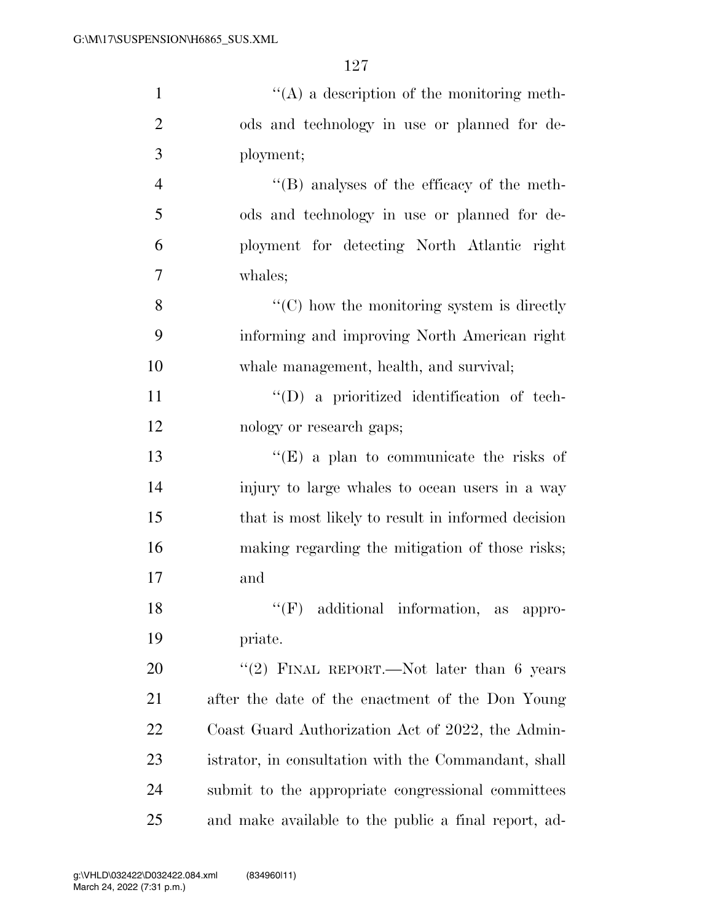| $\mathbf{1}$   | $\lq\lq$ (A) a description of the monitoring meth-              |
|----------------|-----------------------------------------------------------------|
| $\overline{2}$ | ods and technology in use or planned for de-                    |
| 3              | ployment;                                                       |
| $\overline{4}$ | $\lq\lq$ (B) analyses of the efficacy of the meth-              |
| 5              | ods and technology in use or planned for de-                    |
| 6              | ployment for detecting North Atlantic right                     |
| 7              | whales;                                                         |
| 8              | $\lq\lq$ <sup>c</sup> (C) how the monitoring system is directly |
| 9              | informing and improving North American right                    |
| 10             | whale management, health, and survival;                         |
| 11             | $\lq\lq$ (D) a prioritized identification of tech-              |
| 12             | nology or research gaps;                                        |
| 13             | "(E) a plan to communicate the risks of                         |
| 14             | injury to large whales to ocean users in a way                  |
| 15             | that is most likely to result in informed decision              |
| 16             | making regarding the mitigation of those risks;                 |
| 17             | and                                                             |
| 18             | $\lq\lq(F)$ additional information,<br>as appro-                |
| 19             | priate.                                                         |
| 20             | "(2) FINAL REPORT.—Not later than $6$ years                     |
| 21             | after the date of the enactment of the Don Young                |
| 22             | Coast Guard Authorization Act of 2022, the Admin-               |
| 23             | istrator, in consultation with the Commandant, shall            |
| 24             | submit to the appropriate congressional committees              |
| 25             | and make available to the public a final report, ad-            |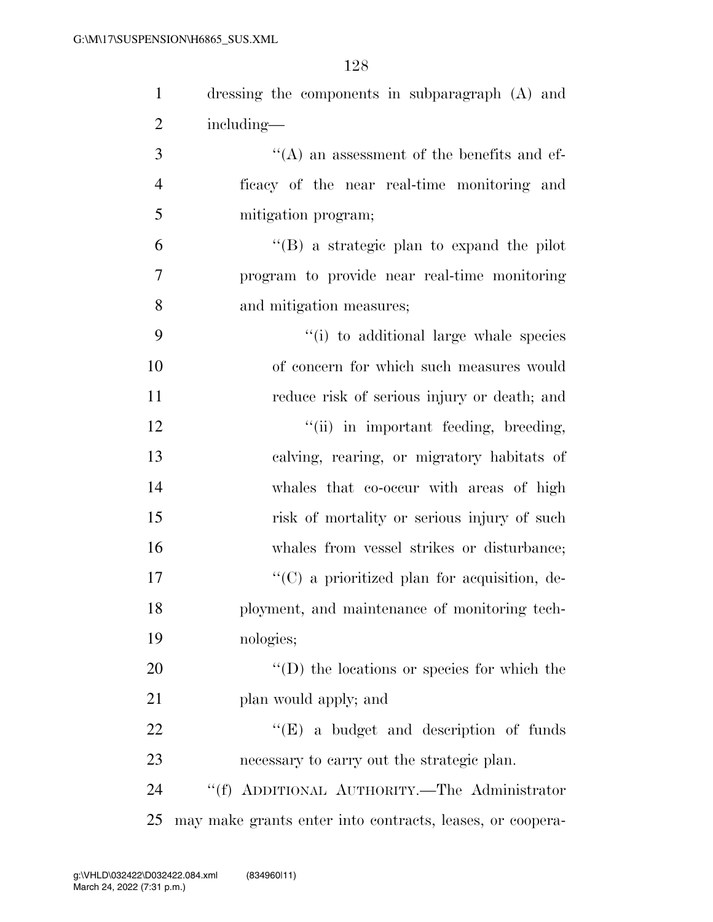| $\mathbf{1}$   | dressing the components in subparagraph (A) and           |
|----------------|-----------------------------------------------------------|
| $\overline{2}$ | including—                                                |
| 3              | $\lq\lq$ an assessment of the benefits and ef-            |
| $\overline{4}$ | ficacy of the near real-time monitoring and               |
| 5              | mitigation program;                                       |
| 6              | "(B) a strategic plan to expand the pilot                 |
| $\tau$         | program to provide near real-time monitoring              |
| 8              | and mitigation measures;                                  |
| 9              | "(i) to additional large whale species                    |
| 10             | of concern for which such measures would                  |
| 11             | reduce risk of serious injury or death; and               |
| 12             | "(ii) in important feeding, breeding,                     |
| 13             | calving, rearing, or migratory habitats of                |
| 14             | whales that co-occur with areas of high                   |
| 15             | risk of mortality or serious injury of such               |
| 16             | whales from vessel strikes or disturbance;                |
| 17             | $\lq\lq$ (C) a prioritized plan for acquisition, de-      |
| 18             | ployment, and maintenance of monitoring tech-             |
| 19             | nologies;                                                 |
| 20             | $\lq\lq$ (D) the locations or species for which the       |
| 21             | plan would apply; and                                     |
| 22             | $\lq\lq(E)$ a budget and description of funds             |
| 23             | necessary to carry out the strategic plan.                |
| 24             | "(f) ADDITIONAL AUTHORITY.—The Administrator              |
| 25             | may make grants enter into contracts, leases, or coopera- |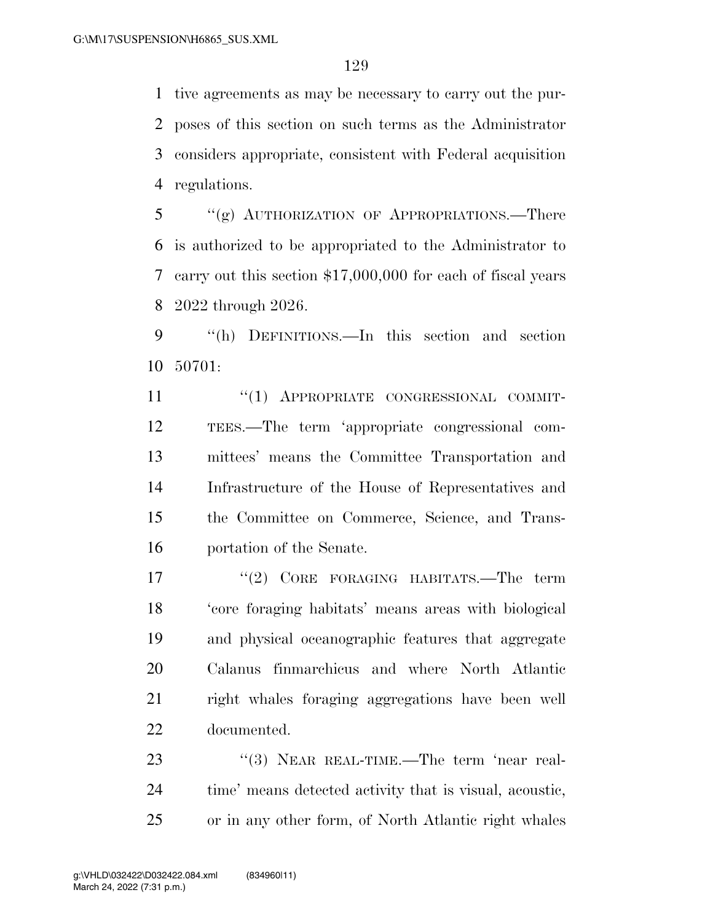tive agreements as may be necessary to carry out the pur- poses of this section on such terms as the Administrator considers appropriate, consistent with Federal acquisition regulations.

 "(g) AUTHORIZATION OF APPROPRIATIONS.—There is authorized to be appropriated to the Administrator to carry out this section \$17,000,000 for each of fiscal years 2022 through 2026.

 ''(h) DEFINITIONS.—In this section and section 50701:

11 "(1) APPROPRIATE CONGRESSIONAL COMMIT- TEES.—The term 'appropriate congressional com- mittees' means the Committee Transportation and Infrastructure of the House of Representatives and the Committee on Commerce, Science, and Trans-portation of the Senate.

17 ''(2) CORE FORAGING HABITATS.—The term 'core foraging habitats' means areas with biological and physical oceanographic features that aggregate Calanus finmarchicus and where North Atlantic right whales foraging aggregations have been well documented.

23 "(3) NEAR REAL-TIME.—The term 'near real- time' means detected activity that is visual, acoustic, or in any other form, of North Atlantic right whales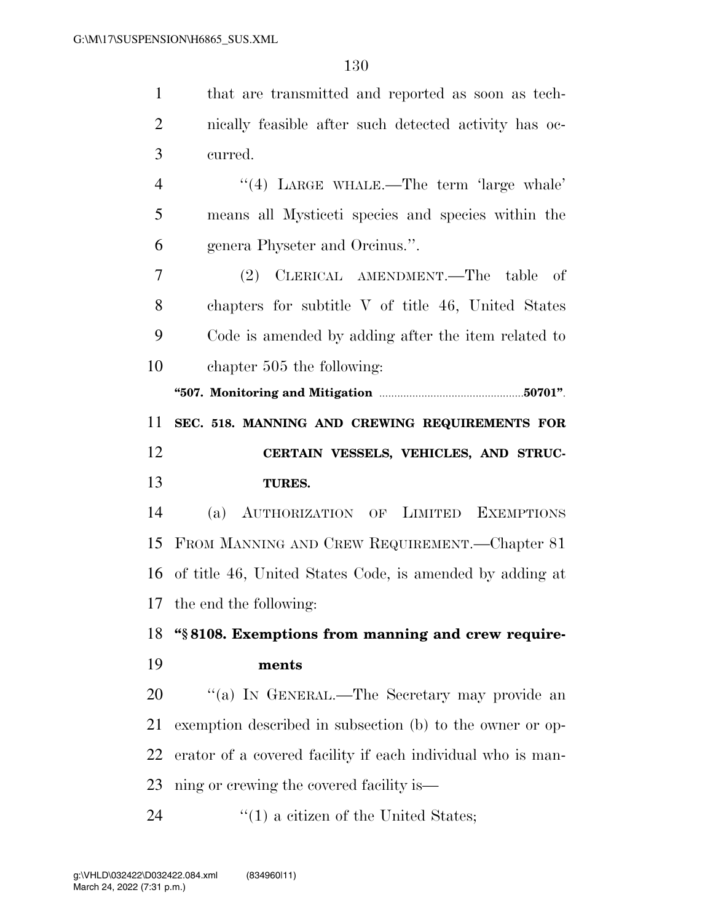| $\mathbf{1}$   | that are transmitted and reported as soon as tech-          |
|----------------|-------------------------------------------------------------|
| $\overline{2}$ | nically feasible after such detected activity has oc-       |
| 3              | curred.                                                     |
| 4              | "(4) LARGE WHALE.—The term 'large whale'                    |
| 5              | means all Mysticeti species and species within the          |
| 6              | genera Physeter and Orcinus.".                              |
| 7              | (2) CLERICAL AMENDMENT.—The table<br>- of                   |
| 8              | chapters for subtitle V of title 46, United States          |
| 9              | Code is amended by adding after the item related to         |
| 10             | chapter 505 the following:                                  |
|                |                                                             |
| 11             | SEC. 518. MANNING AND CREWING REQUIREMENTS FOR              |
|                |                                                             |
| 12             | CERTAIN VESSELS, VEHICLES, AND STRUC-                       |
| 13             | <b>TURES.</b>                                               |
| 14             | AUTHORIZATION OF LIMITED EXEMPTIONS<br>(a)                  |
| 15             | FROM MANNING AND CREW REQUIREMENT.—Chapter 81               |
|                | 16 of title 46, United States Code, is amended by adding at |
|                | 17 the end the following:                                   |
| 18             | "\\$8108. Exemptions from manning and crew require-         |
| 19             | ments                                                       |
| 20             | "(a) IN GENERAL.—The Secretary may provide an               |
| 21             | exemption described in subsection (b) to the owner or op-   |
| 22             | erator of a covered facility if each individual who is man- |
| 23             | ning or crewing the covered facility is—                    |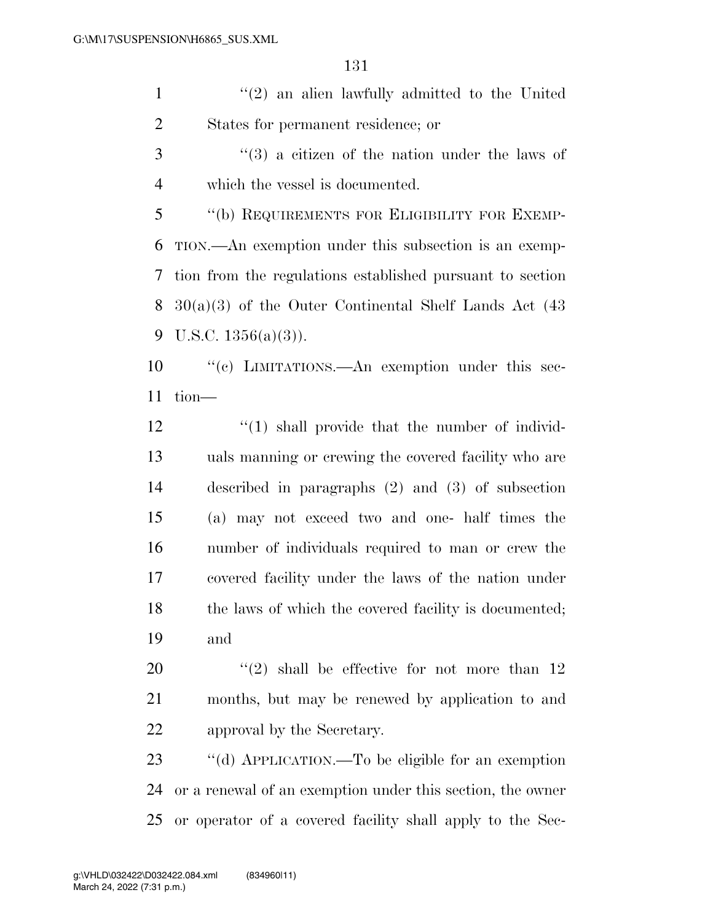''(2) an alien lawfully admitted to the United States for permanent residence; or

3 (3) a citizen of the nation under the laws of which the vessel is documented.

 ''(b) REQUIREMENTS FOR ELIGIBILITY FOR EXEMP- TION.—An exemption under this subsection is an exemp- tion from the regulations established pursuant to section 30(a)(3) of the Outer Continental Shelf Lands Act (43 9 U.S.C.  $1356(a)(3)$ ).

 ''(c) LIMITATIONS.—An exemption under this sec-tion—

12 ''(1) shall provide that the number of individ- uals manning or crewing the covered facility who are described in paragraphs (2) and (3) of subsection (a) may not exceed two and one- half times the number of individuals required to man or crew the covered facility under the laws of the nation under 18 the laws of which the covered facility is documented; and

20  $(2)$  shall be effective for not more than 12 months, but may be renewed by application to and approval by the Secretary.

 ''(d) APPLICATION.—To be eligible for an exemption or a renewal of an exemption under this section, the owner or operator of a covered facility shall apply to the Sec-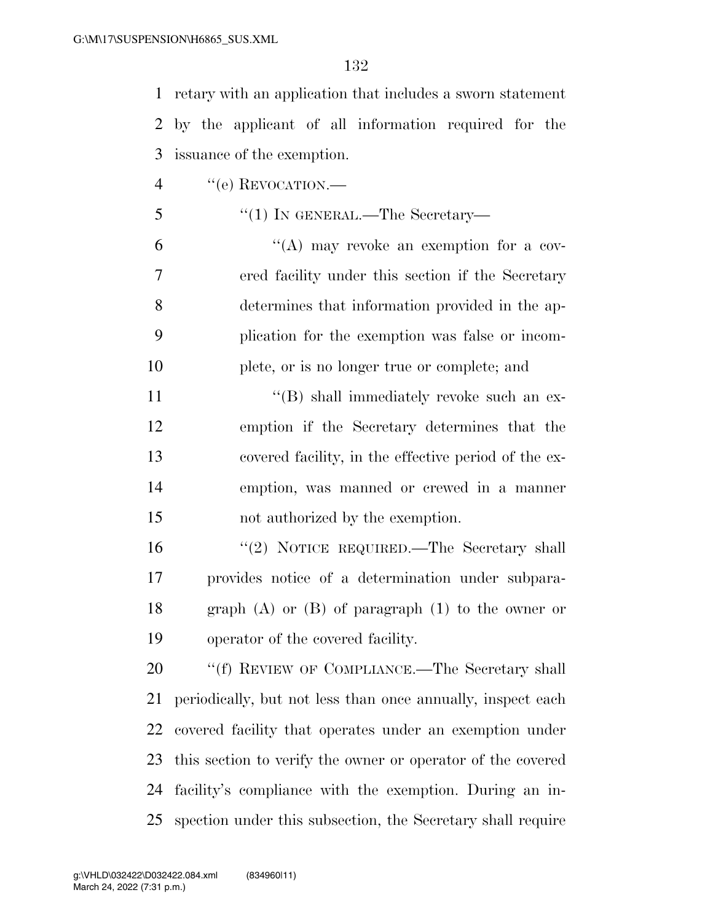retary with an application that includes a sworn statement by the applicant of all information required for the issuance of the exemption.

- 4 "(e) REVOCATION.—
- 5 "(1) IN GENERAL.—The Secretary—

 ''(A) may revoke an exemption for a cov- ered facility under this section if the Secretary determines that information provided in the ap- plication for the exemption was false or incom-plete, or is no longer true or complete; and

11 ''(B) shall immediately revoke such an ex- emption if the Secretary determines that the covered facility, in the effective period of the ex- emption, was manned or crewed in a manner not authorized by the exemption.

16 "(2) NOTICE REQUIRED.—The Secretary shall provides notice of a determination under subpara- graph (A) or (B) of paragraph (1) to the owner or operator of the covered facility.

20 "'(f) REVIEW OF COMPLIANCE.—The Secretary shall periodically, but not less than once annually, inspect each covered facility that operates under an exemption under this section to verify the owner or operator of the covered facility's compliance with the exemption. During an in-spection under this subsection, the Secretary shall require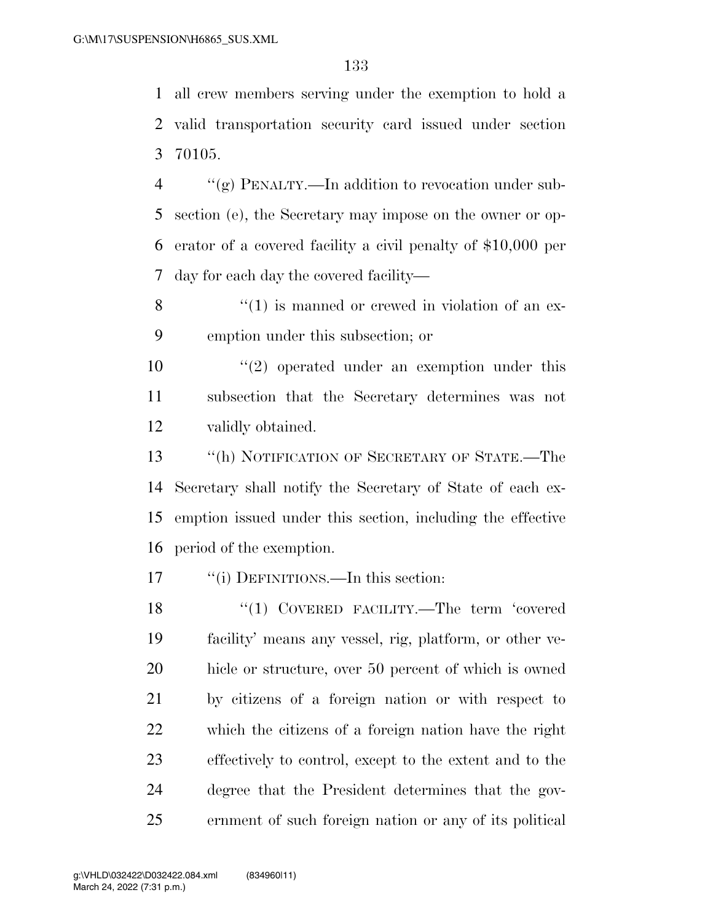all crew members serving under the exemption to hold a valid transportation security card issued under section 70105.

 ''(g) PENALTY.—In addition to revocation under sub- section (e), the Secretary may impose on the owner or op- erator of a covered facility a civil penalty of \$10,000 per day for each day the covered facility—

 ''(1) is manned or crewed in violation of an ex-emption under this subsection; or

10  $\frac{1}{2}$  operated under an exemption under this subsection that the Secretary determines was not validly obtained.

 ''(h) NOTIFICATION OF SECRETARY OF STATE.—The Secretary shall notify the Secretary of State of each ex- emption issued under this section, including the effective period of the exemption.

17 ""(i) DEFINITIONS.—In this section:

18 "(1) COVERED FACILITY.—The term 'covered facility' means any vessel, rig, platform, or other ve- hicle or structure, over 50 percent of which is owned by citizens of a foreign nation or with respect to which the citizens of a foreign nation have the right effectively to control, except to the extent and to the degree that the President determines that the gov-ernment of such foreign nation or any of its political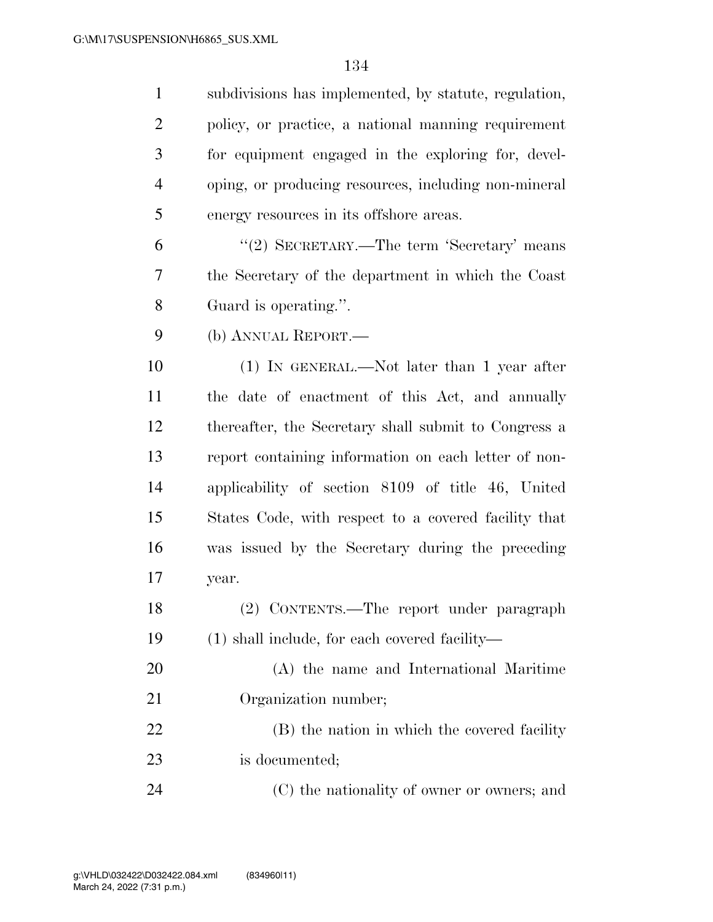| $\mathbf{1}$   | subdivisions has implemented, by statute, regulation, |
|----------------|-------------------------------------------------------|
| $\overline{2}$ | policy, or practice, a national manning requirement   |
| 3              | for equipment engaged in the exploring for, devel-    |
| $\overline{4}$ | oping, or producing resources, including non-mineral  |
| 5              | energy resources in its offshore areas.               |
| 6              | "(2) SECRETARY.—The term 'Secretary' means            |
| 7              | the Secretary of the department in which the Coast    |
| 8              | Guard is operating.".                                 |
| 9              | (b) ANNUAL REPORT.                                    |
| 10             | $(1)$ IN GENERAL.—Not later than 1 year after         |
| 11             | the date of enactment of this Act, and annually       |
| 12             | thereafter, the Secretary shall submit to Congress a  |
| 13             | report containing information on each letter of non-  |
| 14             | applicability of section 8109 of title 46, United     |
| 15             | States Code, with respect to a covered facility that  |
| 16             | was issued by the Secretary during the preceding      |
| 17             | year.                                                 |
| 18             | (2) CONTENTS.—The report under paragraph              |
| 19             | (1) shall include, for each covered facility—         |
| 20             | (A) the name and International Maritime               |
| 21             | Organization number;                                  |
| 22             | (B) the nation in which the covered facility          |
| 23             | is documented;                                        |
| 24             | (C) the nationality of owner or owners; and           |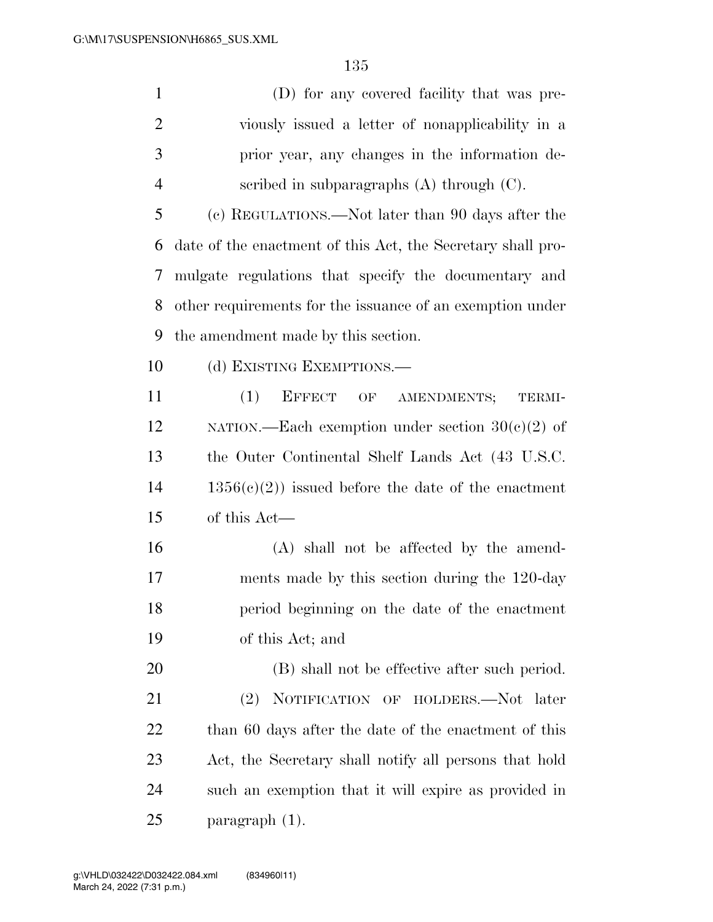| $\mathbf{1}$   | (D) for any covered facility that was pre-                  |
|----------------|-------------------------------------------------------------|
| $\overline{2}$ | viously issued a letter of nonapplicability in a            |
| 3              | prior year, any changes in the information de-              |
| 4              | scribed in subparagraphs $(A)$ through $(C)$ .              |
| 5              | (c) REGULATIONS.—Not later than 90 days after the           |
| 6              | date of the enactment of this Act, the Secretary shall pro- |
| 7              | mulgate regulations that specify the documentary and        |
| 8              | other requirements for the issuance of an exemption under   |
| 9              | the amendment made by this section.                         |
| 10             | (d) EXISTING EXEMPTIONS.—                                   |
| 11             | (1)<br>EFFECT OF AMENDMENTS;<br>TERMI-                      |
| 12             | NATION.—Each exemption under section $30(c)(2)$ of          |
| 13             | the Outer Continental Shelf Lands Act (43 U.S.C.            |
| 14             | $1356(c)(2)$ issued before the date of the enactment        |
| 15             | of this Act—                                                |
| 16             | (A) shall not be affected by the amend-                     |
| 17             | ments made by this section during the 120-day               |
| 18             | period beginning on the date of the enactment               |
| 19             | of this Act; and                                            |
| 20             | (B) shall not be effective after such period.               |
| 21             | NOTIFICATION OF HOLDERS.-Not later<br>(2)                   |
| 22             | than 60 days after the date of the enactment of this        |
|                |                                                             |

 Act, the Secretary shall notify all persons that hold such an exemption that it will expire as provided in paragraph (1).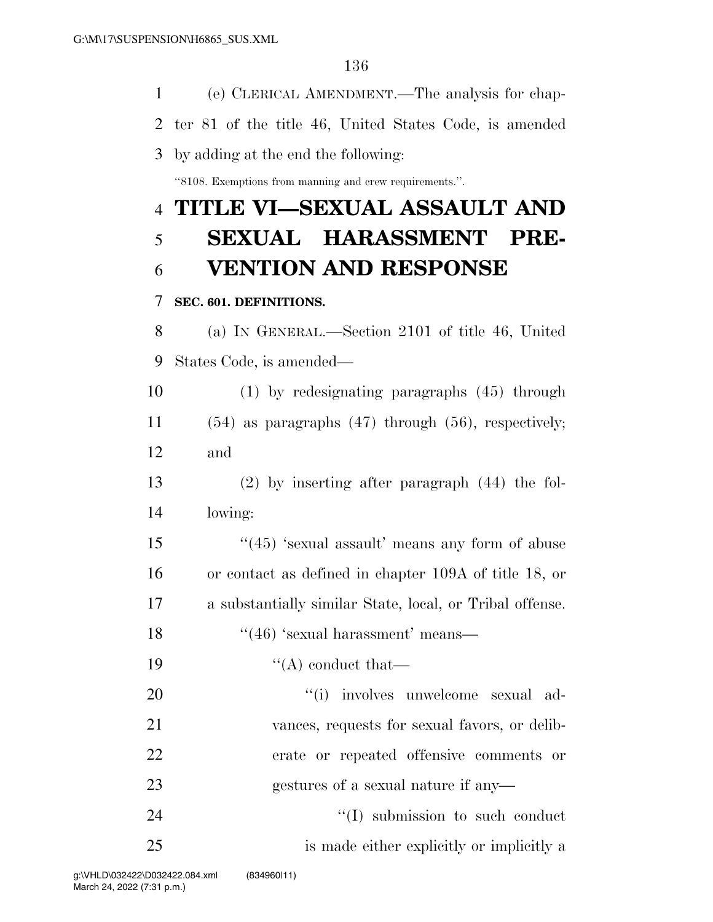(e) CLERICAL AMENDMENT.—The analysis for chap- ter 81 of the title 46, United States Code, is amended by adding at the end the following: ''8108. Exemptions from manning and crew requirements.''. **TITLE VI—SEXUAL ASSAULT AND SEXUAL HARASSMENT PRE- VENTION AND RESPONSE SEC. 601. DEFINITIONS.**  (a) IN GENERAL.—Section 2101 of title 46, United States Code, is amended— (1) by redesignating paragraphs (45) through (54) as paragraphs (47) through (56), respectively; and (2) by inserting after paragraph (44) the fol- lowing: 15 ''(45) 'sexual assault' means any form of abuse or contact as defined in chapter 109A of title 18, or a substantially similar State, local, or Tribal offense. 18 ''(46) 'sexual harassment' means—  $\cdot$  ''(A) conduct that  $(1)$  involves unwelcome sexual ad- vances, requests for sexual favors, or delib- erate or repeated offensive comments or gestures of a sexual nature if any— 24 ''(I) submission to such conduct is made either explicitly or implicitly a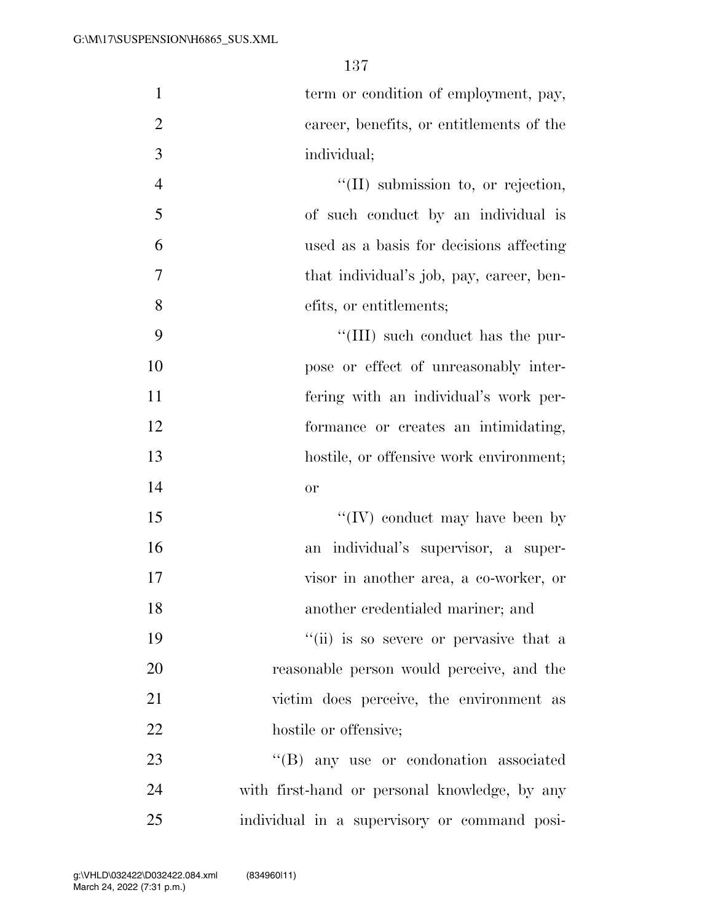| $\mathbf{1}$   | term or condition of employment, pay,         |
|----------------|-----------------------------------------------|
| $\mathbf{2}$   | career, benefits, or entitlements of the      |
| 3              | individual;                                   |
| $\overline{4}$ | $\lq\lq$ (II) submission to, or rejection,    |
| 5              | of such conduct by an individual is           |
| 6              | used as a basis for decisions affecting       |
| $\tau$         | that individual's job, pay, career, ben-      |
| 8              | efits, or entitlements;                       |
| 9              | "(III) such conduct has the pur-              |
| 10             | pose or effect of unreasonably inter-         |
| 11             | fering with an individual's work per-         |
| 12             | formance or creates an intimidating,          |
| 13             | hostile, or offensive work environment;       |
| 14             | or                                            |
| 15             | "(IV) conduct may have been by                |
| 16             | an individual's supervisor, a super-          |
| 17             | visor in another area, a co-worker, or        |
| 18             | another credentialed mariner; and             |
| 19             | "(ii) is so severe or pervasive that a        |
| 20             | reasonable person would perceive, and the     |
| 21             | victim does perceive, the environment as      |
| 22             | hostile or offensive;                         |
| 23             | "(B) any use or condonation associated        |
| 24             | with first-hand or personal knowledge, by any |
| 25             | individual in a supervisory or command posi-  |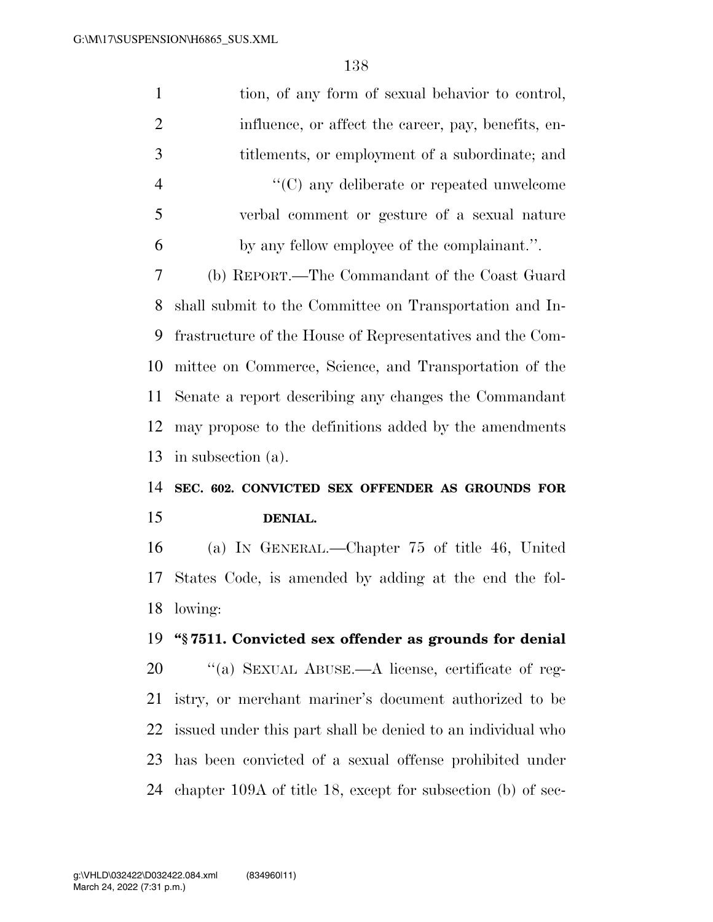| $\mathbf{1}$   | tion, of any form of sexual behavior to control,            |
|----------------|-------------------------------------------------------------|
| $\overline{2}$ | influence, or affect the career, pay, benefits, en-         |
| 3              | titlements, or employment of a subordinate; and             |
| $\overline{4}$ | $\lq\lq$ (C) any deliberate or repeated unwelcome           |
| 5              | verbal comment or gesture of a sexual nature                |
| 6              | by any fellow employee of the complainant.".                |
| $\tau$         | (b) REPORT.—The Commandant of the Coast Guard               |
| 8              | shall submit to the Committee on Transportation and In-     |
| 9              | frastructure of the House of Representatives and the Com-   |
| 10             | mittee on Commerce, Science, and Transportation of the      |
| 11             | Senate a report describing any changes the Commandant       |
| 12             | may propose to the definitions added by the amendments      |
|                |                                                             |
|                | in subsection (a).                                          |
|                | SEC. 602. CONVICTED SEX OFFENDER AS GROUNDS FOR             |
| 13<br>14<br>15 | DENIAL.                                                     |
| 16             | (a) IN GENERAL.—Chapter 75 of title 46, United              |
| 17             | States Code, is amended by adding at the end the fol-       |
|                | 18 lowing:                                                  |
|                | "§7511. Convicted sex offender as grounds for denial        |
| 19<br>20       | "(a) SEXUAL ABUSE.—A license, certificate of reg-           |
| 21             | istry, or merchant mariner's document authorized to be      |
| 22             | issued under this part shall be denied to an individual who |
| 23             | has been convicted of a sexual offense prohibited under     |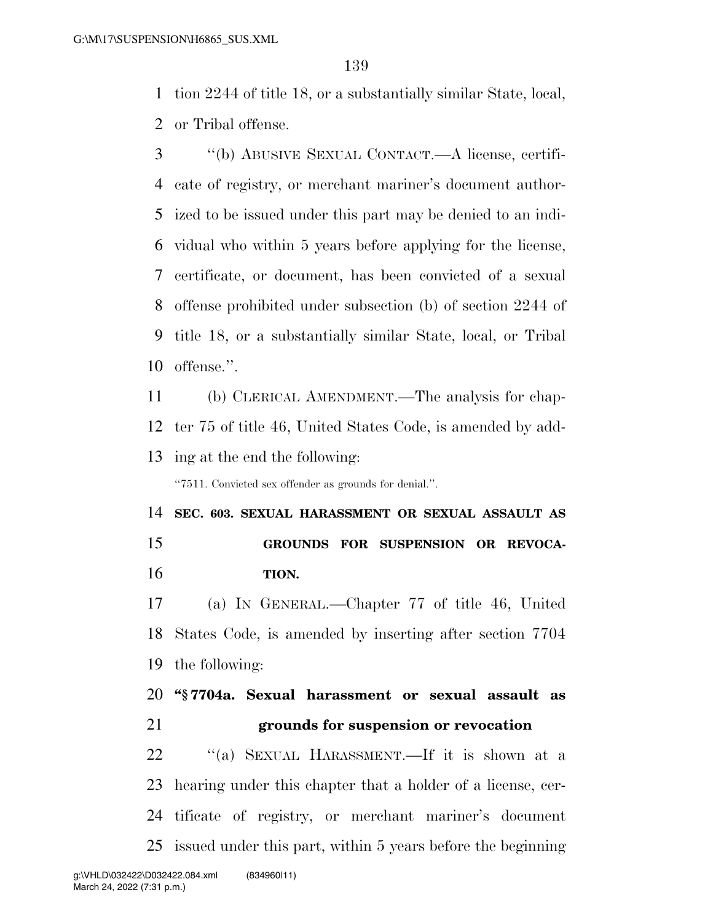tion 2244 of title 18, or a substantially similar State, local,

or Tribal offense.

 ''(b) ABUSIVE SEXUAL CONTACT.—A license, certifi- cate of registry, or merchant mariner's document author- ized to be issued under this part may be denied to an indi- vidual who within 5 years before applying for the license, certificate, or document, has been convicted of a sexual offense prohibited under subsection (b) of section 2244 of title 18, or a substantially similar State, local, or Tribal offense.''.

 (b) CLERICAL AMENDMENT.—The analysis for chap- ter 75 of title 46, United States Code, is amended by add-ing at the end the following:

''7511. Convicted sex offender as grounds for denial.''.

 **SEC. 603. SEXUAL HARASSMENT OR SEXUAL ASSAULT AS GROUNDS FOR SUSPENSION OR REVOCA-TION.** 

 (a) IN GENERAL.—Chapter 77 of title 46, United States Code, is amended by inserting after section 7704 the following:

 **''§ 7704a. Sexual harassment or sexual assault as grounds for suspension or revocation** 

 ''(a) SEXUAL HARASSMENT.—If it is shown at a hearing under this chapter that a holder of a license, cer- tificate of registry, or merchant mariner's document issued under this part, within 5 years before the beginning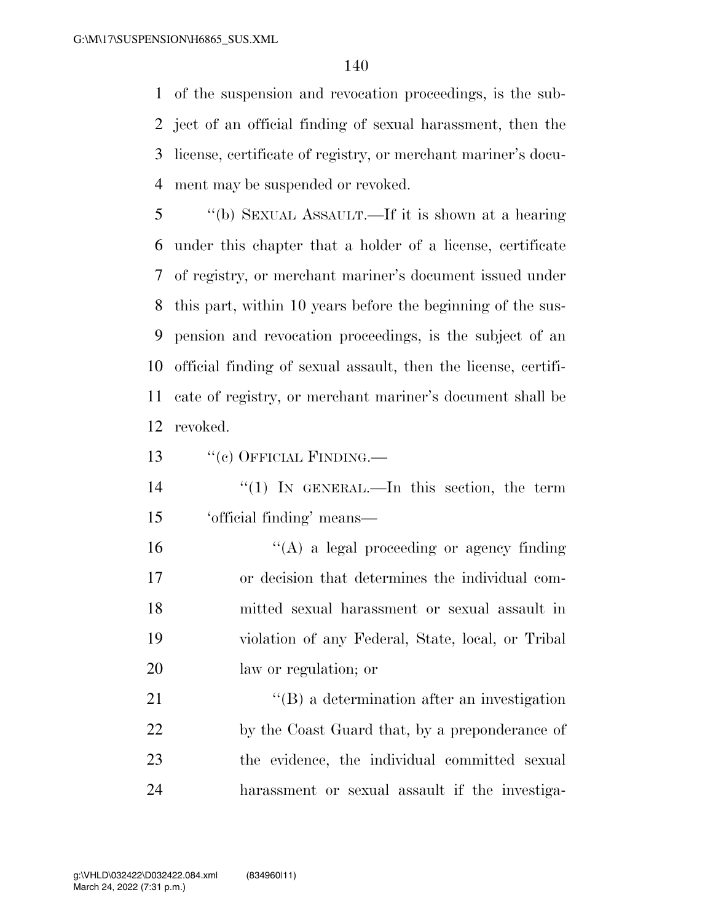of the suspension and revocation proceedings, is the sub- ject of an official finding of sexual harassment, then the license, certificate of registry, or merchant mariner's docu-ment may be suspended or revoked.

 ''(b) SEXUAL ASSAULT.—If it is shown at a hearing under this chapter that a holder of a license, certificate of registry, or merchant mariner's document issued under this part, within 10 years before the beginning of the sus- pension and revocation proceedings, is the subject of an official finding of sexual assault, then the license, certifi- cate of registry, or merchant mariner's document shall be revoked.

13 "(c) OFFICIAL FINDING.—

14 ''(1) In GENERAL.—In this section, the term 'official finding' means—

 ''(A) a legal proceeding or agency finding or decision that determines the individual com- mitted sexual harassment or sexual assault in violation of any Federal, State, local, or Tribal law or regulation; or

21 ''(B) a determination after an investigation 22 by the Coast Guard that, by a preponderance of the evidence, the individual committed sexual harassment or sexual assault if the investiga-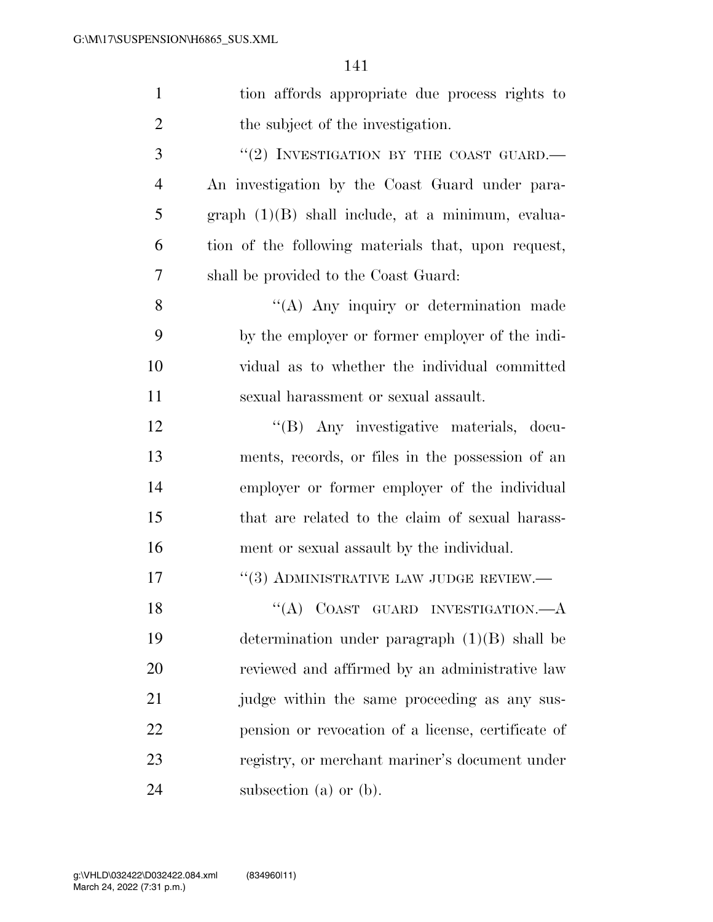| $\mathbf{1}$   | tion affords appropriate due process rights to      |
|----------------|-----------------------------------------------------|
| 2              | the subject of the investigation.                   |
| 3              | "(2) INVESTIGATION BY THE COAST GUARD.              |
| $\overline{4}$ | An investigation by the Coast Guard under para-     |
| 5              | $graph (1)(B) shall include, at a minimum, evalua-$ |
| 6              | tion of the following materials that, upon request, |
| 7              | shall be provided to the Coast Guard:               |
| 8              | "(A) Any inquiry or determination made              |
| 9              | by the employer or former employer of the indi-     |
| 10             | vidual as to whether the individual committed       |
| 11             | sexual harassment or sexual assault.                |
| 12             | "(B) Any investigative materials, docu-             |
| 13             | ments, records, or files in the possession of an    |
| 14             | employer or former employer of the individual       |
| 15             | that are related to the claim of sexual harass-     |
| 16             | ment or sexual assault by the individual.           |
| 17             | $``(3)$ ADMINISTRATIVE LAW JUDGE REVIEW.—           |
| 18             | "(A) COAST GUARD INVESTIGATION. $-A$                |
| 19             | determination under paragraph $(1)(B)$ shall be     |
| 20             | reviewed and affirmed by an administrative law      |
| 21             | judge within the same proceeding as any sus-        |
| 22             | pension or revocation of a license, certificate of  |
| 23             | registry, or merchant mariner's document under      |
| 24             | subsection (a) or $(b)$ .                           |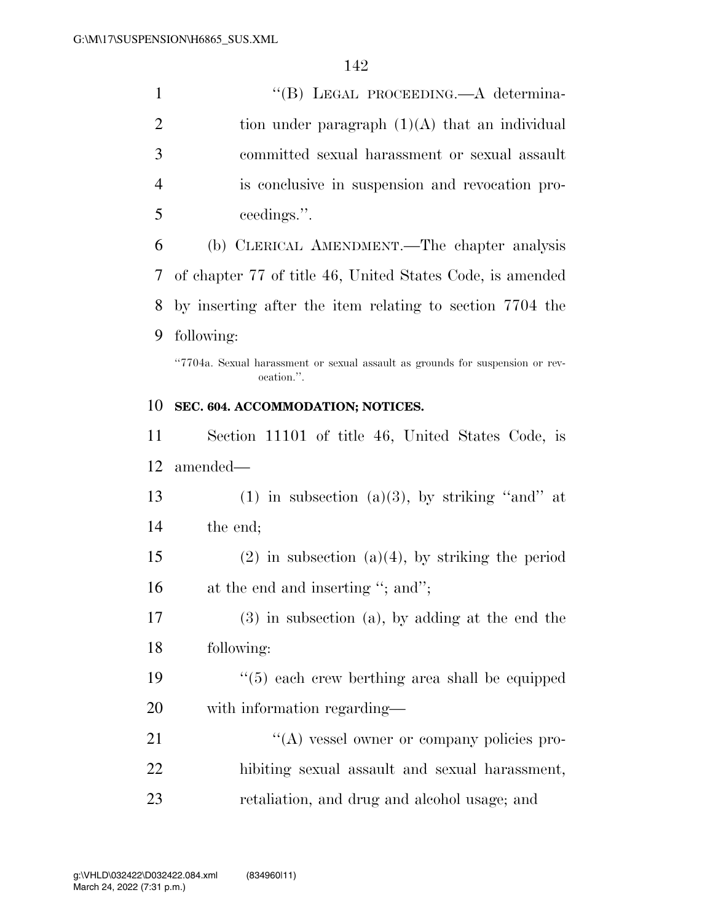| $\mathbf{1}$   | "(B) LEGAL PROCEEDING.—A determina-                                                         |
|----------------|---------------------------------------------------------------------------------------------|
| $\overline{2}$ | tion under paragraph $(1)(A)$ that an individual                                            |
| 3              | committed sexual harassment or sexual assault                                               |
| $\overline{4}$ | is conclusive in suspension and revocation pro-                                             |
| 5              | ceedings.".                                                                                 |
| 6              | (b) CLERICAL AMENDMENT.—The chapter analysis                                                |
| 7              | of chapter 77 of title 46, United States Code, is amended                                   |
| 8              | by inserting after the item relating to section 7704 the                                    |
| 9              | following:                                                                                  |
|                | "7704a. Sexual harassment or sexual assault as grounds for suspension or rev-<br>ocation.". |
| 10             | SEC. 604. ACCOMMODATION; NOTICES.                                                           |
| 11             | Section 11101 of title 46, United States Code, is                                           |
| 12             | amended—                                                                                    |
| 13             | $(1)$ in subsection $(a)(3)$ , by striking "and" at                                         |
| 14             | the end;                                                                                    |
| 15             | $(2)$ in subsection $(a)(4)$ , by striking the period                                       |
| 16             | at the end and inserting "; and";                                                           |
| 17             | $(3)$ in subsection $(a)$ , by adding at the end the                                        |
| 18             | following:                                                                                  |
| 19             | "(5) each crew berthing area shall be equipped                                              |
| 20             | with information regarding—                                                                 |
| 21             | $\lq\lq$ vessel owner or company policies pro-                                              |
| 22             | hibiting sexual assault and sexual harassment,                                              |
| 23             | retaliation, and drug and alcohol usage; and                                                |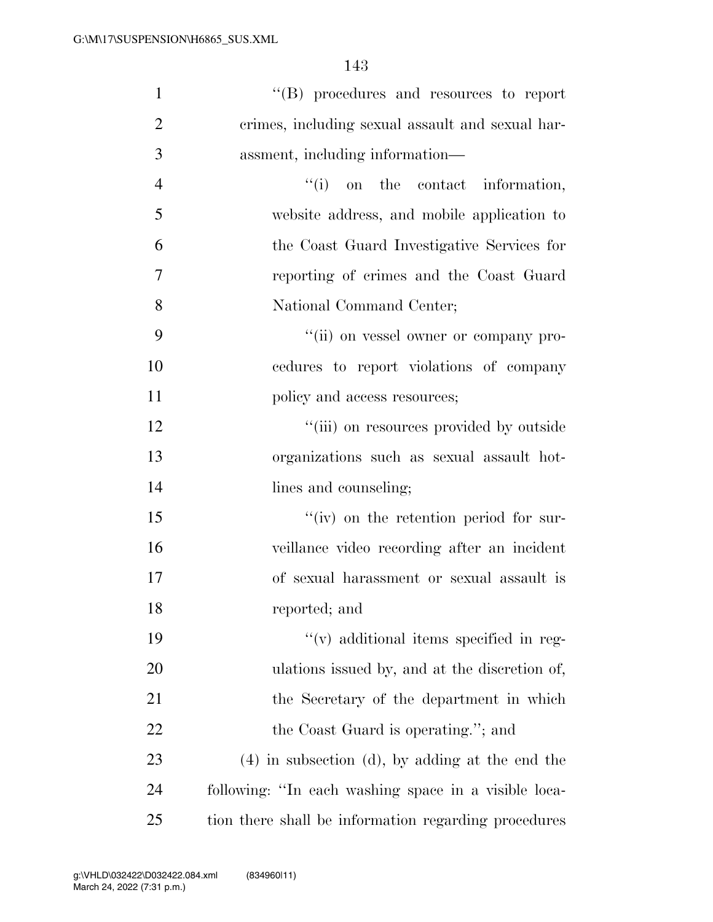| $\mathbf{1}$   | "(B) procedures and resources to report              |
|----------------|------------------------------------------------------|
| $\overline{2}$ | crimes, including sexual assault and sexual har-     |
| 3              | assment, including information—                      |
| $\overline{4}$ | $f(i)$ on the contact information,                   |
| 5              | website address, and mobile application to           |
| 6              | the Coast Guard Investigative Services for           |
| $\overline{7}$ | reporting of crimes and the Coast Guard              |
| 8              | National Command Center;                             |
| 9              | "(ii) on vessel owner or company pro-                |
| 10             | cedures to report violations of company              |
| 11             | policy and access resources;                         |
| 12             | "(iii) on resources provided by outside              |
| 13             | organizations such as sexual assault hot-            |
| 14             | lines and counseling;                                |
| 15             | $``(iv)$ on the retention period for sur-            |
| 16             | veillance video recording after an incident          |
| 17             | of sexual harassment or sexual assault is            |
| 18             | reported; and                                        |
| 19             | $\lq\lq$ additional items specified in reg-          |
| 20             | ulations issued by, and at the discretion of,        |
| 21             | the Secretary of the department in which             |
| <u>22</u>      | the Coast Guard is operating."; and                  |
| 23             | $(4)$ in subsection $(d)$ , by adding at the end the |
| 24             | following: "In each washing space in a visible loca- |
| 25             | tion there shall be information regarding procedures |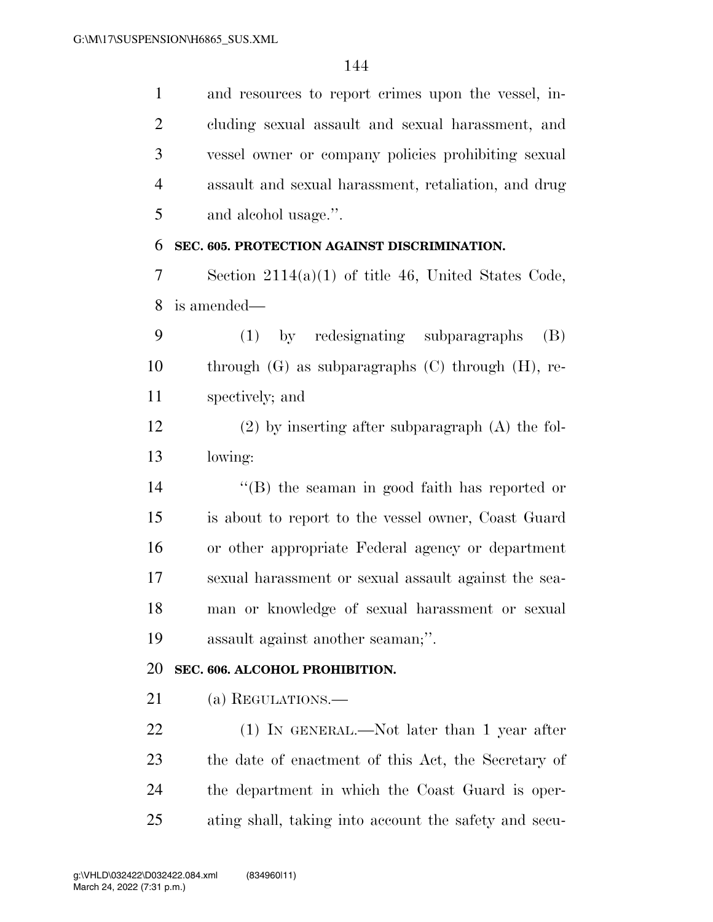and resources to report crimes upon the vessel, in- cluding sexual assault and sexual harassment, and vessel owner or company policies prohibiting sexual assault and sexual harassment, retaliation, and drug and alcohol usage.''.

#### **SEC. 605. PROTECTION AGAINST DISCRIMINATION.**

 Section 2114(a)(1) of title 46, United States Code, is amended—

 (1) by redesignating subparagraphs (B) through (G) as subparagraphs (C) through (H), re-spectively; and

 (2) by inserting after subparagraph (A) the fol-lowing:

 ''(B) the seaman in good faith has reported or is about to report to the vessel owner, Coast Guard or other appropriate Federal agency or department sexual harassment or sexual assault against the sea- man or knowledge of sexual harassment or sexual assault against another seaman;''.

#### **SEC. 606. ALCOHOL PROHIBITION.**

21 (a) REGULATIONS.—

22 (1) IN GENERAL.—Not later than 1 year after the date of enactment of this Act, the Secretary of the department in which the Coast Guard is oper-ating shall, taking into account the safety and secu-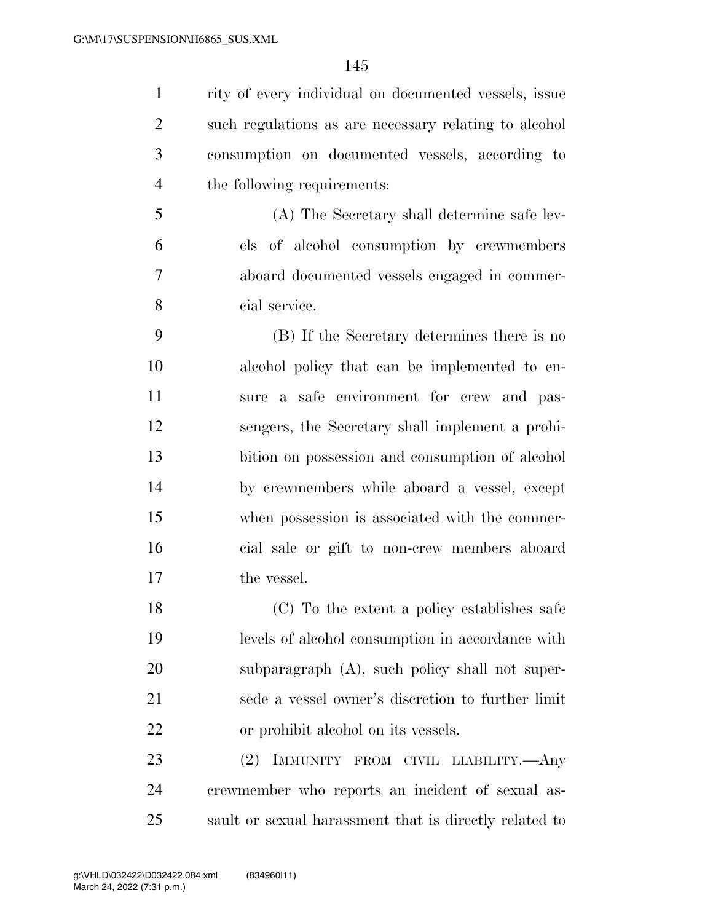rity of every individual on documented vessels, issue such regulations as are necessary relating to alcohol consumption on documented vessels, according to the following requirements:

 (A) The Secretary shall determine safe lev- els of alcohol consumption by crewmembers aboard documented vessels engaged in commer-cial service.

 (B) If the Secretary determines there is no alcohol policy that can be implemented to en- sure a safe environment for crew and pas- sengers, the Secretary shall implement a prohi- bition on possession and consumption of alcohol by crewmembers while aboard a vessel, except when possession is associated with the commer- cial sale or gift to non-crew members aboard the vessel.

 (C) To the extent a policy establishes safe levels of alcohol consumption in accordance with subparagraph (A), such policy shall not super- sede a vessel owner's discretion to further limit or prohibit alcohol on its vessels.

 (2) IMMUNITY FROM CIVIL LIABILITY.—Any crewmember who reports an incident of sexual as-sault or sexual harassment that is directly related to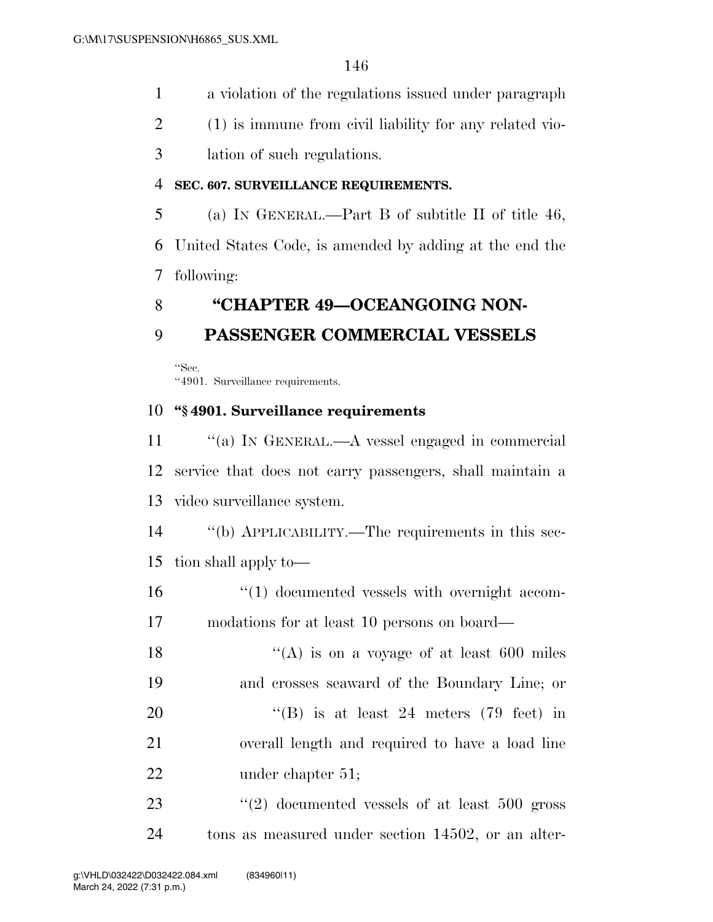- a violation of the regulations issued under paragraph
- (1) is immune from civil liability for any related vio-
- lation of such regulations.

### **SEC. 607. SURVEILLANCE REQUIREMENTS.**

 (a) IN GENERAL.—Part B of subtitle II of title 46, United States Code, is amended by adding at the end the following:

## **''CHAPTER 49—OCEANGOING NON-**

## **PASSENGER COMMERCIAL VESSELS**

''Sec. ''4901. Surveillance requirements.

### **''§ 4901. Surveillance requirements**

 ''(a) IN GENERAL.—A vessel engaged in commercial service that does not carry passengers, shall maintain a video surveillance system.

 ''(b) APPLICABILITY.—The requirements in this sec-tion shall apply to—

16  $\frac{16}{10}$  documented vessels with overnight accom-modations for at least 10 persons on board—

 $\langle (A)$  is on a voyage of at least 600 miles and crosses seaward of the Boundary Line; or  $"$ (B) is at least 24 meters (79 feet) in overall length and required to have a load line 22 under chapter 51;

23 ''(2) documented vessels of at least 500 gross tons as measured under section 14502, or an alter-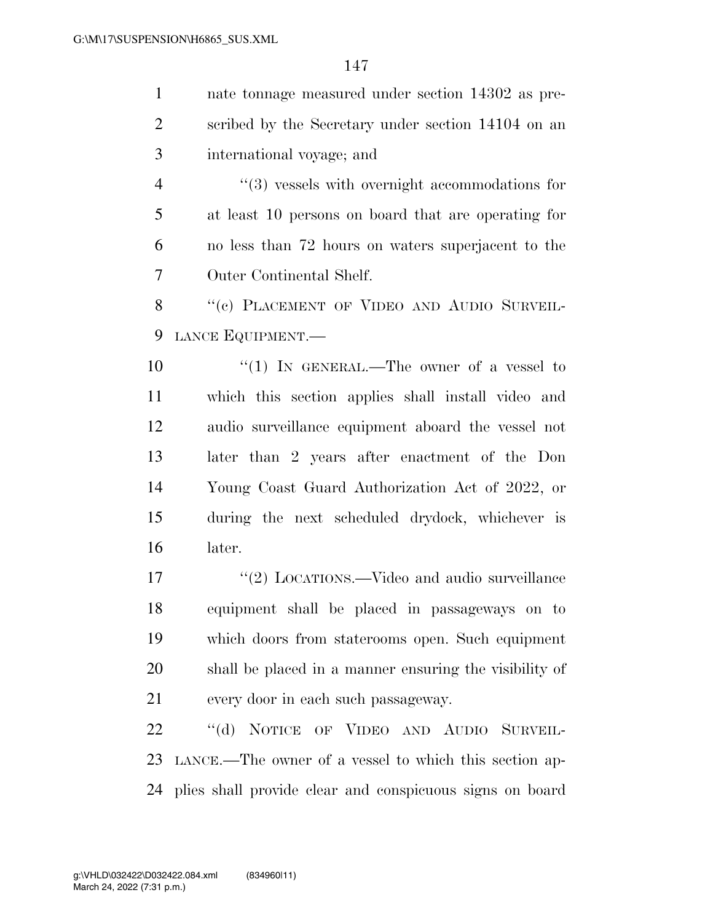| $\mathbf{1}$   | nate tonnage measured under section 14302 as pre-      |
|----------------|--------------------------------------------------------|
| $\overline{2}$ | scribed by the Secretary under section 14104 on an     |
| 3              | international voyage; and                              |
| $\overline{4}$ | $\lq(3)$ vessels with overnight accommodations for     |
| 5              | at least 10 persons on board that are operating for    |
| 6              | no less than 72 hours on waters superjacent to the     |
| 7              | Outer Continental Shelf.                               |
| 8              | "(c) PLACEMENT OF VIDEO AND AUDIO SURVEIL-             |
| 9              | LANCE EQUIPMENT.                                       |
| 10             | "(1) IN GENERAL.—The owner of a vessel to              |
| 11             | which this section applies shall install video and     |
| 12             | audio surveillance equipment aboard the vessel not     |
| 13             | later than 2 years after enactment of the Don          |
| 14             | Young Coast Guard Authorization Act of 2022, or        |
| 15             | during the next scheduled drydock, whichever is        |
| 16             | later.                                                 |
| 17             | "(2) LOCATIONS.—Video and audio surveillance           |
| 18             | equipment shall be placed in passageways on to         |
| 19             | which doors from staterooms open. Such equipment       |
| 20             | shall be placed in a manner ensuring the visibility of |
| 21             | every door in each such passageway.                    |
| 22             | "(d) NOTICE OF VIDEO AND AUDIO SURVEIL-                |
| 23             | LANCE.—The owner of a vessel to which this section ap- |

plies shall provide clear and conspicuous signs on board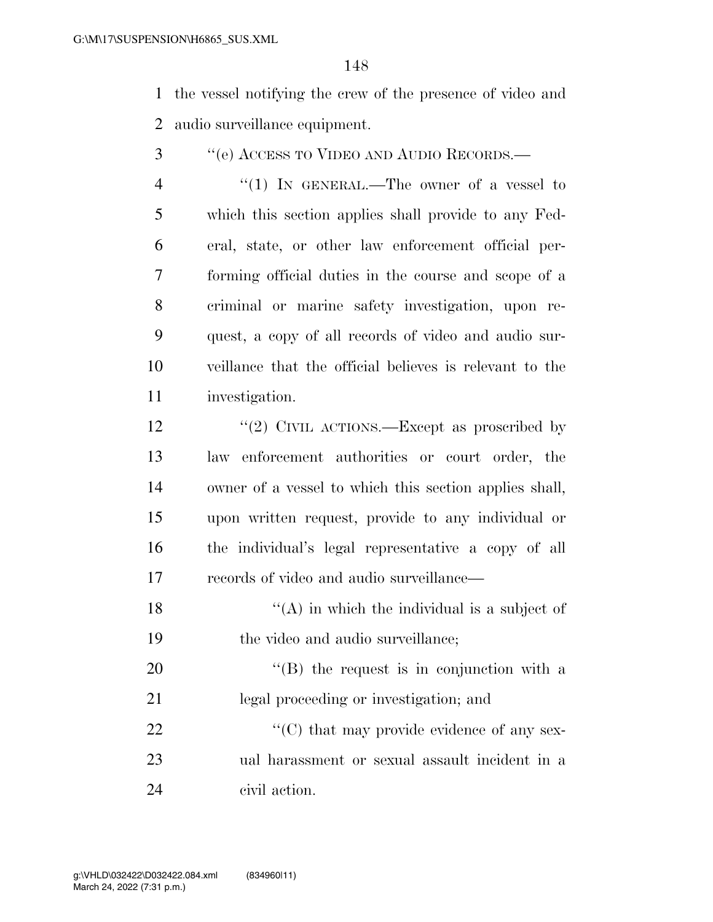the vessel notifying the crew of the presence of video and audio surveillance equipment.

- ''(e) ACCESS TO VIDEO AND AUDIO RECORDS.—
- 4 "(1) IN GENERAL.—The owner of a vessel to which this section applies shall provide to any Fed- eral, state, or other law enforcement official per- forming official duties in the course and scope of a criminal or marine safety investigation, upon re- quest, a copy of all records of video and audio sur- veillance that the official believes is relevant to the investigation.
- 12  $\frac{12}{2}$  CIVIL ACTIONS. Except as proscribed by law enforcement authorities or court order, the owner of a vessel to which this section applies shall, upon written request, provide to any individual or the individual's legal representative a copy of all records of video and audio surveillance—
- 18  $\langle (A)$  in which the individual is a subject of 19 the video and audio surveillance;
- 20 "'(B) the request is in conjunction with a legal proceeding or investigation; and

22  $\langle ^{\prime}(C) \rangle$  that may provide evidence of any sex- ual harassment or sexual assault incident in a civil action.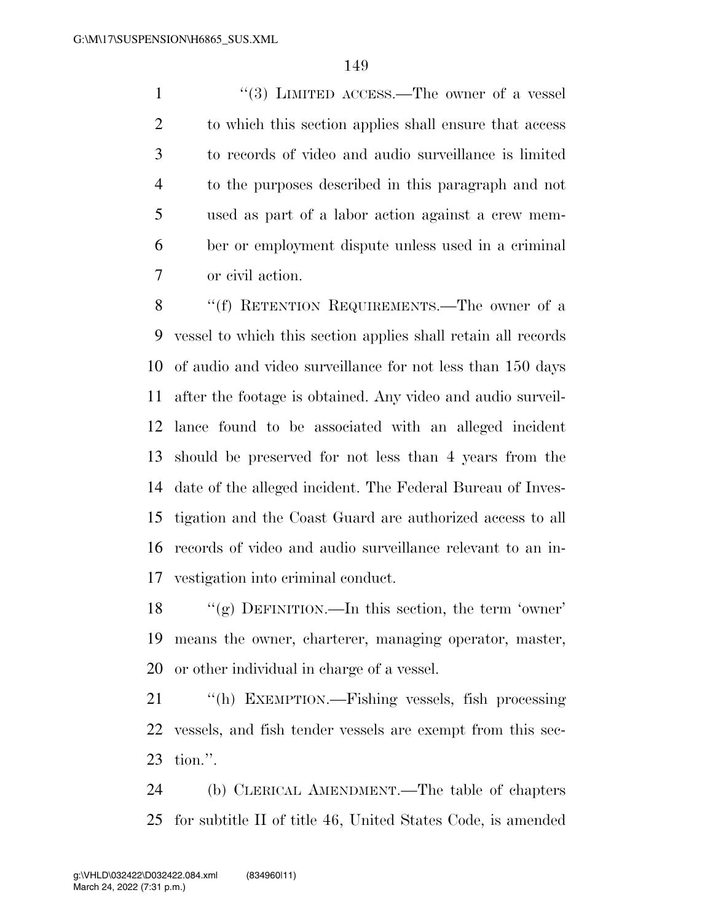1 ''(3) LIMITED ACCESS.—The owner of a vessel 2 to which this section applies shall ensure that access to records of video and audio surveillance is limited to the purposes described in this paragraph and not used as part of a labor action against a crew mem- ber or employment dispute unless used in a criminal or civil action.

8 "(f) RETENTION REQUIREMENTS.—The owner of a vessel to which this section applies shall retain all records of audio and video surveillance for not less than 150 days after the footage is obtained. Any video and audio surveil- lance found to be associated with an alleged incident should be preserved for not less than 4 years from the date of the alleged incident. The Federal Bureau of Inves- tigation and the Coast Guard are authorized access to all records of video and audio surveillance relevant to an in-vestigation into criminal conduct.

 ''(g) DEFINITION.—In this section, the term 'owner' means the owner, charterer, managing operator, master, or other individual in charge of a vessel.

 ''(h) EXEMPTION.—Fishing vessels, fish processing vessels, and fish tender vessels are exempt from this sec-tion.''.

 (b) CLERICAL AMENDMENT.—The table of chapters for subtitle II of title 46, United States Code, is amended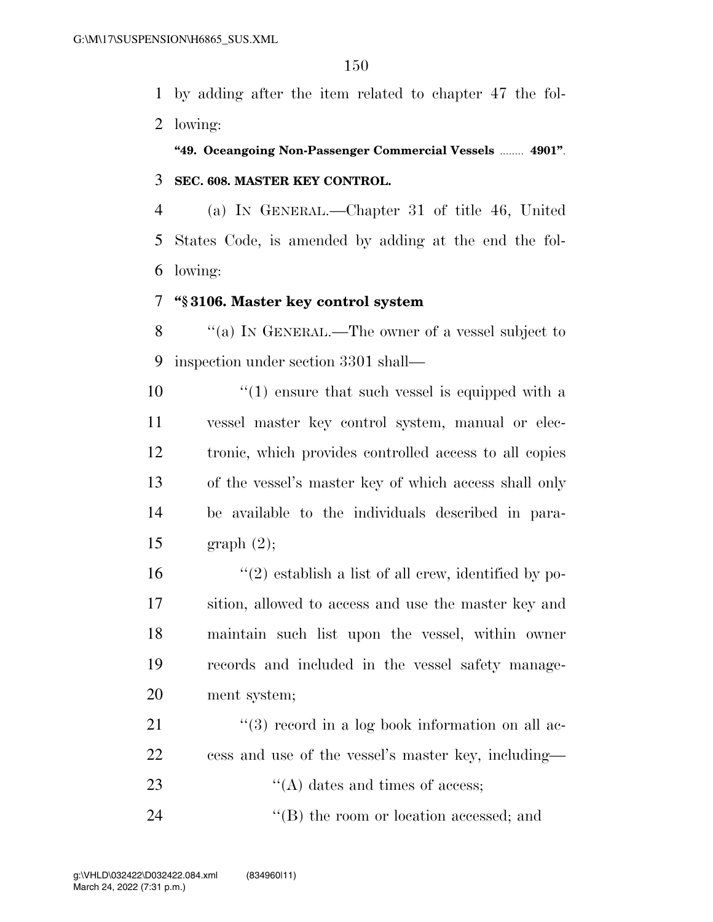by adding after the item related to chapter 47 the fol-lowing:

**''49. Oceangoing Non-Passenger Commercial Vessels** ........ **4901''**. **SEC. 608. MASTER KEY CONTROL.** 

 (a) IN GENERAL.—Chapter 31 of title 46, United States Code, is amended by adding at the end the fol-lowing:

#### **''§ 3106. Master key control system**

 ''(a) IN GENERAL.—The owner of a vessel subject to inspection under section 3301 shall—

 $\frac{10}{2}$  (1) ensure that such vessel is equipped with a vessel master key control system, manual or elec- tronic, which provides controlled access to all copies of the vessel's master key of which access shall only be available to the individuals described in para-graph (2);

 $\frac{1}{2}$  establish a list of all crew, identified by po- sition, allowed to access and use the master key and maintain such list upon the vessel, within owner records and included in the vessel safety manage-ment system;

21 ''(3) record in a log book information on all ac- cess and use of the vessel's master key, including— 23  $\langle (A) \rangle$  dates and times of access;

24 ''(B) the room or location accessed; and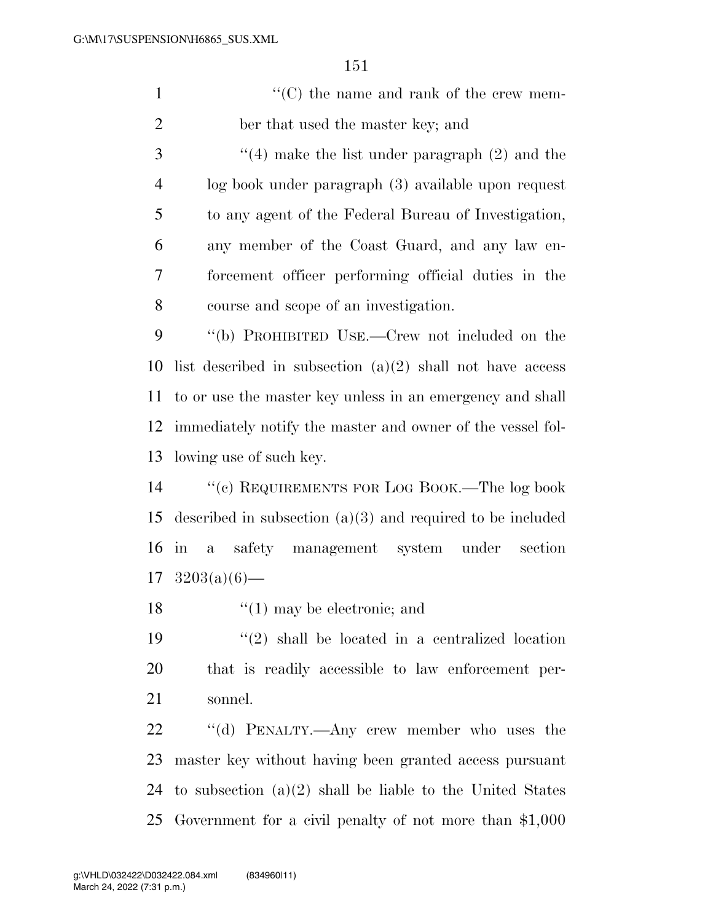1  $\lq(0)$  the name and rank of the crew mem-ber that used the master key; and

 ''(4) make the list under paragraph (2) and the log book under paragraph (3) available upon request to any agent of the Federal Bureau of Investigation, any member of the Coast Guard, and any law en- forcement officer performing official duties in the course and scope of an investigation.

 ''(b) PROHIBITED USE.—Crew not included on the 10 list described in subsection  $(a)(2)$  shall not have access to or use the master key unless in an emergency and shall immediately notify the master and owner of the vessel fol-lowing use of such key.

 ''(c) REQUIREMENTS FOR LOG BOOK.—The log book described in subsection (a)(3) and required to be included in a safety management system under section  $17 \quad 3203(a)(6)$ —

18 ''(1) may be electronic; and

19  $(2)$  shall be located in a centralized location that is readily accessible to law enforcement per-sonnel.

22 "(d) PENALTY.—Any crew member who uses the master key without having been granted access pursuant to subsection (a)(2) shall be liable to the United States Government for a civil penalty of not more than \$1,000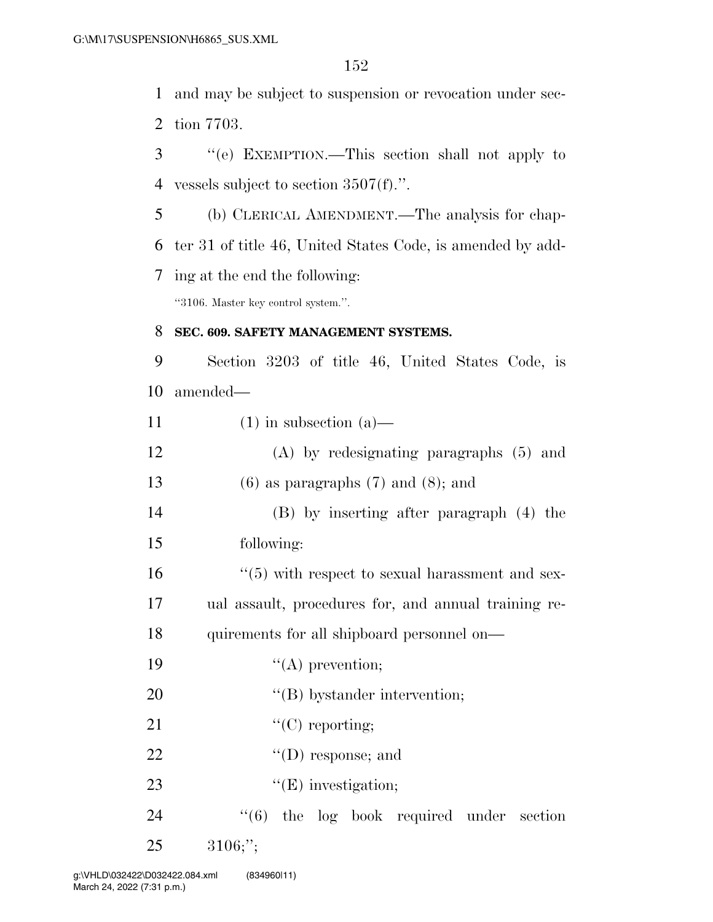1 and may be subject to suspension or revocation under sec-2 tion 7703.

3 ''(e) EXEMPTION.—This section shall not apply to 4 vessels subject to section 3507(f).''.

5 (b) CLERICAL AMENDMENT.—The analysis for chap-6 ter 31 of title 46, United States Code, is amended by add-7 ing at the end the following:

''3106. Master key control system.''.

#### 8 **SEC. 609. SAFETY MANAGEMENT SYSTEMS.**

9 Section 3203 of title 46, United States Code, is 10 amended—

| 11 |  | $(1)$ in subsection $(a)$ — |  |
|----|--|-----------------------------|--|
|----|--|-----------------------------|--|

| 12 | $(A)$ by redesignating paragraphs $(5)$ and |
|----|---------------------------------------------|
|----|---------------------------------------------|

13 (6) as paragraphs  $(7)$  and  $(8)$ ; and

14 (B) by inserting after paragraph (4) the 15 following:

16 ''(5) with respect to sexual harassment and sex-17 ual assault, procedures for, and annual training re-

18 quirements for all shipboard personnel on—

- 19  $"({\rm A})$  prevention;
- 20  $"$ (B) bystander intervention;
- 21  $"({\rm C})$  reporting;
- 22  $\text{``(D) response; and}$
- 23  $"({\rm E})$  investigation;
- 24  $(6)$  the log book required under section 25 3106;'';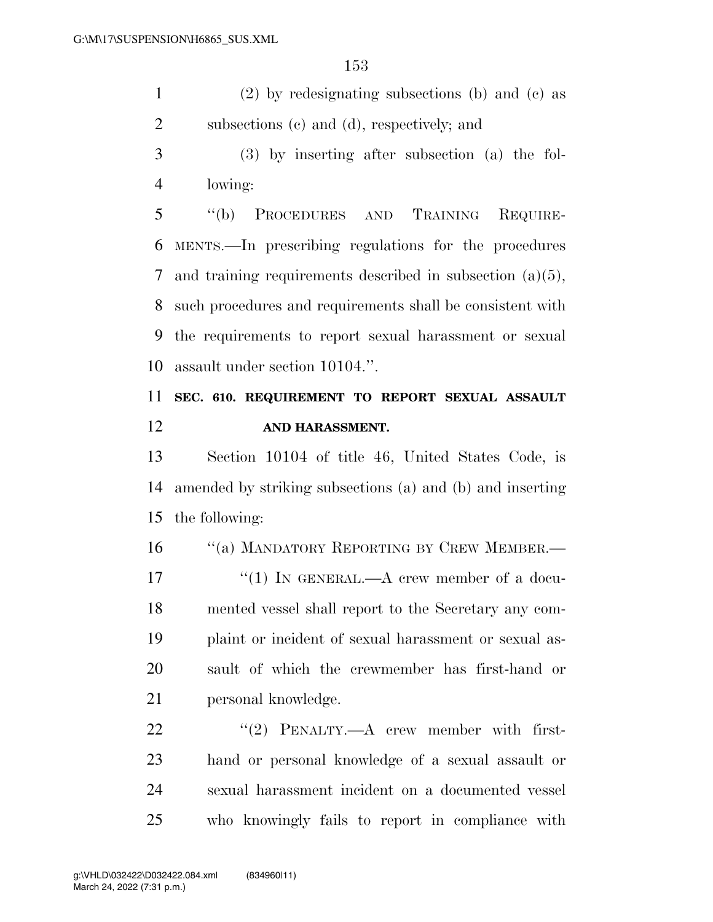(2) by redesignating subsections (b) and (c) as subsections (c) and (d), respectively; and

 (3) by inserting after subsection (a) the fol-lowing:

 ''(b) PROCEDURES AND TRAINING REQUIRE- MENTS.—In prescribing regulations for the procedures and training requirements described in subsection (a)(5), such procedures and requirements shall be consistent with the requirements to report sexual harassment or sexual assault under section 10104.''.

# **SEC. 610. REQUIREMENT TO REPORT SEXUAL ASSAULT AND HARASSMENT.**

 Section 10104 of title 46, United States Code, is amended by striking subsections (a) and (b) and inserting the following:

16 "(a) MANDATORY REPORTING BY CREW MEMBER.— 17 "(1) IN GENERAL.—A crew member of a docu- mented vessel shall report to the Secretary any com- plaint or incident of sexual harassment or sexual as- sault of which the crewmember has first-hand or personal knowledge.

22 "(2) PENALTY.—A crew member with first- hand or personal knowledge of a sexual assault or sexual harassment incident on a documented vessel who knowingly fails to report in compliance with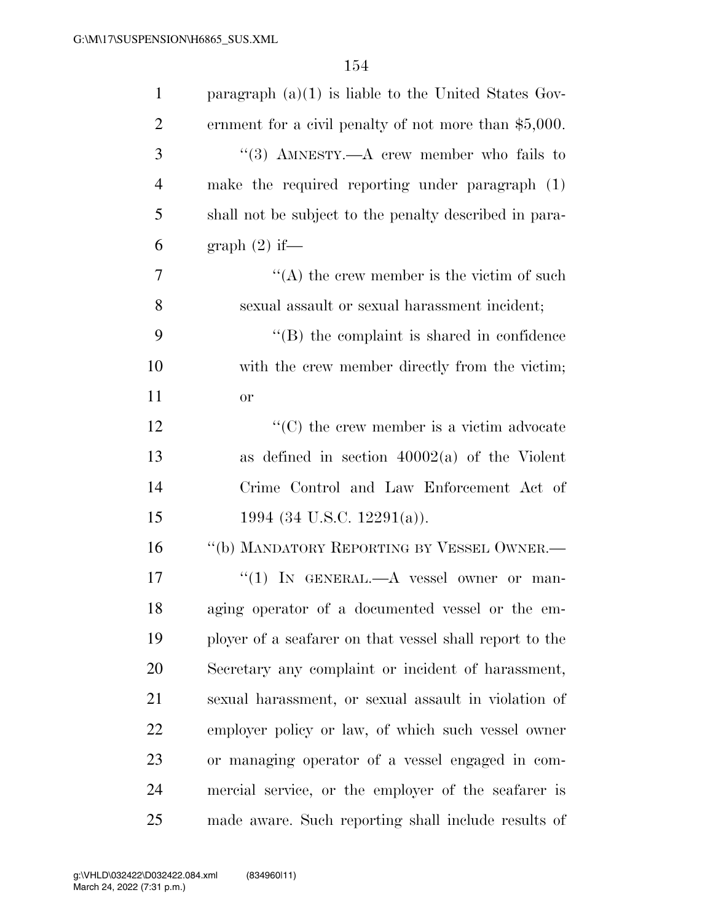| $\mathbf{1}$   | paragraph $(a)(1)$ is liable to the United States Gov-  |
|----------------|---------------------------------------------------------|
| $\overline{2}$ | ernment for a civil penalty of not more than $$5,000$ . |
| 3              | "(3) AMNESTY.—A crew member who fails to                |
| $\overline{4}$ | make the required reporting under paragraph $(1)$       |
| 5              | shall not be subject to the penalty described in para-  |
| 6              | graph (2) if—                                           |
| 7              | $\lq\lq$ the crew member is the victim of such          |
| 8              | sexual assault or sexual harassment incident;           |
| 9              | $\lq\lq$ the complaint is shared in confidence          |
| 10             | with the crew member directly from the victim;          |
| 11             | <b>or</b>                                               |
| 12             | $\lq\lq$ (C) the crew member is a victim advocate       |
| 13             | as defined in section $40002(a)$ of the Violent         |
| 14             | Crime Control and Law Enforcement Act of                |
| 15             | 1994 (34 U.S.C. 12291(a)).                              |
| 16             | "(b) MANDATORY REPORTING BY VESSEL OWNER.—              |
| 17             | "(1) IN GENERAL.—A vessel owner or man-                 |
| 18             | aging operator of a documented vessel or the em-        |
| 19             | ployer of a seafarer on that vessel shall report to the |
| 20             | Secretary any complaint or incident of harassment,      |
| 21             | sexual harassment, or sexual assault in violation of    |
| 22             | employer policy or law, of which such vessel owner      |
| 23             | or managing operator of a vessel engaged in com-        |
| 24             | mercial service, or the employer of the seafarer is     |
| 25             | made aware. Such reporting shall include results of     |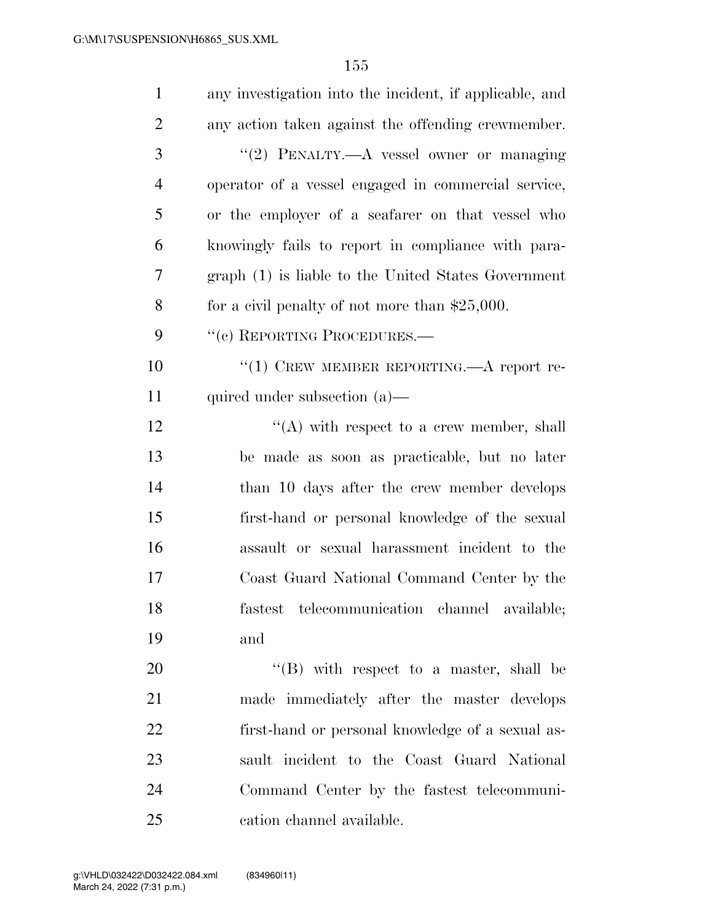| $\mathbf{1}$   | any investigation into the incident, if applicable, and |
|----------------|---------------------------------------------------------|
| $\overline{2}$ | any action taken against the offending crewmember.      |
| 3              | "(2) PENALTY.- A vessel owner or managing               |
| $\overline{4}$ | operator of a vessel engaged in commercial service,     |
| 5              | or the employer of a seafarer on that vessel who        |
| 6              | knowingly fails to report in compliance with para-      |
| 7              | graph (1) is liable to the United States Government     |
| 8              | for a civil penalty of not more than $$25,000$ .        |
| 9              | "(c) REPORTING PROCEDURES.—                             |
| 10             | "(1) CREW MEMBER REPORTING.—A report re-                |
| 11             | quired under subsection $(a)$ —                         |
| 12             | $\lq\lq$ with respect to a crew member, shall           |
| 13             | be made as soon as practicable, but no later            |
| 14             | than 10 days after the crew member develops             |
| 15             | first-hand or personal knowledge of the sexual          |
| 16             | assault or sexual harassment incident to the            |
| 17             | Coast Guard National Command Center by the              |
| 18             | fastest telecommunication channel available;            |
| 19             | and                                                     |
| 20             | $\lq\lq$ (B) with respect to a master, shall be         |
| 21             | made immediately after the master develops              |
| 22             | first-hand or personal knowledge of a sexual as-        |
| 23             | sault incident to the Coast Guard National              |
| 24             | Command Center by the fastest telecommuni-              |
| 25             | cation channel available.                               |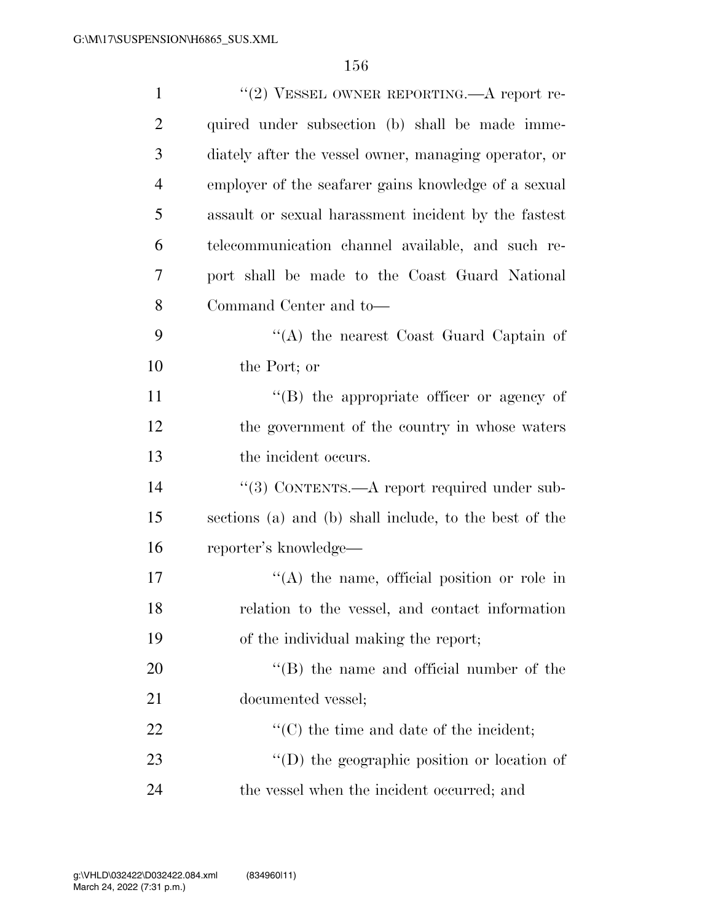| $\mathbf{1}$   | "(2) VESSEL OWNER REPORTING.— $A$ report re-           |
|----------------|--------------------------------------------------------|
| $\overline{2}$ | quired under subsection (b) shall be made imme-        |
| 3              | diately after the vessel owner, managing operator, or  |
| $\overline{4}$ | employer of the seafarer gains knowledge of a sexual   |
| 5              | assault or sexual harassment incident by the fastest   |
| 6              | telecommunication channel available, and such re-      |
| 7              | port shall be made to the Coast Guard National         |
| 8              | Command Center and to-                                 |
| 9              | "(A) the nearest Coast Guard Captain of                |
| 10             | the Port; or                                           |
| 11             | $\lq\lq (B)$ the appropriate officer or agency of      |
| 12             | the government of the country in whose waters          |
| 13             | the incident occurs.                                   |
| 14             | "(3) CONTENTS.—A report required under sub-            |
| 15             | sections (a) and (b) shall include, to the best of the |
| 16             | reporter's knowledge—                                  |
| 17             | $\lq (A)$ the name, official position or role in       |
| 18             | relation to the vessel, and contact information        |
| 19             | of the individual making the report;                   |
| 20             | $\lq\lq$ (B) the name and official number of the       |
| 21             | documented vessel;                                     |
| 22             | $\lq\lq$ (C) the time and date of the incident;        |
| 23             | "(D) the geographic position or location of            |
| 24             | the vessel when the incident occurred; and             |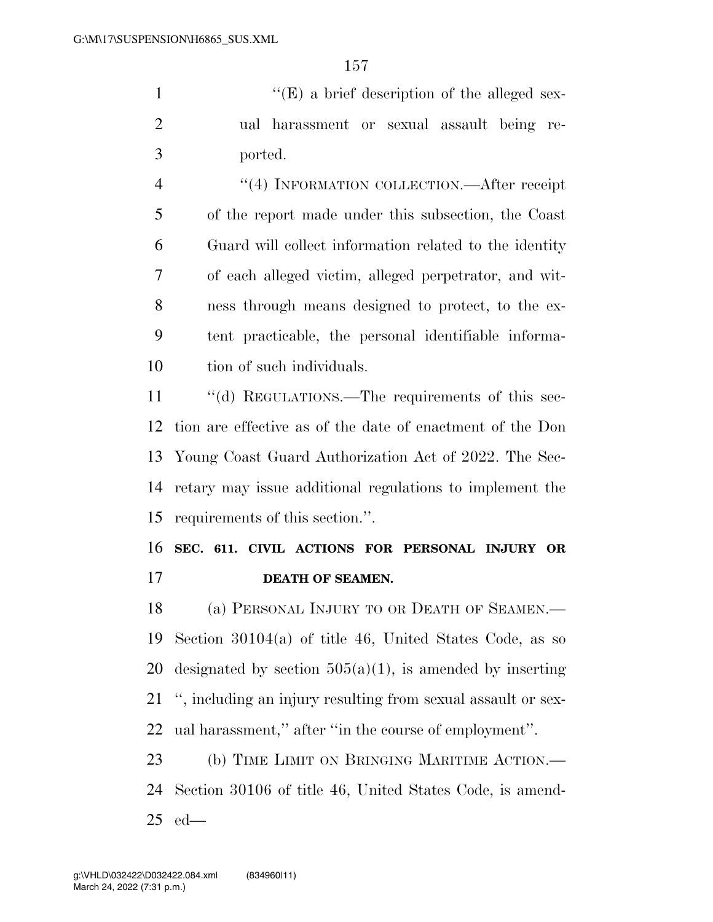1  $"$ (E) a brief description of the alleged sex- ual harassment or sexual assault being re-ported.

4 "(4) INFORMATION COLLECTION.—After receipt of the report made under this subsection, the Coast Guard will collect information related to the identity of each alleged victim, alleged perpetrator, and wit- ness through means designed to protect, to the ex- tent practicable, the personal identifiable informa-tion of such individuals.

 ''(d) REGULATIONS.—The requirements of this sec- tion are effective as of the date of enactment of the Don Young Coast Guard Authorization Act of 2022. The Sec- retary may issue additional regulations to implement the requirements of this section.''.

# **SEC. 611. CIVIL ACTIONS FOR PERSONAL INJURY OR DEATH OF SEAMEN.**

18 (a) PERSONAL INJURY TO OR DEATH OF SEAMEN.— Section 30104(a) of title 46, United States Code, as so 20 designated by section  $505(a)(1)$ , is amended by inserting '', including an injury resulting from sexual assault or sex-ual harassment,'' after ''in the course of employment''.

 (b) TIME LIMIT ON BRINGING MARITIME ACTION.— Section 30106 of title 46, United States Code, is amend-ed—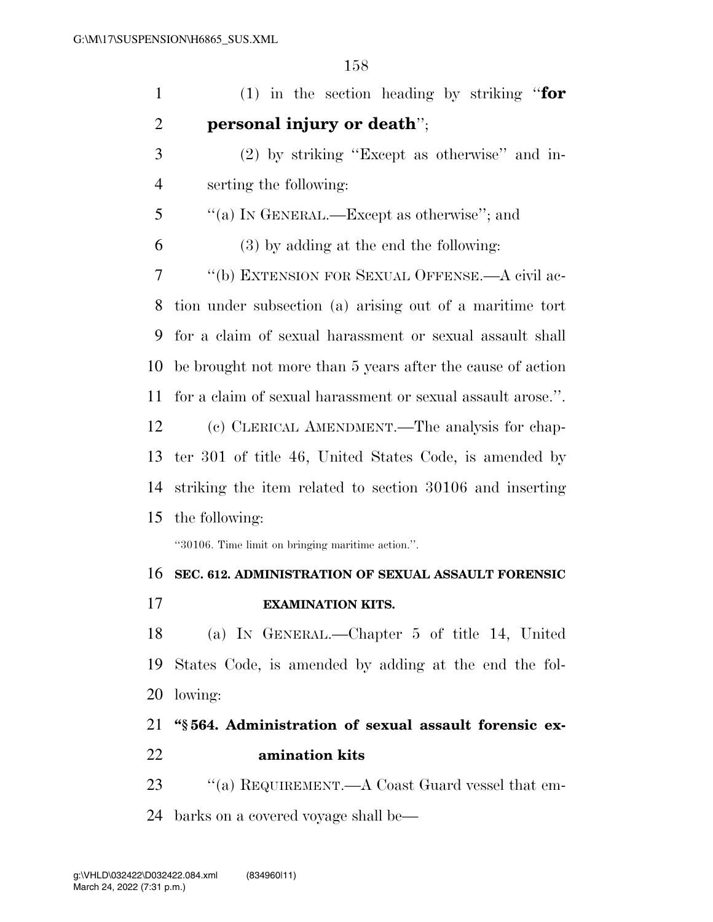| $\mathbf{1}$   | (1) in the section heading by striking "for                 |
|----------------|-------------------------------------------------------------|
| $\overline{2}$ | personal injury or death";                                  |
| 3              | $(2)$ by striking "Except as otherwise" and in-             |
| $\overline{4}$ | serting the following:                                      |
| 5              | "(a) IN GENERAL.—Except as otherwise"; and                  |
| 6              | $(3)$ by adding at the end the following:                   |
| 7              | "(b) EXTENSION FOR SEXUAL OFFENSE.—A civil ac-              |
| 8              | tion under subsection (a) arising out of a maritime tort    |
| 9              | for a claim of sexual harassment or sexual assault shall    |
| 10             | be brought not more than 5 years after the cause of action  |
| 11             | for a claim of sexual harassment or sexual assault arose.". |
| 12             | (c) CLERICAL AMENDMENT.—The analysis for chap-              |
| 13             | ter 301 of title 46, United States Code, is amended by      |
| 14             | striking the item related to section 30106 and inserting    |
| 15             | the following:                                              |
|                | "30106. Time limit on bringing maritime action.".           |
| 16             | SEC. 612. ADMINISTRATION OF SEXUAL ASSAULT FORENSIC         |
| 17             | <b>EXAMINATION KITS.</b>                                    |
| 18             | (a) IN GENERAL.—Chapter 5 of title 14, United               |
| 19             | States Code, is amended by adding at the end the fol-       |
| 20             | lowing:                                                     |
| 21             | "§564. Administration of sexual assault forensic ex-        |
| 22             | amination kits                                              |
| 23             | "(a) REQUIREMENT.—A Coast Guard vessel that em-             |
| 24             | barks on a covered voyage shall be—                         |
|                |                                                             |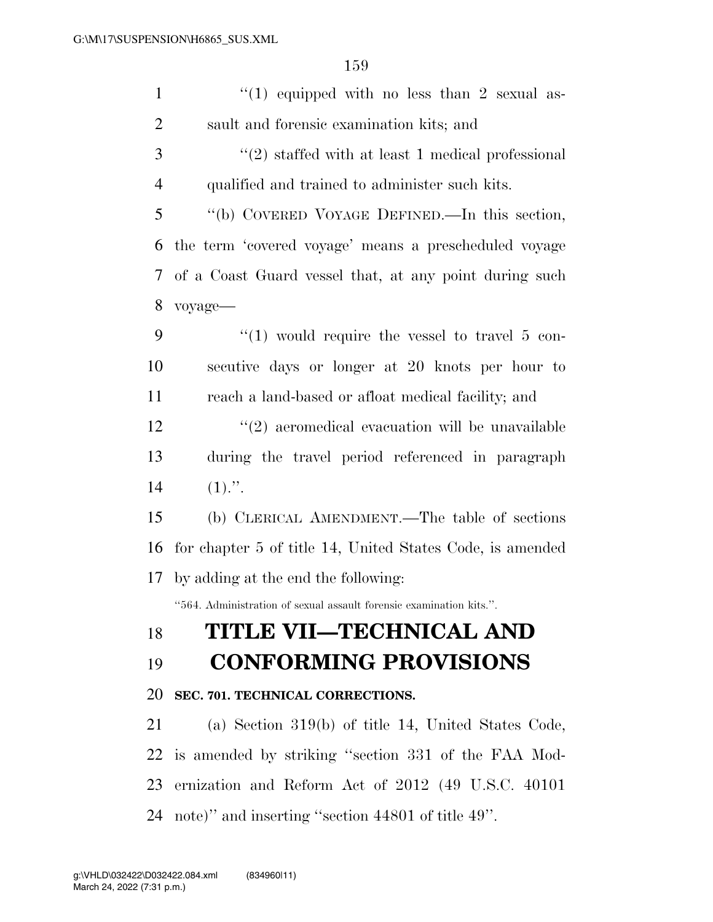| $\mathbf{1}$   | $(1)$ equipped with no less than 2 sexual as-                       |
|----------------|---------------------------------------------------------------------|
| $\overline{2}$ | sault and forensic examination kits; and                            |
| 3              | $(2)$ staffed with at least 1 medical professional                  |
| $\overline{4}$ | qualified and trained to administer such kits.                      |
| 5              | "(b) COVERED VOYAGE DEFINED.—In this section,                       |
| 6              | the term 'covered voyage' means a prescheduled voyage               |
| 7              | of a Coast Guard vessel that, at any point during such              |
| 8              | voyage-                                                             |
| 9              | "(1) would require the vessel to travel $5$ con-                    |
| 10             | secutive days or longer at 20 knots per hour to                     |
| 11             | reach a land-based or afloat medical facility; and                  |
| 12             | $\lq(2)$ aeromedical evacuation will be unavailable                 |
| 13             | during the travel period referenced in paragraph                    |
| 14             | $(1)$ .".                                                           |
| 15             | (b) CLERICAL AMENDMENT.—The table of sections                       |
| 16             | for chapter 5 of title 14, United States Code, is amended           |
| 17             | by adding at the end the following:                                 |
|                | "564. Administration of sexual assault forensic examination kits.". |
| 18             | TITLE VII—TECHNICAL AND                                             |
| 19             | <b>CONFORMING PROVISIONS</b>                                        |
| 20             | SEC. 701. TECHNICAL CORRECTIONS.                                    |
| 21             | (a) Section $319(b)$ of title 14, United States Code,               |
| 22             |                                                                     |
|                | is amended by striking "section 331 of the FAA Mod-                 |

note)'' and inserting ''section 44801 of title 49''.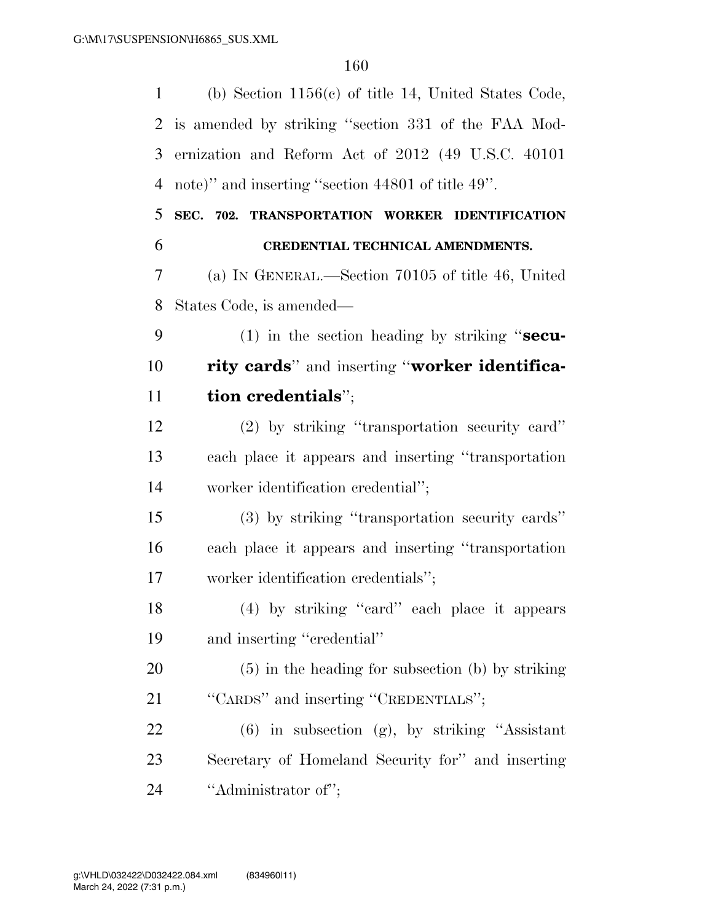| 1              | (b) Section $1156(c)$ of title 14, United States Code, |
|----------------|--------------------------------------------------------|
| 2              | is amended by striking "section 331 of the FAA Mod-    |
| 3              | ernization and Reform Act of 2012 (49 U.S.C. 40101)    |
| $\overline{4}$ | note)" and inserting "section 44801 of title 49".      |
| 5              | SEC. 702. TRANSPORTATION WORKER IDENTIFICATION         |
| 6              | CREDENTIAL TECHNICAL AMENDMENTS.                       |
| 7              | (a) IN GENERAL.—Section 70105 of title 46, United      |
| 8              | States Code, is amended—                               |
| 9              | $(1)$ in the section heading by striking "secu-        |
| 10             | rity cards" and inserting "worker identifica-          |
| 11             | tion credentials";                                     |
| 12             | (2) by striking "transportation security card"         |
| 13             | each place it appears and inserting "transportation"   |
| 14             | worker identification credential";                     |
| 15             | (3) by striking "transportation security cards"        |
| 16             | each place it appears and inserting "transportation    |
| 17             | worker identification credentials";                    |
| 18             | (4) by striking "eard" each place it appears           |
| 19             | and inserting "credential"                             |
| 20             | $(5)$ in the heading for subsection (b) by striking    |
| 21             | "CARDS" and inserting "CREDENTIALS";                   |
| 22             | $(6)$ in subsection $(g)$ , by striking "Assistant"    |
| 23             | Secretary of Homeland Security for" and inserting      |
| 24             | "Administrator of";                                    |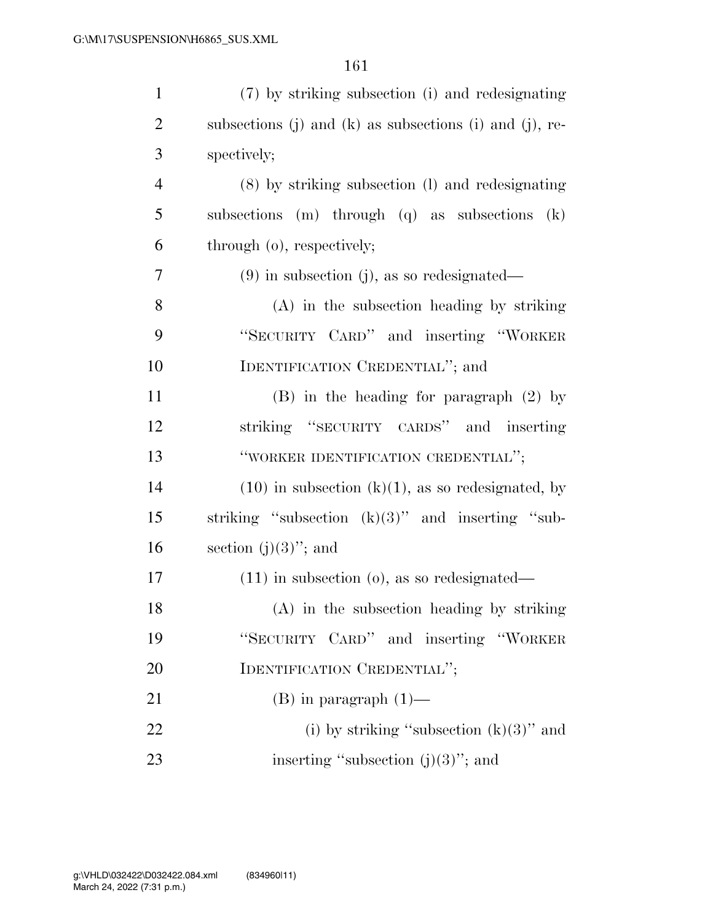| $\mathbf{1}$   | (7) by striking subsection (i) and redesignating        |
|----------------|---------------------------------------------------------|
| $\overline{2}$ | subsections (j) and (k) as subsections (i) and (j), re- |
| 3              | spectively;                                             |
| $\overline{4}$ | (8) by striking subsection (1) and redesignating        |
| 5              | subsections (m) through (q) as subsections<br>(k)       |
| 6              | through (o), respectively;                              |
| 7              | $(9)$ in subsection (j), as so redesignated—            |
| 8              | $(A)$ in the subsection heading by striking             |
| 9              | "SECURITY CARD" and inserting "WORKER                   |
| 10             | IDENTIFICATION CREDENTIAL"; and                         |
| 11             | $(B)$ in the heading for paragraph $(2)$ by             |
| 12             | striking "SECURITY CARDS" and inserting                 |
| 13             | "WORKER IDENTIFICATION CREDENTIAL";                     |
| 14             | $(10)$ in subsection $(k)(1)$ , as so redesignated, by  |
| 15             | striking "subsection $(k)(3)$ " and inserting "sub-     |
| 16             | section $(j)(3)$ "; and                                 |
| 17             | $(11)$ in subsection $(o)$ , as so redesignated—        |
| 18             | (A) in the subsection heading by striking               |
| 19             | "SECURITY CARD" and inserting "WORKER                   |
| 20             | IDENTIFICATION CREDENTIAL";                             |
| 21             | $(B)$ in paragraph $(1)$ —                              |
| 22             | (i) by striking "subsection $(k)(3)$ " and              |
| 23             | inserting "subsection $(j)(3)$ "; and                   |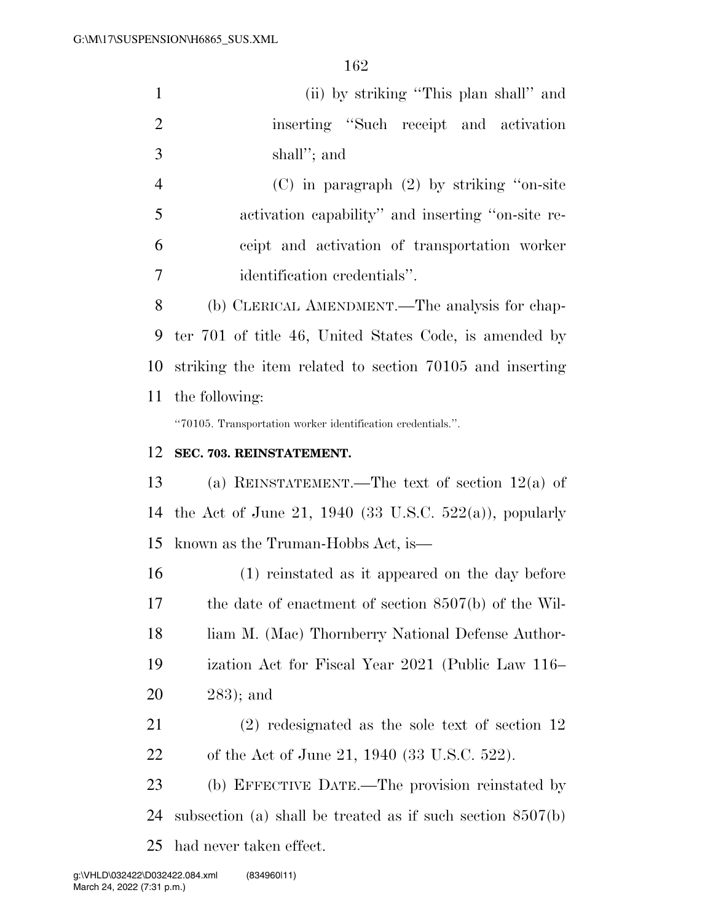| $\mathbf{1}$     | (ii) by striking "This plan shall" and                      |
|------------------|-------------------------------------------------------------|
| $\overline{2}$   | inserting "Such receipt and activation                      |
| 3                | shall"; and                                                 |
| $\overline{4}$   | $(C)$ in paragraph $(2)$ by striking "on-site"              |
| 5                | activation capability" and inserting "on-site re-           |
| 6                | ceipt and activation of transportation worker               |
| $\boldsymbol{7}$ | identification credentials".                                |
| 8                | (b) CLERICAL AMENDMENT.—The analysis for chap-              |
| 9                | ter 701 of title 46, United States Code, is amended by      |
| 10               | striking the item related to section 70105 and inserting    |
| 11               | the following:                                              |
|                  | "70105. Transportation worker identification credentials.". |
| 12               | SEC. 703. REINSTATEMENT.                                    |
| 13               | (a) REINSTATEMENT.—The text of section $12(a)$ of           |
| 14               | the Act of June 21, 1940 (33 U.S.C. 522(a)), popularly      |
| 15               | known as the Truman-Hobbs Act, is—                          |
| 16               | (1) reinstated as it appeared on the day before             |
| 17               | the date of enactment of section $8507(b)$ of the Wil-      |
| 18               | liam M. (Mac) Thornberry National Defense Author-           |
| 19               | ization Act for Fiscal Year 2021 (Public Law 116–           |
| 20               | $283$ ; and                                                 |
| 21               | $(2)$ redesignated as the sole text of section 12           |
| 22               | of the Act of June 21, 1940 (33 U.S.C. 522).                |
|                  |                                                             |
| 23               | (b) EFFECTIVE DATE.—The provision reinstated by             |

had never taken effect.